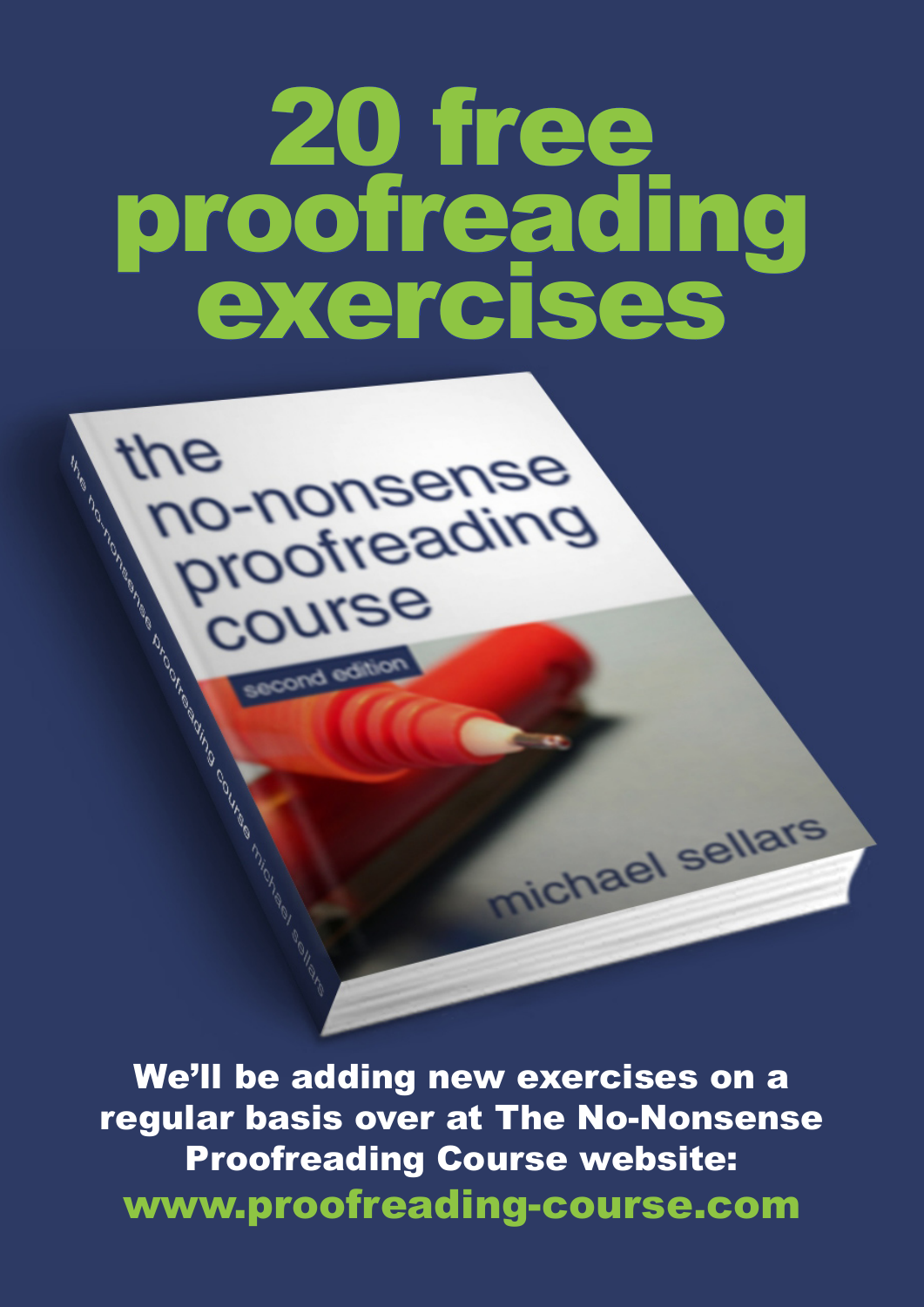# 20 free proofreading exercises



We'll be adding new exercises on a regular basis over at The No-Nonsense Proofreading Course website: www.proofreading-course.com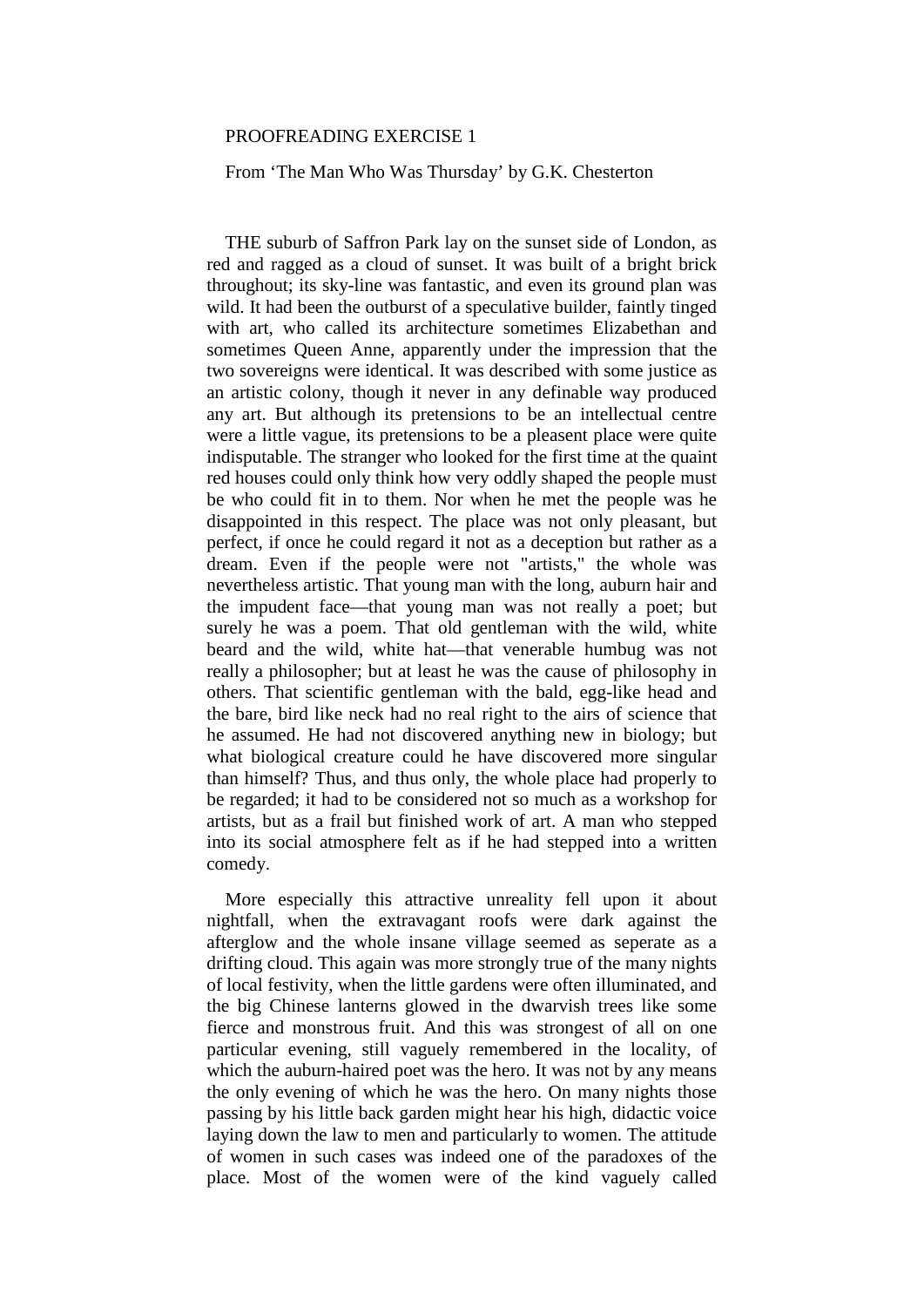From 'The Man Who Was Thursday' by G.K. Chesterton

THE suburb of Saffron Park lay on the sunset side of London, as red and ragged as a cloud of sunset. It was built of a bright brick throughout; its sky-line was fantastic, and even its ground plan was wild. It had been the outburst of a speculative builder, faintly tinged with art, who called its architecture sometimes Elizabethan and sometimes Queen Anne, apparently under the impression that the two sovereigns were identical. It was described with some justice as an artistic colony, though it never in any definable way produced any art. But although its pretensions to be an intellectual centre were a little vague, its pretensions to be a pleasent place were quite indisputable. The stranger who looked for the first time at the quaint red houses could only think how very oddly shaped the people must be who could fit in to them. Nor when he met the people was he disappointed in this respect. The place was not only pleasant, but perfect, if once he could regard it not as a deception but rather as a dream. Even if the people were not "artists," the whole was nevertheless artistic. That young man with the long, auburn hair and the impudent face—that young man was not really a poet; but surely he was a poem. That old gentleman with the wild, white beard and the wild, white hat—that venerable humbug was not really a philosopher; but at least he was the cause of philosophy in others. That scientific gentleman with the bald, egg-like head and the bare, bird like neck had no real right to the airs of science that he assumed. He had not discovered anything new in biology; but what biological creature could he have discovered more singular than himself? Thus, and thus only, the whole place had properly to be regarded; it had to be considered not so much as a workshop for artists, but as a frail but finished work of art. A man who stepped into its social atmosphere felt as if he had stepped into a written comedy.

More especially this attractive unreality fell upon it about nightfall, when the extravagant roofs were dark against the afterglow and the whole insane village seemed as seperate as a drifting cloud. This again was more strongly true of the many nights of local festivity, when the little gardens were often illuminated, and the big Chinese lanterns glowed in the dwarvish trees like some fierce and monstrous fruit. And this was strongest of all on one particular evening, still vaguely remembered in the locality, of which the auburn-haired poet was the hero. It was not by any means the only evening of which he was the hero. On many nights those passing by his little back garden might hear his high, didactic voice laying down the law to men and particularly to women. The attitude of women in such cases was indeed one of the paradoxes of the place. Most of the women were of the kind vaguely called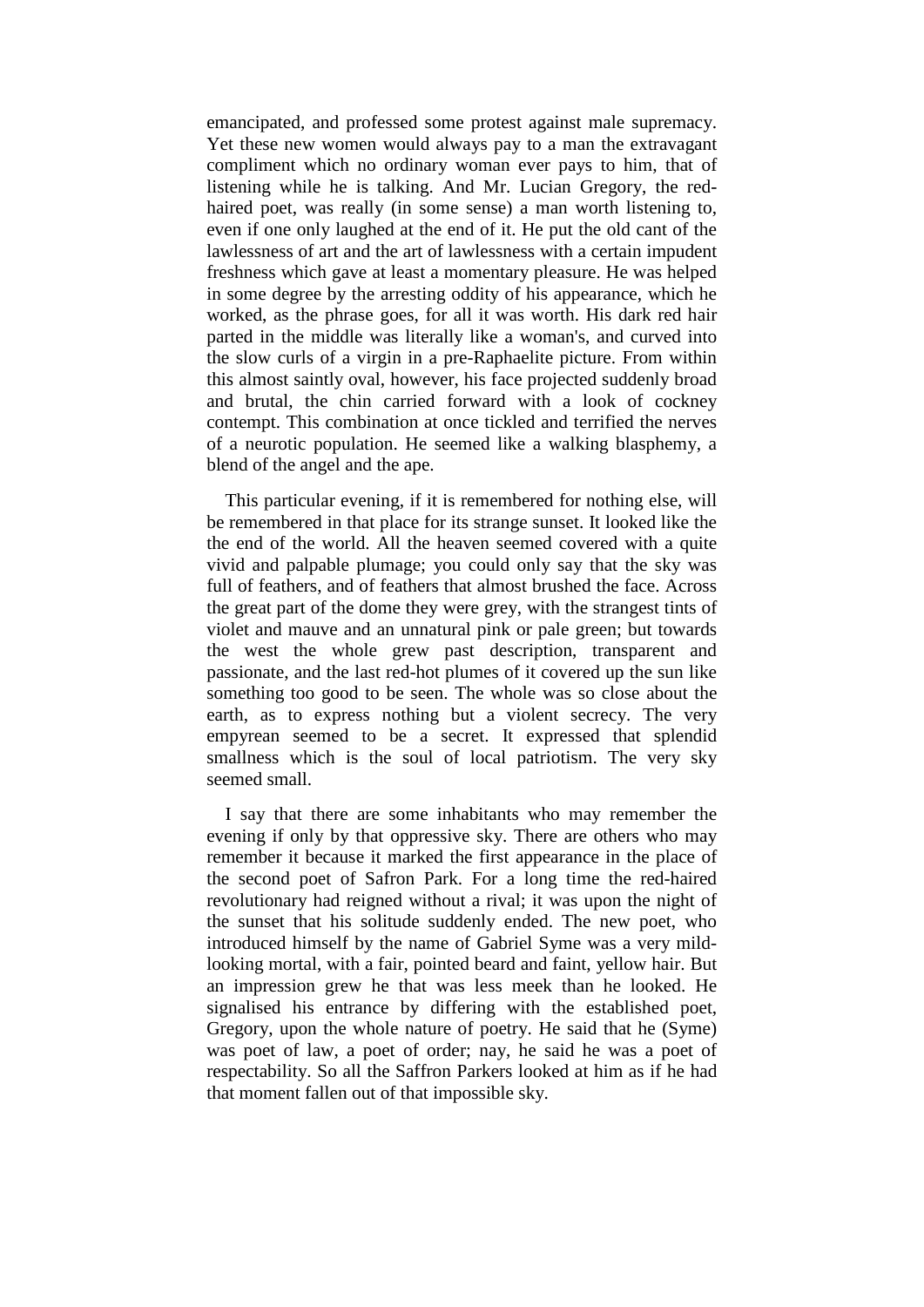emancipated, and professed some protest against male supremacy. Yet these new women would always pay to a man the extravagant compliment which no ordinary woman ever pays to him, that of listening while he is talking. And Mr. Lucian Gregory, the redhaired poet, was really (in some sense) a man worth listening to, even if one only laughed at the end of it. He put the old cant of the lawlessness of art and the art of lawlessness with a certain impudent freshness which gave at least a momentary pleasure. He was helped in some degree by the arresting oddity of his appearance, which he worked, as the phrase goes, for all it was worth. His dark red hair parted in the middle was literally like a woman's, and curved into the slow curls of a virgin in a pre-Raphaelite picture. From within this almost saintly oval, however, his face projected suddenly broad and brutal, the chin carried forward with a look of cockney contempt. This combination at once tickled and terrified the nerves of a neurotic population. He seemed like a walking blasphemy, a blend of the angel and the ape.

This particular evening, if it is remembered for nothing else, will be remembered in that place for its strange sunset. It looked like the the end of the world. All the heaven seemed covered with a quite vivid and palpable plumage; you could only say that the sky was full of feathers, and of feathers that almost brushed the face. Across the great part of the dome they were grey, with the strangest tints of violet and mauve and an unnatural pink or pale green; but towards the west the whole grew past description, transparent and passionate, and the last red-hot plumes of it covered up the sun like something too good to be seen. The whole was so close about the earth, as to express nothing but a violent secrecy. The very empyrean seemed to be a secret. It expressed that splendid smallness which is the soul of local patriotism. The very sky seemed small.

I say that there are some inhabitants who may remember the evening if only by that oppressive sky. There are others who may remember it because it marked the first appearance in the place of the second poet of Safron Park. For a long time the red-haired revolutionary had reigned without a rival; it was upon the night of the sunset that his solitude suddenly ended. The new poet, who introduced himself by the name of Gabriel Syme was a very mildlooking mortal, with a fair, pointed beard and faint, yellow hair. But an impression grew he that was less meek than he looked. He signalised his entrance by differing with the established poet, Gregory, upon the whole nature of poetry. He said that he (Syme) was poet of law, a poet of order; nay, he said he was a poet of respectability. So all the Saffron Parkers looked at him as if he had that moment fallen out of that impossible sky.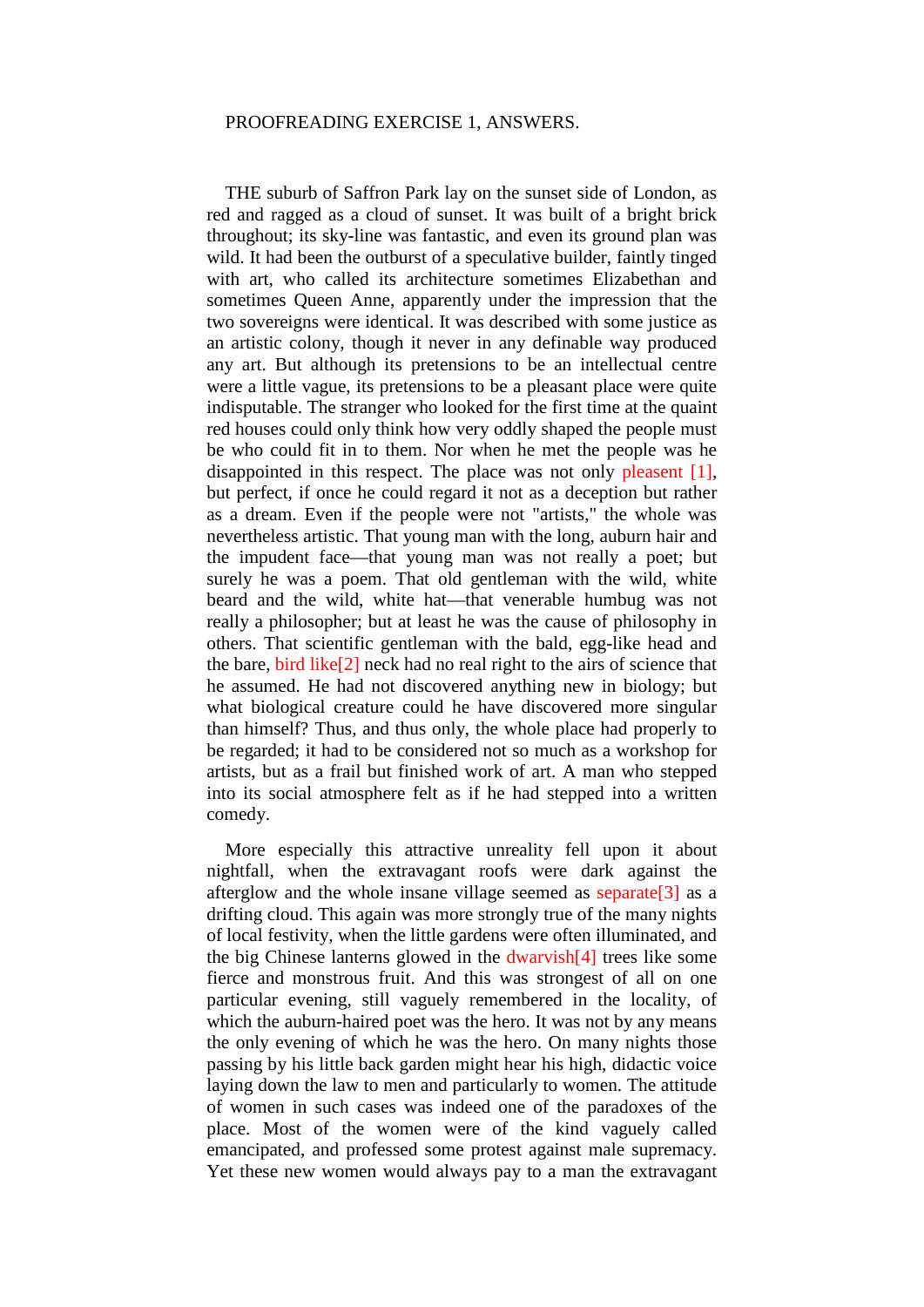## PROOFREADING EXERCISE 1, ANSWERS.

THE suburb of Saffron Park lay on the sunset side of London, as red and ragged as a cloud of sunset. It was built of a bright brick throughout; its sky-line was fantastic, and even its ground plan was wild. It had been the outburst of a speculative builder, faintly tinged with art, who called its architecture sometimes Elizabethan and sometimes Queen Anne, apparently under the impression that the two sovereigns were identical. It was described with some justice as an artistic colony, though it never in any definable way produced any art. But although its pretensions to be an intellectual centre were a little vague, its pretensions to be a pleasant place were quite indisputable. The stranger who looked for the first time at the quaint red houses could only think how very oddly shaped the people must be who could fit in to them. Nor when he met the people was he disappointed in this respect. The place was not only pleasent [1], but perfect, if once he could regard it not as a deception but rather as a dream. Even if the people were not "artists," the whole was nevertheless artistic. That young man with the long, auburn hair and the impudent face—that young man was not really a poet; but surely he was a poem. That old gentleman with the wild, white beard and the wild, white hat—that venerable humbug was not really a philosopher; but at least he was the cause of philosophy in others. That scientific gentleman with the bald, egg-like head and the bare, bird like[2] neck had no real right to the airs of science that he assumed. He had not discovered anything new in biology; but what biological creature could he have discovered more singular than himself? Thus, and thus only, the whole place had properly to be regarded; it had to be considered not so much as a workshop for artists, but as a frail but finished work of art. A man who stepped into its social atmosphere felt as if he had stepped into a written comedy.

More especially this attractive unreality fell upon it about nightfall, when the extravagant roofs were dark against the afterglow and the whole insane village seemed as separate[3] as a drifting cloud. This again was more strongly true of the many nights of local festivity, when the little gardens were often illuminated, and the big Chinese lanterns glowed in the dwarvish[4] trees like some fierce and monstrous fruit. And this was strongest of all on one particular evening, still vaguely remembered in the locality, of which the auburn-haired poet was the hero. It was not by any means the only evening of which he was the hero. On many nights those passing by his little back garden might hear his high, didactic voice laying down the law to men and particularly to women. The attitude of women in such cases was indeed one of the paradoxes of the place. Most of the women were of the kind vaguely called emancipated, and professed some protest against male supremacy. Yet these new women would always pay to a man the extravagant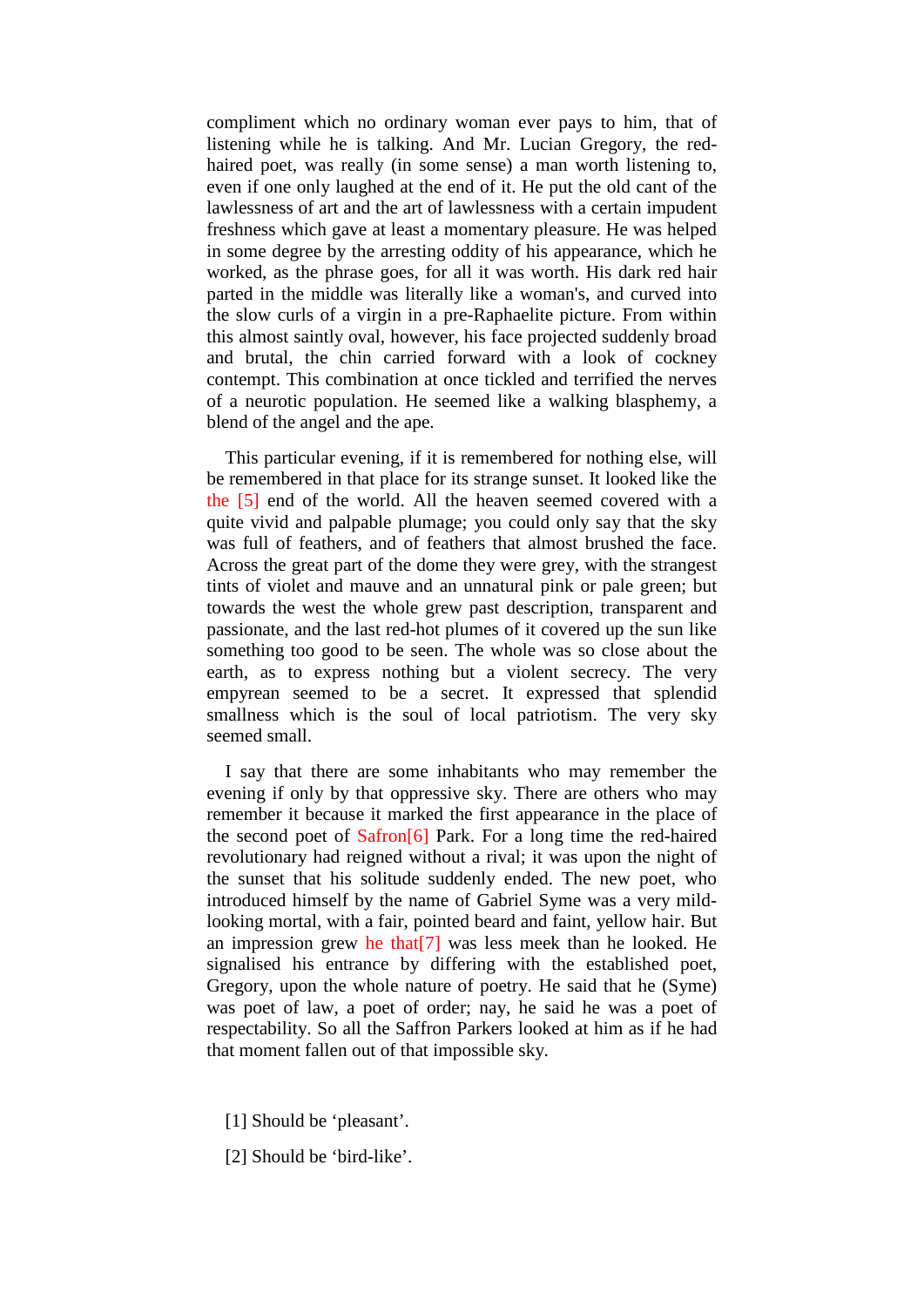compliment which no ordinary woman ever pays to him, that of listening while he is talking. And Mr. Lucian Gregory, the redhaired poet, was really (in some sense) a man worth listening to, even if one only laughed at the end of it. He put the old cant of the lawlessness of art and the art of lawlessness with a certain impudent freshness which gave at least a momentary pleasure. He was helped in some degree by the arresting oddity of his appearance, which he worked, as the phrase goes, for all it was worth. His dark red hair parted in the middle was literally like a woman's, and curved into the slow curls of a virgin in a pre-Raphaelite picture. From within this almost saintly oval, however, his face projected suddenly broad and brutal, the chin carried forward with a look of cockney contempt. This combination at once tickled and terrified the nerves of a neurotic population. He seemed like a walking blasphemy, a blend of the angel and the ape.

This particular evening, if it is remembered for nothing else, will be remembered in that place for its strange sunset. It looked like the the [5] end of the world. All the heaven seemed covered with a quite vivid and palpable plumage; you could only say that the sky was full of feathers, and of feathers that almost brushed the face. Across the great part of the dome they were grey, with the strangest tints of violet and mauve and an unnatural pink or pale green; but towards the west the whole grew past description, transparent and passionate, and the last red-hot plumes of it covered up the sun like something too good to be seen. The whole was so close about the earth, as to express nothing but a violent secrecy. The very empyrean seemed to be a secret. It expressed that splendid smallness which is the soul of local patriotism. The very sky seemed small.

I say that there are some inhabitants who may remember the evening if only by that oppressive sky. There are others who may remember it because it marked the first appearance in the place of the second poet of Safron[6] Park. For a long time the red-haired revolutionary had reigned without a rival; it was upon the night of the sunset that his solitude suddenly ended. The new poet, who introduced himself by the name of Gabriel Syme was a very mildlooking mortal, with a fair, pointed beard and faint, yellow hair. But an impression grew he that[7] was less meek than he looked. He signalised his entrance by differing with the established poet, Gregory, upon the whole nature of poetry. He said that he (Syme) was poet of law, a poet of order; nay, he said he was a poet of respectability. So all the Saffron Parkers looked at him as if he had that moment fallen out of that impossible sky.

- [1] Should be 'pleasant'.
- [2] Should be 'bird-like'.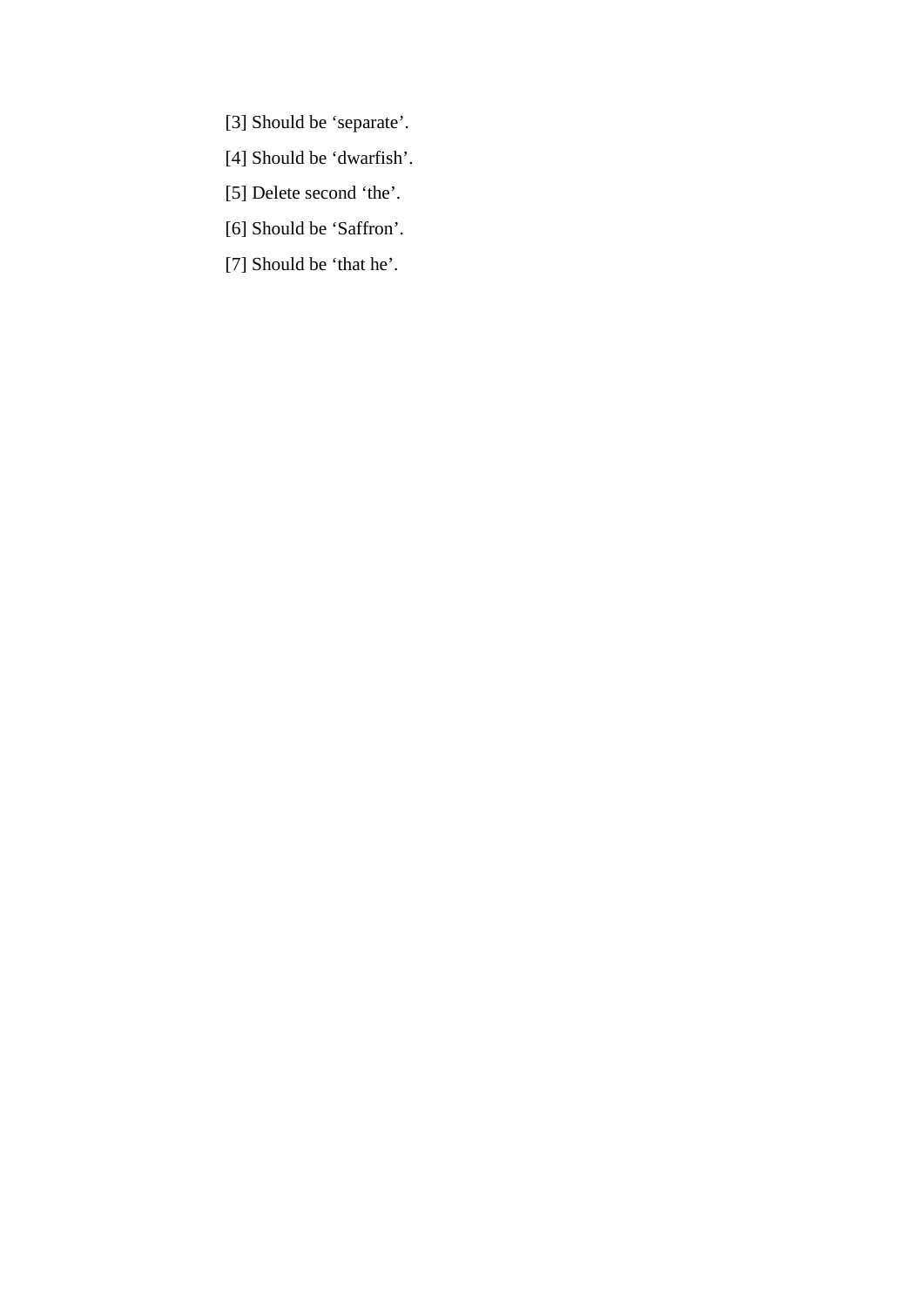- [3] Should be 'separate'.
- [4] Should be 'dwarfish'.
- [5] Delete second 'the'.
- [6] Should be 'Saffron'.
- [7] Should be 'that he'.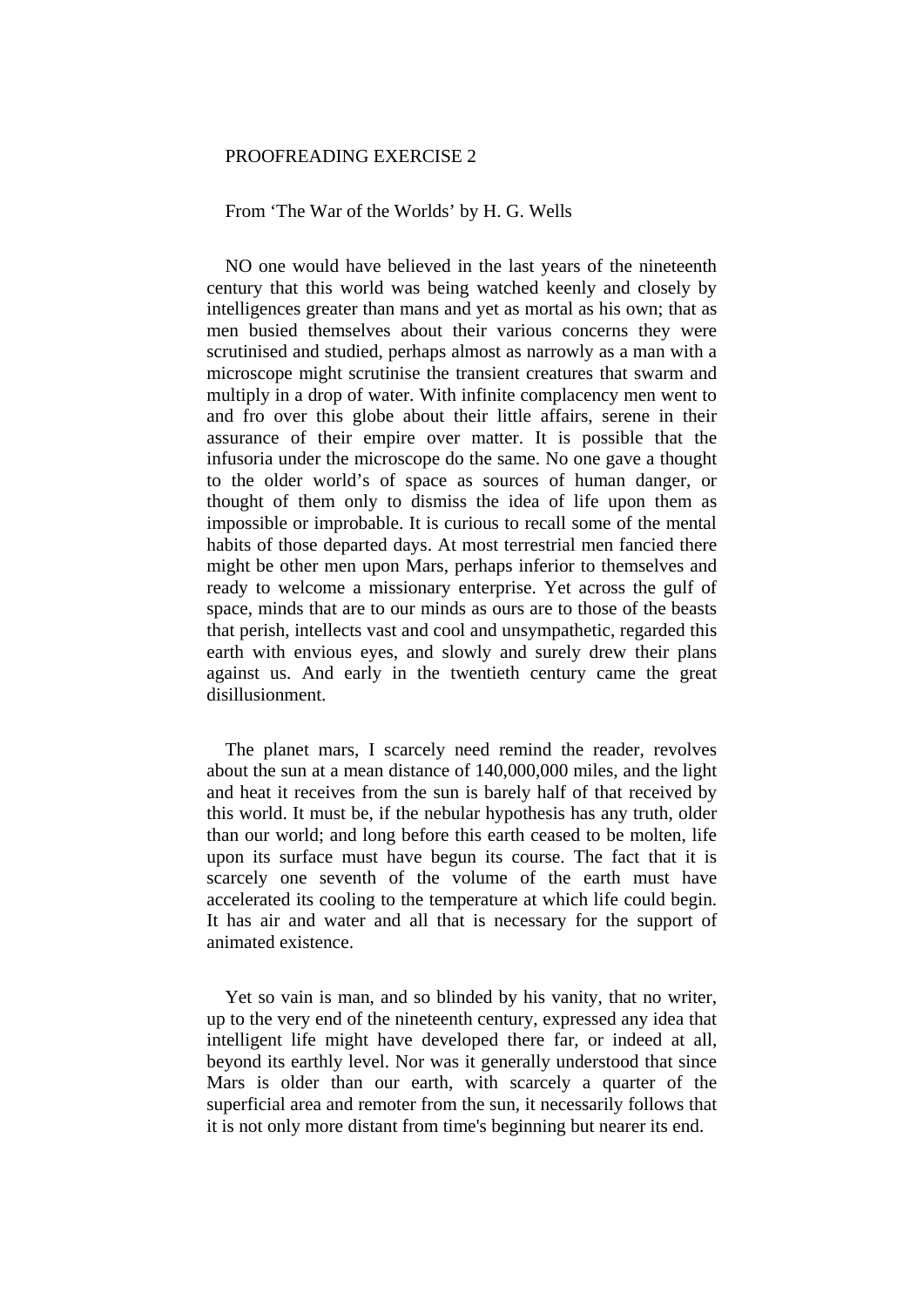## From 'The War of the Worlds' by H. G. Wells

NO one would have believed in the last years of the nineteenth century that this world was being watched keenly and closely by intelligences greater than mans and yet as mortal as his own; that as men busied themselves about their various concerns they were scrutinised and studied, perhaps almost as narrowly as a man with a microscope might scrutinise the transient creatures that swarm and multiply in a drop of water. With infinite complacency men went to and fro over this globe about their little affairs, serene in their assurance of their empire over matter. It is possible that the infusoria under the microscope do the same. No one gave a thought to the older world's of space as sources of human danger, or thought of them only to dismiss the idea of life upon them as impossible or improbable. It is curious to recall some of the mental habits of those departed days. At most terrestrial men fancied there might be other men upon Mars, perhaps inferior to themselves and ready to welcome a missionary enterprise. Yet across the gulf of space, minds that are to our minds as ours are to those of the beasts that perish, intellects vast and cool and unsympathetic, regarded this earth with envious eyes, and slowly and surely drew their plans against us. And early in the twentieth century came the great disillusionment.

The planet mars, I scarcely need remind the reader, revolves about the sun at a mean distance of 140,000,000 miles, and the light and heat it receives from the sun is barely half of that received by this world. It must be, if the nebular hypothesis has any truth, older than our world; and long before this earth ceased to be molten, life upon its surface must have begun its course. The fact that it is scarcely one seventh of the volume of the earth must have accelerated its cooling to the temperature at which life could begin. It has air and water and all that is necessary for the support of animated existence.

Yet so vain is man, and so blinded by his vanity, that no writer, up to the very end of the nineteenth century, expressed any idea that intelligent life might have developed there far, or indeed at all, beyond its earthly level. Nor was it generally understood that since Mars is older than our earth, with scarcely a quarter of the superficial area and remoter from the sun, it necessarily follows that it is not only more distant from time's beginning but nearer its end.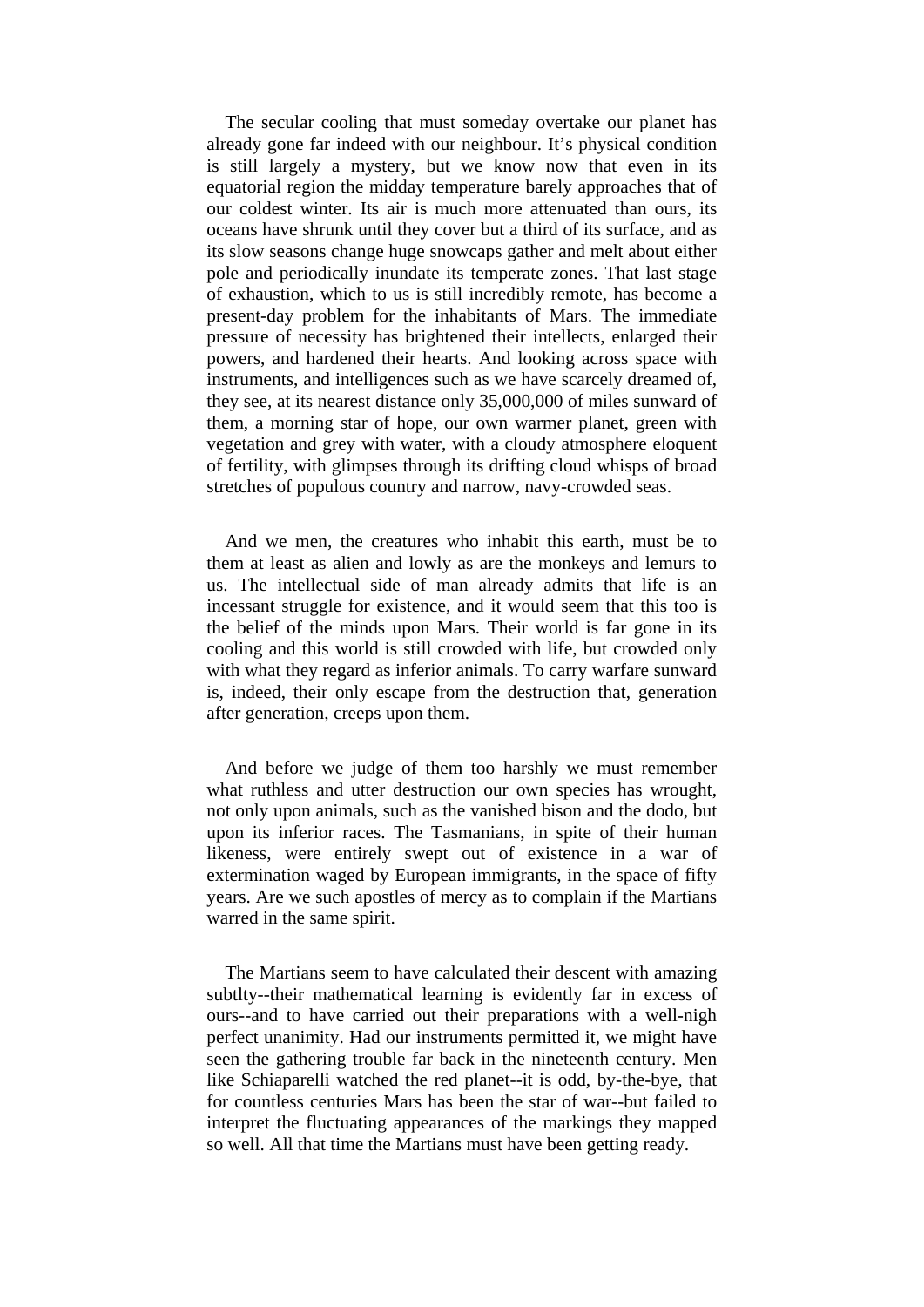The secular cooling that must someday overtake our planet has already gone far indeed with our neighbour. It's physical condition is still largely a mystery, but we know now that even in its equatorial region the midday temperature barely approaches that of our coldest winter. Its air is much more attenuated than ours, its oceans have shrunk until they cover but a third of its surface, and as its slow seasons change huge snowcaps gather and melt about either pole and periodically inundate its temperate zones. That last stage of exhaustion, which to us is still incredibly remote, has become a present-day problem for the inhabitants of Mars. The immediate pressure of necessity has brightened their intellects, enlarged their powers, and hardened their hearts. And looking across space with instruments, and intelligences such as we have scarcely dreamed of, they see, at its nearest distance only 35,000,000 of miles sunward of them, a morning star of hope, our own warmer planet, green with vegetation and grey with water, with a cloudy atmosphere eloquent of fertility, with glimpses through its drifting cloud whisps of broad stretches of populous country and narrow, navy-crowded seas.

And we men, the creatures who inhabit this earth, must be to them at least as alien and lowly as are the monkeys and lemurs to us. The intellectual side of man already admits that life is an incessant struggle for existence, and it would seem that this too is the belief of the minds upon Mars. Their world is far gone in its cooling and this world is still crowded with life, but crowded only with what they regard as inferior animals. To carry warfare sunward is, indeed, their only escape from the destruction that, generation after generation, creeps upon them.

And before we judge of them too harshly we must remember what ruthless and utter destruction our own species has wrought, not only upon animals, such as the vanished bison and the dodo, but upon its inferior races. The Tasmanians, in spite of their human likeness, were entirely swept out of existence in a war of extermination waged by European immigrants, in the space of fifty years. Are we such apostles of mercy as to complain if the Martians warred in the same spirit.

The Martians seem to have calculated their descent with amazing subtlty--their mathematical learning is evidently far in excess of ours--and to have carried out their preparations with a well-nigh perfect unanimity. Had our instruments permitted it, we might have seen the gathering trouble far back in the nineteenth century. Men like Schiaparelli watched the red planet--it is odd, by-the-bye, that for countless centuries Mars has been the star of war--but failed to interpret the fluctuating appearances of the markings they mapped so well. All that time the Martians must have been getting ready.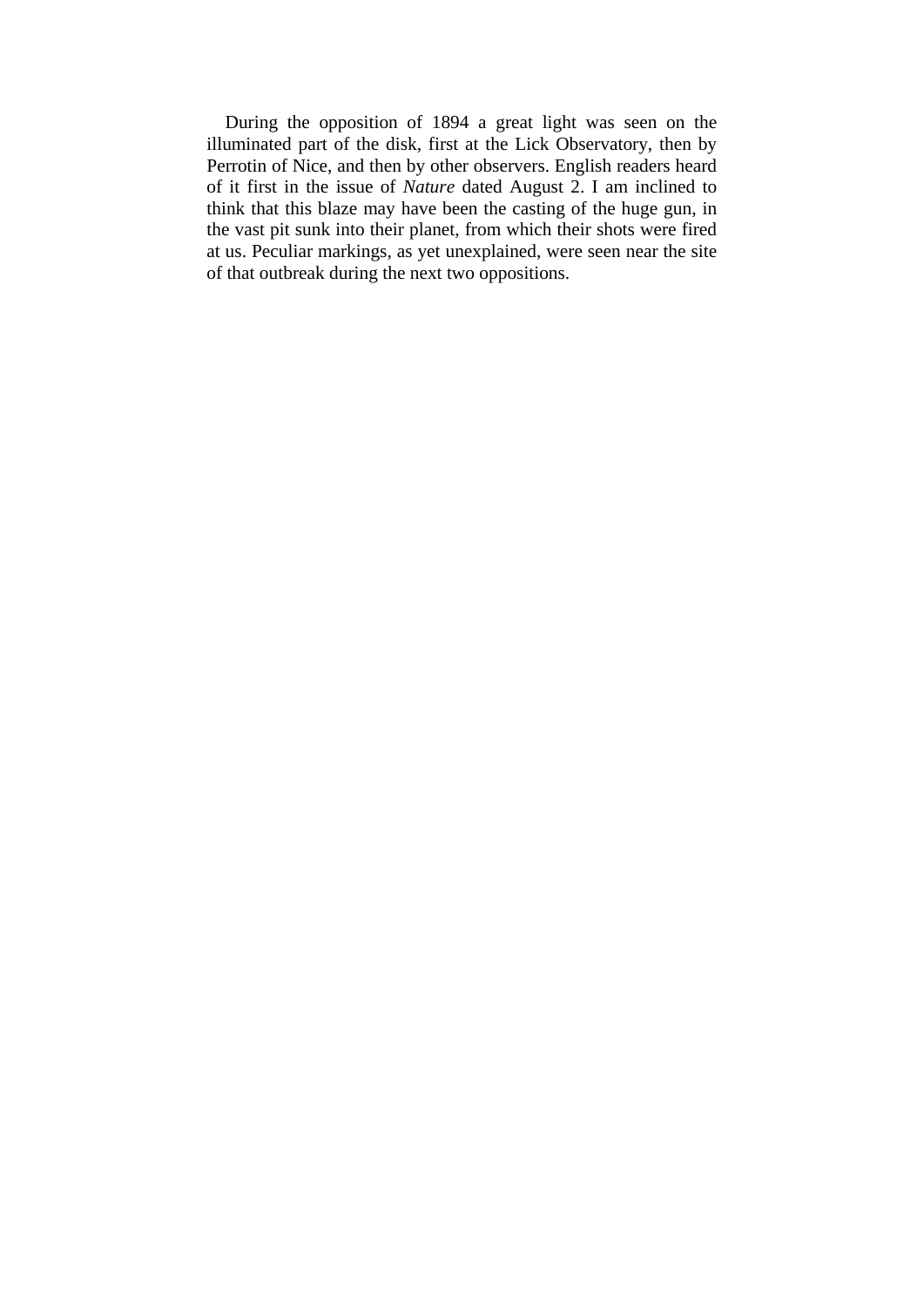During the opposition of 1894 a great light was seen on the illuminated part of the disk, first at the Lick Observatory, then by Perrotin of Nice, and then by other observers. English readers heard of it first in the issue of *Nature* dated August 2. I am inclined to think that this blaze may have been the casting of the huge gun, in the vast pit sunk into their planet, from which their shots were fired at us. Peculiar markings, as yet unexplained, were seen near the site of that outbreak during the next two oppositions.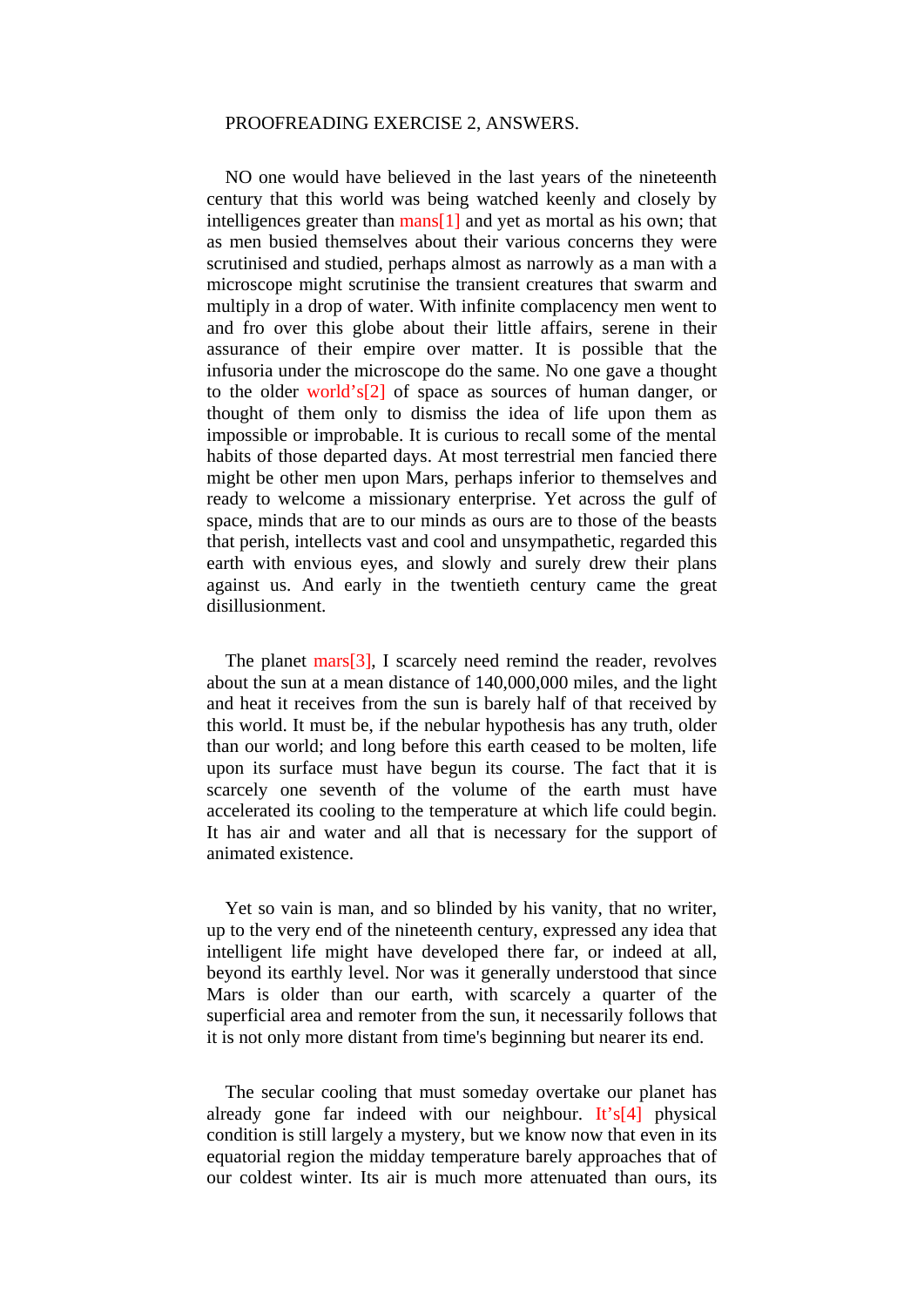## PROOFREADING EXERCISE 2, ANSWERS.

NO one would have believed in the last years of the nineteenth century that this world was being watched keenly and closely by intelligences greater than mans[1] and yet as mortal as his own; that as men busied themselves about their various concerns they were scrutinised and studied, perhaps almost as narrowly as a man with a microscope might scrutinise the transient creatures that swarm and multiply in a drop of water. With infinite complacency men went to and fro over this globe about their little affairs, serene in their assurance of their empire over matter. It is possible that the infusoria under the microscope do the same. No one gave a thought to the older world's[2] of space as sources of human danger, or thought of them only to dismiss the idea of life upon them as impossible or improbable. It is curious to recall some of the mental habits of those departed days. At most terrestrial men fancied there might be other men upon Mars, perhaps inferior to themselves and ready to welcome a missionary enterprise. Yet across the gulf of space, minds that are to our minds as ours are to those of the beasts that perish, intellects vast and cool and unsympathetic, regarded this earth with envious eyes, and slowly and surely drew their plans against us. And early in the twentieth century came the great disillusionment.

The planet mars[3], I scarcely need remind the reader, revolves about the sun at a mean distance of 140,000,000 miles, and the light and heat it receives from the sun is barely half of that received by this world. It must be, if the nebular hypothesis has any truth, older than our world; and long before this earth ceased to be molten, life upon its surface must have begun its course. The fact that it is scarcely one seventh of the volume of the earth must have accelerated its cooling to the temperature at which life could begin. It has air and water and all that is necessary for the support of animated existence.

Yet so vain is man, and so blinded by his vanity, that no writer, up to the very end of the nineteenth century, expressed any idea that intelligent life might have developed there far, or indeed at all, beyond its earthly level. Nor was it generally understood that since Mars is older than our earth, with scarcely a quarter of the superficial area and remoter from the sun, it necessarily follows that it is not only more distant from time's beginning but nearer its end.

The secular cooling that must someday overtake our planet has already gone far indeed with our neighbour. It's[4] physical condition is still largely a mystery, but we know now that even in its equatorial region the midday temperature barely approaches that of our coldest winter. Its air is much more attenuated than ours, its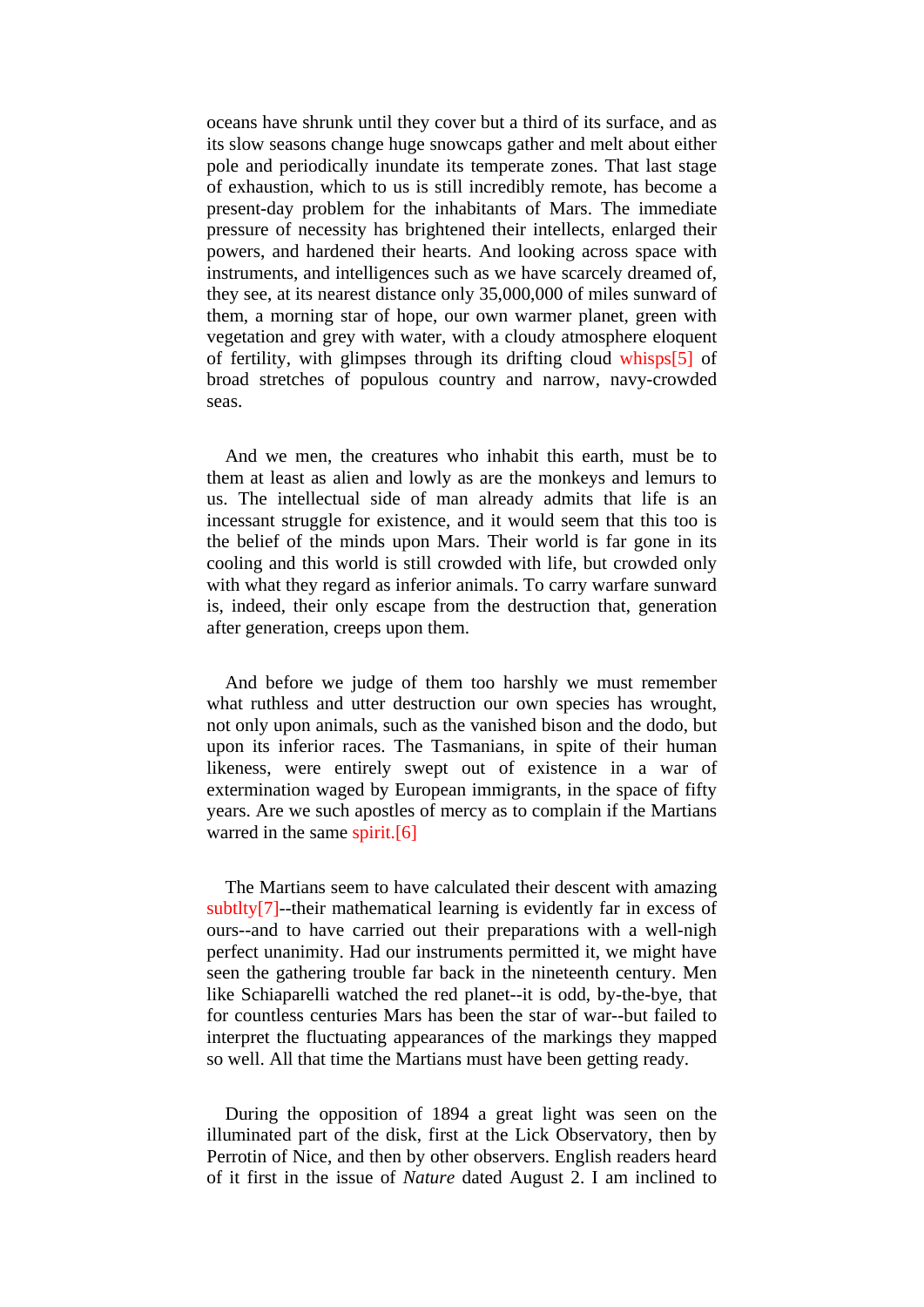oceans have shrunk until they cover but a third of its surface, and as its slow seasons change huge snowcaps gather and melt about either pole and periodically inundate its temperate zones. That last stage of exhaustion, which to us is still incredibly remote, has become a present-day problem for the inhabitants of Mars. The immediate pressure of necessity has brightened their intellects, enlarged their powers, and hardened their hearts. And looking across space with instruments, and intelligences such as we have scarcely dreamed of, they see, at its nearest distance only 35,000,000 of miles sunward of them, a morning star of hope, our own warmer planet, green with vegetation and grey with water, with a cloudy atmosphere eloquent of fertility, with glimpses through its drifting cloud whisps[5] of broad stretches of populous country and narrow, navy-crowded seas.

And we men, the creatures who inhabit this earth, must be to them at least as alien and lowly as are the monkeys and lemurs to us. The intellectual side of man already admits that life is an incessant struggle for existence, and it would seem that this too is the belief of the minds upon Mars. Their world is far gone in its cooling and this world is still crowded with life, but crowded only with what they regard as inferior animals. To carry warfare sunward is, indeed, their only escape from the destruction that, generation after generation, creeps upon them.

And before we judge of them too harshly we must remember what ruthless and utter destruction our own species has wrought, not only upon animals, such as the vanished bison and the dodo, but upon its inferior races. The Tasmanians, in spite of their human likeness, were entirely swept out of existence in a war of extermination waged by European immigrants, in the space of fifty years. Are we such apostles of mercy as to complain if the Martians warred in the same spirit.<sup>[6]</sup>

The Martians seem to have calculated their descent with amazing subtlty[7]--their mathematical learning is evidently far in excess of ours--and to have carried out their preparations with a well-nigh perfect unanimity. Had our instruments permitted it, we might have seen the gathering trouble far back in the nineteenth century. Men like Schiaparelli watched the red planet--it is odd, by-the-bye, that for countless centuries Mars has been the star of war--but failed to interpret the fluctuating appearances of the markings they mapped so well. All that time the Martians must have been getting ready.

During the opposition of 1894 a great light was seen on the illuminated part of the disk, first at the Lick Observatory, then by Perrotin of Nice, and then by other observers. English readers heard of it first in the issue of *Nature* dated August 2. I am inclined to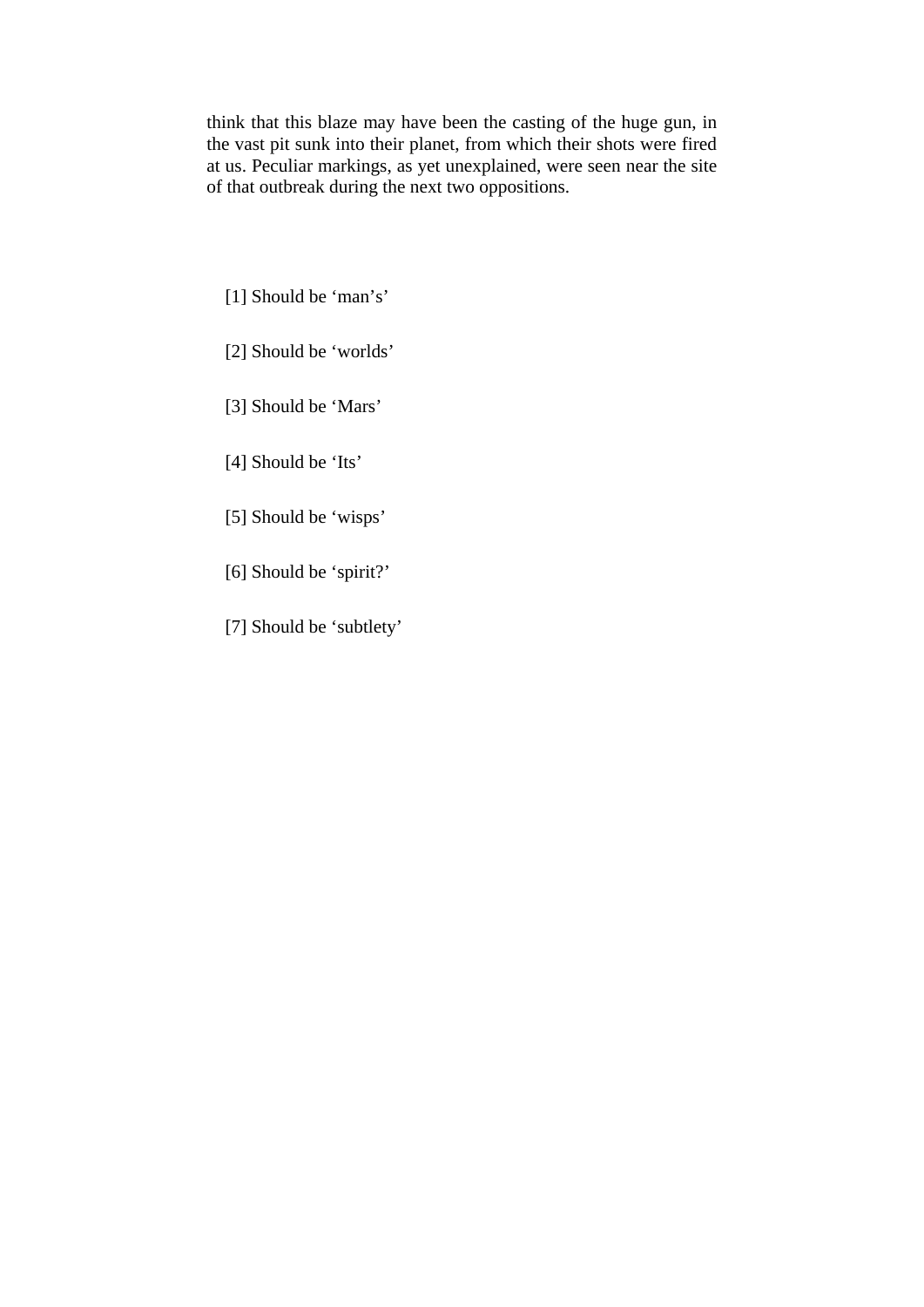think that this blaze may have been the casting of the huge gun, in the vast pit sunk into their planet, from which their shots were fired at us. Peculiar markings, as yet unexplained, were seen near the site of that outbreak during the next two oppositions.

- [1] Should be 'man's'
- [2] Should be 'worlds'
- [3] Should be 'Mars'
- [4] Should be 'Its'
- [5] Should be 'wisps'
- [6] Should be 'spirit?'
- [7] Should be 'subtlety'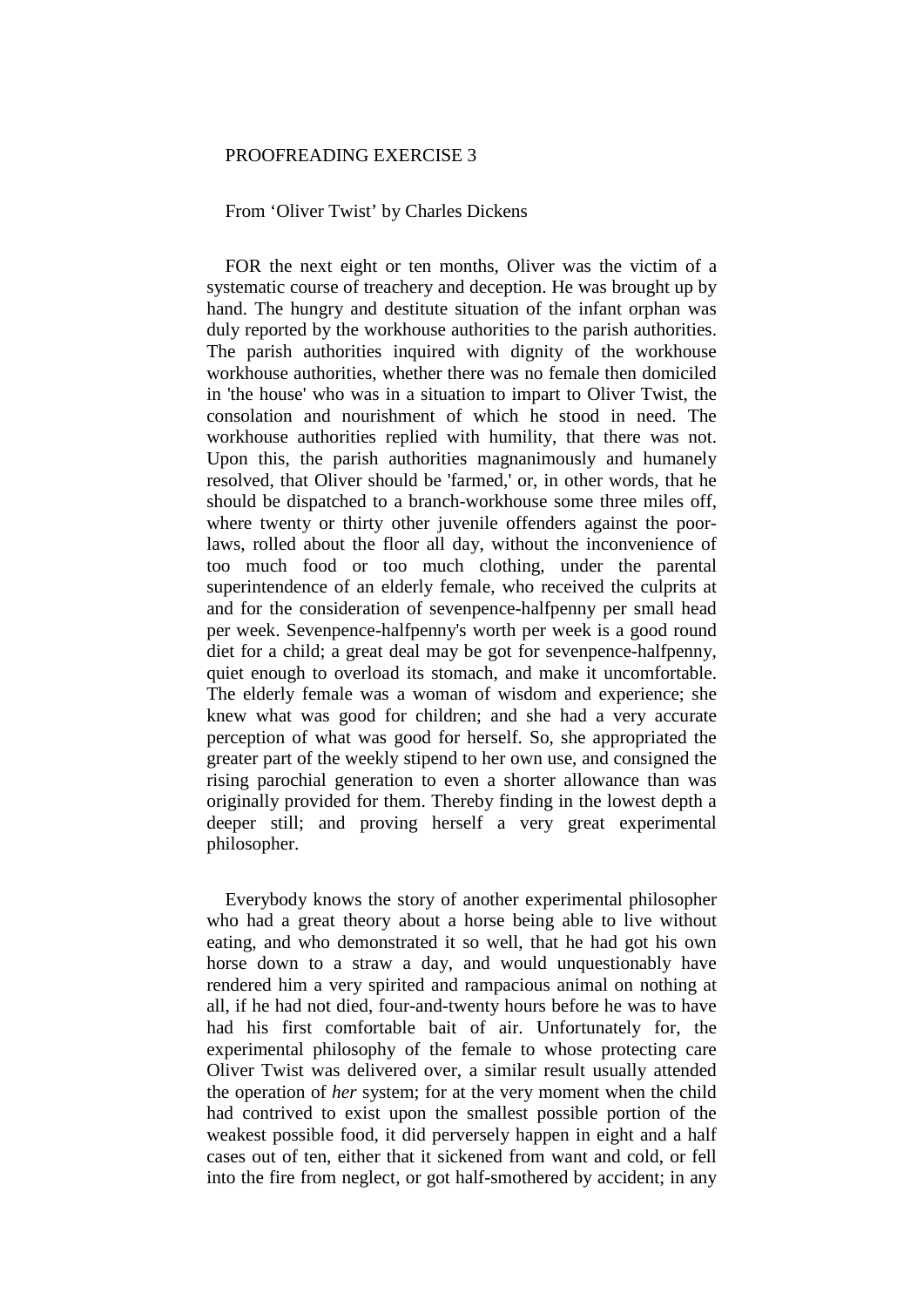## From 'Oliver Twist' by Charles Dickens

FOR the next eight or ten months, Oliver was the victim of a systematic course of treachery and deception. He was brought up by hand. The hungry and destitute situation of the infant orphan was duly reported by the workhouse authorities to the parish authorities. The parish authorities inquired with dignity of the workhouse workhouse authorities, whether there was no female then domiciled in 'the house' who was in a situation to impart to Oliver Twist, the consolation and nourishment of which he stood in need. The workhouse authorities replied with humility, that there was not. Upon this, the parish authorities magnanimously and humanely resolved, that Oliver should be 'farmed,' or, in other words, that he should be dispatched to a branch-workhouse some three miles off, where twenty or thirty other juvenile offenders against the poorlaws, rolled about the floor all day, without the inconvenience of too much food or too much clothing, under the parental superintendence of an elderly female, who received the culprits at and for the consideration of sevenpence-halfpenny per small head per week. Sevenpence-halfpenny's worth per week is a good round diet for a child; a great deal may be got for sevenpence-halfpenny, quiet enough to overload its stomach, and make it uncomfortable. The elderly female was a woman of wisdom and experience; she knew what was good for children; and she had a very accurate perception of what was good for herself. So, she appropriated the greater part of the weekly stipend to her own use, and consigned the rising parochial generation to even a shorter allowance than was originally provided for them. Thereby finding in the lowest depth a deeper still; and proving herself a very great experimental philosopher.

Everybody knows the story of another experimental philosopher who had a great theory about a horse being able to live without eating, and who demonstrated it so well, that he had got his own horse down to a straw a day, and would unquestionably have rendered him a very spirited and rampacious animal on nothing at all, if he had not died, four-and-twenty hours before he was to have had his first comfortable bait of air. Unfortunately for, the experimental philosophy of the female to whose protecting care Oliver Twist was delivered over, a similar result usually attended the operation of *her* system; for at the very moment when the child had contrived to exist upon the smallest possible portion of the weakest possible food, it did perversely happen in eight and a half cases out of ten, either that it sickened from want and cold, or fell into the fire from neglect, or got half-smothered by accident; in any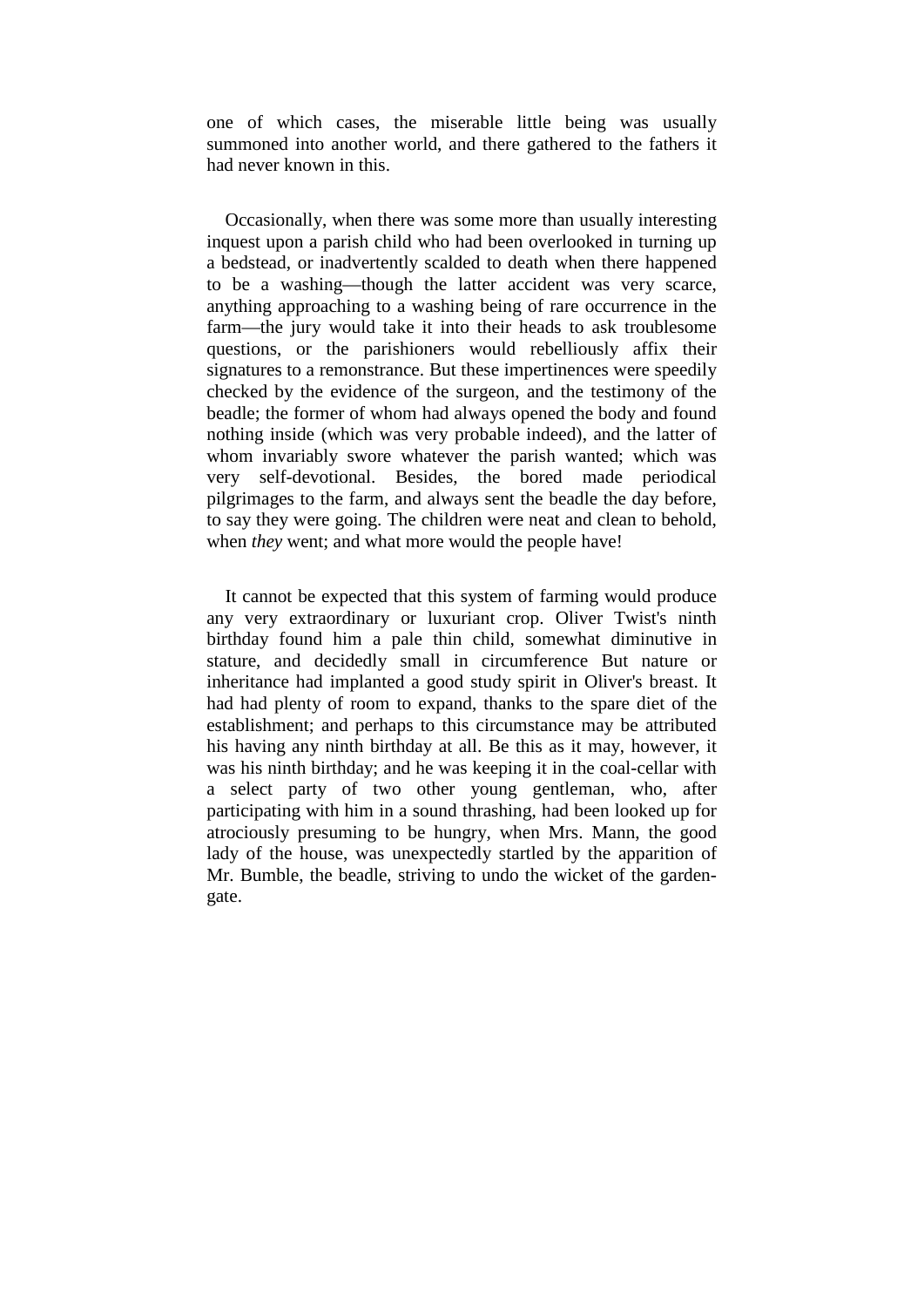one of which cases, the miserable little being was usually summoned into another world, and there gathered to the fathers it had never known in this.

Occasionally, when there was some more than usually interesting inquest upon a parish child who had been overlooked in turning up a bedstead, or inadvertently scalded to death when there happened to be a washing—though the latter accident was very scarce, anything approaching to a washing being of rare occurrence in the farm—the jury would take it into their heads to ask troublesome questions, or the parishioners would rebelliously affix their signatures to a remonstrance. But these impertinences were speedily checked by the evidence of the surgeon, and the testimony of the beadle; the former of whom had always opened the body and found nothing inside (which was very probable indeed), and the latter of whom invariably swore whatever the parish wanted; which was very self-devotional. Besides, the bored made periodical pilgrimages to the farm, and always sent the beadle the day before, to say they were going. The children were neat and clean to behold, when *they* went; and what more would the people have!

It cannot be expected that this system of farming would produce any very extraordinary or luxuriant crop. Oliver Twist's ninth birthday found him a pale thin child, somewhat diminutive in stature, and decidedly small in circumference But nature or inheritance had implanted a good study spirit in Oliver's breast. It had had plenty of room to expand, thanks to the spare diet of the establishment; and perhaps to this circumstance may be attributed his having any ninth birthday at all. Be this as it may, however, it was his ninth birthday; and he was keeping it in the coal-cellar with a select party of two other young gentleman, who, after participating with him in a sound thrashing, had been looked up for atrociously presuming to be hungry, when Mrs. Mann, the good lady of the house, was unexpectedly startled by the apparition of Mr. Bumble, the beadle, striving to undo the wicket of the gardengate.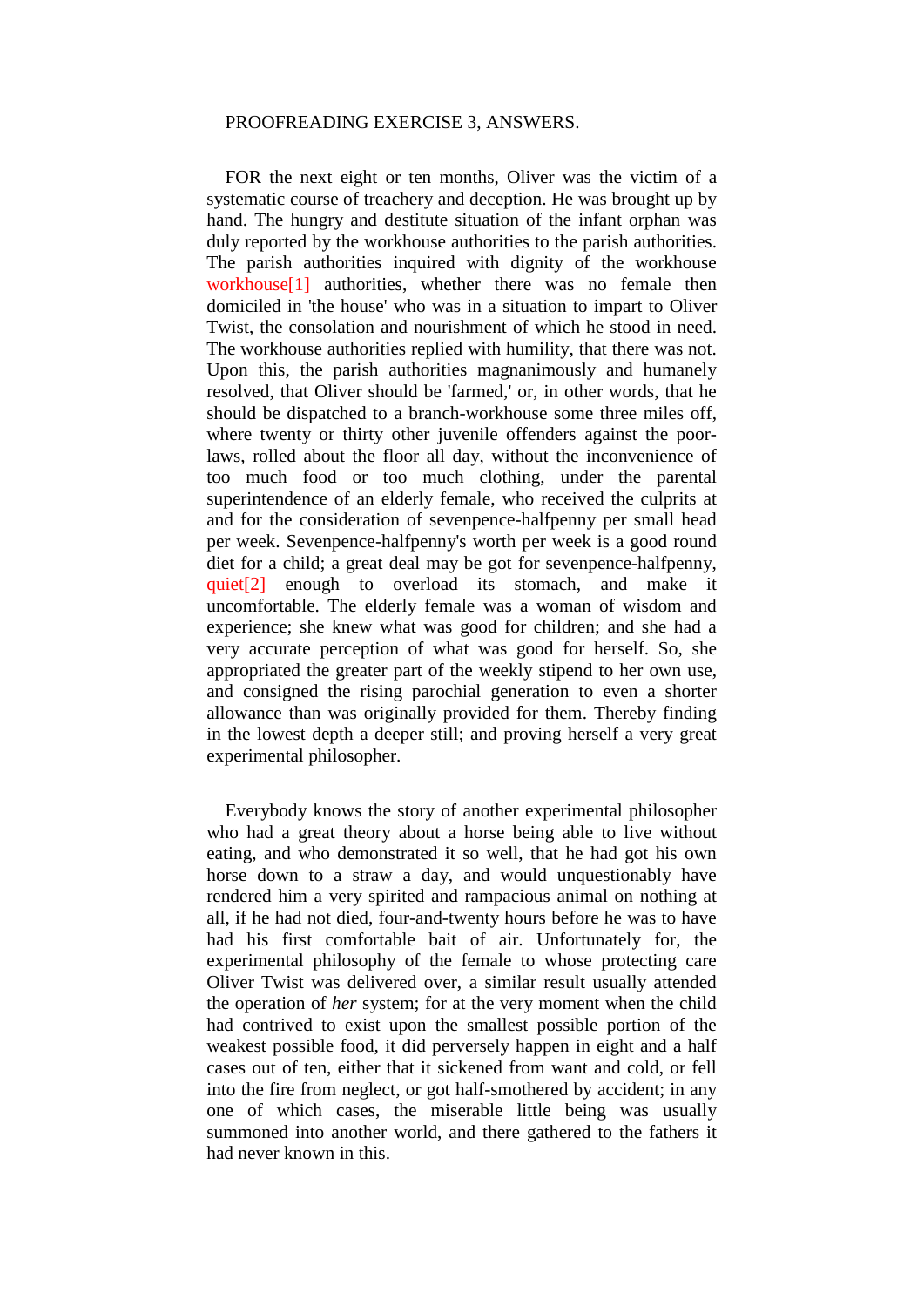## PROOFREADING EXERCISE 3, ANSWERS.

FOR the next eight or ten months, Oliver was the victim of a systematic course of treachery and deception. He was brought up by hand. The hungry and destitute situation of the infant orphan was duly reported by the workhouse authorities to the parish authorities. The parish authorities inquired with dignity of the workhouse workhouse[1] authorities, whether there was no female then domiciled in 'the house' who was in a situation to impart to Oliver Twist, the consolation and nourishment of which he stood in need. The workhouse authorities replied with humility, that there was not. Upon this, the parish authorities magnanimously and humanely resolved, that Oliver should be 'farmed,' or, in other words, that he should be dispatched to a branch-workhouse some three miles off, where twenty or thirty other juvenile offenders against the poorlaws, rolled about the floor all day, without the inconvenience of too much food or too much clothing, under the parental superintendence of an elderly female, who received the culprits at and for the consideration of sevenpence-halfpenny per small head per week. Sevenpence-halfpenny's worth per week is a good round diet for a child; a great deal may be got for sevenpence-halfpenny, quiet[2] enough to overload its stomach, and make it uncomfortable. The elderly female was a woman of wisdom and experience; she knew what was good for children; and she had a very accurate perception of what was good for herself. So, she appropriated the greater part of the weekly stipend to her own use, and consigned the rising parochial generation to even a shorter allowance than was originally provided for them. Thereby finding in the lowest depth a deeper still; and proving herself a very great experimental philosopher.

Everybody knows the story of another experimental philosopher who had a great theory about a horse being able to live without eating, and who demonstrated it so well, that he had got his own horse down to a straw a day, and would unquestionably have rendered him a very spirited and rampacious animal on nothing at all, if he had not died, four-and-twenty hours before he was to have had his first comfortable bait of air. Unfortunately for, the experimental philosophy of the female to whose protecting care Oliver Twist was delivered over, a similar result usually attended the operation of *her* system; for at the very moment when the child had contrived to exist upon the smallest possible portion of the weakest possible food, it did perversely happen in eight and a half cases out of ten, either that it sickened from want and cold, or fell into the fire from neglect, or got half-smothered by accident; in any one of which cases, the miserable little being was usually summoned into another world, and there gathered to the fathers it had never known in this.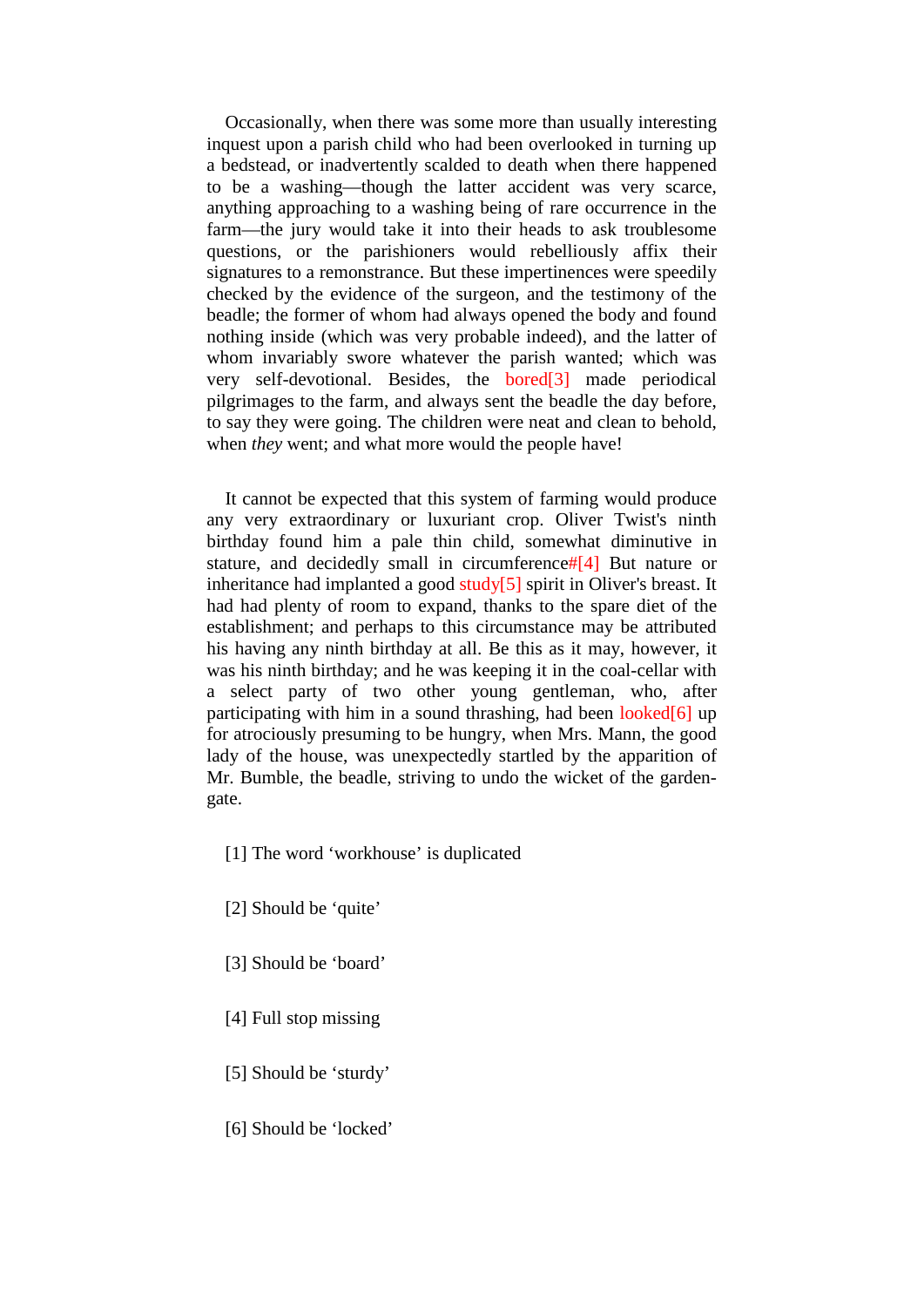Occasionally, when there was some more than usually interesting inquest upon a parish child who had been overlooked in turning up a bedstead, or inadvertently scalded to death when there happened to be a washing—though the latter accident was very scarce, anything approaching to a washing being of rare occurrence in the farm—the jury would take it into their heads to ask troublesome questions, or the parishioners would rebelliously affix their signatures to a remonstrance. But these impertinences were speedily checked by the evidence of the surgeon, and the testimony of the beadle; the former of whom had always opened the body and found nothing inside (which was very probable indeed), and the latter of whom invariably swore whatever the parish wanted; which was very self-devotional. Besides, the bored[3] made periodical pilgrimages to the farm, and always sent the beadle the day before, to say they were going. The children were neat and clean to behold, when *they* went; and what more would the people have!

It cannot be expected that this system of farming would produce any very extraordinary or luxuriant crop. Oliver Twist's ninth birthday found him a pale thin child, somewhat diminutive in stature, and decidedly small in circumference#[4] But nature or inheritance had implanted a good study[5] spirit in Oliver's breast. It had had plenty of room to expand, thanks to the spare diet of the establishment; and perhaps to this circumstance may be attributed his having any ninth birthday at all. Be this as it may, however, it was his ninth birthday; and he was keeping it in the coal-cellar with a select party of two other young gentleman, who, after participating with him in a sound thrashing, had been looked[6] up for atrociously presuming to be hungry, when Mrs. Mann, the good lady of the house, was unexpectedly startled by the apparition of Mr. Bumble, the beadle, striving to undo the wicket of the gardengate.

- [1] The word 'workhouse' is duplicated
- [2] Should be 'quite'
- [3] Should be 'board'
- [4] Full stop missing
- [5] Should be 'sturdy'
- [6] Should be 'locked'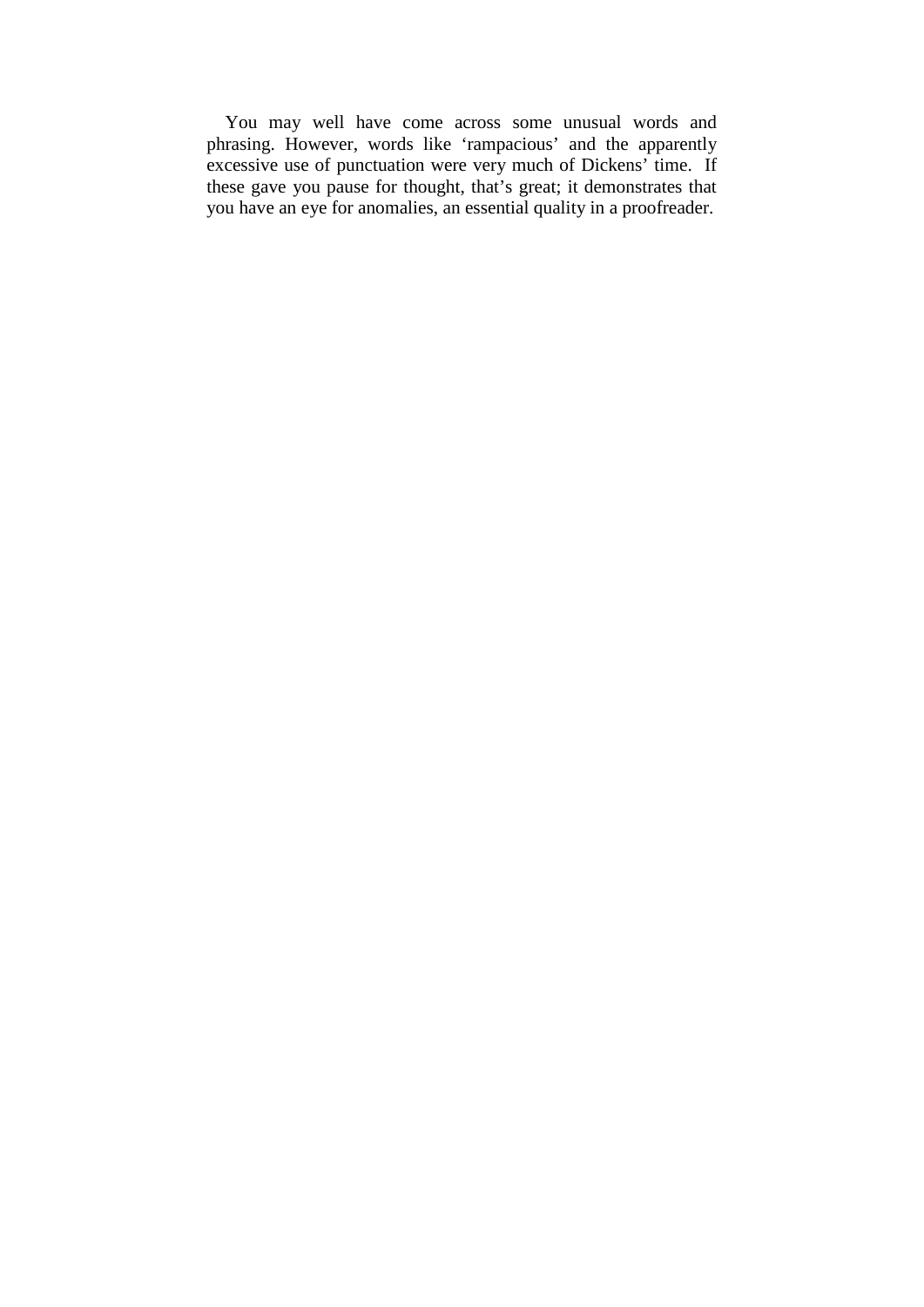You may well have come across some unusual words and phrasing. However, words like 'rampacious' and the apparently excessive use of punctuation were very much of Dickens' time. If these gave you pause for thought, that's great; it demonstrates that you have an eye for anomalies, an essential quality in a proofreader.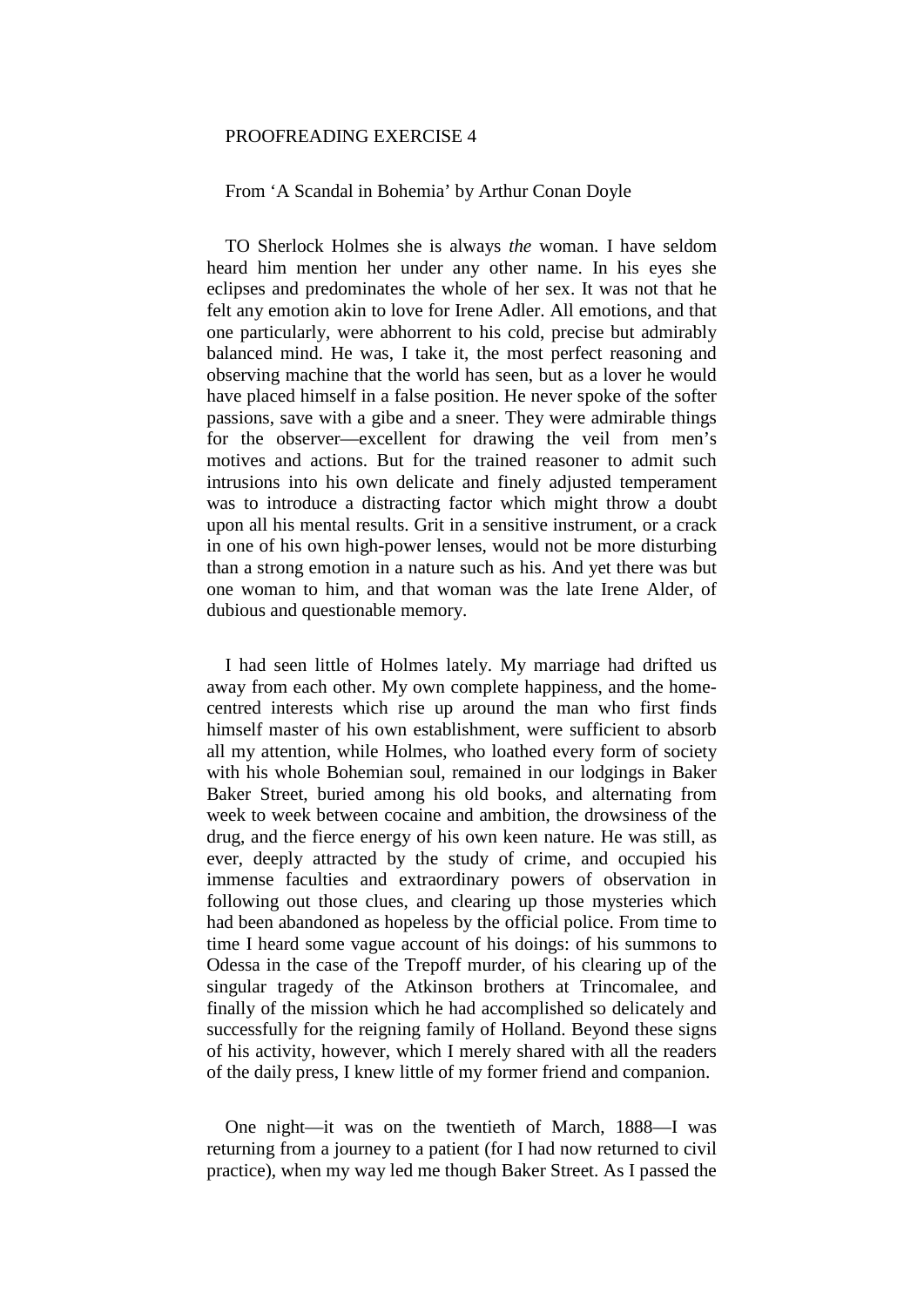## From 'A Scandal in Bohemia' by Arthur Conan Doyle

TO Sherlock Holmes she is always *the* woman. I have seldom heard him mention her under any other name. In his eyes she eclipses and predominates the whole of her sex. It was not that he felt any emotion akin to love for Irene Adler. All emotions, and that one particularly, were abhorrent to his cold, precise but admirably balanced mind. He was, I take it, the most perfect reasoning and observing machine that the world has seen, but as a lover he would have placed himself in a false position. He never spoke of the softer passions, save with a gibe and a sneer. They were admirable things for the observer—excellent for drawing the veil from men's motives and actions. But for the trained reasoner to admit such intrusions into his own delicate and finely adjusted temperament was to introduce a distracting factor which might throw a doubt upon all his mental results. Grit in a sensitive instrument, or a crack in one of his own high-power lenses, would not be more disturbing than a strong emotion in a nature such as his. And yet there was but one woman to him, and that woman was the late Irene Alder, of dubious and questionable memory.

I had seen little of Holmes lately. My marriage had drifted us away from each other. My own complete happiness, and the homecentred interests which rise up around the man who first finds himself master of his own establishment, were sufficient to absorb all my attention, while Holmes, who loathed every form of society with his whole Bohemian soul, remained in our lodgings in Baker Baker Street, buried among his old books, and alternating from week to week between cocaine and ambition, the drowsiness of the drug, and the fierce energy of his own keen nature. He was still, as ever, deeply attracted by the study of crime, and occupied his immense faculties and extraordinary powers of observation in following out those clues, and clearing up those mysteries which had been abandoned as hopeless by the official police. From time to time I heard some vague account of his doings: of his summons to Odessa in the case of the Trepoff murder, of his clearing up of the singular tragedy of the Atkinson brothers at Trincomalee, and finally of the mission which he had accomplished so delicately and successfully for the reigning family of Holland. Beyond these signs of his activity, however, which I merely shared with all the readers of the daily press, I knew little of my former friend and companion.

One night—it was on the twentieth of March, 1888—I was returning from a journey to a patient (for I had now returned to civil practice), when my way led me though Baker Street. As I passed the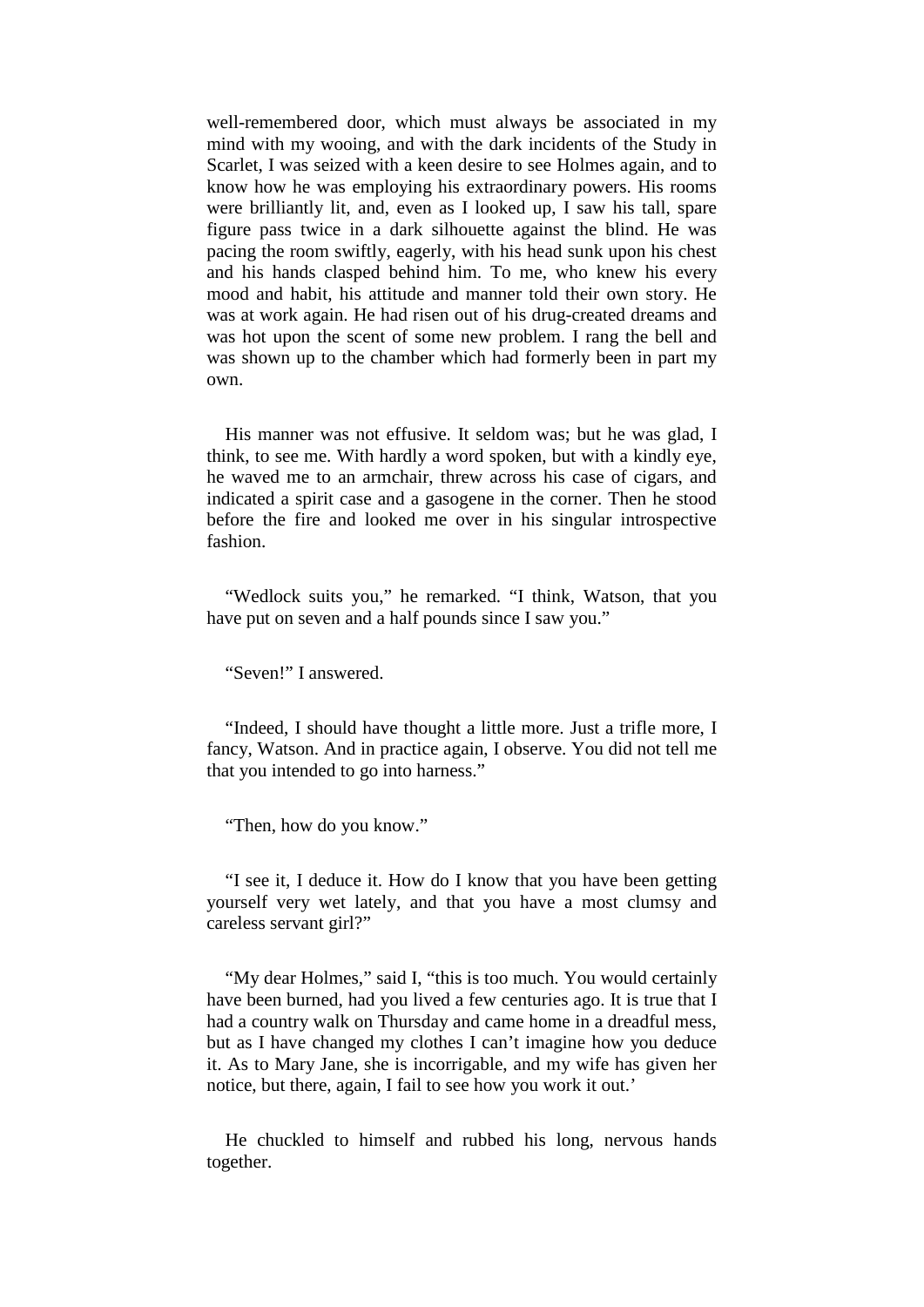well-remembered door, which must always be associated in my mind with my wooing, and with the dark incidents of the Study in Scarlet, I was seized with a keen desire to see Holmes again, and to know how he was employing his extraordinary powers. His rooms were brilliantly lit, and, even as I looked up, I saw his tall, spare figure pass twice in a dark silhouette against the blind. He was pacing the room swiftly, eagerly, with his head sunk upon his chest and his hands clasped behind him. To me, who knew his every mood and habit, his attitude and manner told their own story. He was at work again. He had risen out of his drug-created dreams and was hot upon the scent of some new problem. I rang the bell and was shown up to the chamber which had formerly been in part my own.

His manner was not effusive. It seldom was; but he was glad, I think, to see me. With hardly a word spoken, but with a kindly eye, he waved me to an armchair, threw across his case of cigars, and indicated a spirit case and a gasogene in the corner. Then he stood before the fire and looked me over in his singular introspective fashion.

"Wedlock suits you," he remarked. "I think, Watson, that you have put on seven and a half pounds since I saw you."

"Seven!" I answered.

"Indeed, I should have thought a little more. Just a trifle more, I fancy, Watson. And in practice again, I observe. You did not tell me that you intended to go into harness."

"Then, how do you know."

"I see it, I deduce it. How do I know that you have been getting yourself very wet lately, and that you have a most clumsy and careless servant girl?"

"My dear Holmes," said I, "this is too much. You would certainly have been burned, had you lived a few centuries ago. It is true that I had a country walk on Thursday and came home in a dreadful mess, but as I have changed my clothes I can't imagine how you deduce it. As to Mary Jane, she is incorrigable, and my wife has given her notice, but there, again, I fail to see how you work it out.'

He chuckled to himself and rubbed his long, nervous hands together.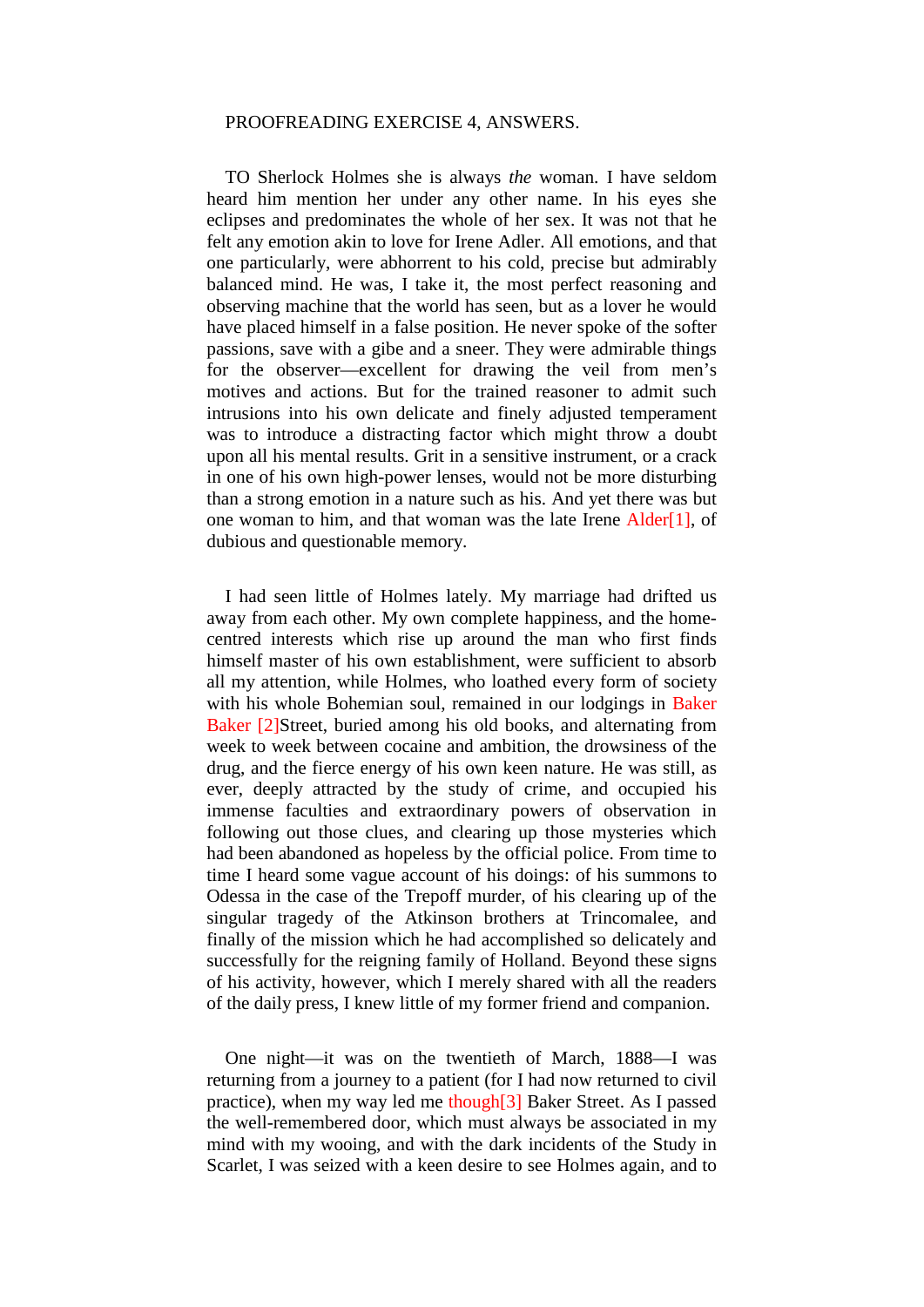## PROOFREADING EXERCISE 4, ANSWERS.

TO Sherlock Holmes she is always *the* woman. I have seldom heard him mention her under any other name. In his eyes she eclipses and predominates the whole of her sex. It was not that he felt any emotion akin to love for Irene Adler. All emotions, and that one particularly, were abhorrent to his cold, precise but admirably balanced mind. He was, I take it, the most perfect reasoning and observing machine that the world has seen, but as a lover he would have placed himself in a false position. He never spoke of the softer passions, save with a gibe and a sneer. They were admirable things for the observer—excellent for drawing the veil from men's motives and actions. But for the trained reasoner to admit such intrusions into his own delicate and finely adjusted temperament was to introduce a distracting factor which might throw a doubt upon all his mental results. Grit in a sensitive instrument, or a crack in one of his own high-power lenses, would not be more disturbing than a strong emotion in a nature such as his. And yet there was but one woman to him, and that woman was the late Irene Alder[1], of dubious and questionable memory.

I had seen little of Holmes lately. My marriage had drifted us away from each other. My own complete happiness, and the homecentred interests which rise up around the man who first finds himself master of his own establishment, were sufficient to absorb all my attention, while Holmes, who loathed every form of society with his whole Bohemian soul, remained in our lodgings in Baker Baker [2]Street, buried among his old books, and alternating from week to week between cocaine and ambition, the drowsiness of the drug, and the fierce energy of his own keen nature. He was still, as ever, deeply attracted by the study of crime, and occupied his immense faculties and extraordinary powers of observation in following out those clues, and clearing up those mysteries which had been abandoned as hopeless by the official police. From time to time I heard some vague account of his doings: of his summons to Odessa in the case of the Trepoff murder, of his clearing up of the singular tragedy of the Atkinson brothers at Trincomalee, and finally of the mission which he had accomplished so delicately and successfully for the reigning family of Holland. Beyond these signs of his activity, however, which I merely shared with all the readers of the daily press, I knew little of my former friend and companion.

One night—it was on the twentieth of March, 1888—I was returning from a journey to a patient (for I had now returned to civil practice), when my way led me though[3] Baker Street. As I passed the well-remembered door, which must always be associated in my mind with my wooing, and with the dark incidents of the Study in Scarlet, I was seized with a keen desire to see Holmes again, and to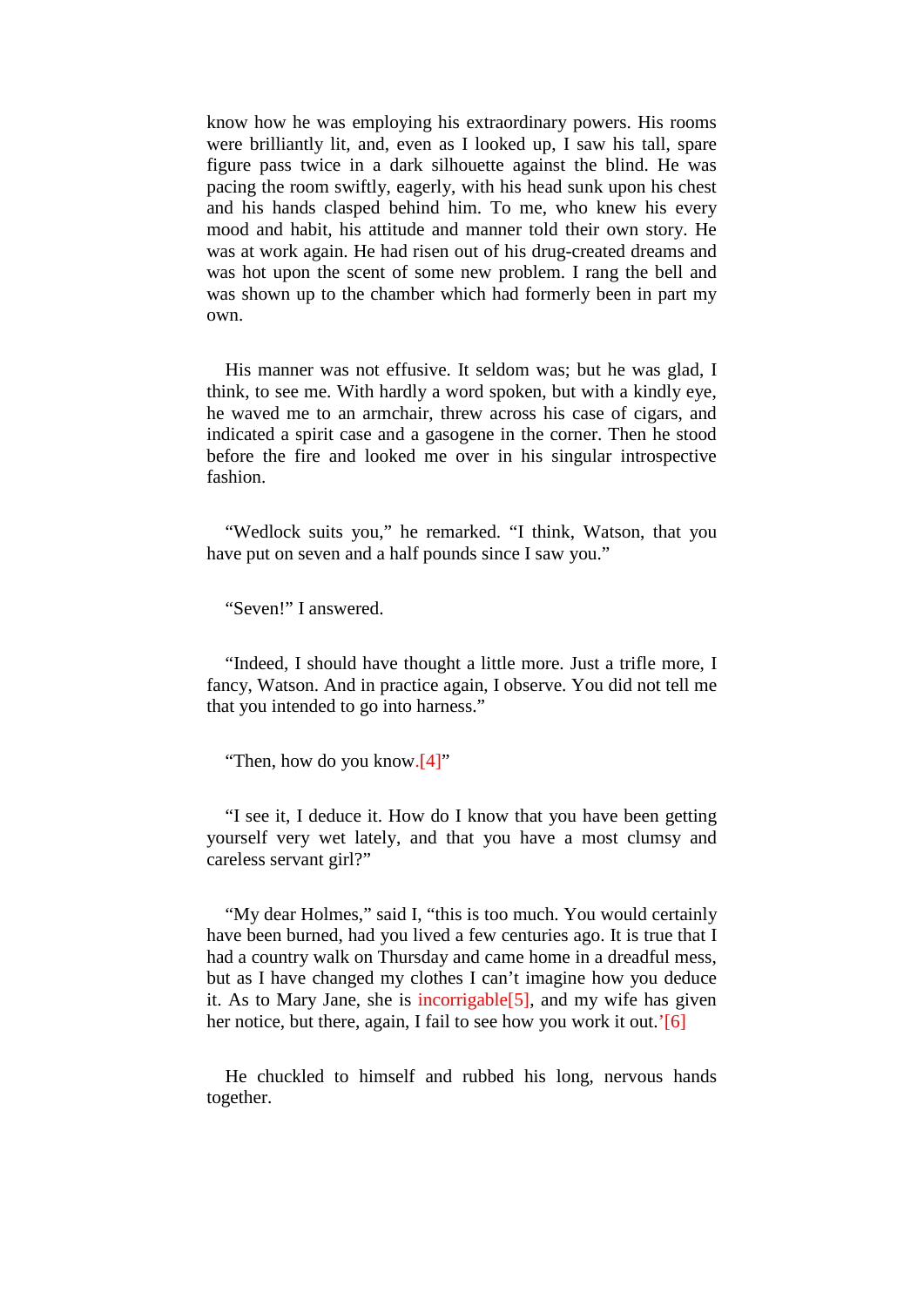know how he was employing his extraordinary powers. His rooms were brilliantly lit, and, even as I looked up, I saw his tall, spare figure pass twice in a dark silhouette against the blind. He was pacing the room swiftly, eagerly, with his head sunk upon his chest and his hands clasped behind him. To me, who knew his every mood and habit, his attitude and manner told their own story. He was at work again. He had risen out of his drug-created dreams and was hot upon the scent of some new problem. I rang the bell and was shown up to the chamber which had formerly been in part my own.

His manner was not effusive. It seldom was; but he was glad, I think, to see me. With hardly a word spoken, but with a kindly eye, he waved me to an armchair, threw across his case of cigars, and indicated a spirit case and a gasogene in the corner. Then he stood before the fire and looked me over in his singular introspective fashion.

"Wedlock suits you," he remarked. "I think, Watson, that you have put on seven and a half pounds since I saw you."

"Seven!" I answered.

"Indeed, I should have thought a little more. Just a trifle more, I fancy, Watson. And in practice again, I observe. You did not tell me that you intended to go into harness."

"Then, how do you know.[4]"

"I see it, I deduce it. How do I know that you have been getting yourself very wet lately, and that you have a most clumsy and careless servant girl?"

"My dear Holmes," said I, "this is too much. You would certainly have been burned, had you lived a few centuries ago. It is true that I had a country walk on Thursday and came home in a dreadful mess, but as I have changed my clothes I can't imagine how you deduce it. As to Mary Jane, she is incorrigable[5], and my wife has given her notice, but there, again, I fail to see how you work it out.'[6]

He chuckled to himself and rubbed his long, nervous hands together.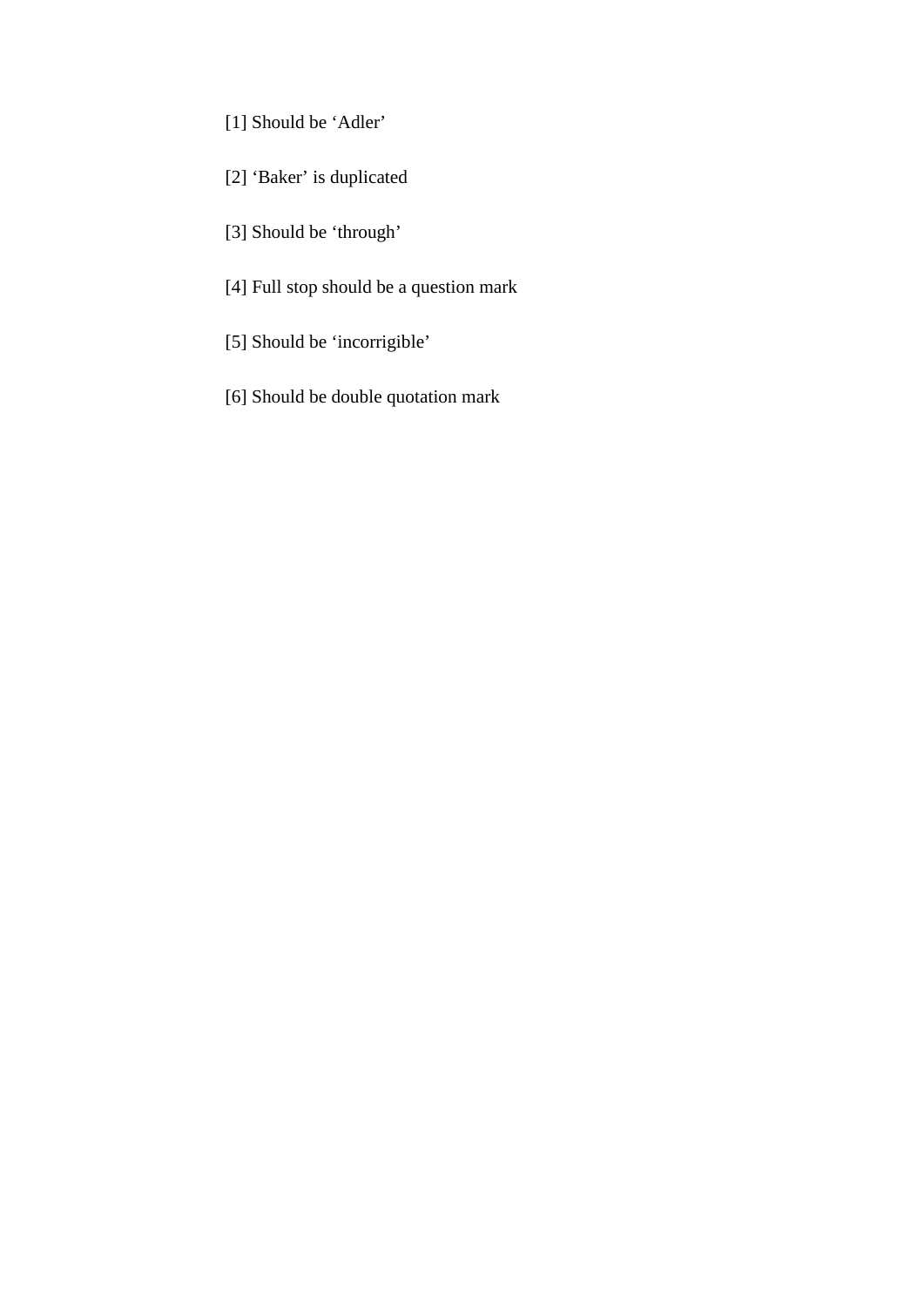- [1] Should be 'Adler'
- [2] 'Baker' is duplicated
- [3] Should be 'through'
- [4] Full stop should be a question mark
- [5] Should be 'incorrigible'
- [6] Should be double quotation mark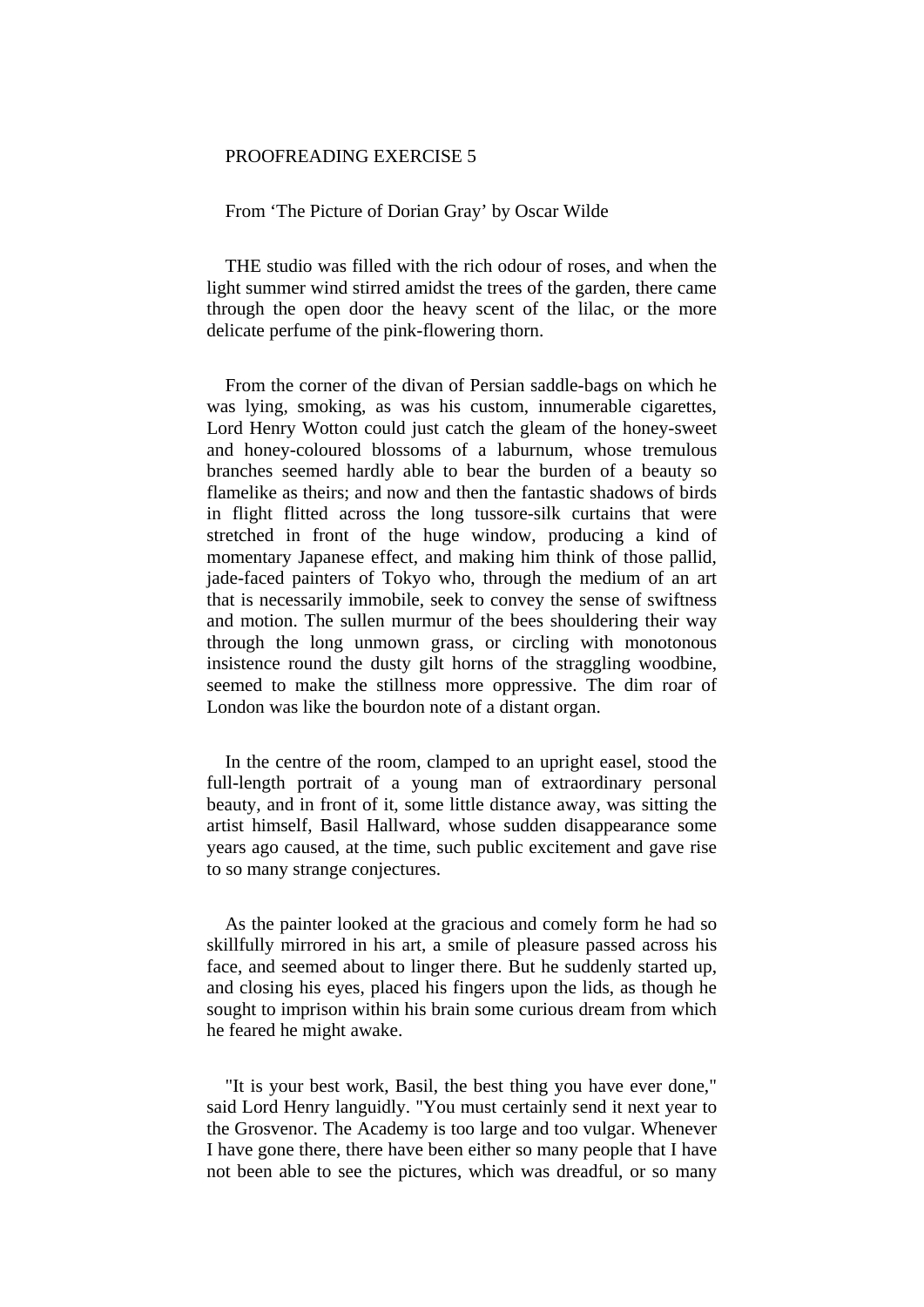## From 'The Picture of Dorian Gray' by Oscar Wilde

THE studio was filled with the rich odour of roses, and when the light summer wind stirred amidst the trees of the garden, there came through the open door the heavy scent of the lilac, or the more delicate perfume of the pink-flowering thorn.

From the corner of the divan of Persian saddle-bags on which he was lying, smoking, as was his custom, innumerable cigarettes, Lord Henry Wotton could just catch the gleam of the honey-sweet and honey-coloured blossoms of a laburnum, whose tremulous branches seemed hardly able to bear the burden of a beauty so flamelike as theirs; and now and then the fantastic shadows of birds in flight flitted across the long tussore-silk curtains that were stretched in front of the huge window, producing a kind of momentary Japanese effect, and making him think of those pallid, jade-faced painters of Tokyo who, through the medium of an art that is necessarily immobile, seek to convey the sense of swiftness and motion. The sullen murmur of the bees shouldering their way through the long unmown grass, or circling with monotonous insistence round the dusty gilt horns of the straggling woodbine, seemed to make the stillness more oppressive. The dim roar of London was like the bourdon note of a distant organ.

In the centre of the room, clamped to an upright easel, stood the full-length portrait of a young man of extraordinary personal beauty, and in front of it, some little distance away, was sitting the artist himself, Basil Hallward, whose sudden disappearance some years ago caused, at the time, such public excitement and gave rise to so many strange conjectures.

As the painter looked at the gracious and comely form he had so skillfully mirrored in his art, a smile of pleasure passed across his face, and seemed about to linger there. But he suddenly started up, and closing his eyes, placed his fingers upon the lids, as though he sought to imprison within his brain some curious dream from which he feared he might awake.

"It is your best work, Basil, the best thing you have ever done," said Lord Henry languidly. "You must certainly send it next year to the Grosvenor. The Academy is too large and too vulgar. Whenever I have gone there, there have been either so many people that I have not been able to see the pictures, which was dreadful, or so many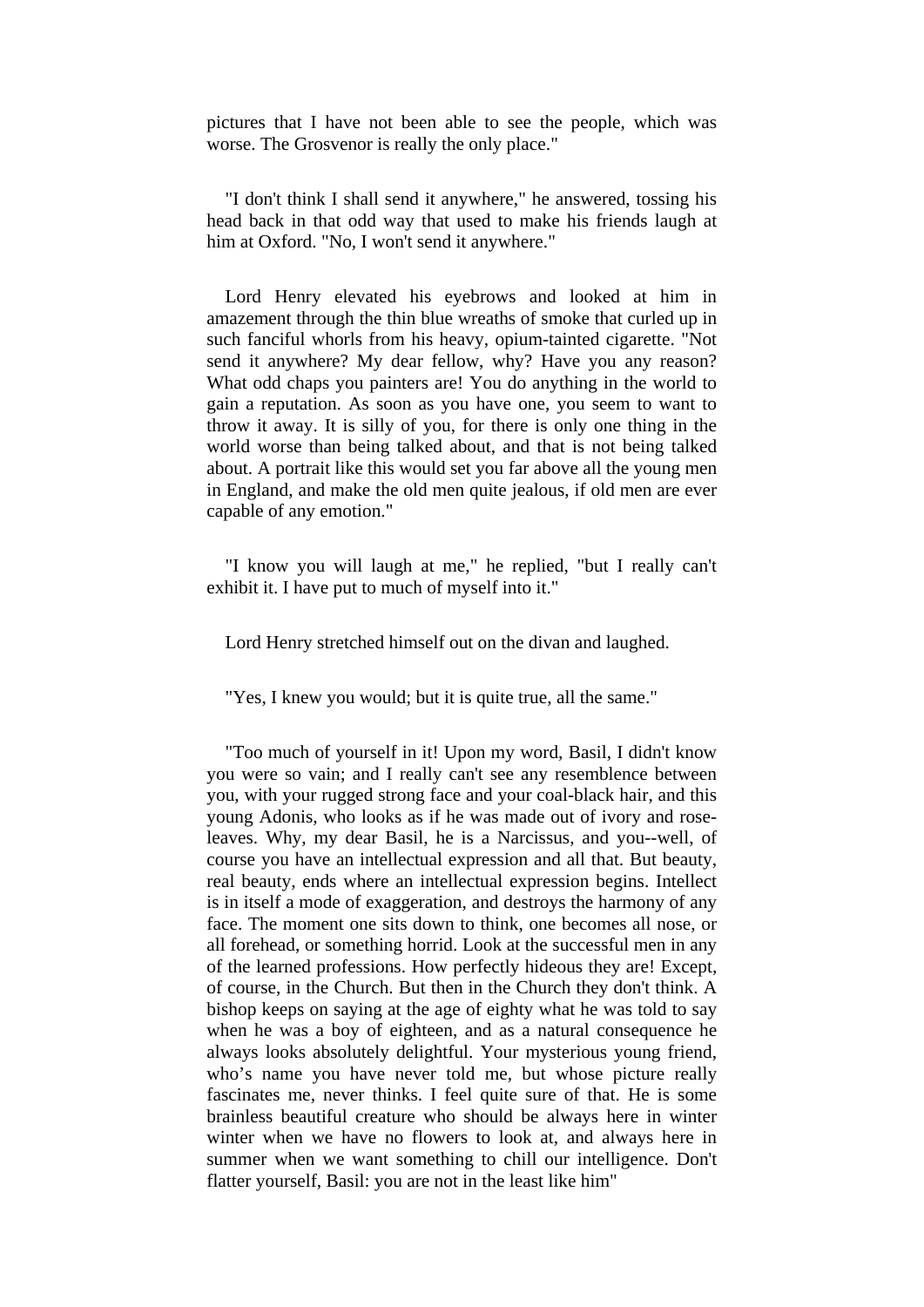pictures that I have not been able to see the people, which was worse. The Grosvenor is really the only place."

"I don't think I shall send it anywhere," he answered, tossing his head back in that odd way that used to make his friends laugh at him at Oxford. "No, I won't send it anywhere."

Lord Henry elevated his eyebrows and looked at him in amazement through the thin blue wreaths of smoke that curled up in such fanciful whorls from his heavy, opium-tainted cigarette. "Not send it anywhere? My dear fellow, why? Have you any reason? What odd chaps you painters are! You do anything in the world to gain a reputation. As soon as you have one, you seem to want to throw it away. It is silly of you, for there is only one thing in the world worse than being talked about, and that is not being talked about. A portrait like this would set you far above all the young men in England, and make the old men quite jealous, if old men are ever capable of any emotion."

"I know you will laugh at me," he replied, "but I really can't exhibit it. I have put to much of myself into it."

Lord Henry stretched himself out on the divan and laughed.

"Yes, I knew you would; but it is quite true, all the same."

"Too much of yourself in it! Upon my word, Basil, I didn't know you were so vain; and I really can't see any resemblence between you, with your rugged strong face and your coal-black hair, and this young Adonis, who looks as if he was made out of ivory and roseleaves. Why, my dear Basil, he is a Narcissus, and you--well, of course you have an intellectual expression and all that. But beauty, real beauty, ends where an intellectual expression begins. Intellect is in itself a mode of exaggeration, and destroys the harmony of any face. The moment one sits down to think, one becomes all nose, or all forehead, or something horrid. Look at the successful men in any of the learned professions. How perfectly hideous they are! Except, of course, in the Church. But then in the Church they don't think. A bishop keeps on saying at the age of eighty what he was told to say when he was a boy of eighteen, and as a natural consequence he always looks absolutely delightful. Your mysterious young friend, who's name you have never told me, but whose picture really fascinates me, never thinks. I feel quite sure of that. He is some brainless beautiful creature who should be always here in winter winter when we have no flowers to look at, and always here in summer when we want something to chill our intelligence. Don't flatter yourself, Basil: you are not in the least like him"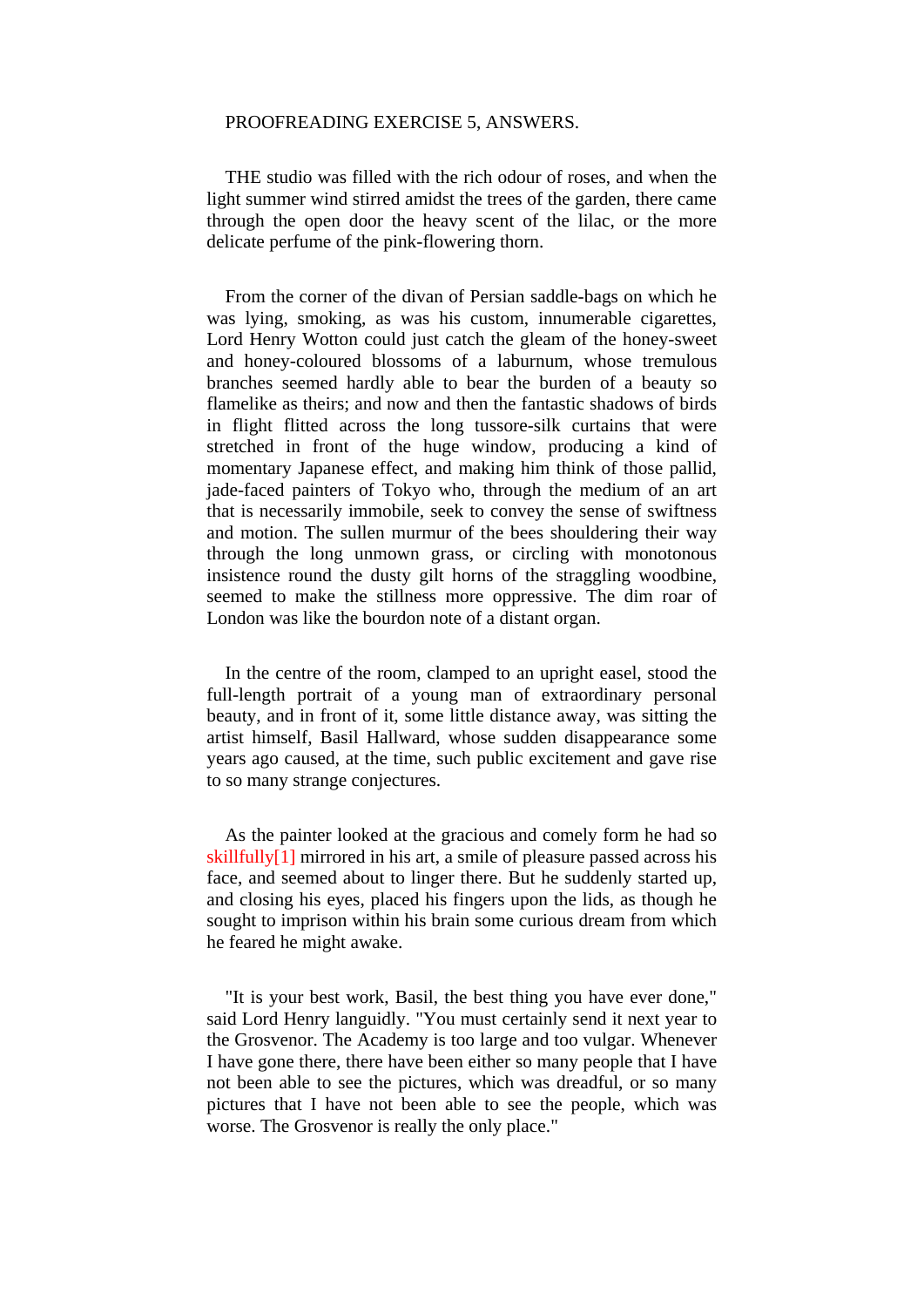## PROOFREADING EXERCISE 5, ANSWERS.

THE studio was filled with the rich odour of roses, and when the light summer wind stirred amidst the trees of the garden, there came through the open door the heavy scent of the lilac, or the more delicate perfume of the pink-flowering thorn.

From the corner of the divan of Persian saddle-bags on which he was lying, smoking, as was his custom, innumerable cigarettes, Lord Henry Wotton could just catch the gleam of the honey-sweet and honey-coloured blossoms of a laburnum, whose tremulous branches seemed hardly able to bear the burden of a beauty so flamelike as theirs; and now and then the fantastic shadows of birds in flight flitted across the long tussore-silk curtains that were stretched in front of the huge window, producing a kind of momentary Japanese effect, and making him think of those pallid, jade-faced painters of Tokyo who, through the medium of an art that is necessarily immobile, seek to convey the sense of swiftness and motion. The sullen murmur of the bees shouldering their way through the long unmown grass, or circling with monotonous insistence round the dusty gilt horns of the straggling woodbine, seemed to make the stillness more oppressive. The dim roar of London was like the bourdon note of a distant organ.

In the centre of the room, clamped to an upright easel, stood the full-length portrait of a young man of extraordinary personal beauty, and in front of it, some little distance away, was sitting the artist himself, Basil Hallward, whose sudden disappearance some years ago caused, at the time, such public excitement and gave rise to so many strange conjectures.

As the painter looked at the gracious and comely form he had so skillfully[1] mirrored in his art, a smile of pleasure passed across his face, and seemed about to linger there. But he suddenly started up, and closing his eyes, placed his fingers upon the lids, as though he sought to imprison within his brain some curious dream from which he feared he might awake.

"It is your best work, Basil, the best thing you have ever done," said Lord Henry languidly. "You must certainly send it next year to the Grosvenor. The Academy is too large and too vulgar. Whenever I have gone there, there have been either so many people that I have not been able to see the pictures, which was dreadful, or so many pictures that I have not been able to see the people, which was worse. The Grosvenor is really the only place."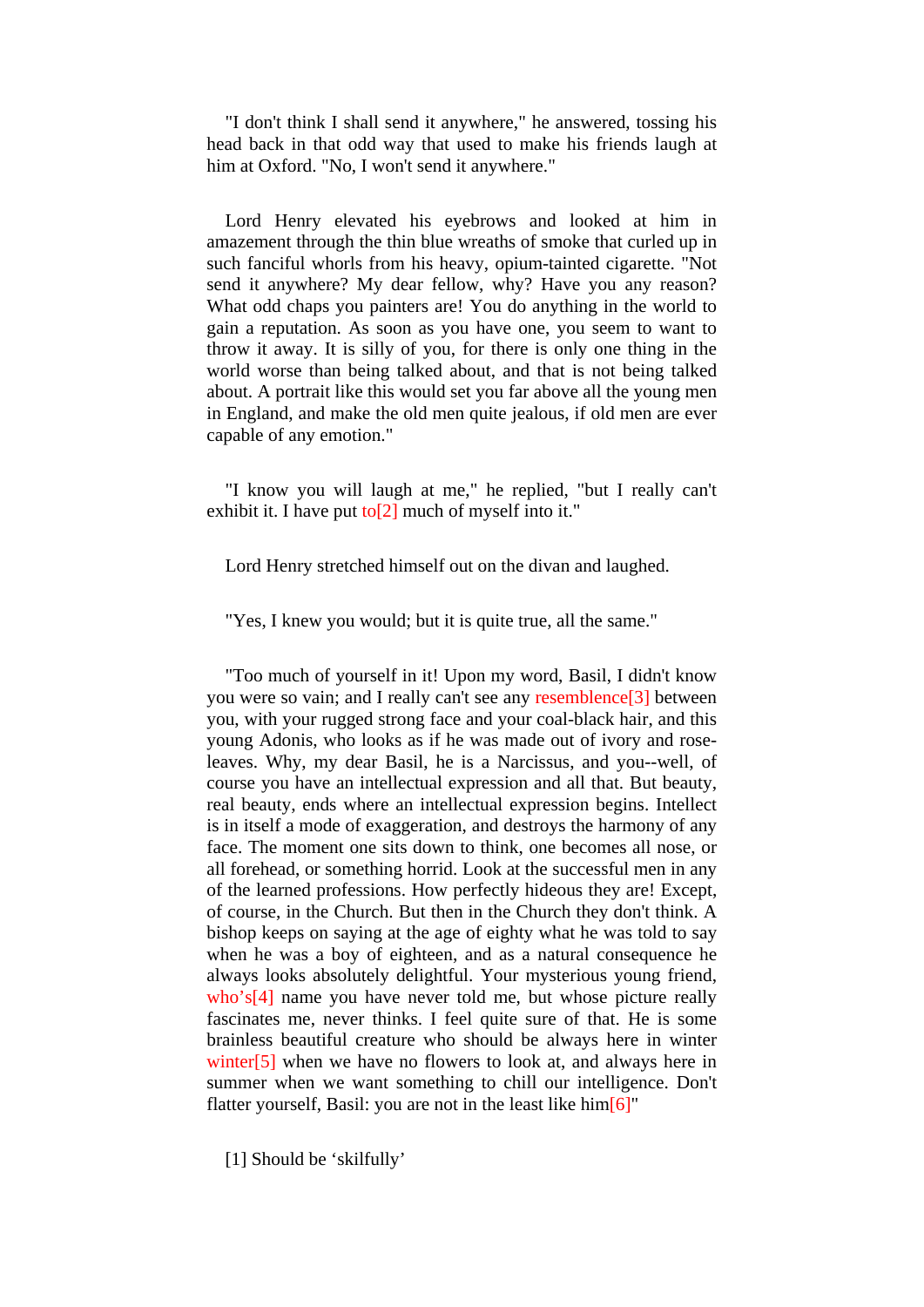"I don't think I shall send it anywhere," he answered, tossing his head back in that odd way that used to make his friends laugh at him at Oxford. "No, I won't send it anywhere."

Lord Henry elevated his eyebrows and looked at him in amazement through the thin blue wreaths of smoke that curled up in such fanciful whorls from his heavy, opium-tainted cigarette. "Not send it anywhere? My dear fellow, why? Have you any reason? What odd chaps you painters are! You do anything in the world to gain a reputation. As soon as you have one, you seem to want to throw it away. It is silly of you, for there is only one thing in the world worse than being talked about, and that is not being talked about. A portrait like this would set you far above all the young men in England, and make the old men quite jealous, if old men are ever capable of any emotion."

"I know you will laugh at me," he replied, "but I really can't exhibit it. I have put to  $[2]$  much of myself into it."

Lord Henry stretched himself out on the divan and laughed.

"Yes, I knew you would; but it is quite true, all the same."

"Too much of yourself in it! Upon my word, Basil, I didn't know you were so vain; and I really can't see any resemblence[3] between you, with your rugged strong face and your coal-black hair, and this young Adonis, who looks as if he was made out of ivory and roseleaves. Why, my dear Basil, he is a Narcissus, and you--well, of course you have an intellectual expression and all that. But beauty, real beauty, ends where an intellectual expression begins. Intellect is in itself a mode of exaggeration, and destroys the harmony of any face. The moment one sits down to think, one becomes all nose, or all forehead, or something horrid. Look at the successful men in any of the learned professions. How perfectly hideous they are! Except, of course, in the Church. But then in the Church they don't think. A bishop keeps on saying at the age of eighty what he was told to say when he was a boy of eighteen, and as a natural consequence he always looks absolutely delightful. Your mysterious young friend, who's[4] name you have never told me, but whose picture really fascinates me, never thinks. I feel quite sure of that. He is some brainless beautiful creature who should be always here in winter winter[5] when we have no flowers to look at, and always here in summer when we want something to chill our intelligence. Don't flatter yourself, Basil: you are not in the least like him[6]"

[1] Should be 'skilfully'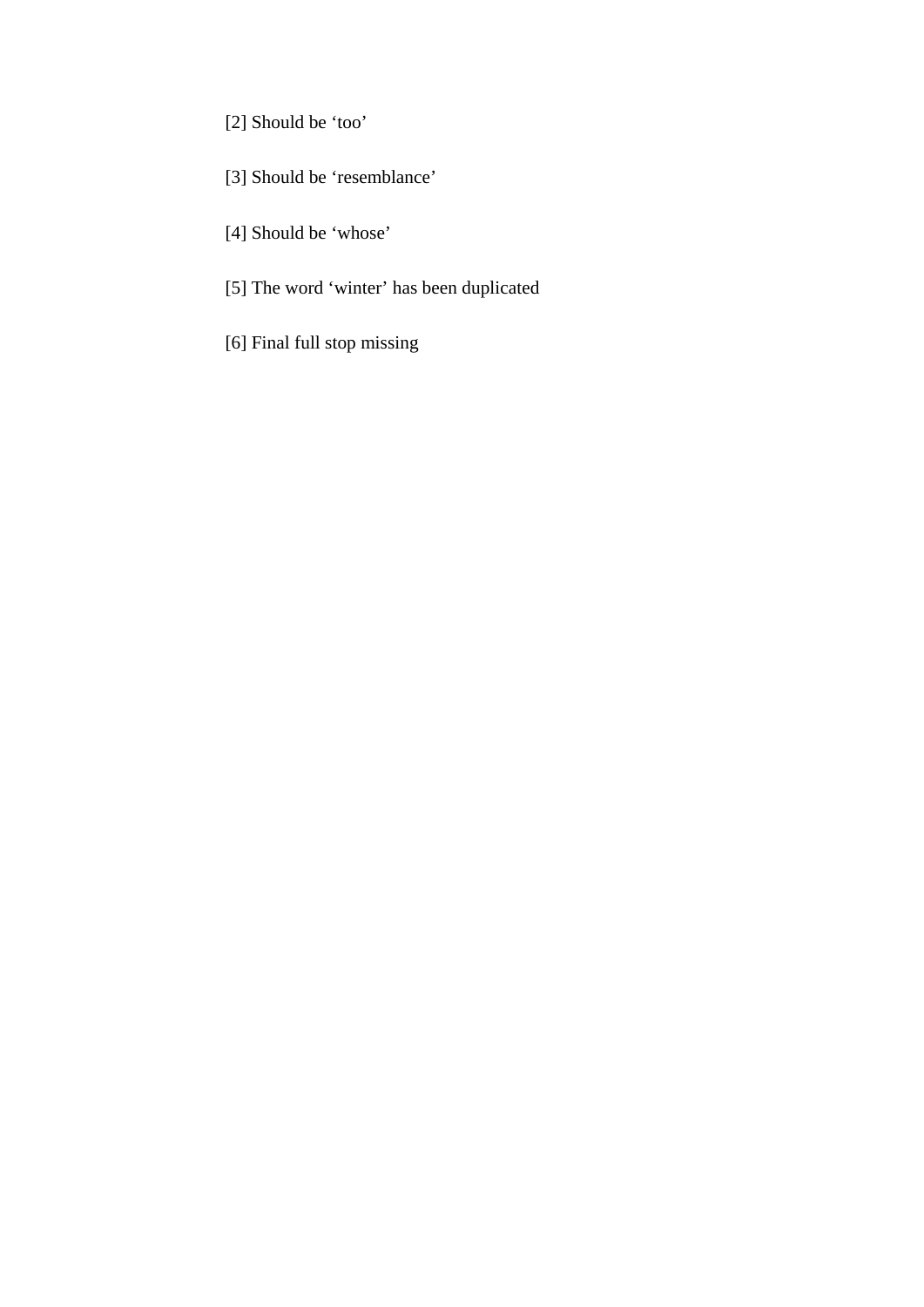- [2] Should be 'too'
- [3] Should be 'resemblance'
- [4] Should be 'whose'
- [5] The word 'winter' has been duplicated
- [6] Final full stop missing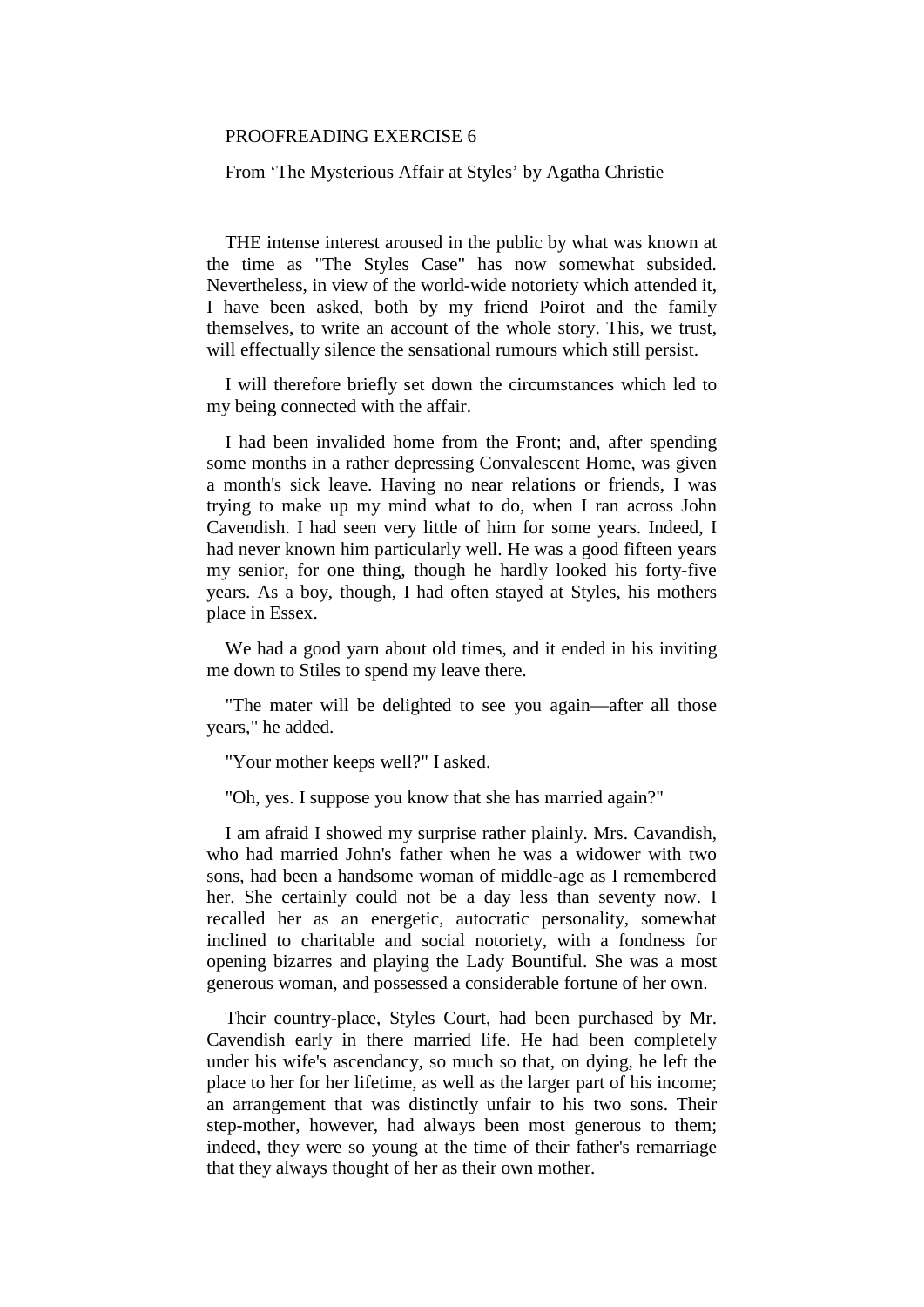From 'The Mysterious Affair at Styles' by Agatha Christie

THE intense interest aroused in the public by what was known at the time as "The Styles Case" has now somewhat subsided. Nevertheless, in view of the world-wide notoriety which attended it, I have been asked, both by my friend Poirot and the family themselves, to write an account of the whole story. This, we trust, will effectually silence the sensational rumours which still persist.

I will therefore briefly set down the circumstances which led to my being connected with the affair.

I had been invalided home from the Front; and, after spending some months in a rather depressing Convalescent Home, was given a month's sick leave. Having no near relations or friends, I was trying to make up my mind what to do, when I ran across John Cavendish. I had seen very little of him for some years. Indeed, I had never known him particularly well. He was a good fifteen years my senior, for one thing, though he hardly looked his forty-five years. As a boy, though, I had often stayed at Styles, his mothers place in Essex.

We had a good yarn about old times, and it ended in his inviting me down to Stiles to spend my leave there.

"The mater will be delighted to see you again—after all those years," he added.

"Your mother keeps well?" I asked.

"Oh, yes. I suppose you know that she has married again?"

I am afraid I showed my surprise rather plainly. Mrs. Cavandish, who had married John's father when he was a widower with two sons, had been a handsome woman of middle-age as I remembered her. She certainly could not be a day less than seventy now. I recalled her as an energetic, autocratic personality, somewhat inclined to charitable and social notoriety, with a fondness for opening bizarres and playing the Lady Bountiful. She was a most generous woman, and possessed a considerable fortune of her own.

Their country-place, Styles Court, had been purchased by Mr. Cavendish early in there married life. He had been completely under his wife's ascendancy, so much so that, on dying, he left the place to her for her lifetime, as well as the larger part of his income; an arrangement that was distinctly unfair to his two sons. Their step-mother, however, had always been most generous to them; indeed, they were so young at the time of their father's remarriage that they always thought of her as their own mother.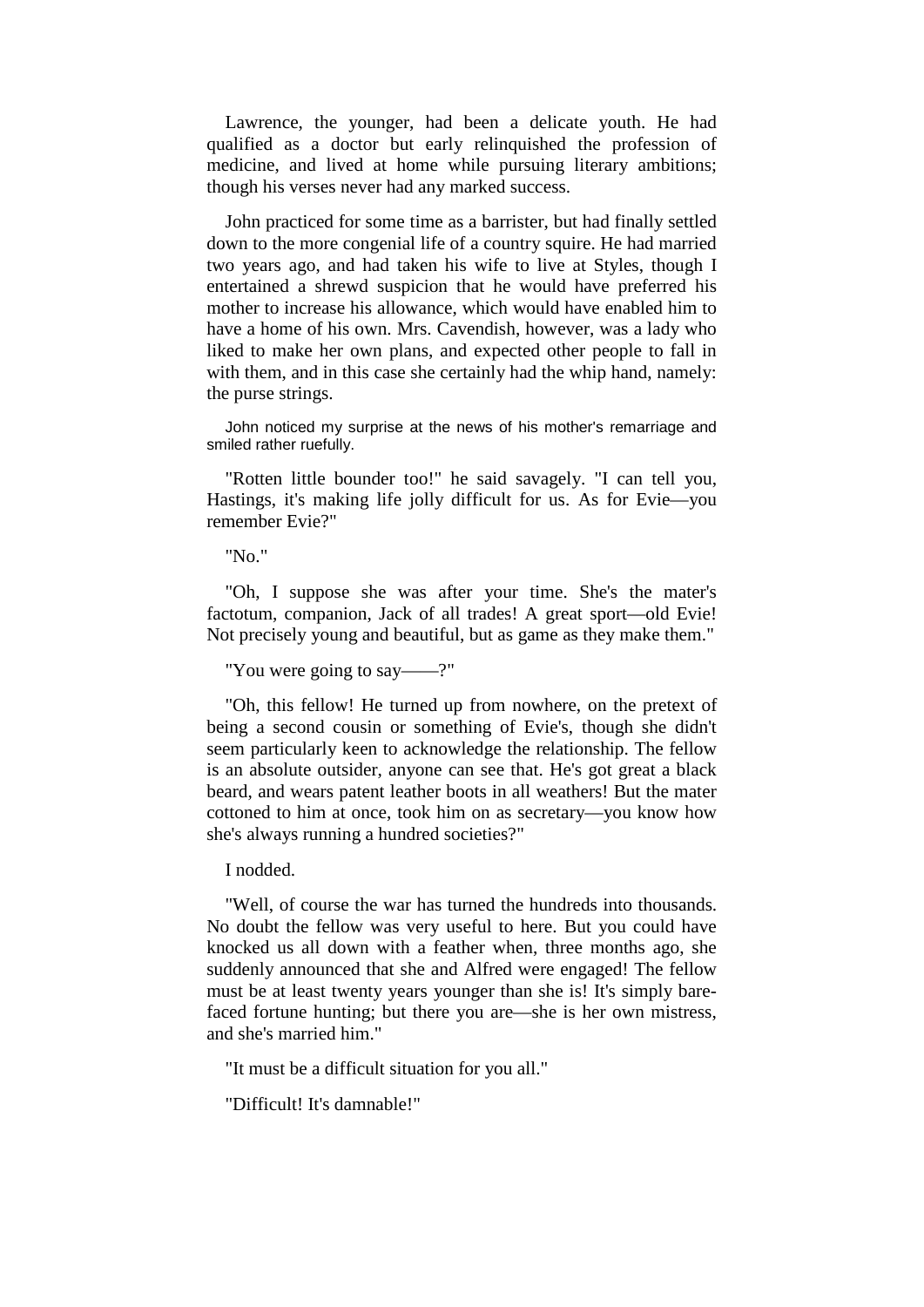Lawrence, the younger, had been a delicate youth. He had qualified as a doctor but early relinquished the profession of medicine, and lived at home while pursuing literary ambitions; though his verses never had any marked success.

John practiced for some time as a barrister, but had finally settled down to the more congenial life of a country squire. He had married two years ago, and had taken his wife to live at Styles, though I entertained a shrewd suspicion that he would have preferred his mother to increase his allowance, which would have enabled him to have a home of his own. Mrs. Cavendish, however, was a lady who liked to make her own plans, and expected other people to fall in with them, and in this case she certainly had the whip hand, namely: the purse strings.

John noticed my surprise at the news of his mother's remarriage and smiled rather ruefully.

"Rotten little bounder too!" he said savagely. "I can tell you, Hastings, it's making life jolly difficult for us. As for Evie—you remember Evie?"

"No."

"Oh, I suppose she was after your time. She's the mater's factotum, companion, Jack of all trades! A great sport—old Evie! Not precisely young and beautiful, but as game as they make them."

"You were going to say——?"

"Oh, this fellow! He turned up from nowhere, on the pretext of being a second cousin or something of Evie's, though she didn't seem particularly keen to acknowledge the relationship. The fellow is an absolute outsider, anyone can see that. He's got great a black beard, and wears patent leather boots in all weathers! But the mater cottoned to him at once, took him on as secretary—you know how she's always running a hundred societies?"

I nodded.

"Well, of course the war has turned the hundreds into thousands. No doubt the fellow was very useful to here. But you could have knocked us all down with a feather when, three months ago, she suddenly announced that she and Alfred were engaged! The fellow must be at least twenty years younger than she is! It's simply barefaced fortune hunting; but there you are—she is her own mistress, and she's married him."

"It must be a difficult situation for you all."

"Difficult! It's damnable!"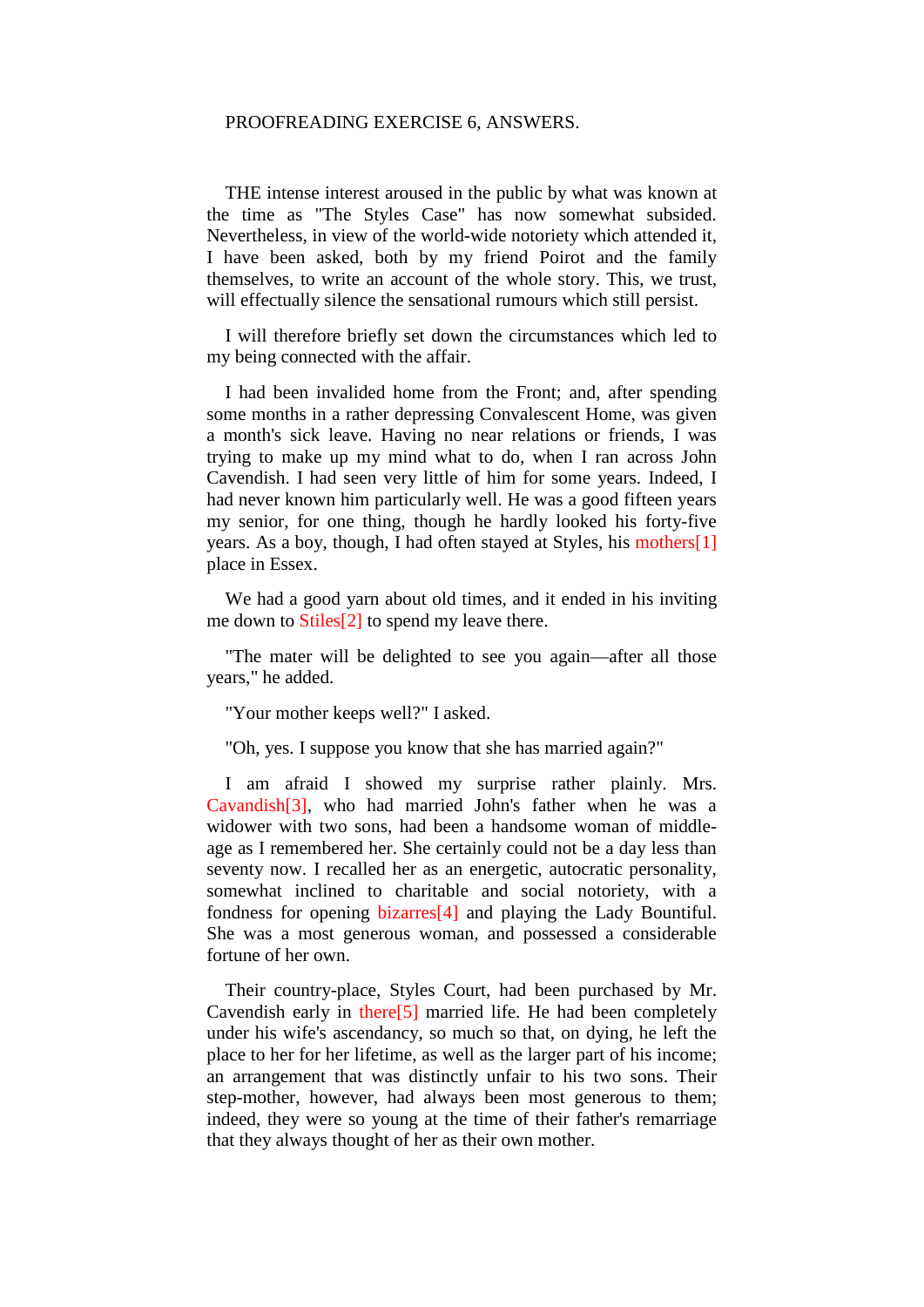#### PROOFREADING EXERCISE 6, ANSWERS.

THE intense interest aroused in the public by what was known at the time as "The Styles Case" has now somewhat subsided. Nevertheless, in view of the world-wide notoriety which attended it, I have been asked, both by my friend Poirot and the family themselves, to write an account of the whole story. This, we trust, will effectually silence the sensational rumours which still persist.

I will therefore briefly set down the circumstances which led to my being connected with the affair.

I had been invalided home from the Front; and, after spending some months in a rather depressing Convalescent Home, was given a month's sick leave. Having no near relations or friends, I was trying to make up my mind what to do, when I ran across John Cavendish. I had seen very little of him for some years. Indeed, I had never known him particularly well. He was a good fifteen years my senior, for one thing, though he hardly looked his forty-five years. As a boy, though, I had often stayed at Styles, his mothers[1] place in Essex.

We had a good yarn about old times, and it ended in his inviting me down to Stiles[2] to spend my leave there.

"The mater will be delighted to see you again—after all those years," he added.

"Your mother keeps well?" I asked.

"Oh, yes. I suppose you know that she has married again?"

I am afraid I showed my surprise rather plainly. Mrs. Cavandish[3], who had married John's father when he was a widower with two sons, had been a handsome woman of middleage as I remembered her. She certainly could not be a day less than seventy now. I recalled her as an energetic, autocratic personality, somewhat inclined to charitable and social notoriety, with a fondness for opening bizarres[4] and playing the Lady Bountiful. She was a most generous woman, and possessed a considerable fortune of her own.

Their country-place, Styles Court, had been purchased by Mr. Cavendish early in there[5] married life. He had been completely under his wife's ascendancy, so much so that, on dying, he left the place to her for her lifetime, as well as the larger part of his income; an arrangement that was distinctly unfair to his two sons. Their step-mother, however, had always been most generous to them; indeed, they were so young at the time of their father's remarriage that they always thought of her as their own mother.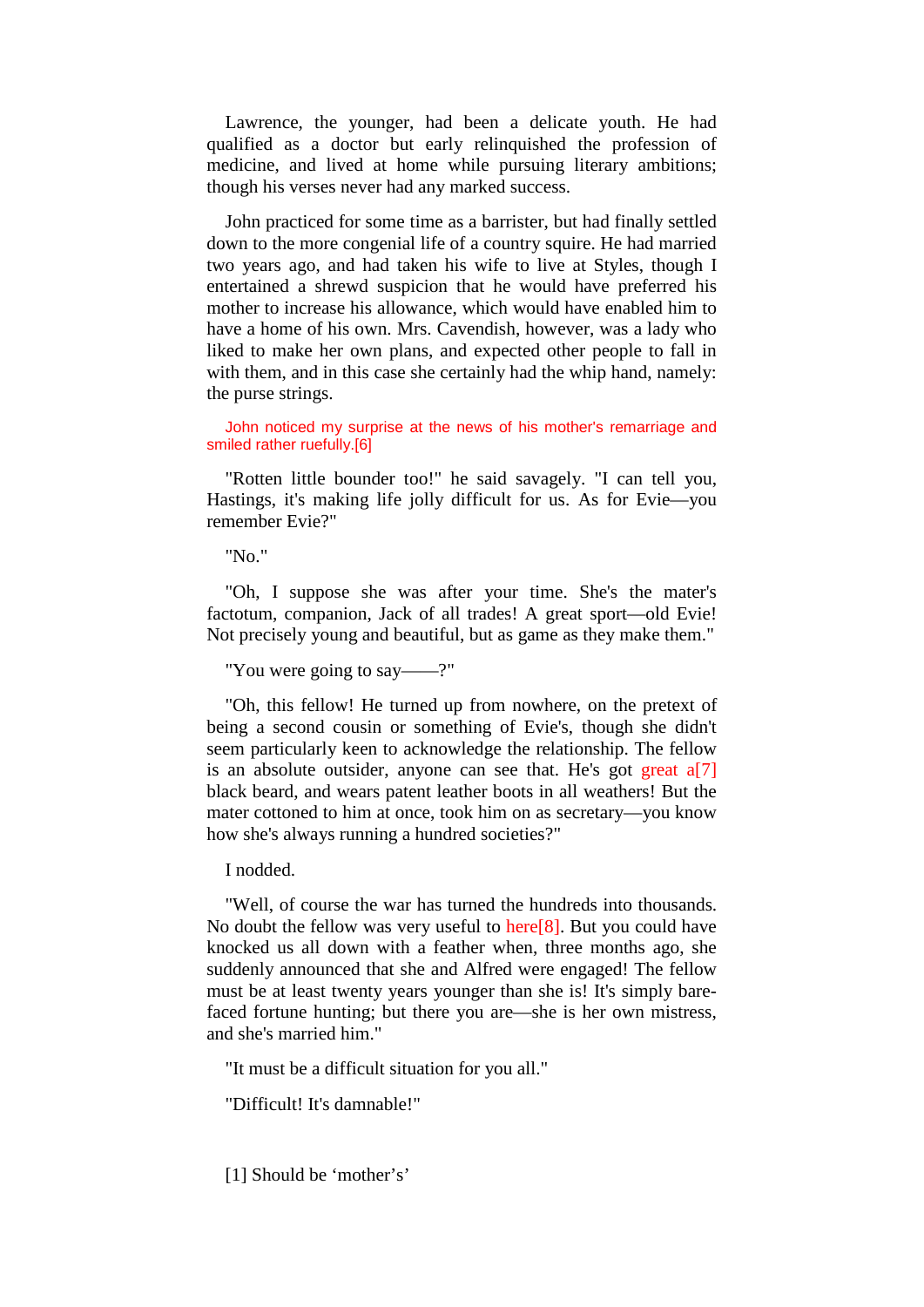Lawrence, the younger, had been a delicate youth. He had qualified as a doctor but early relinquished the profession of medicine, and lived at home while pursuing literary ambitions; though his verses never had any marked success.

John practiced for some time as a barrister, but had finally settled down to the more congenial life of a country squire. He had married two years ago, and had taken his wife to live at Styles, though I entertained a shrewd suspicion that he would have preferred his mother to increase his allowance, which would have enabled him to have a home of his own. Mrs. Cavendish, however, was a lady who liked to make her own plans, and expected other people to fall in with them, and in this case she certainly had the whip hand, namely: the purse strings.

John noticed my surprise at the news of his mother's remarriage and smiled rather ruefully.[6]

"Rotten little bounder too!" he said savagely. "I can tell you, Hastings, it's making life jolly difficult for us. As for Evie—you remember Evie?"

"No."

"Oh, I suppose she was after your time. She's the mater's factotum, companion, Jack of all trades! A great sport—old Evie! Not precisely young and beautiful, but as game as they make them."

"You were going to say——?"

"Oh, this fellow! He turned up from nowhere, on the pretext of being a second cousin or something of Evie's, though she didn't seem particularly keen to acknowledge the relationship. The fellow is an absolute outsider, anyone can see that. He's got great a[7] black beard, and wears patent leather boots in all weathers! But the mater cottoned to him at once, took him on as secretary—you know how she's always running a hundred societies?"

I nodded.

"Well, of course the war has turned the hundreds into thousands. No doubt the fellow was very useful to here[8]. But you could have knocked us all down with a feather when, three months ago, she suddenly announced that she and Alfred were engaged! The fellow must be at least twenty years younger than she is! It's simply barefaced fortune hunting; but there you are—she is her own mistress, and she's married him."

"It must be a difficult situation for you all."

"Difficult! It's damnable!"

[1] Should be 'mother's'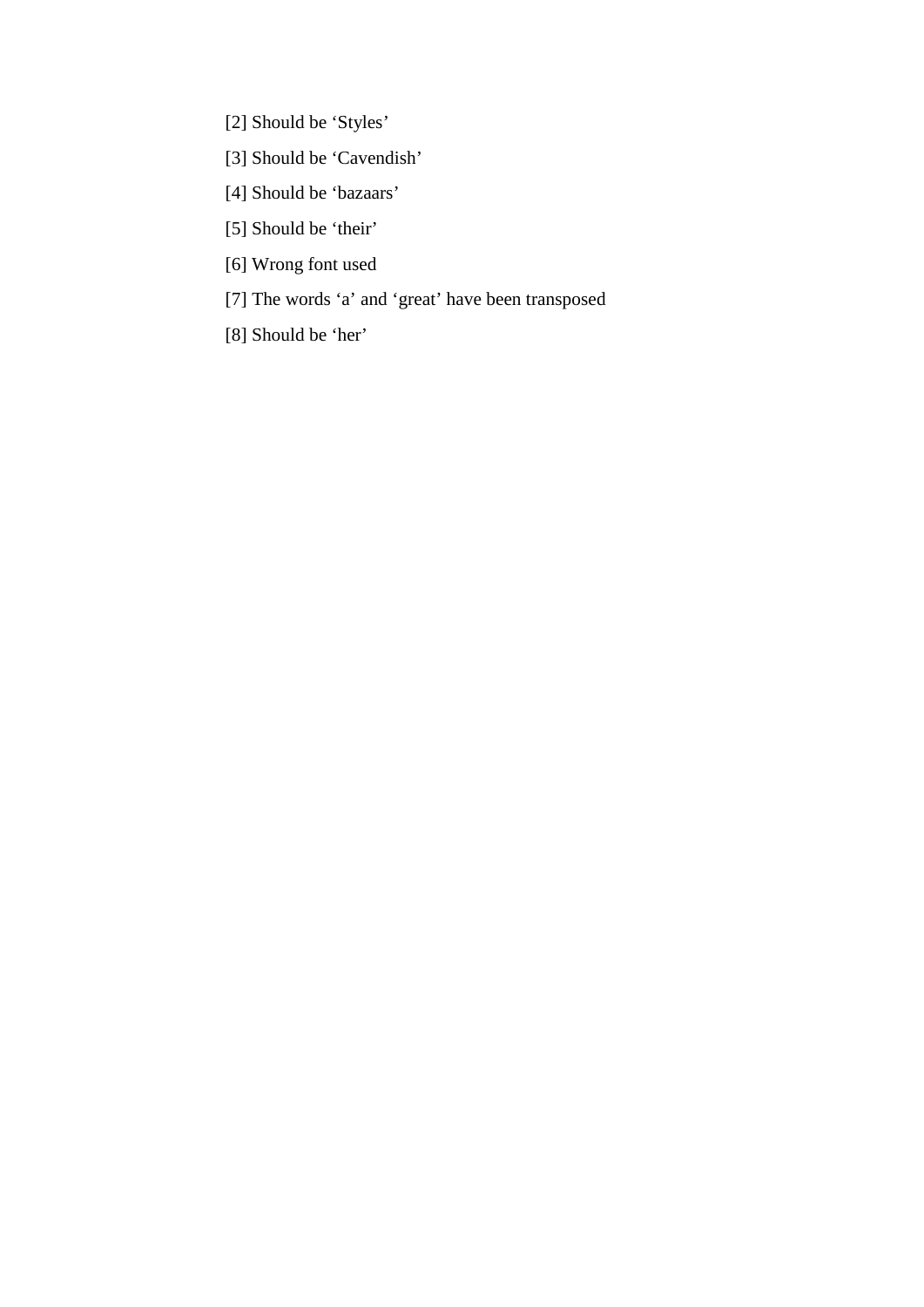- [2] Should be 'Styles'
- [3] Should be 'Cavendish'
- [4] Should be 'bazaars'
- [5] Should be 'their'
- [6] Wrong font used
- [7] The words 'a' and 'great' have been transposed
- [8] Should be 'her'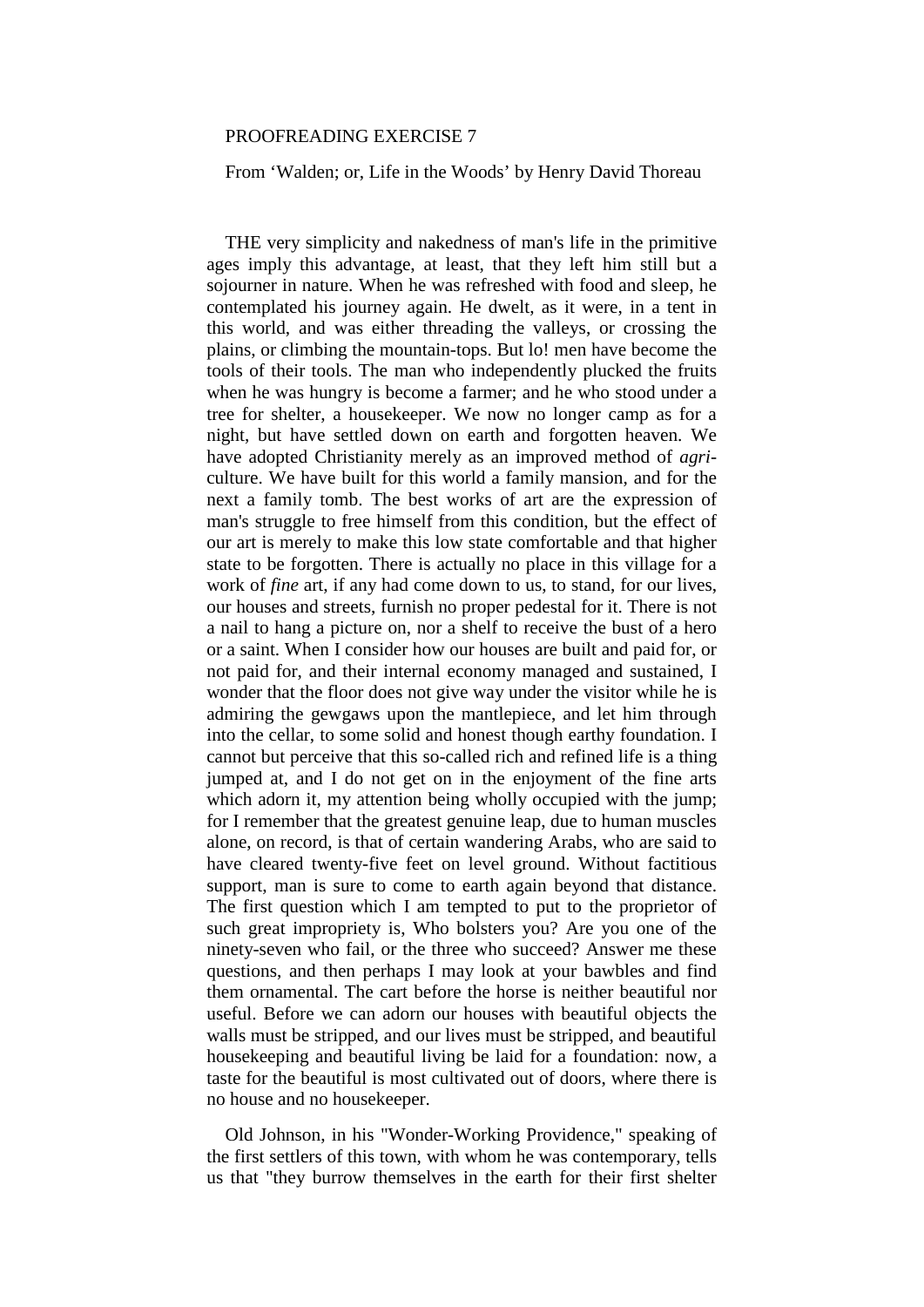From 'Walden; or, Life in the Woods' by Henry David Thoreau

THE very simplicity and nakedness of man's life in the primitive ages imply this advantage, at least, that they left him still but a sojourner in nature. When he was refreshed with food and sleep, he contemplated his journey again. He dwelt, as it were, in a tent in this world, and was either threading the valleys, or crossing the plains, or climbing the mountain-tops. But lo! men have become the tools of their tools. The man who independently plucked the fruits when he was hungry is become a farmer; and he who stood under a tree for shelter, a housekeeper. We now no longer camp as for a night, but have settled down on earth and forgotten heaven. We have adopted Christianity merely as an improved method of *agri*culture. We have built for this world a family mansion, and for the next a family tomb. The best works of art are the expression of man's struggle to free himself from this condition, but the effect of our art is merely to make this low state comfortable and that higher state to be forgotten. There is actually no place in this village for a work of *fine* art, if any had come down to us, to stand, for our lives, our houses and streets, furnish no proper pedestal for it. There is not a nail to hang a picture on, nor a shelf to receive the bust of a hero or a saint. When I consider how our houses are built and paid for, or not paid for, and their internal economy managed and sustained, I wonder that the floor does not give way under the visitor while he is admiring the gewgaws upon the mantlepiece, and let him through into the cellar, to some solid and honest though earthy foundation. I cannot but perceive that this so-called rich and refined life is a thing jumped at, and I do not get on in the enjoyment of the fine arts which adorn it, my attention being wholly occupied with the jump; for I remember that the greatest genuine leap, due to human muscles alone, on record, is that of certain wandering Arabs, who are said to have cleared twenty-five feet on level ground. Without factitious support, man is sure to come to earth again beyond that distance. The first question which I am tempted to put to the proprietor of such great impropriety is, Who bolsters you? Are you one of the ninety-seven who fail, or the three who succeed? Answer me these questions, and then perhaps I may look at your bawbles and find them ornamental. The cart before the horse is neither beautiful nor useful. Before we can adorn our houses with beautiful objects the walls must be stripped, and our lives must be stripped, and beautiful housekeeping and beautiful living be laid for a foundation: now, a taste for the beautiful is most cultivated out of doors, where there is no house and no housekeeper.

Old Johnson, in his "Wonder-Working Providence," speaking of the first settlers of this town, with whom he was contemporary, tells us that "they burrow themselves in the earth for their first shelter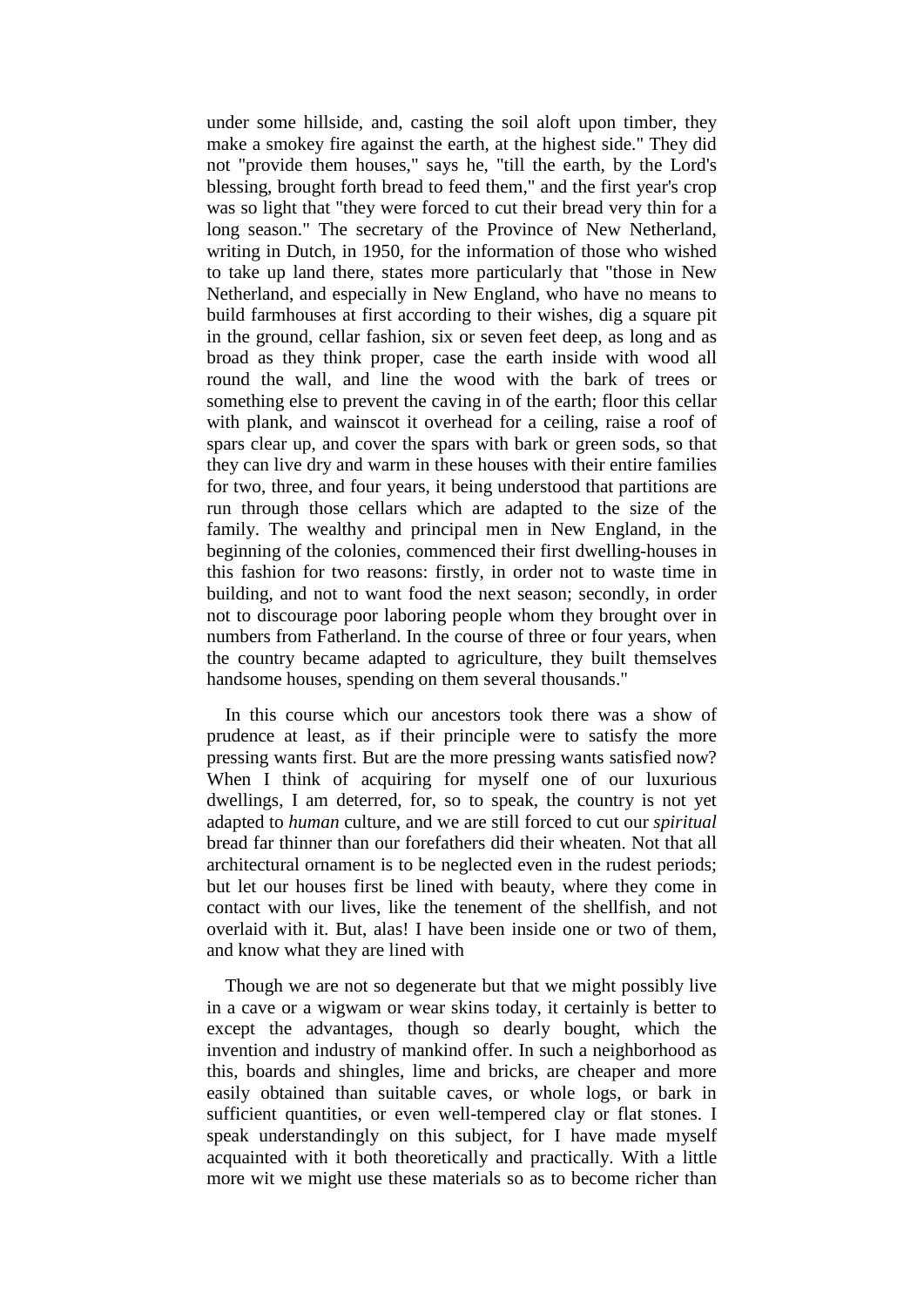under some hillside, and, casting the soil aloft upon timber, they make a smokey fire against the earth, at the highest side." They did not "provide them houses," says he, "till the earth, by the Lord's blessing, brought forth bread to feed them," and the first year's crop was so light that "they were forced to cut their bread very thin for a long season." The secretary of the Province of New Netherland, writing in Dutch, in 1950, for the information of those who wished to take up land there, states more particularly that "those in New Netherland, and especially in New England, who have no means to build farmhouses at first according to their wishes, dig a square pit in the ground, cellar fashion, six or seven feet deep, as long and as broad as they think proper, case the earth inside with wood all round the wall, and line the wood with the bark of trees or something else to prevent the caving in of the earth; floor this cellar with plank, and wainscot it overhead for a ceiling, raise a roof of spars clear up, and cover the spars with bark or green sods, so that they can live dry and warm in these houses with their entire families for two, three, and four years, it being understood that partitions are run through those cellars which are adapted to the size of the family. The wealthy and principal men in New England, in the beginning of the colonies, commenced their first dwelling-houses in this fashion for two reasons: firstly, in order not to waste time in building, and not to want food the next season; secondly, in order not to discourage poor laboring people whom they brought over in numbers from Fatherland. In the course of three or four years, when the country became adapted to agriculture, they built themselves handsome houses, spending on them several thousands."

In this course which our ancestors took there was a show of prudence at least, as if their principle were to satisfy the more pressing wants first. But are the more pressing wants satisfied now? When I think of acquiring for myself one of our luxurious dwellings, I am deterred, for, so to speak, the country is not yet adapted to *human* culture, and we are still forced to cut our *spiritual* bread far thinner than our forefathers did their wheaten. Not that all architectural ornament is to be neglected even in the rudest periods; but let our houses first be lined with beauty, where they come in contact with our lives, like the tenement of the shellfish, and not overlaid with it. But, alas! I have been inside one or two of them, and know what they are lined with

Though we are not so degenerate but that we might possibly live in a cave or a wigwam or wear skins today, it certainly is better to except the advantages, though so dearly bought, which the invention and industry of mankind offer. In such a neighborhood as this, boards and shingles, lime and bricks, are cheaper and more easily obtained than suitable caves, or whole logs, or bark in sufficient quantities, or even well-tempered clay or flat stones. I speak understandingly on this subject, for I have made myself acquainted with it both theoretically and practically. With a little more wit we might use these materials so as to become richer than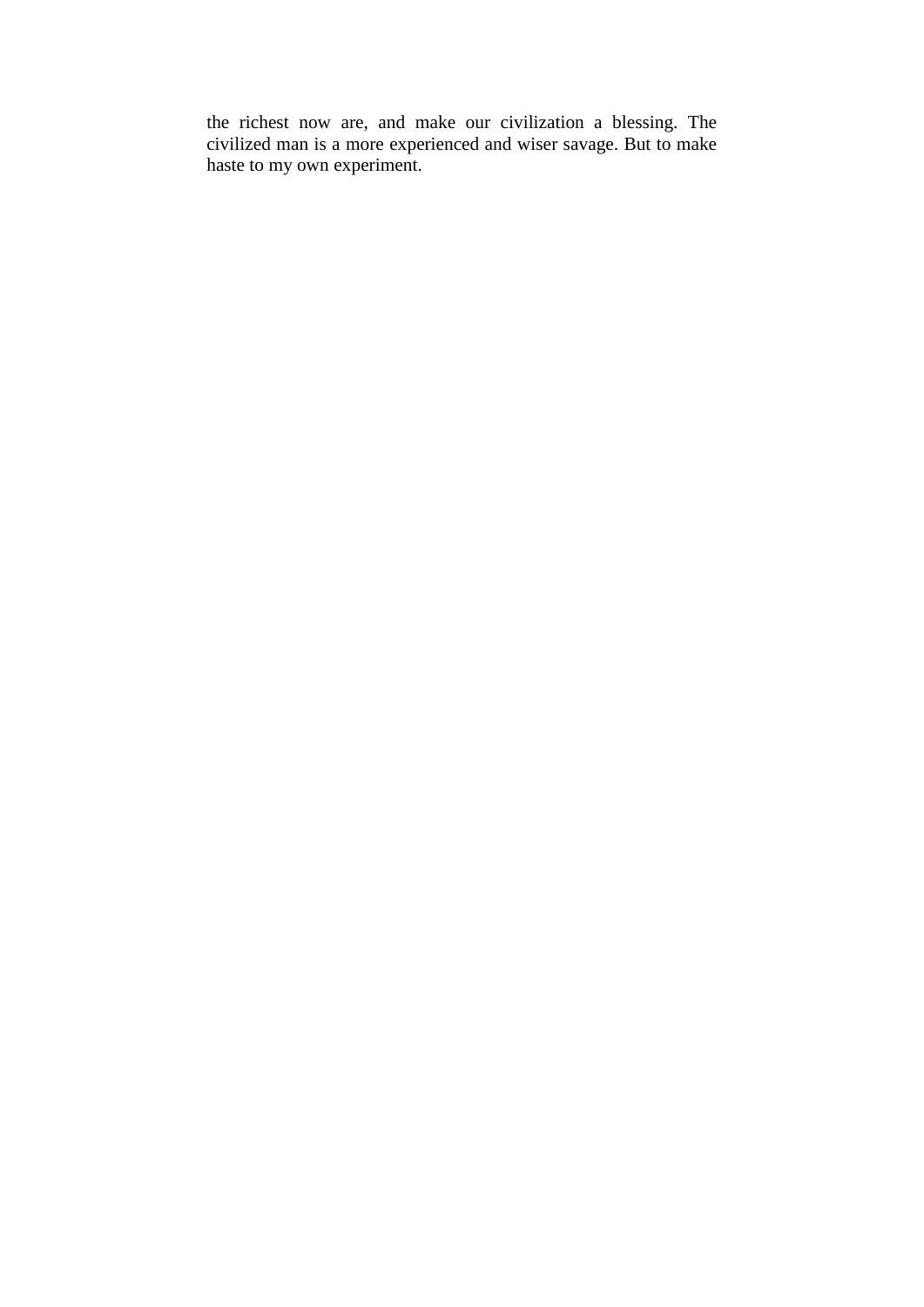the richest now are, and make our civilization a blessing. The civilized man is a more experienced and wiser savage. But to make haste to my own experiment.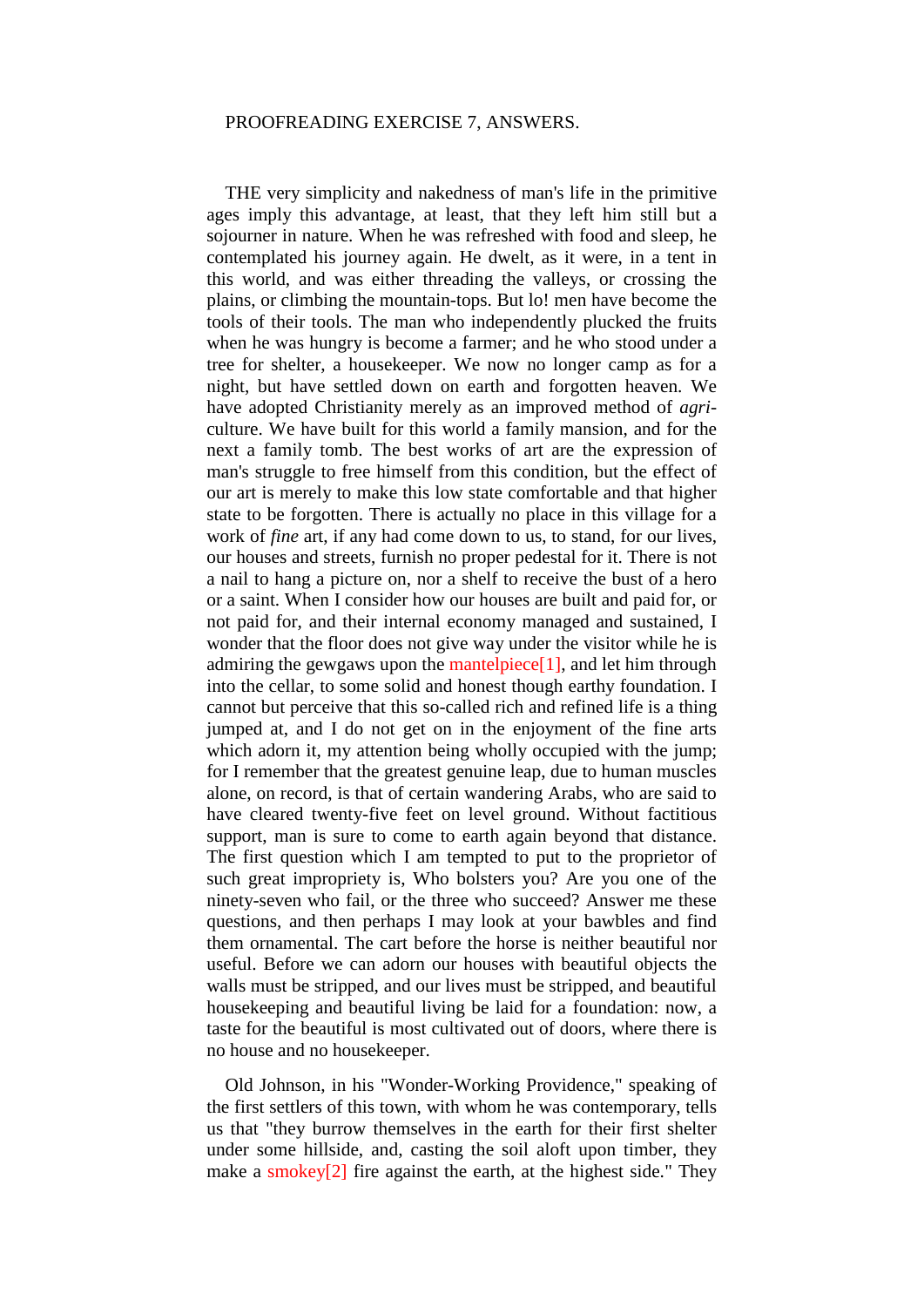### PROOFREADING EXERCISE 7, ANSWERS.

THE very simplicity and nakedness of man's life in the primitive ages imply this advantage, at least, that they left him still but a sojourner in nature. When he was refreshed with food and sleep, he contemplated his journey again. He dwelt, as it were, in a tent in this world, and was either threading the valleys, or crossing the plains, or climbing the mountain-tops. But lo! men have become the tools of their tools. The man who independently plucked the fruits when he was hungry is become a farmer; and he who stood under a tree for shelter, a housekeeper. We now no longer camp as for a night, but have settled down on earth and forgotten heaven. We have adopted Christianity merely as an improved method of *agri*culture. We have built for this world a family mansion, and for the next a family tomb. The best works of art are the expression of man's struggle to free himself from this condition, but the effect of our art is merely to make this low state comfortable and that higher state to be forgotten. There is actually no place in this village for a work of *fine* art, if any had come down to us, to stand, for our lives, our houses and streets, furnish no proper pedestal for it. There is not a nail to hang a picture on, nor a shelf to receive the bust of a hero or a saint. When I consider how our houses are built and paid for, or not paid for, and their internal economy managed and sustained, I wonder that the floor does not give way under the visitor while he is admiring the gewgaws upon the mantelpiece[1], and let him through into the cellar, to some solid and honest though earthy foundation. I cannot but perceive that this so-called rich and refined life is a thing jumped at, and I do not get on in the enjoyment of the fine arts which adorn it, my attention being wholly occupied with the jump; for I remember that the greatest genuine leap, due to human muscles alone, on record, is that of certain wandering Arabs, who are said to have cleared twenty-five feet on level ground. Without factitious support, man is sure to come to earth again beyond that distance. The first question which I am tempted to put to the proprietor of such great impropriety is, Who bolsters you? Are you one of the ninety-seven who fail, or the three who succeed? Answer me these questions, and then perhaps I may look at your bawbles and find them ornamental. The cart before the horse is neither beautiful nor useful. Before we can adorn our houses with beautiful objects the walls must be stripped, and our lives must be stripped, and beautiful housekeeping and beautiful living be laid for a foundation: now, a taste for the beautiful is most cultivated out of doors, where there is no house and no housekeeper.

Old Johnson, in his "Wonder-Working Providence," speaking of the first settlers of this town, with whom he was contemporary, tells us that "they burrow themselves in the earth for their first shelter under some hillside, and, casting the soil aloft upon timber, they make a smokey[2] fire against the earth, at the highest side." They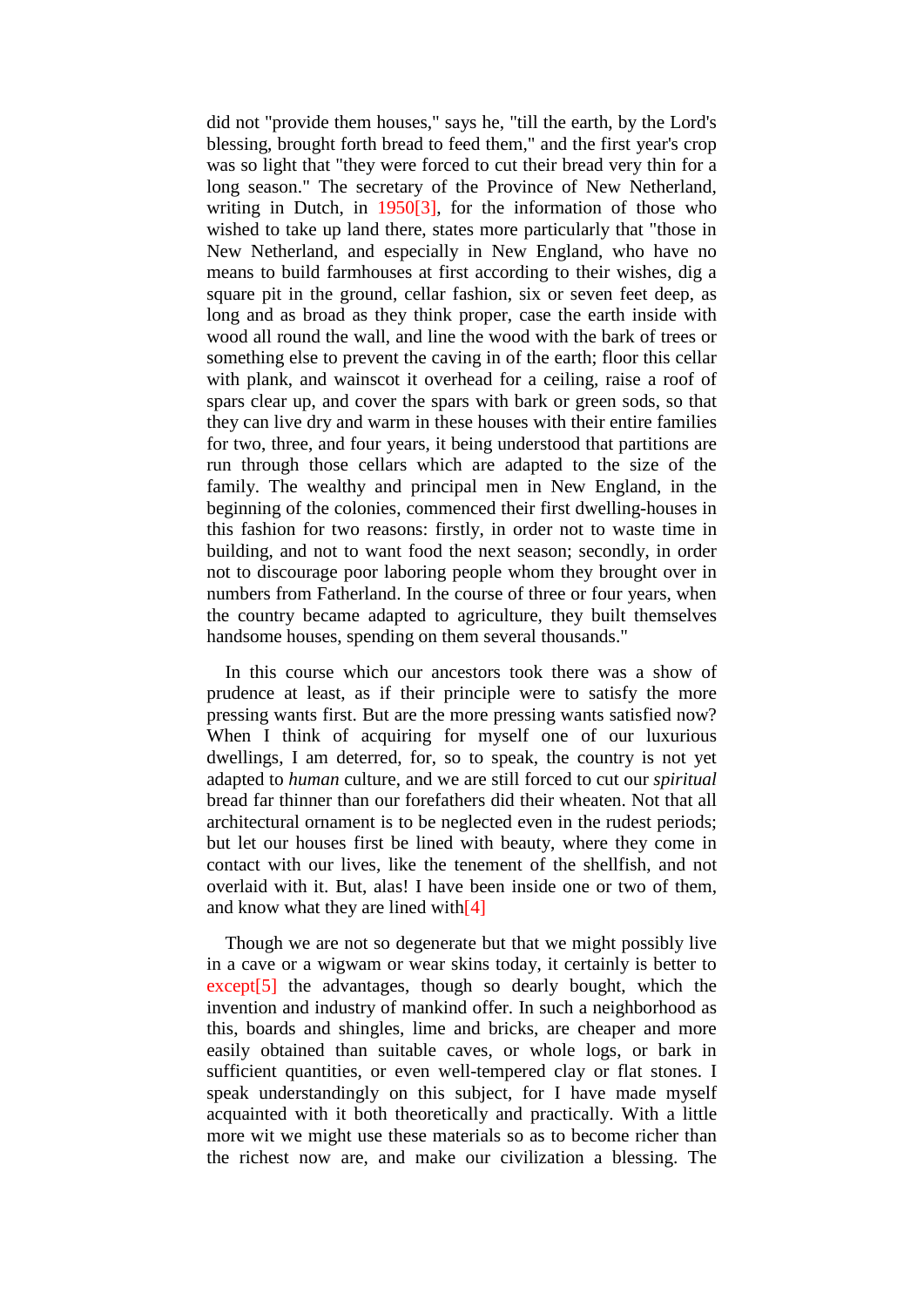did not "provide them houses," says he, "till the earth, by the Lord's blessing, brought forth bread to feed them," and the first year's crop was so light that "they were forced to cut their bread very thin for a long season." The secretary of the Province of New Netherland, writing in Dutch, in 1950[3], for the information of those who wished to take up land there, states more particularly that "those in New Netherland, and especially in New England, who have no means to build farmhouses at first according to their wishes, dig a square pit in the ground, cellar fashion, six or seven feet deep, as long and as broad as they think proper, case the earth inside with wood all round the wall, and line the wood with the bark of trees or something else to prevent the caving in of the earth; floor this cellar with plank, and wainscot it overhead for a ceiling, raise a roof of spars clear up, and cover the spars with bark or green sods, so that they can live dry and warm in these houses with their entire families for two, three, and four years, it being understood that partitions are run through those cellars which are adapted to the size of the family. The wealthy and principal men in New England, in the beginning of the colonies, commenced their first dwelling-houses in this fashion for two reasons: firstly, in order not to waste time in building, and not to want food the next season; secondly, in order not to discourage poor laboring people whom they brought over in numbers from Fatherland. In the course of three or four years, when the country became adapted to agriculture, they built themselves handsome houses, spending on them several thousands."

In this course which our ancestors took there was a show of prudence at least, as if their principle were to satisfy the more pressing wants first. But are the more pressing wants satisfied now? When I think of acquiring for myself one of our luxurious dwellings, I am deterred, for, so to speak, the country is not yet adapted to *human* culture, and we are still forced to cut our *spiritual* bread far thinner than our forefathers did their wheaten. Not that all architectural ornament is to be neglected even in the rudest periods; but let our houses first be lined with beauty, where they come in contact with our lives, like the tenement of the shellfish, and not overlaid with it. But, alas! I have been inside one or two of them, and know what they are lined with  $[4]$ 

Though we are not so degenerate but that we might possibly live in a cave or a wigwam or wear skins today, it certainly is better to except[5] the advantages, though so dearly bought, which the invention and industry of mankind offer. In such a neighborhood as this, boards and shingles, lime and bricks, are cheaper and more easily obtained than suitable caves, or whole logs, or bark in sufficient quantities, or even well-tempered clay or flat stones. I speak understandingly on this subject, for I have made myself acquainted with it both theoretically and practically. With a little more wit we might use these materials so as to become richer than the richest now are, and make our civilization a blessing. The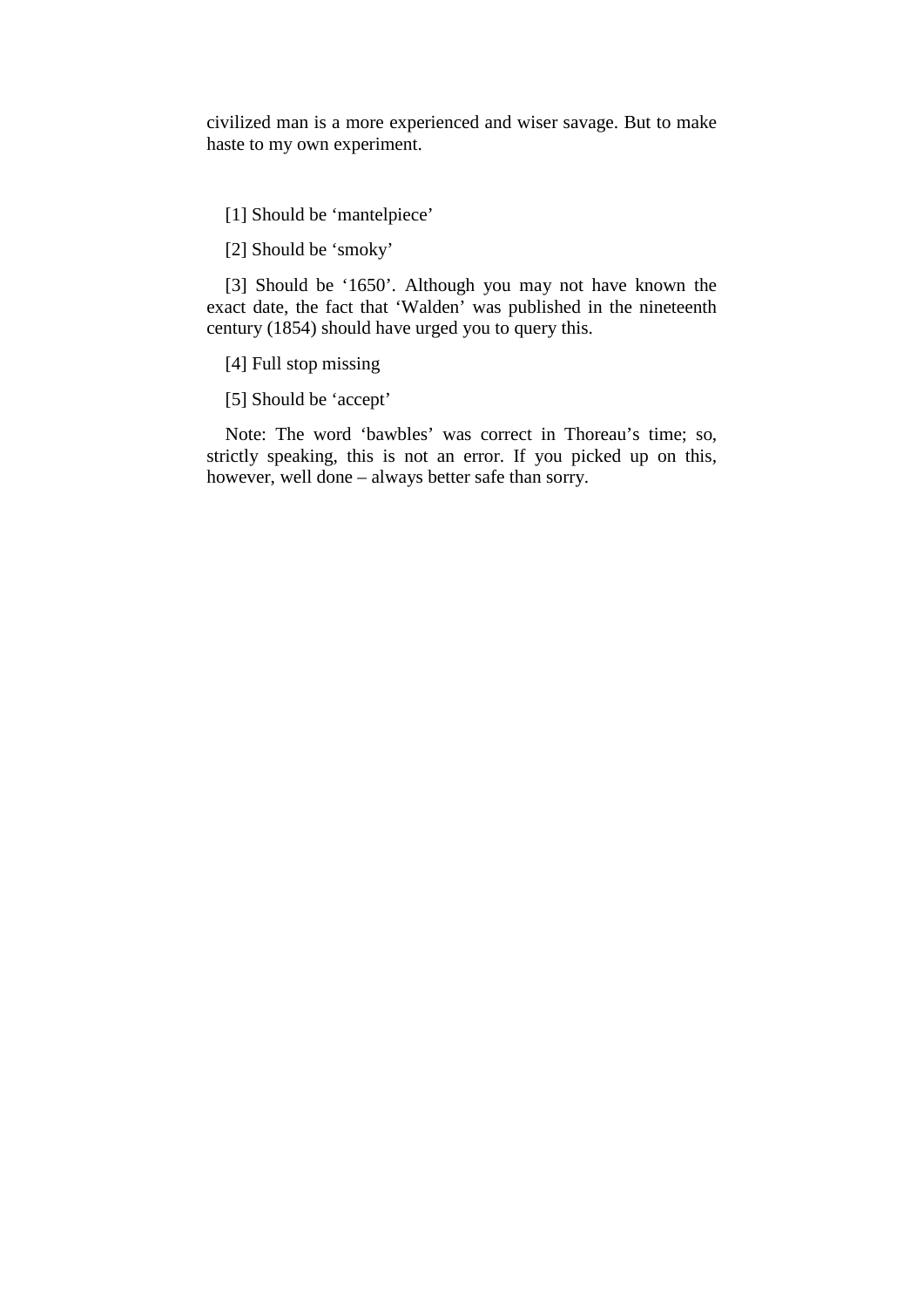civilized man is a more experienced and wiser savage. But to make haste to my own experiment.

[1] Should be 'mantelpiece'

[2] Should be 'smoky'

[3] Should be '1650'. Although you may not have known the exact date, the fact that 'Walden' was published in the nineteenth century (1854) should have urged you to query this.

[4] Full stop missing

[5] Should be 'accept'

Note: The word 'bawbles' was correct in Thoreau's time; so, strictly speaking, this is not an error. If you picked up on this, however, well done – always better safe than sorry.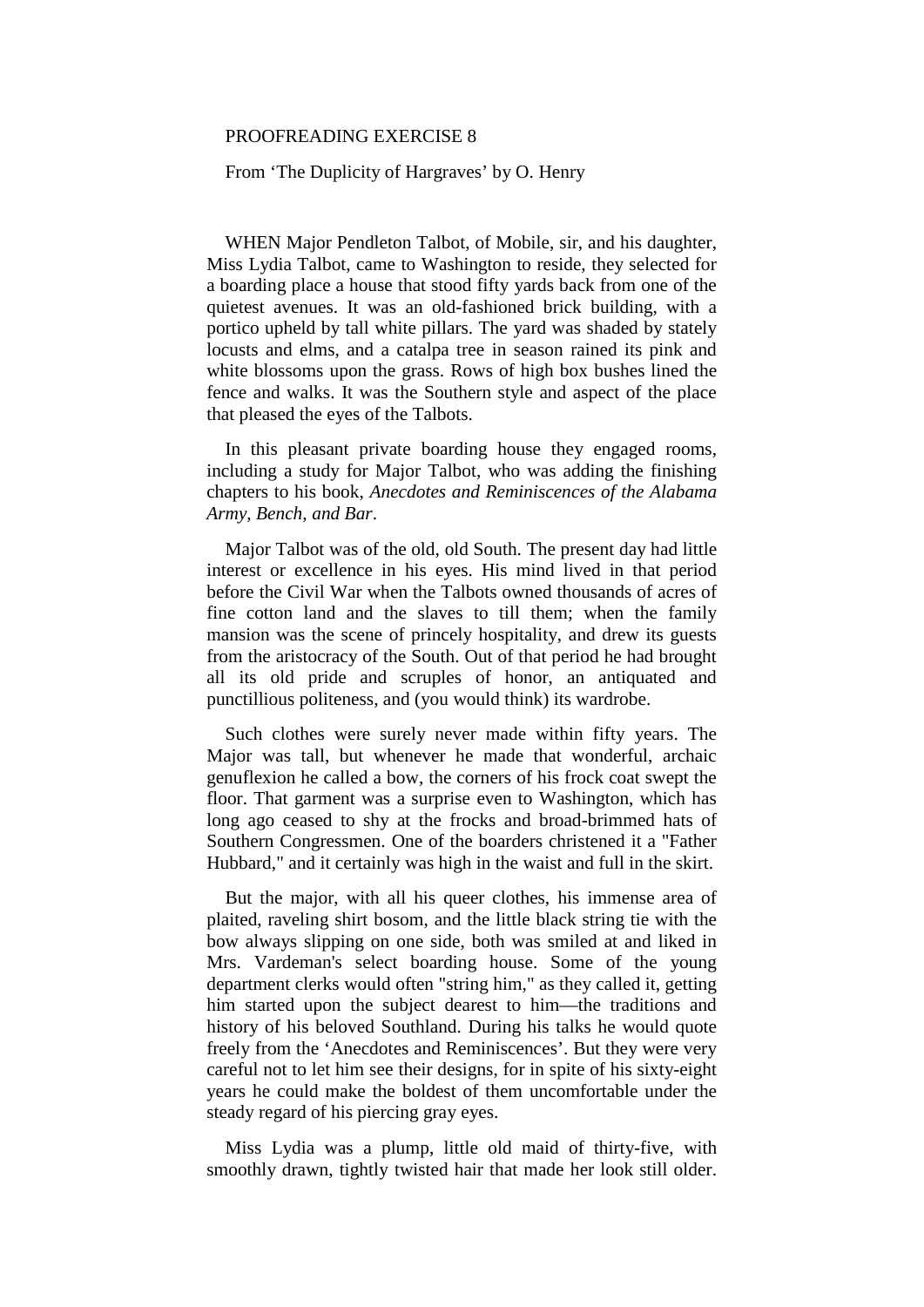# PROOFREADING EXERCISE 8

From 'The Duplicity of Hargraves' by O. Henry

WHEN Major Pendleton Talbot, of Mobile, sir, and his daughter, Miss Lydia Talbot, came to Washington to reside, they selected for a boarding place a house that stood fifty yards back from one of the quietest avenues. It was an old-fashioned brick building, with a portico upheld by tall white pillars. The yard was shaded by stately locusts and elms, and a catalpa tree in season rained its pink and white blossoms upon the grass. Rows of high box bushes lined the fence and walks. It was the Southern style and aspect of the place that pleased the eyes of the Talbots.

In this pleasant private boarding house they engaged rooms, including a study for Major Talbot, who was adding the finishing chapters to his book, *Anecdotes and Reminiscences of the Alabama Army, Bench, and Bar*.

Major Talbot was of the old, old South. The present day had little interest or excellence in his eyes. His mind lived in that period before the Civil War when the Talbots owned thousands of acres of fine cotton land and the slaves to till them; when the family mansion was the scene of princely hospitality, and drew its guests from the aristocracy of the South. Out of that period he had brought all its old pride and scruples of honor, an antiquated and punctillious politeness, and (you would think) its wardrobe.

Such clothes were surely never made within fifty years. The Major was tall, but whenever he made that wonderful, archaic genuflexion he called a bow, the corners of his frock coat swept the floor. That garment was a surprise even to Washington, which has long ago ceased to shy at the frocks and broad-brimmed hats of Southern Congressmen. One of the boarders christened it a "Father Hubbard," and it certainly was high in the waist and full in the skirt.

But the major, with all his queer clothes, his immense area of plaited, raveling shirt bosom, and the little black string tie with the bow always slipping on one side, both was smiled at and liked in Mrs. Vardeman's select boarding house. Some of the young department clerks would often "string him," as they called it, getting him started upon the subject dearest to him—the traditions and history of his beloved Southland. During his talks he would quote freely from the 'Anecdotes and Reminiscences'. But they were very careful not to let him see their designs, for in spite of his sixty-eight years he could make the boldest of them uncomfortable under the steady regard of his piercing gray eyes.

Miss Lydia was a plump, little old maid of thirty-five, with smoothly drawn, tightly twisted hair that made her look still older.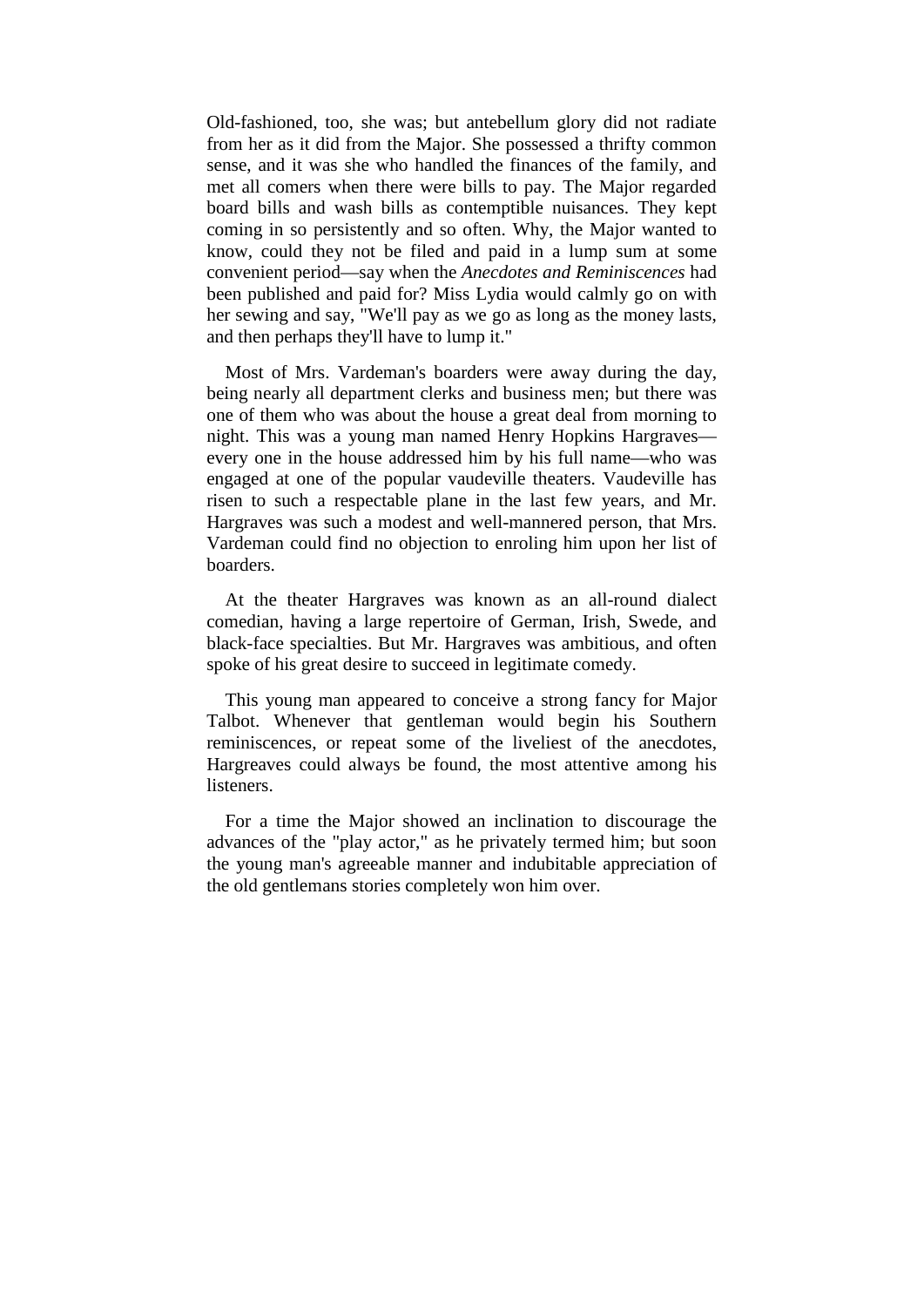Old-fashioned, too, she was; but antebellum glory did not radiate from her as it did from the Major. She possessed a thrifty common sense, and it was she who handled the finances of the family, and met all comers when there were bills to pay. The Major regarded board bills and wash bills as contemptible nuisances. They kept coming in so persistently and so often. Why, the Major wanted to know, could they not be filed and paid in a lump sum at some convenient period—say when the *Anecdotes and Reminiscences* had been published and paid for? Miss Lydia would calmly go on with her sewing and say, "We'll pay as we go as long as the money lasts, and then perhaps they'll have to lump it."

Most of Mrs. Vardeman's boarders were away during the day, being nearly all department clerks and business men; but there was one of them who was about the house a great deal from morning to night. This was a young man named Henry Hopkins Hargraves every one in the house addressed him by his full name—who was engaged at one of the popular vaudeville theaters. Vaudeville has risen to such a respectable plane in the last few years, and Mr. Hargraves was such a modest and well-mannered person, that Mrs. Vardeman could find no objection to enroling him upon her list of boarders.

At the theater Hargraves was known as an all-round dialect comedian, having a large repertoire of German, Irish, Swede, and black-face specialties. But Mr. Hargraves was ambitious, and often spoke of his great desire to succeed in legitimate comedy.

This young man appeared to conceive a strong fancy for Major Talbot. Whenever that gentleman would begin his Southern reminiscences, or repeat some of the liveliest of the anecdotes, Hargreaves could always be found, the most attentive among his **listeners** 

For a time the Major showed an inclination to discourage the advances of the "play actor," as he privately termed him; but soon the young man's agreeable manner and indubitable appreciation of the old gentlemans stories completely won him over.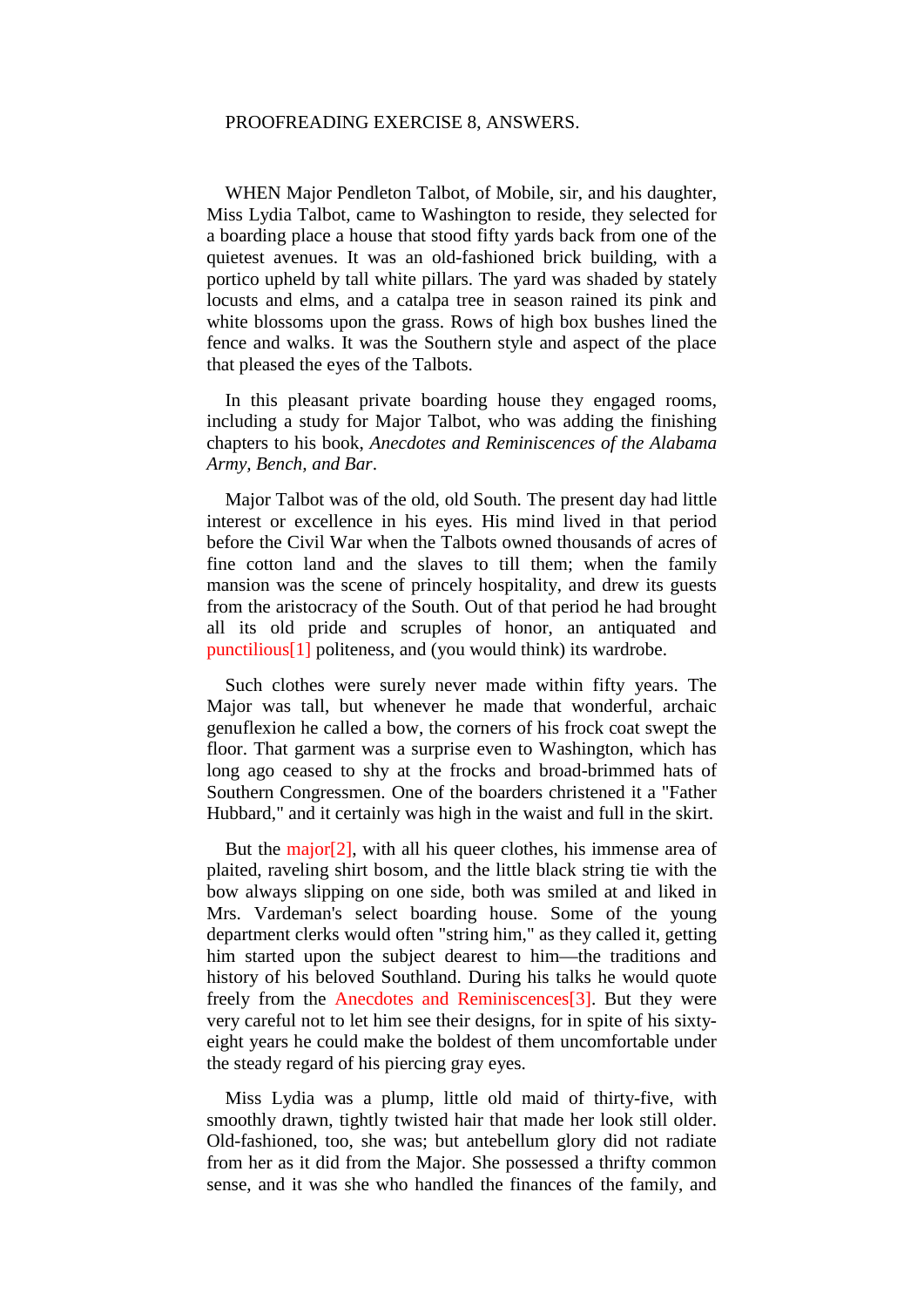### PROOFREADING EXERCISE 8, ANSWERS.

WHEN Major Pendleton Talbot, of Mobile, sir, and his daughter, Miss Lydia Talbot, came to Washington to reside, they selected for a boarding place a house that stood fifty yards back from one of the quietest avenues. It was an old-fashioned brick building, with a portico upheld by tall white pillars. The yard was shaded by stately locusts and elms, and a catalpa tree in season rained its pink and white blossoms upon the grass. Rows of high box bushes lined the fence and walks. It was the Southern style and aspect of the place that pleased the eyes of the Talbots.

In this pleasant private boarding house they engaged rooms, including a study for Major Talbot, who was adding the finishing chapters to his book, *Anecdotes and Reminiscences of the Alabama Army, Bench, and Bar*.

Major Talbot was of the old, old South. The present day had little interest or excellence in his eyes. His mind lived in that period before the Civil War when the Talbots owned thousands of acres of fine cotton land and the slaves to till them; when the family mansion was the scene of princely hospitality, and drew its guests from the aristocracy of the South. Out of that period he had brought all its old pride and scruples of honor, an antiquated and punctilious[1] politeness, and (you would think) its wardrobe.

Such clothes were surely never made within fifty years. The Major was tall, but whenever he made that wonderful, archaic genuflexion he called a bow, the corners of his frock coat swept the floor. That garment was a surprise even to Washington, which has long ago ceased to shy at the frocks and broad-brimmed hats of Southern Congressmen. One of the boarders christened it a "Father Hubbard," and it certainly was high in the waist and full in the skirt.

But the major[2], with all his queer clothes, his immense area of plaited, raveling shirt bosom, and the little black string tie with the bow always slipping on one side, both was smiled at and liked in Mrs. Vardeman's select boarding house. Some of the young department clerks would often "string him," as they called it, getting him started upon the subject dearest to him—the traditions and history of his beloved Southland. During his talks he would quote freely from the Anecdotes and Reminiscences[3]. But they were very careful not to let him see their designs, for in spite of his sixtyeight years he could make the boldest of them uncomfortable under the steady regard of his piercing gray eyes.

Miss Lydia was a plump, little old maid of thirty-five, with smoothly drawn, tightly twisted hair that made her look still older. Old-fashioned, too, she was; but antebellum glory did not radiate from her as it did from the Major. She possessed a thrifty common sense, and it was she who handled the finances of the family, and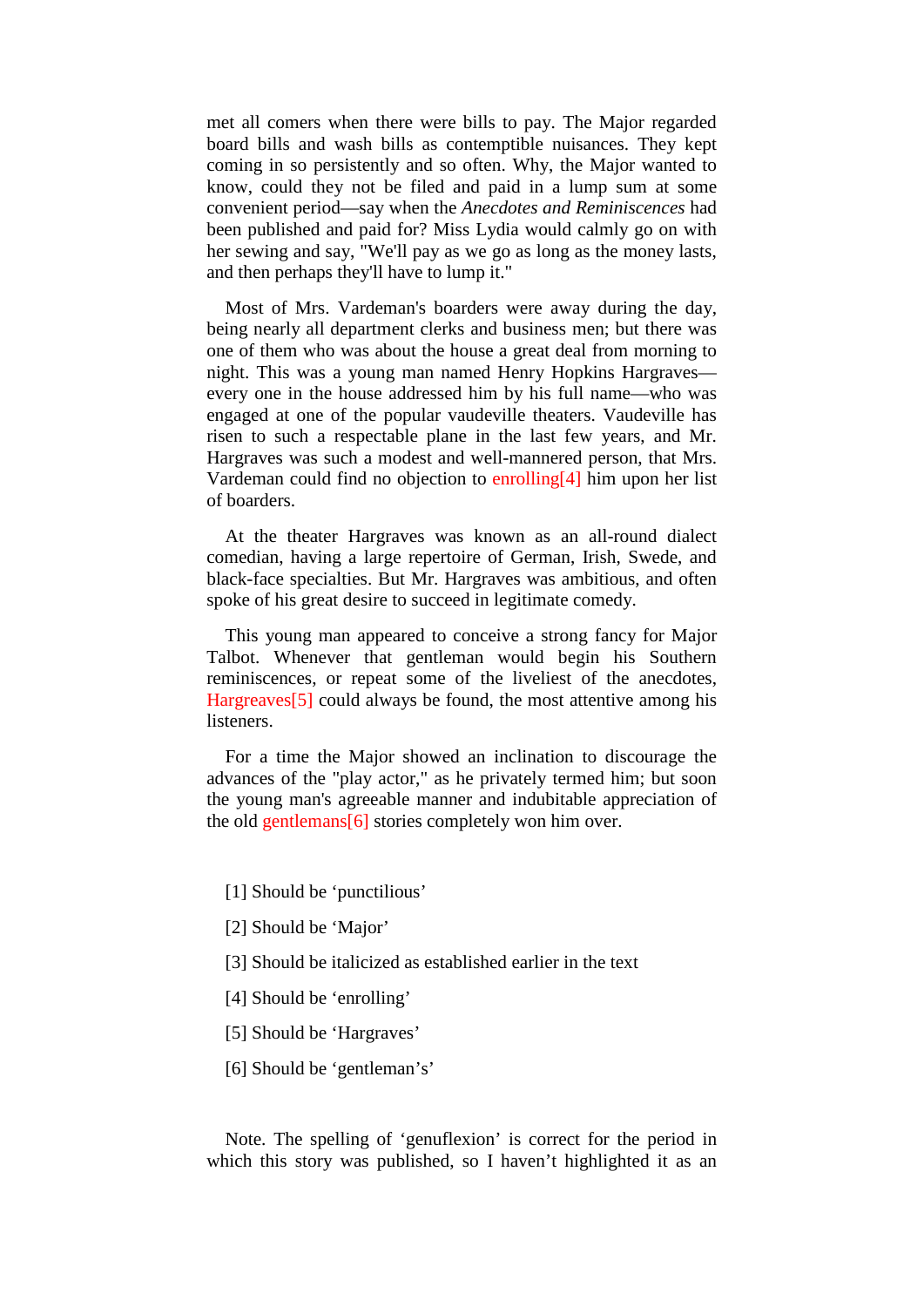met all comers when there were bills to pay. The Major regarded board bills and wash bills as contemptible nuisances. They kept coming in so persistently and so often. Why, the Major wanted to know, could they not be filed and paid in a lump sum at some convenient period—say when the *Anecdotes and Reminiscences* had been published and paid for? Miss Lydia would calmly go on with her sewing and say, "We'll pay as we go as long as the money lasts, and then perhaps they'll have to lump it."

Most of Mrs. Vardeman's boarders were away during the day, being nearly all department clerks and business men; but there was one of them who was about the house a great deal from morning to night. This was a young man named Henry Hopkins Hargraves every one in the house addressed him by his full name—who was engaged at one of the popular vaudeville theaters. Vaudeville has risen to such a respectable plane in the last few years, and Mr. Hargraves was such a modest and well-mannered person, that Mrs. Vardeman could find no objection to enrolling[4] him upon her list of boarders.

At the theater Hargraves was known as an all-round dialect comedian, having a large repertoire of German, Irish, Swede, and black-face specialties. But Mr. Hargraves was ambitious, and often spoke of his great desire to succeed in legitimate comedy.

This young man appeared to conceive a strong fancy for Major Talbot. Whenever that gentleman would begin his Southern reminiscences, or repeat some of the liveliest of the anecdotes, Hargreaves[5] could always be found, the most attentive among his listeners.

For a time the Major showed an inclination to discourage the advances of the "play actor," as he privately termed him; but soon the young man's agreeable manner and indubitable appreciation of the old gentlemans[6] stories completely won him over.

- [1] Should be 'punctilious'
- [2] Should be 'Major'
- [3] Should be italicized as established earlier in the text
- [4] Should be 'enrolling'
- [5] Should be 'Hargraves'
- [6] Should be 'gentleman's'

Note. The spelling of 'genuflexion' is correct for the period in which this story was published, so I haven't highlighted it as an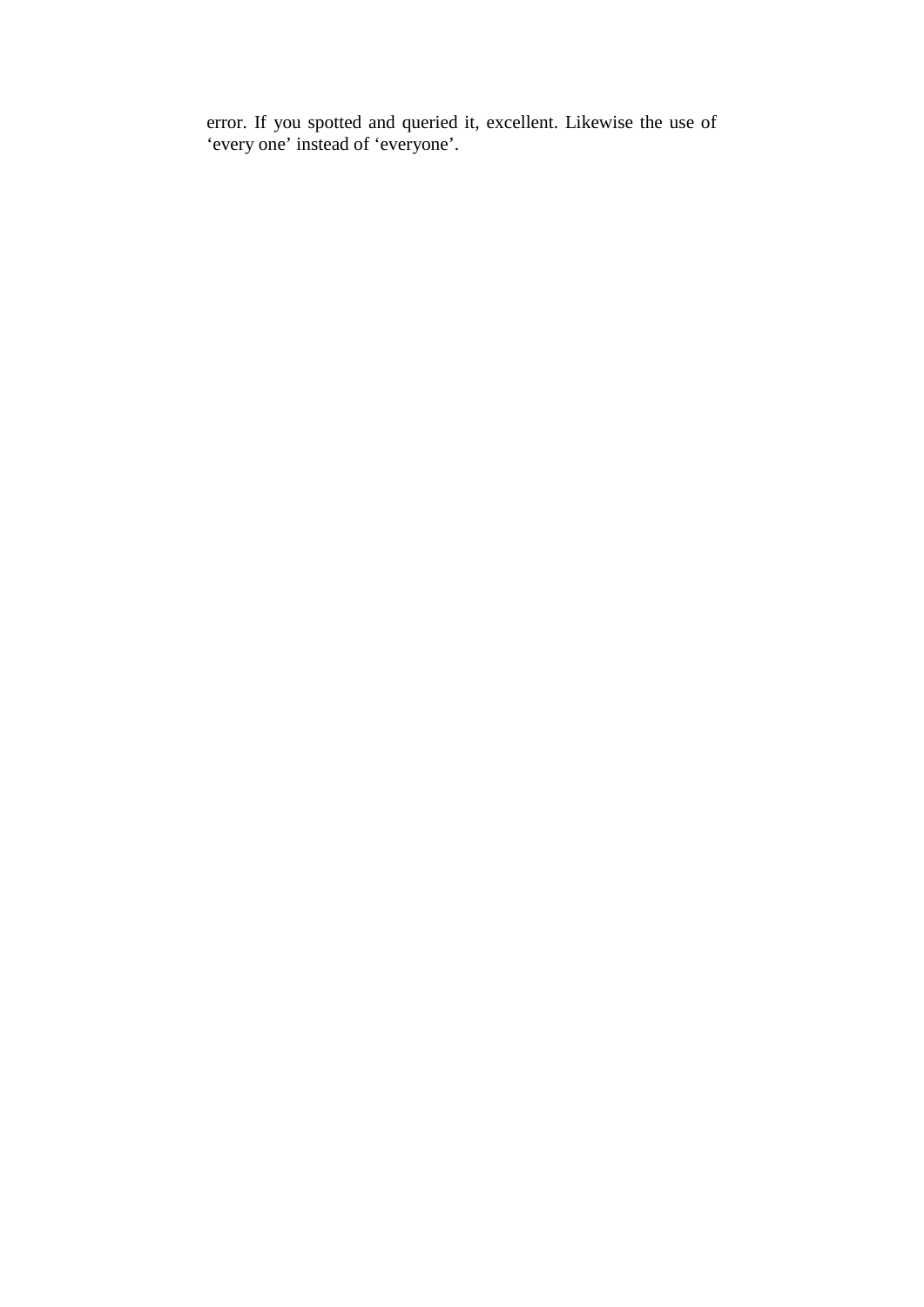error. If you spotted and queried it, excellent. Likewise the use of 'every one' instead of 'everyone'.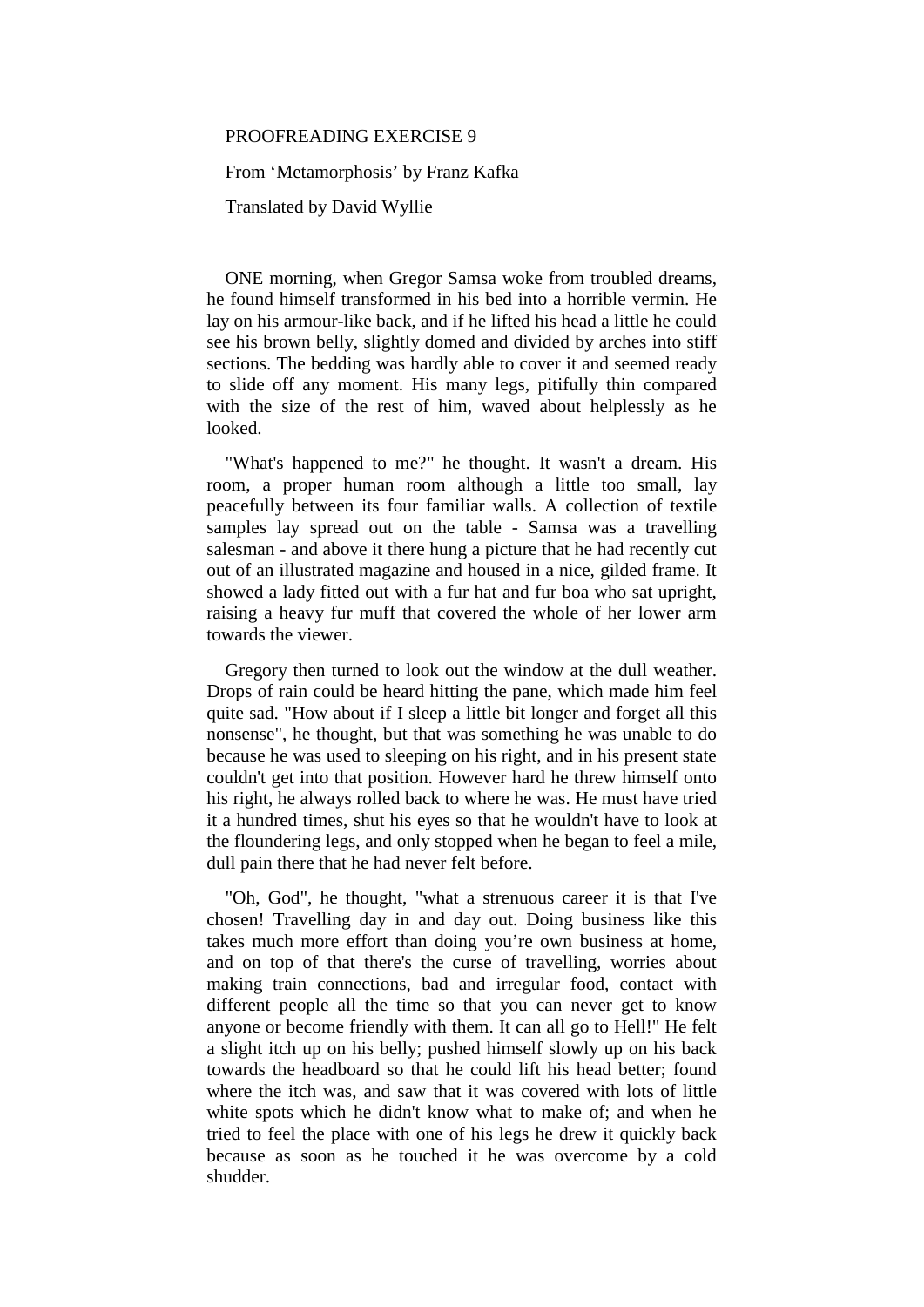# PROOFREADING EXERCISE 9

From 'Metamorphosis' by Franz Kafka

Translated by David Wyllie

ONE morning, when Gregor Samsa woke from troubled dreams, he found himself transformed in his bed into a horrible vermin. He lay on his armour-like back, and if he lifted his head a little he could see his brown belly, slightly domed and divided by arches into stiff sections. The bedding was hardly able to cover it and seemed ready to slide off any moment. His many legs, pitifully thin compared with the size of the rest of him, waved about helplessly as he looked.

"What's happened to me?" he thought. It wasn't a dream. His room, a proper human room although a little too small, lay peacefully between its four familiar walls. A collection of textile samples lay spread out on the table - Samsa was a travelling salesman - and above it there hung a picture that he had recently cut out of an illustrated magazine and housed in a nice, gilded frame. It showed a lady fitted out with a fur hat and fur boa who sat upright, raising a heavy fur muff that covered the whole of her lower arm towards the viewer.

Gregory then turned to look out the window at the dull weather. Drops of rain could be heard hitting the pane, which made him feel quite sad. "How about if I sleep a little bit longer and forget all this nonsense", he thought, but that was something he was unable to do because he was used to sleeping on his right, and in his present state couldn't get into that position. However hard he threw himself onto his right, he always rolled back to where he was. He must have tried it a hundred times, shut his eyes so that he wouldn't have to look at the floundering legs, and only stopped when he began to feel a mile, dull pain there that he had never felt before.

"Oh, God", he thought, "what a strenuous career it is that I've chosen! Travelling day in and day out. Doing business like this takes much more effort than doing you're own business at home, and on top of that there's the curse of travelling, worries about making train connections, bad and irregular food, contact with different people all the time so that you can never get to know anyone or become friendly with them. It can all go to Hell!" He felt a slight itch up on his belly; pushed himself slowly up on his back towards the headboard so that he could lift his head better; found where the itch was, and saw that it was covered with lots of little white spots which he didn't know what to make of; and when he tried to feel the place with one of his legs he drew it quickly back because as soon as he touched it he was overcome by a cold shudder.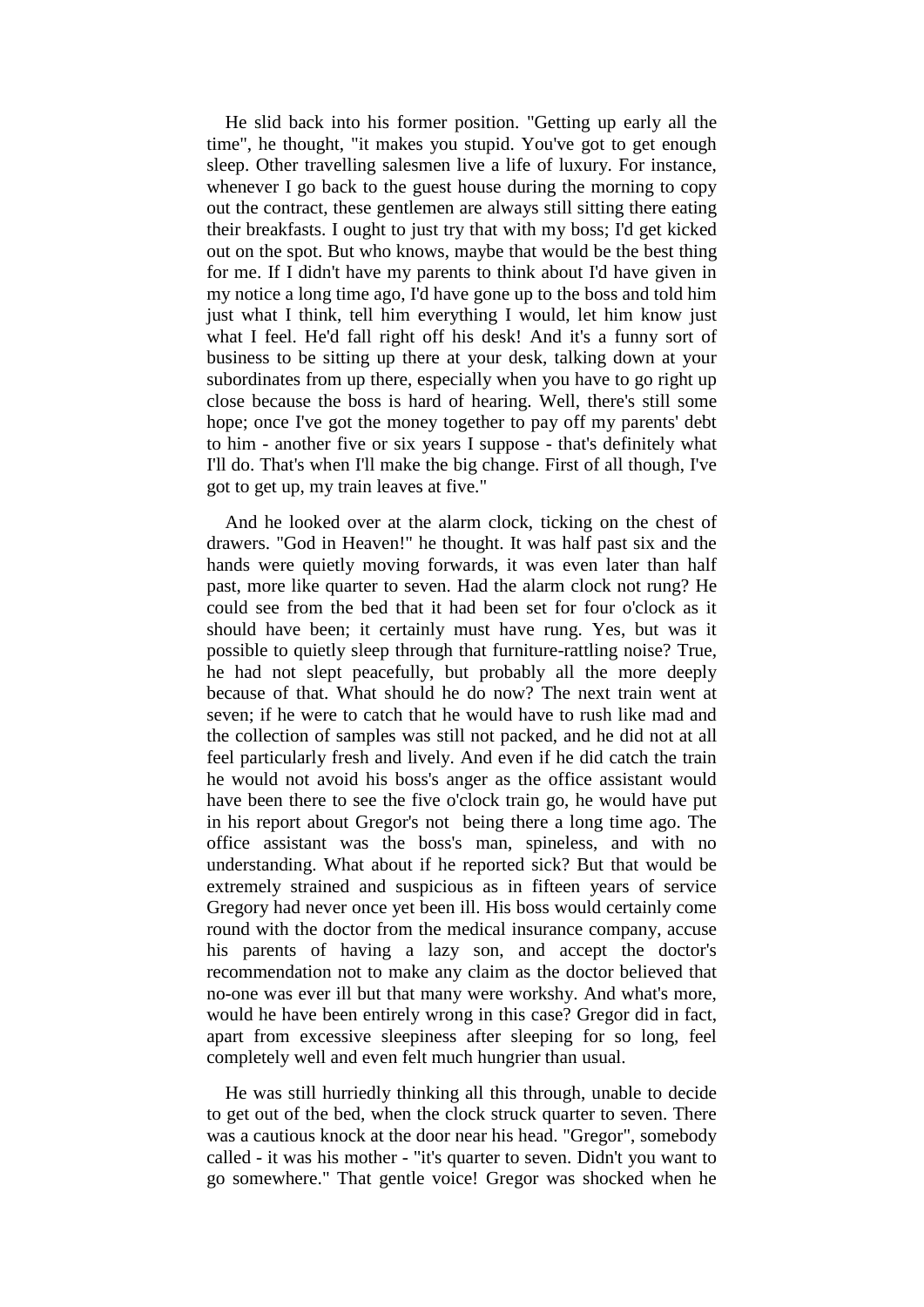He slid back into his former position. "Getting up early all the time", he thought, "it makes you stupid. You've got to get enough sleep. Other travelling salesmen live a life of luxury. For instance, whenever I go back to the guest house during the morning to copy out the contract, these gentlemen are always still sitting there eating their breakfasts. I ought to just try that with my boss; I'd get kicked out on the spot. But who knows, maybe that would be the best thing for me. If I didn't have my parents to think about I'd have given in my notice a long time ago, I'd have gone up to the boss and told him just what I think, tell him everything I would, let him know just what I feel. He'd fall right off his desk! And it's a funny sort of business to be sitting up there at your desk, talking down at your subordinates from up there, especially when you have to go right up close because the boss is hard of hearing. Well, there's still some hope; once I've got the money together to pay off my parents' debt to him - another five or six years I suppose - that's definitely what I'll do. That's when I'll make the big change. First of all though, I've got to get up, my train leaves at five."

And he looked over at the alarm clock, ticking on the chest of drawers. "God in Heaven!" he thought. It was half past six and the hands were quietly moving forwards, it was even later than half past, more like quarter to seven. Had the alarm clock not rung? He could see from the bed that it had been set for four o'clock as it should have been; it certainly must have rung. Yes, but was it possible to quietly sleep through that furniture-rattling noise? True, he had not slept peacefully, but probably all the more deeply because of that. What should he do now? The next train went at seven; if he were to catch that he would have to rush like mad and the collection of samples was still not packed, and he did not at all feel particularly fresh and lively. And even if he did catch the train he would not avoid his boss's anger as the office assistant would have been there to see the five o'clock train go, he would have put in his report about Gregor's not being there a long time ago. The office assistant was the boss's man, spineless, and with no understanding. What about if he reported sick? But that would be extremely strained and suspicious as in fifteen years of service Gregory had never once yet been ill. His boss would certainly come round with the doctor from the medical insurance company, accuse his parents of having a lazy son, and accept the doctor's recommendation not to make any claim as the doctor believed that no-one was ever ill but that many were workshy. And what's more, would he have been entirely wrong in this case? Gregor did in fact, apart from excessive sleepiness after sleeping for so long, feel completely well and even felt much hungrier than usual.

He was still hurriedly thinking all this through, unable to decide to get out of the bed, when the clock struck quarter to seven. There was a cautious knock at the door near his head. "Gregor", somebody called - it was his mother - "it's quarter to seven. Didn't you want to go somewhere." That gentle voice! Gregor was shocked when he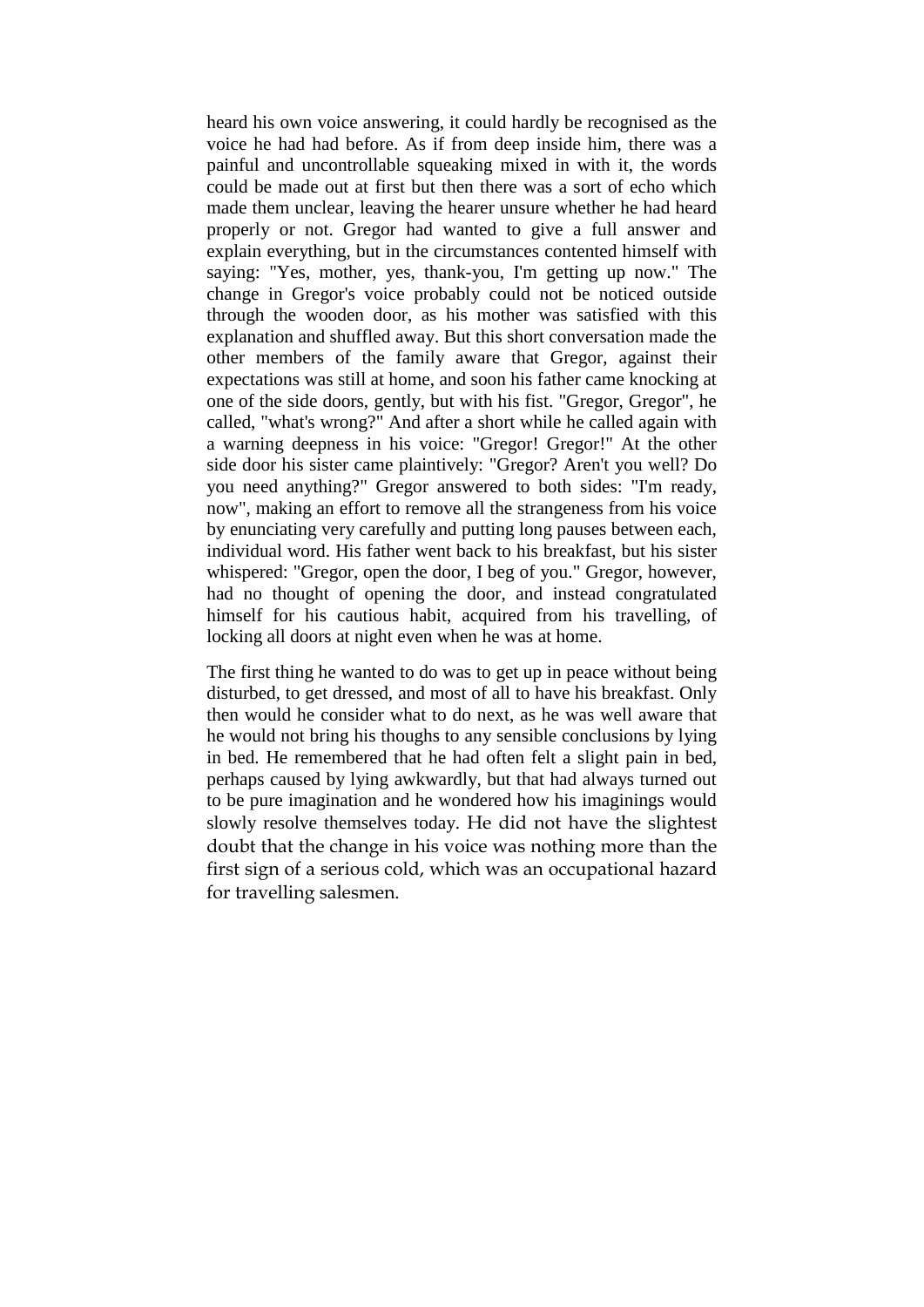heard his own voice answering, it could hardly be recognised as the voice he had had before. As if from deep inside him, there was a painful and uncontrollable squeaking mixed in with it, the words could be made out at first but then there was a sort of echo which made them unclear, leaving the hearer unsure whether he had heard properly or not. Gregor had wanted to give a full answer and explain everything, but in the circumstances contented himself with saying: "Yes, mother, yes, thank-you, I'm getting up now." The change in Gregor's voice probably could not be noticed outside through the wooden door, as his mother was satisfied with this explanation and shuffled away. But this short conversation made the other members of the family aware that Gregor, against their expectations was still at home, and soon his father came knocking at one of the side doors, gently, but with his fist. "Gregor, Gregor", he called, "what's wrong?" And after a short while he called again with a warning deepness in his voice: "Gregor! Gregor!" At the other side door his sister came plaintively: "Gregor? Aren't you well? Do you need anything?" Gregor answered to both sides: "I'm ready, now", making an effort to remove all the strangeness from his voice by enunciating very carefully and putting long pauses between each, individual word. His father went back to his breakfast, but his sister whispered: "Gregor, open the door, I beg of you." Gregor, however, had no thought of opening the door, and instead congratulated himself for his cautious habit, acquired from his travelling, of locking all doors at night even when he was at home.

The first thing he wanted to do was to get up in peace without being disturbed, to get dressed, and most of all to have his breakfast. Only then would he consider what to do next, as he was well aware that he would not bring his thoughs to any sensible conclusions by lying in bed. He remembered that he had often felt a slight pain in bed, perhaps caused by lying awkwardly, but that had always turned out to be pure imagination and he wondered how his imaginings would slowly resolve themselves today. He did not have the slightest doubt that the change in his voice was nothing more than the first sign of a serious cold, which was an occupational hazard for travelling salesmen.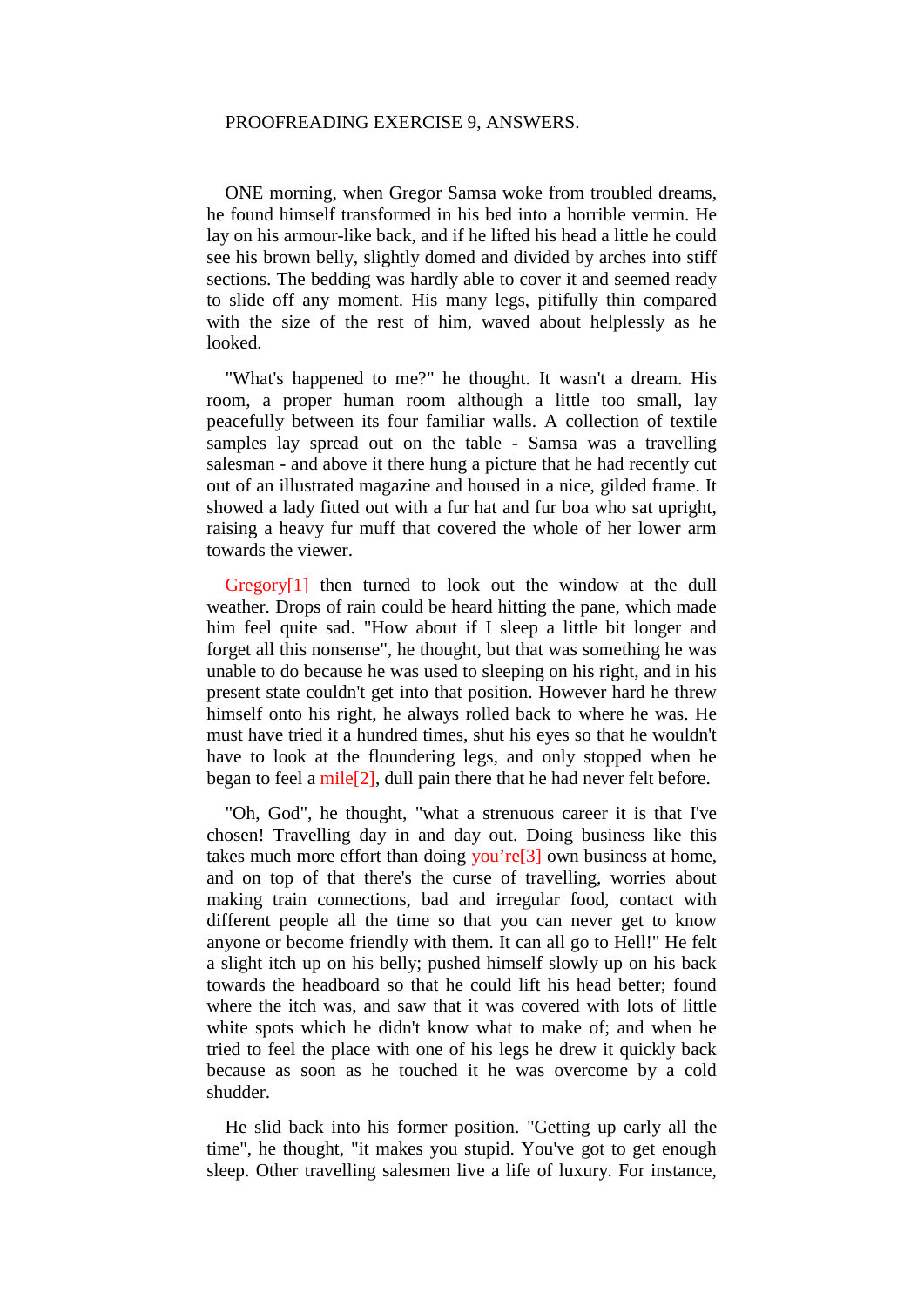### PROOFREADING EXERCISE 9, ANSWERS.

ONE morning, when Gregor Samsa woke from troubled dreams, he found himself transformed in his bed into a horrible vermin. He lay on his armour-like back, and if he lifted his head a little he could see his brown belly, slightly domed and divided by arches into stiff sections. The bedding was hardly able to cover it and seemed ready to slide off any moment. His many legs, pitifully thin compared with the size of the rest of him, waved about helplessly as he looked.

"What's happened to me?" he thought. It wasn't a dream. His room, a proper human room although a little too small, lay peacefully between its four familiar walls. A collection of textile samples lay spread out on the table - Samsa was a travelling salesman - and above it there hung a picture that he had recently cut out of an illustrated magazine and housed in a nice, gilded frame. It showed a lady fitted out with a fur hat and fur boa who sat upright, raising a heavy fur muff that covered the whole of her lower arm towards the viewer.

Gregory[1] then turned to look out the window at the dull weather. Drops of rain could be heard hitting the pane, which made him feel quite sad. "How about if I sleep a little bit longer and forget all this nonsense", he thought, but that was something he was unable to do because he was used to sleeping on his right, and in his present state couldn't get into that position. However hard he threw himself onto his right, he always rolled back to where he was. He must have tried it a hundred times, shut his eyes so that he wouldn't have to look at the floundering legs, and only stopped when he began to feel a mile[2], dull pain there that he had never felt before.

"Oh, God", he thought, "what a strenuous career it is that I've chosen! Travelling day in and day out. Doing business like this takes much more effort than doing you're  $[3]$  own business at home, and on top of that there's the curse of travelling, worries about making train connections, bad and irregular food, contact with different people all the time so that you can never get to know anyone or become friendly with them. It can all go to Hell!" He felt a slight itch up on his belly; pushed himself slowly up on his back towards the headboard so that he could lift his head better; found where the itch was, and saw that it was covered with lots of little white spots which he didn't know what to make of; and when he tried to feel the place with one of his legs he drew it quickly back because as soon as he touched it he was overcome by a cold shudder.

He slid back into his former position. "Getting up early all the time", he thought, "it makes you stupid. You've got to get enough sleep. Other travelling salesmen live a life of luxury. For instance,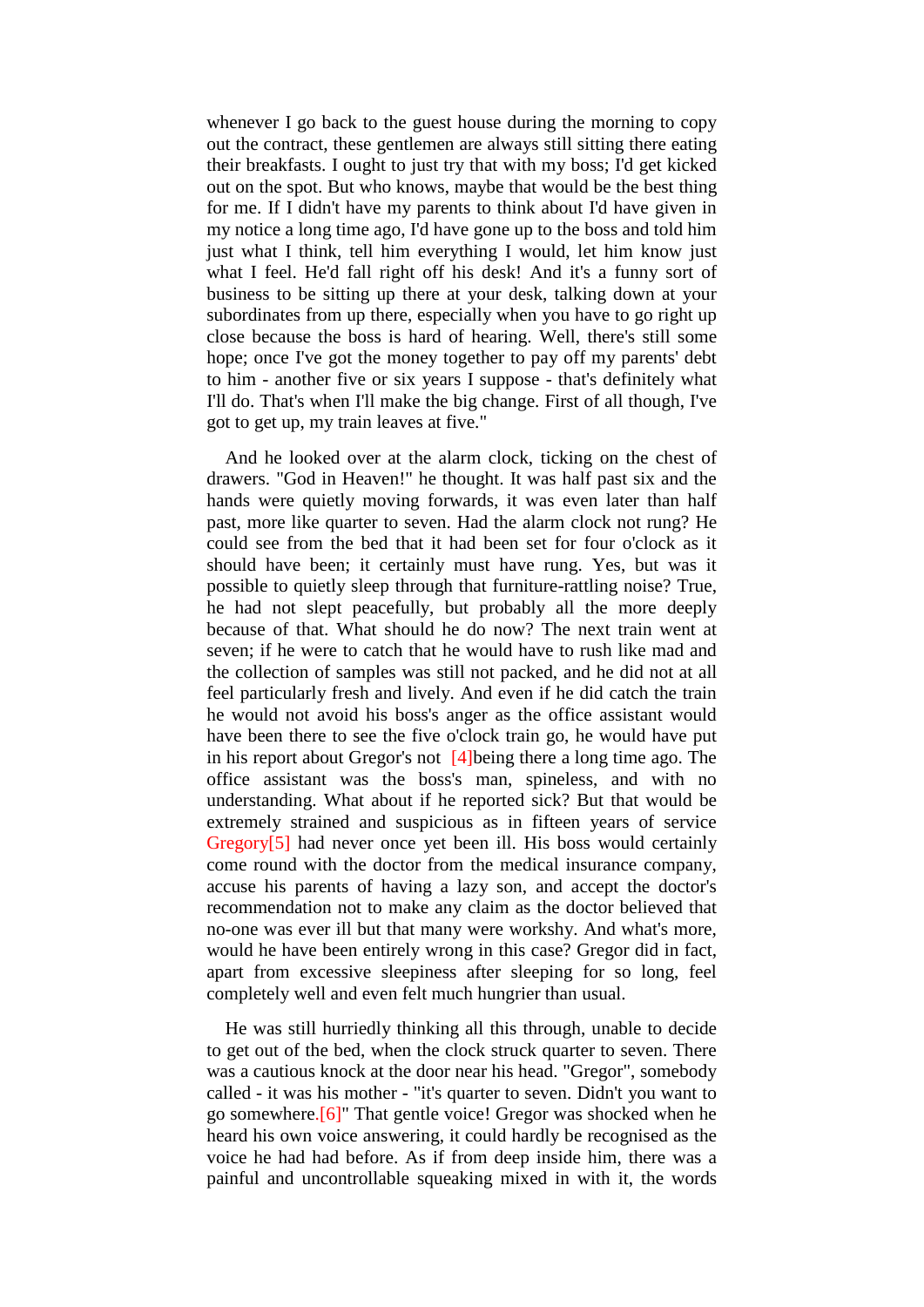whenever I go back to the guest house during the morning to copy out the contract, these gentlemen are always still sitting there eating their breakfasts. I ought to just try that with my boss; I'd get kicked out on the spot. But who knows, maybe that would be the best thing for me. If I didn't have my parents to think about I'd have given in my notice a long time ago, I'd have gone up to the boss and told him just what I think, tell him everything I would, let him know just what I feel. He'd fall right off his desk! And it's a funny sort of business to be sitting up there at your desk, talking down at your subordinates from up there, especially when you have to go right up close because the boss is hard of hearing. Well, there's still some hope; once I've got the money together to pay off my parents' debt to him - another five or six years I suppose - that's definitely what I'll do. That's when I'll make the big change. First of all though, I've got to get up, my train leaves at five."

And he looked over at the alarm clock, ticking on the chest of drawers. "God in Heaven!" he thought. It was half past six and the hands were quietly moving forwards, it was even later than half past, more like quarter to seven. Had the alarm clock not rung? He could see from the bed that it had been set for four o'clock as it should have been; it certainly must have rung. Yes, but was it possible to quietly sleep through that furniture-rattling noise? True, he had not slept peacefully, but probably all the more deeply because of that. What should he do now? The next train went at seven; if he were to catch that he would have to rush like mad and the collection of samples was still not packed, and he did not at all feel particularly fresh and lively. And even if he did catch the train he would not avoid his boss's anger as the office assistant would have been there to see the five o'clock train go, he would have put in his report about Gregor's not [4]being there a long time ago. The office assistant was the boss's man, spineless, and with no understanding. What about if he reported sick? But that would be extremely strained and suspicious as in fifteen years of service Gregory[5] had never once yet been ill. His boss would certainly come round with the doctor from the medical insurance company, accuse his parents of having a lazy son, and accept the doctor's recommendation not to make any claim as the doctor believed that no-one was ever ill but that many were workshy. And what's more, would he have been entirely wrong in this case? Gregor did in fact, apart from excessive sleepiness after sleeping for so long, feel completely well and even felt much hungrier than usual.

He was still hurriedly thinking all this through, unable to decide to get out of the bed, when the clock struck quarter to seven. There was a cautious knock at the door near his head. "Gregor", somebody called - it was his mother - "it's quarter to seven. Didn't you want to go somewhere.[6]" That gentle voice! Gregor was shocked when he heard his own voice answering, it could hardly be recognised as the voice he had had before. As if from deep inside him, there was a painful and uncontrollable squeaking mixed in with it, the words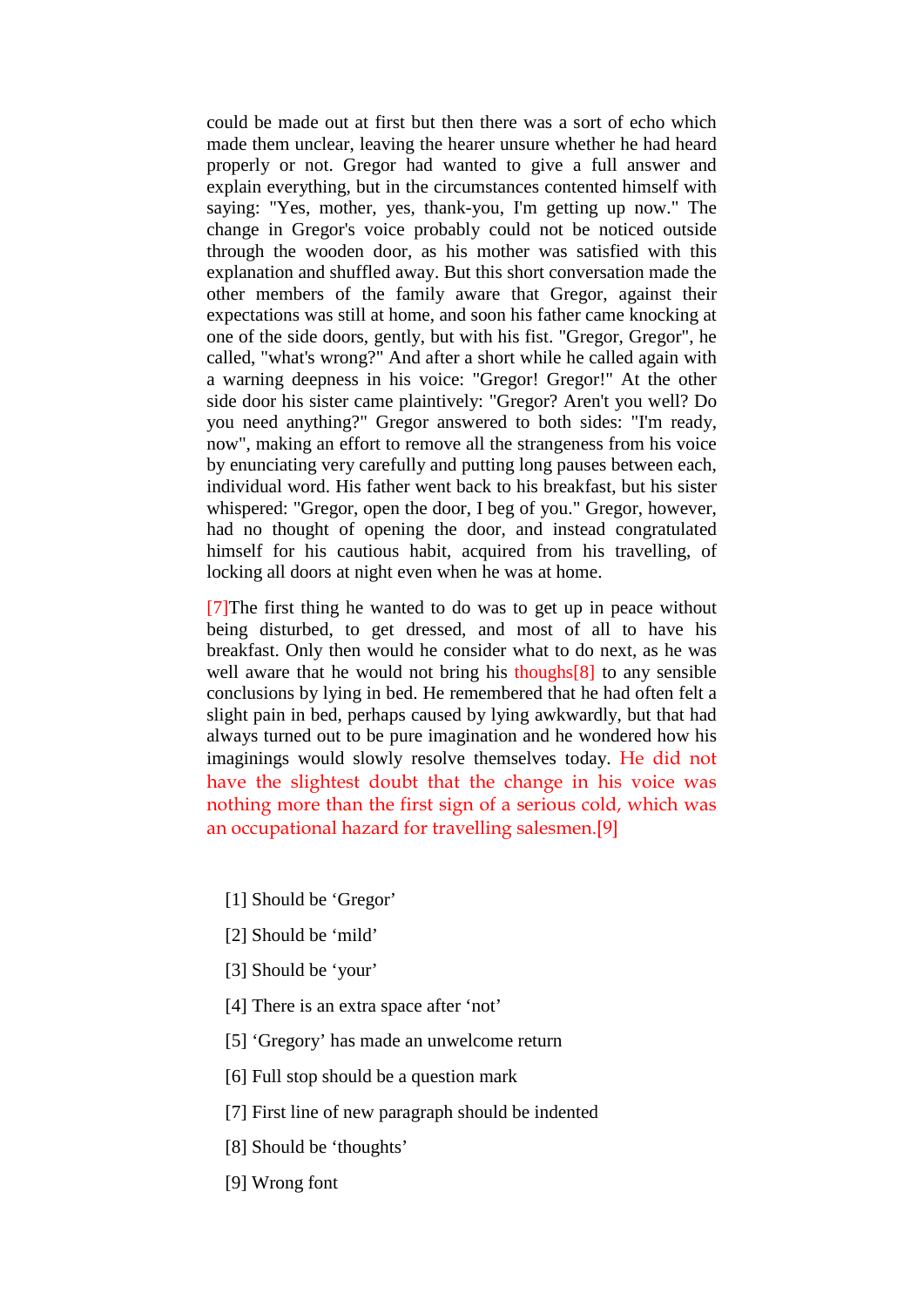could be made out at first but then there was a sort of echo which made them unclear, leaving the hearer unsure whether he had heard properly or not. Gregor had wanted to give a full answer and explain everything, but in the circumstances contented himself with saying: "Yes, mother, yes, thank-you, I'm getting up now." The change in Gregor's voice probably could not be noticed outside through the wooden door, as his mother was satisfied with this explanation and shuffled away. But this short conversation made the other members of the family aware that Gregor, against their expectations was still at home, and soon his father came knocking at one of the side doors, gently, but with his fist. "Gregor, Gregor", he called, "what's wrong?" And after a short while he called again with a warning deepness in his voice: "Gregor! Gregor!" At the other side door his sister came plaintively: "Gregor? Aren't you well? Do you need anything?" Gregor answered to both sides: "I'm ready, now", making an effort to remove all the strangeness from his voice by enunciating very carefully and putting long pauses between each, individual word. His father went back to his breakfast, but his sister whispered: "Gregor, open the door, I beg of you." Gregor, however, had no thought of opening the door, and instead congratulated himself for his cautious habit, acquired from his travelling, of locking all doors at night even when he was at home.

[7]The first thing he wanted to do was to get up in peace without being disturbed, to get dressed, and most of all to have his breakfast. Only then would he consider what to do next, as he was well aware that he would not bring his thoughs[8] to any sensible conclusions by lying in bed. He remembered that he had often felt a slight pain in bed, perhaps caused by lying awkwardly, but that had always turned out to be pure imagination and he wondered how his imaginings would slowly resolve themselves today. He did not have the slightest doubt that the change in his voice was nothing more than the first sign of a serious cold, which was an occupational hazard for travelling salesmen.[9]

- [1] Should be 'Gregor'
- [2] Should be 'mild'
- [3] Should be 'your'
- [4] There is an extra space after 'not'
- [5] 'Gregory' has made an unwelcome return
- [6] Full stop should be a question mark
- [7] First line of new paragraph should be indented
- [8] Should be 'thoughts'
- [9] Wrong font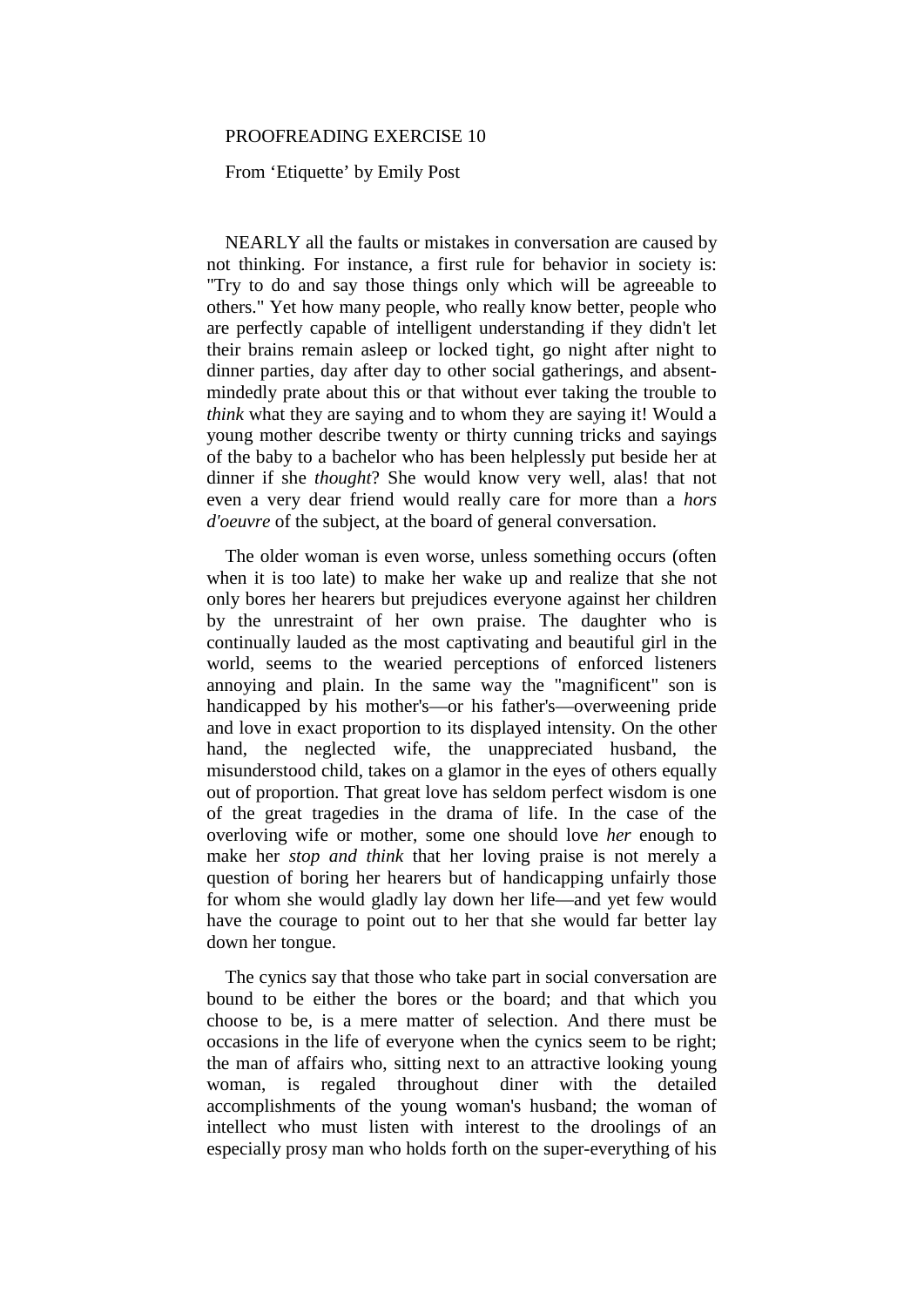# PROOFREADING EXERCISE 10

# From 'Etiquette' by Emily Post

NEARLY all the faults or mistakes in conversation are caused by not thinking. For instance, a first rule for behavior in society is: "Try to do and say those things only which will be agreeable to others." Yet how many people, who really know better, people who are perfectly capable of intelligent understanding if they didn't let their brains remain asleep or locked tight, go night after night to dinner parties, day after day to other social gatherings, and absentmindedly prate about this or that without ever taking the trouble to *think* what they are saying and to whom they are saying it! Would a young mother describe twenty or thirty cunning tricks and sayings of the baby to a bachelor who has been helplessly put beside her at dinner if she *thought*? She would know very well, alas! that not even a very dear friend would really care for more than a *hors d'oeuvre* of the subject, at the board of general conversation.

The older woman is even worse, unless something occurs (often when it is too late) to make her wake up and realize that she not only bores her hearers but prejudices everyone against her children by the unrestraint of her own praise. The daughter who is continually lauded as the most captivating and beautiful girl in the world, seems to the wearied perceptions of enforced listeners annoying and plain. In the same way the "magnificent" son is handicapped by his mother's—or his father's—overweening pride and love in exact proportion to its displayed intensity. On the other hand, the neglected wife, the unappreciated husband, the misunderstood child, takes on a glamor in the eyes of others equally out of proportion. That great love has seldom perfect wisdom is one of the great tragedies in the drama of life. In the case of the overloving wife or mother, some one should love *her* enough to make her *stop and think* that her loving praise is not merely a question of boring her hearers but of handicapping unfairly those for whom she would gladly lay down her life—and yet few would have the courage to point out to her that she would far better lay down her tongue.

The cynics say that those who take part in social conversation are bound to be either the bores or the board; and that which you choose to be, is a mere matter of selection. And there must be occasions in the life of everyone when the cynics seem to be right; the man of affairs who, sitting next to an attractive looking young woman, is regaled throughout diner with the detailed accomplishments of the young woman's husband; the woman of intellect who must listen with interest to the droolings of an especially prosy man who holds forth on the super-everything of his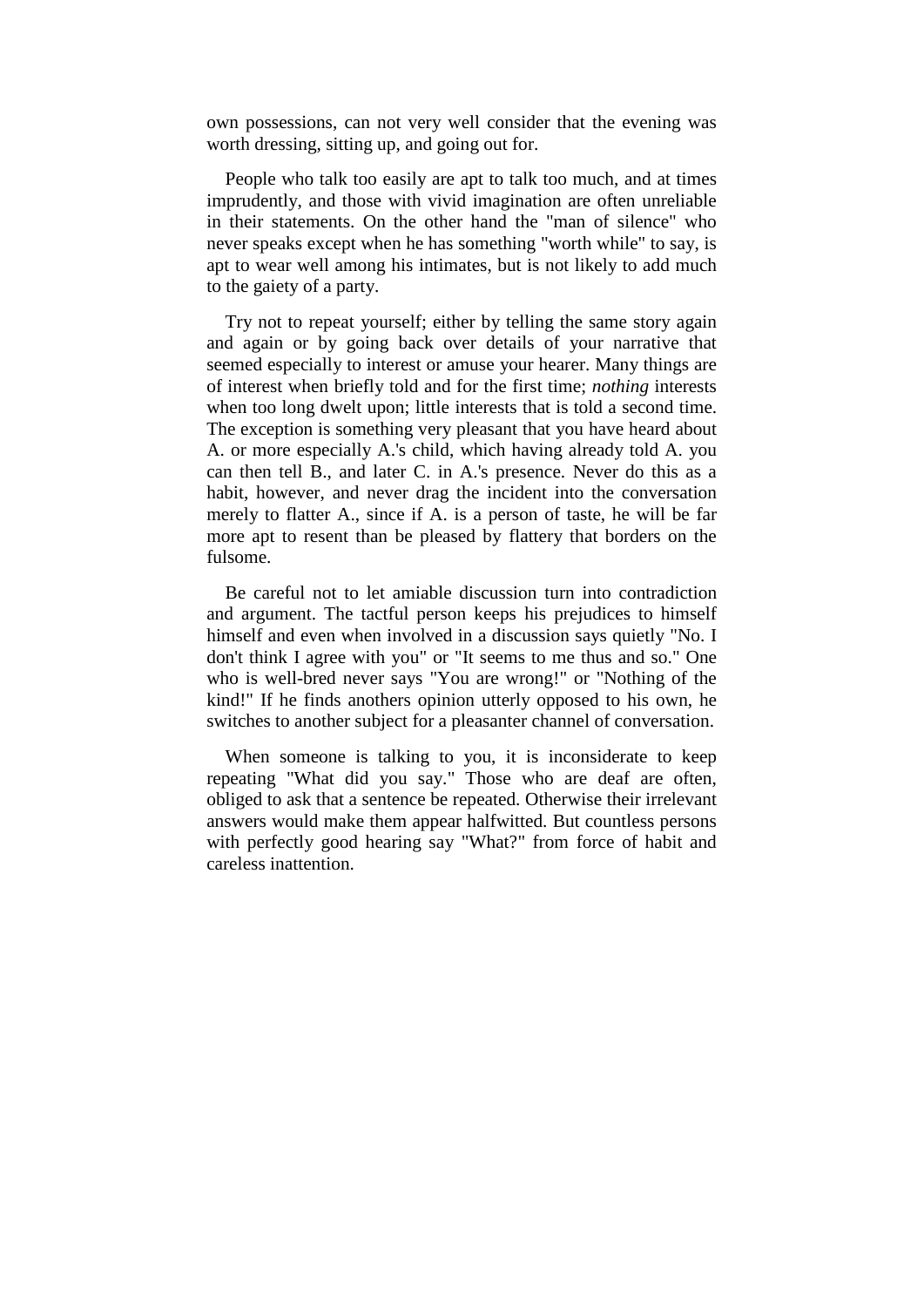own possessions, can not very well consider that the evening was worth dressing, sitting up, and going out for.

People who talk too easily are apt to talk too much, and at times imprudently, and those with vivid imagination are often unreliable in their statements. On the other hand the "man of silence" who never speaks except when he has something "worth while" to say, is apt to wear well among his intimates, but is not likely to add much to the gaiety of a party.

Try not to repeat yourself; either by telling the same story again and again or by going back over details of your narrative that seemed especially to interest or amuse your hearer. Many things are of interest when briefly told and for the first time; *nothing* interests when too long dwelt upon; little interests that is told a second time. The exception is something very pleasant that you have heard about A. or more especially A.'s child, which having already told A. you can then tell B., and later C. in A.'s presence. Never do this as a habit, however, and never drag the incident into the conversation merely to flatter A., since if A. is a person of taste, he will be far more apt to resent than be pleased by flattery that borders on the fulsome.

Be careful not to let amiable discussion turn into contradiction and argument. The tactful person keeps his prejudices to himself himself and even when involved in a discussion says quietly "No. I don't think I agree with you" or "It seems to me thus and so." One who is well-bred never says "You are wrong!" or "Nothing of the kind!" If he finds anothers opinion utterly opposed to his own, he switches to another subject for a pleasanter channel of conversation.

When someone is talking to you, it is inconsiderate to keep repeating "What did you say." Those who are deaf are often, obliged to ask that a sentence be repeated. Otherwise their irrelevant answers would make them appear halfwitted. But countless persons with perfectly good hearing say "What?" from force of habit and careless inattention.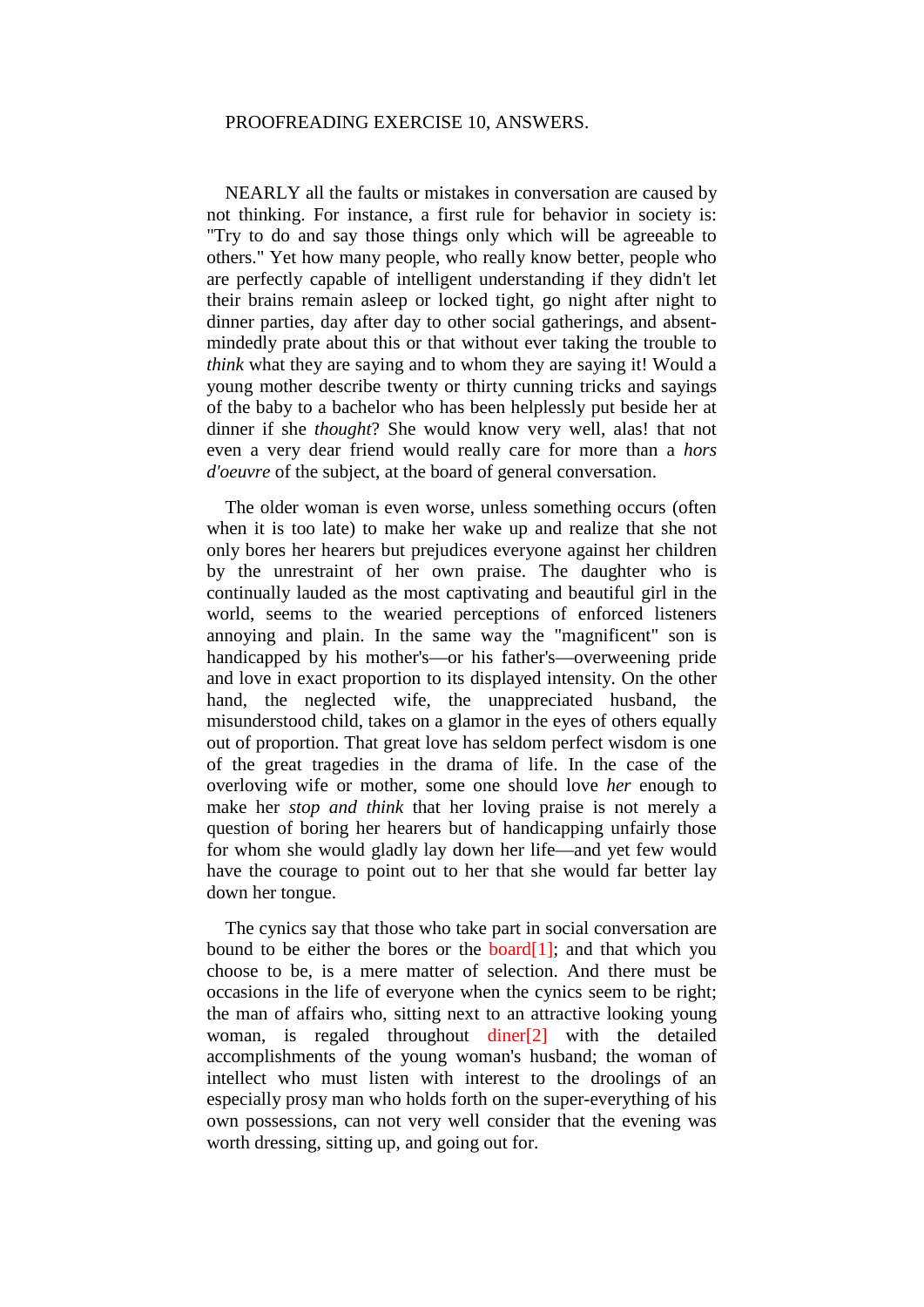### PROOFREADING EXERCISE 10, ANSWERS.

NEARLY all the faults or mistakes in conversation are caused by not thinking. For instance, a first rule for behavior in society is: "Try to do and say those things only which will be agreeable to others." Yet how many people, who really know better, people who are perfectly capable of intelligent understanding if they didn't let their brains remain asleep or locked tight, go night after night to dinner parties, day after day to other social gatherings, and absentmindedly prate about this or that without ever taking the trouble to *think* what they are saying and to whom they are saying it! Would a young mother describe twenty or thirty cunning tricks and sayings of the baby to a bachelor who has been helplessly put beside her at dinner if she *thought*? She would know very well, alas! that not even a very dear friend would really care for more than a *hors d'oeuvre* of the subject, at the board of general conversation.

The older woman is even worse, unless something occurs (often when it is too late) to make her wake up and realize that she not only bores her hearers but prejudices everyone against her children by the unrestraint of her own praise. The daughter who is continually lauded as the most captivating and beautiful girl in the world, seems to the wearied perceptions of enforced listeners annoying and plain. In the same way the "magnificent" son is handicapped by his mother's—or his father's—overweening pride and love in exact proportion to its displayed intensity. On the other hand, the neglected wife, the unappreciated husband, the misunderstood child, takes on a glamor in the eyes of others equally out of proportion. That great love has seldom perfect wisdom is one of the great tragedies in the drama of life. In the case of the overloving wife or mother, some one should love *her* enough to make her *stop and think* that her loving praise is not merely a question of boring her hearers but of handicapping unfairly those for whom she would gladly lay down her life—and yet few would have the courage to point out to her that she would far better lay down her tongue.

The cynics say that those who take part in social conversation are bound to be either the bores or the **board**[1]; and that which you choose to be, is a mere matter of selection. And there must be occasions in the life of everyone when the cynics seem to be right; the man of affairs who, sitting next to an attractive looking young woman, is regaled throughout diner[2] with the detailed accomplishments of the young woman's husband; the woman of intellect who must listen with interest to the droolings of an especially prosy man who holds forth on the super-everything of his own possessions, can not very well consider that the evening was worth dressing, sitting up, and going out for.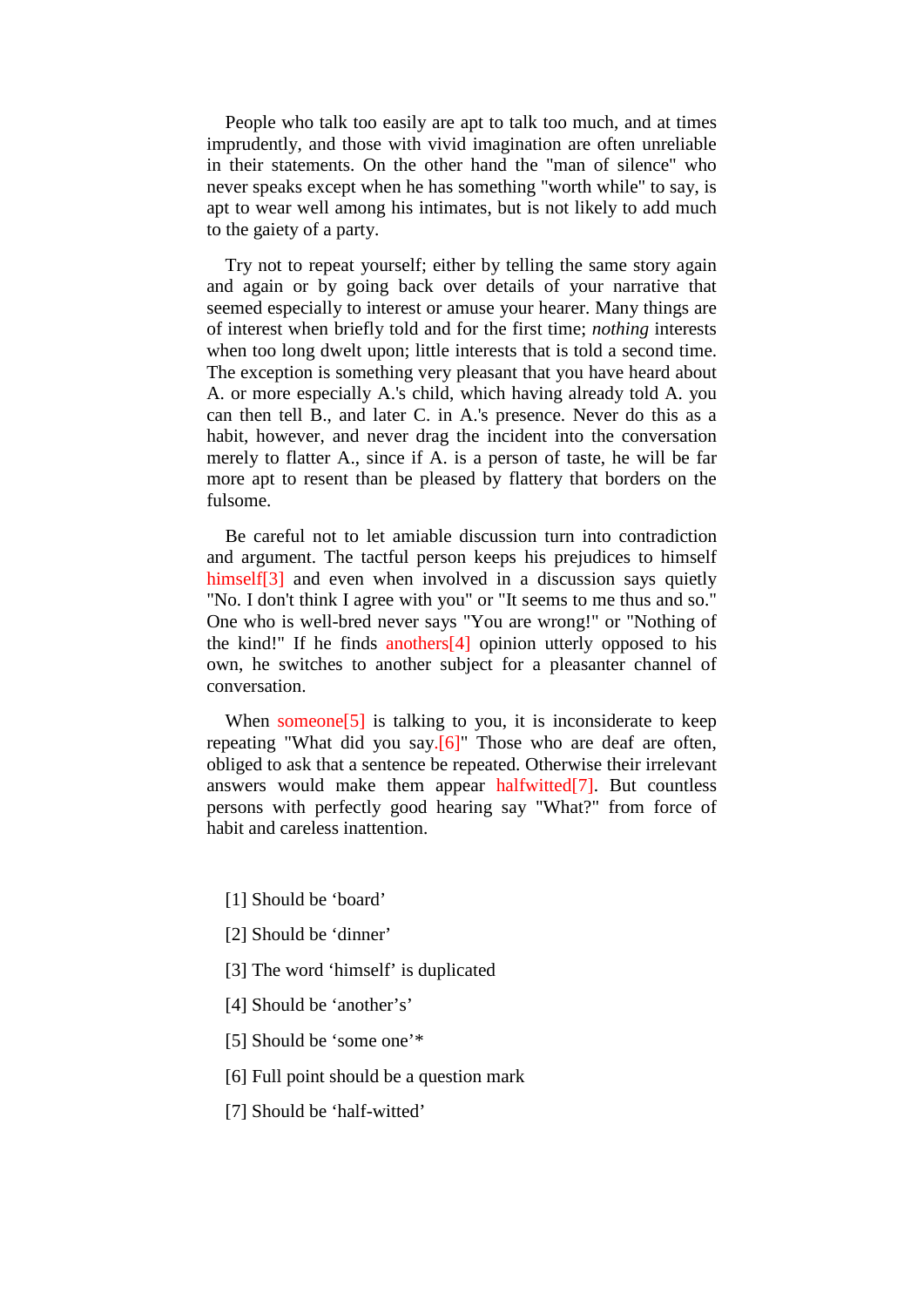People who talk too easily are apt to talk too much, and at times imprudently, and those with vivid imagination are often unreliable in their statements. On the other hand the "man of silence" who never speaks except when he has something "worth while" to say, is apt to wear well among his intimates, but is not likely to add much to the gaiety of a party.

Try not to repeat yourself; either by telling the same story again and again or by going back over details of your narrative that seemed especially to interest or amuse your hearer. Many things are of interest when briefly told and for the first time; *nothing* interests when too long dwelt upon; little interests that is told a second time. The exception is something very pleasant that you have heard about A. or more especially A.'s child, which having already told A. you can then tell B., and later C. in A.'s presence. Never do this as a habit, however, and never drag the incident into the conversation merely to flatter A., since if A. is a person of taste, he will be far more apt to resent than be pleased by flattery that borders on the fulsome.

Be careful not to let amiable discussion turn into contradiction and argument. The tactful person keeps his prejudices to himself himself<sup>[3]</sup> and even when involved in a discussion says quietly "No. I don't think I agree with you" or "It seems to me thus and so." One who is well-bred never says "You are wrong!" or "Nothing of the kind!" If he finds anothers<sup>[4]</sup> opinion utterly opposed to his own, he switches to another subject for a pleasanter channel of conversation.

When some one  $[5]$  is talking to you, it is inconsiderate to keep repeating "What did you say.[6]" Those who are deaf are often, obliged to ask that a sentence be repeated. Otherwise their irrelevant answers would make them appear halfwitted[7]. But countless persons with perfectly good hearing say "What?" from force of habit and careless inattention.

- [1] Should be 'board'
- [2] Should be 'dinner'
- [3] The word 'himself' is duplicated
- [4] Should be 'another's'
- [5] Should be 'some one'\*
- [6] Full point should be a question mark
- [7] Should be 'half-witted'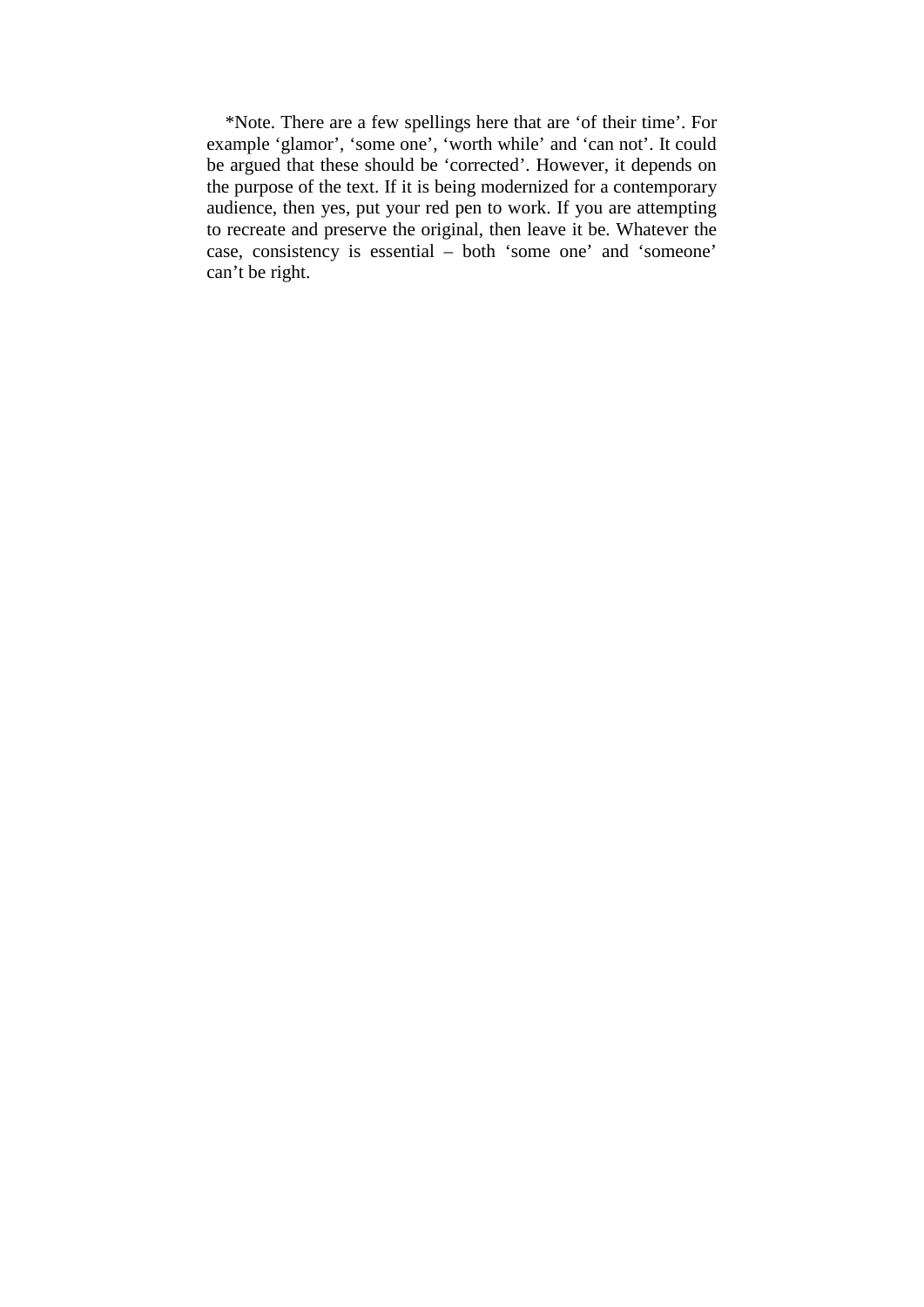\*Note. There are a few spellings here that are 'of their time'. For example 'glamor', 'some one', 'worth while' and 'can not'. It could be argued that these should be 'corrected'. However, it depends on the purpose of the text. If it is being modernized for a contemporary audience, then yes, put your red pen to work. If you are attempting to recreate and preserve the original, then leave it be. Whatever the case, consistency is essential – both 'some one' and 'someone' can't be right.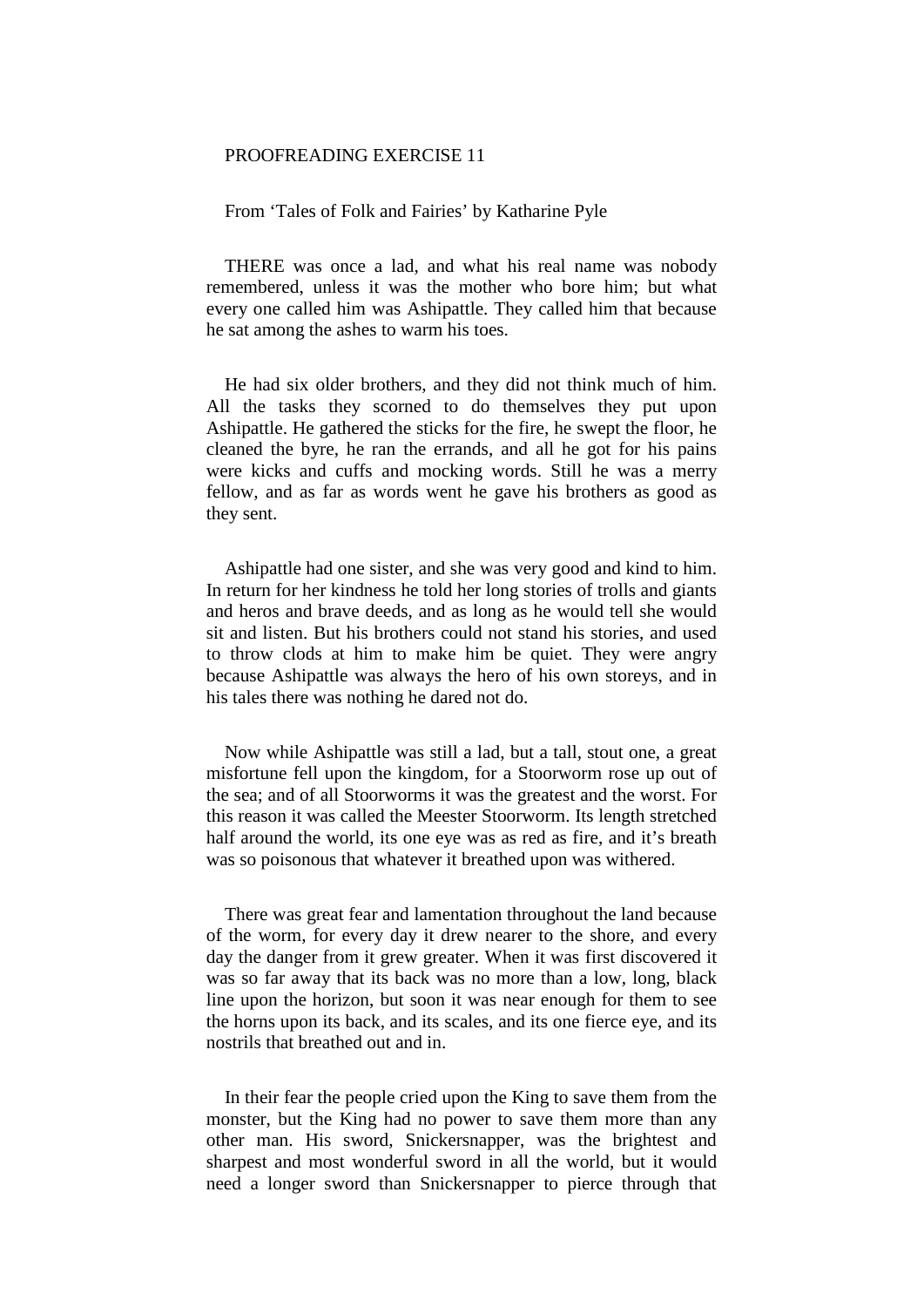#### PROOFREADING EXERCISE 11

From 'Tales of Folk and Fairies' by Katharine Pyle

THERE was once a lad, and what his real name was nobody remembered, unless it was the mother who bore him; but what every one called him was Ashipattle. They called him that because he sat among the ashes to warm his toes.

He had six older brothers, and they did not think much of him. All the tasks they scorned to do themselves they put upon Ashipattle. He gathered the sticks for the fire, he swept the floor, he cleaned the byre, he ran the errands, and all he got for his pains were kicks and cuffs and mocking words. Still he was a merry fellow, and as far as words went he gave his brothers as good as they sent.

Ashipattle had one sister, and she was very good and kind to him. In return for her kindness he told her long stories of trolls and giants and heros and brave deeds, and as long as he would tell she would sit and listen. But his brothers could not stand his stories, and used to throw clods at him to make him be quiet. They were angry because Ashipattle was always the hero of his own storeys, and in his tales there was nothing he dared not do.

Now while Ashipattle was still a lad, but a tall, stout one, a great misfortune fell upon the kingdom, for a Stoorworm rose up out of the sea; and of all Stoorworms it was the greatest and the worst. For this reason it was called the Meester Stoorworm. Its length stretched half around the world, its one eye was as red as fire, and it's breath was so poisonous that whatever it breathed upon was withered.

There was great fear and lamentation throughout the land because of the worm, for every day it drew nearer to the shore, and every day the danger from it grew greater. When it was first discovered it was so far away that its back was no more than a low, long, black line upon the horizon, but soon it was near enough for them to see the horns upon its back, and its scales, and its one fierce eye, and its nostrils that breathed out and in.

In their fear the people cried upon the King to save them from the monster, but the King had no power to save them more than any other man. His sword, Snickersnapper, was the brightest and sharpest and most wonderful sword in all the world, but it would need a longer sword than Snickersnapper to pierce through that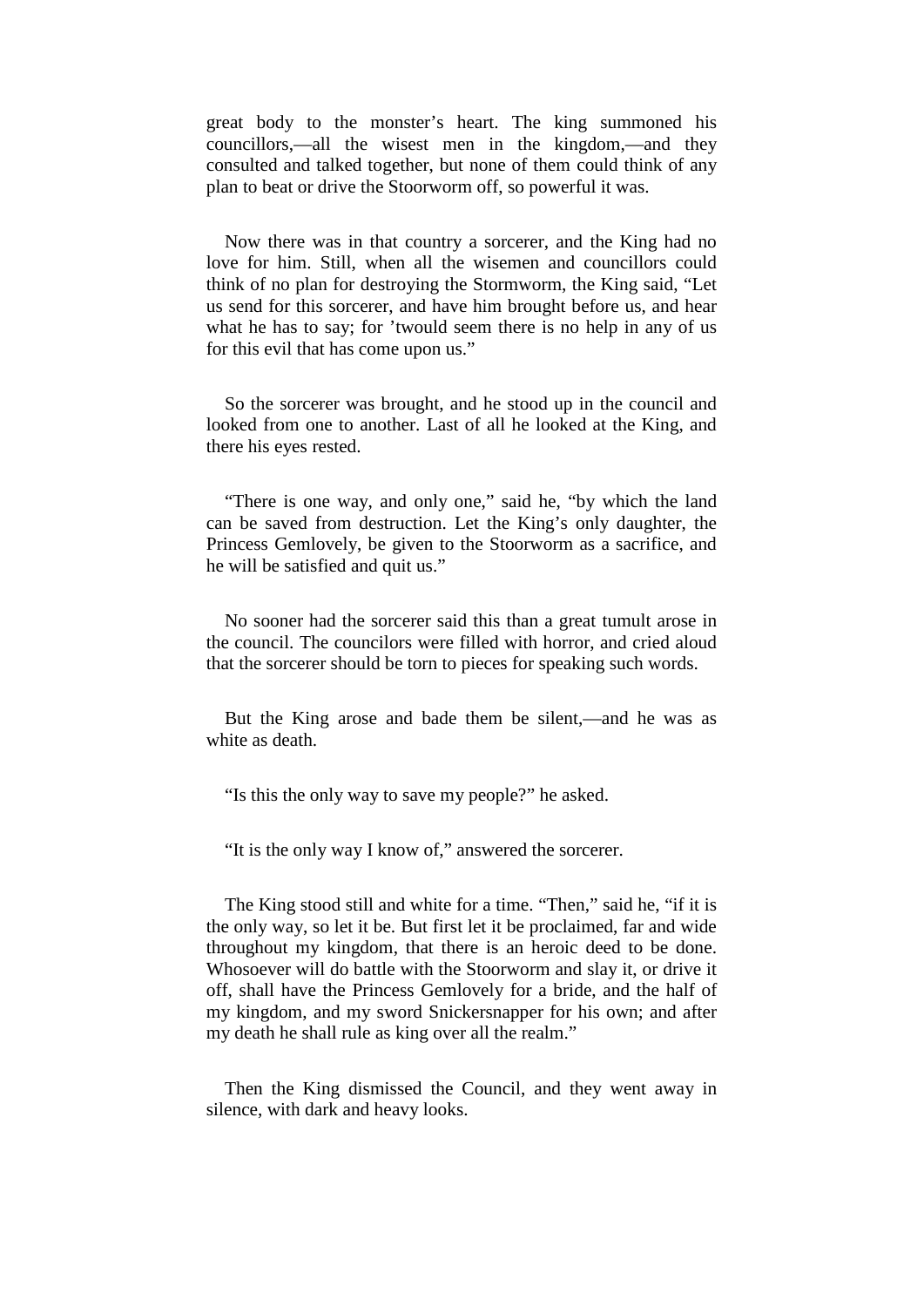great body to the monster's heart. The king summoned his councillors,—all the wisest men in the kingdom,—and they consulted and talked together, but none of them could think of any plan to beat or drive the Stoorworm off, so powerful it was.

Now there was in that country a sorcerer, and the King had no love for him. Still, when all the wisemen and councillors could think of no plan for destroying the Stormworm, the King said, "Let us send for this sorcerer, and have him brought before us, and hear what he has to say; for 'twould seem there is no help in any of us for this evil that has come upon us."

So the sorcerer was brought, and he stood up in the council and looked from one to another. Last of all he looked at the King, and there his eyes rested.

"There is one way, and only one," said he, "by which the land can be saved from destruction. Let the King's only daughter, the Princess Gemlovely, be given to the Stoorworm as a sacrifice, and he will be satisfied and quit us."

No sooner had the sorcerer said this than a great tumult arose in the council. The councilors were filled with horror, and cried aloud that the sorcerer should be torn to pieces for speaking such words.

But the King arose and bade them be silent,—and he was as white as death.

"Is this the only way to save my people?" he asked.

"It is the only way I know of," answered the sorcerer.

The King stood still and white for a time. "Then," said he, "if it is the only way, so let it be. But first let it be proclaimed, far and wide throughout my kingdom, that there is an heroic deed to be done. Whosoever will do battle with the Stoorworm and slay it, or drive it off, shall have the Princess Gemlovely for a bride, and the half of my kingdom, and my sword Snickersnapper for his own; and after my death he shall rule as king over all the realm."

Then the King dismissed the Council, and they went away in silence, with dark and heavy looks.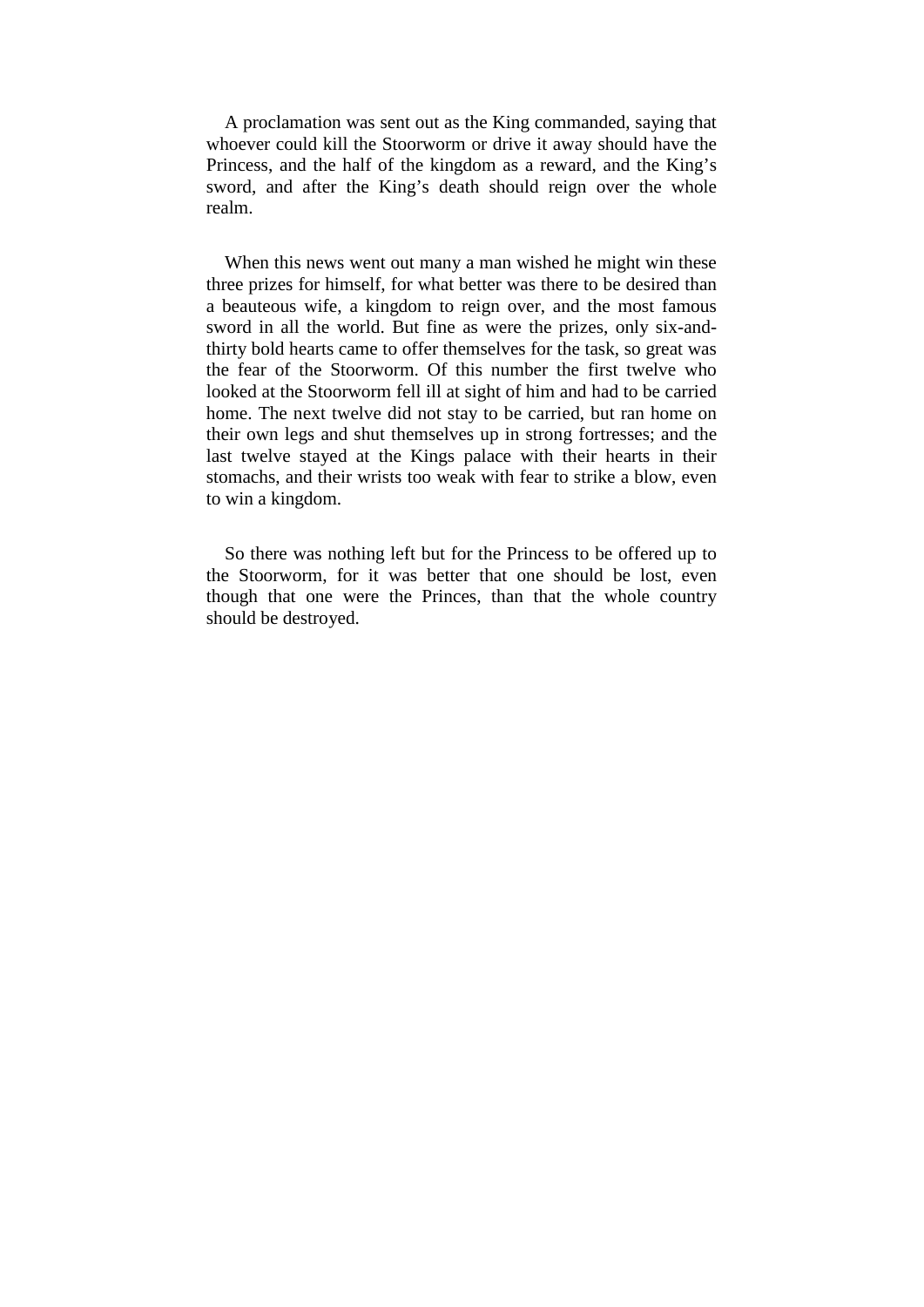A proclamation was sent out as the King commanded, saying that whoever could kill the Stoorworm or drive it away should have the Princess, and the half of the kingdom as a reward, and the King's sword, and after the King's death should reign over the whole realm.

When this news went out many a man wished he might win these three prizes for himself, for what better was there to be desired than a beauteous wife, a kingdom to reign over, and the most famous sword in all the world. But fine as were the prizes, only six-andthirty bold hearts came to offer themselves for the task, so great was the fear of the Stoorworm. Of this number the first twelve who looked at the Stoorworm fell ill at sight of him and had to be carried home. The next twelve did not stay to be carried, but ran home on their own legs and shut themselves up in strong fortresses; and the last twelve stayed at the Kings palace with their hearts in their stomachs, and their wrists too weak with fear to strike a blow, even to win a kingdom.

So there was nothing left but for the Princess to be offered up to the Stoorworm, for it was better that one should be lost, even though that one were the Princes, than that the whole country should be destroyed.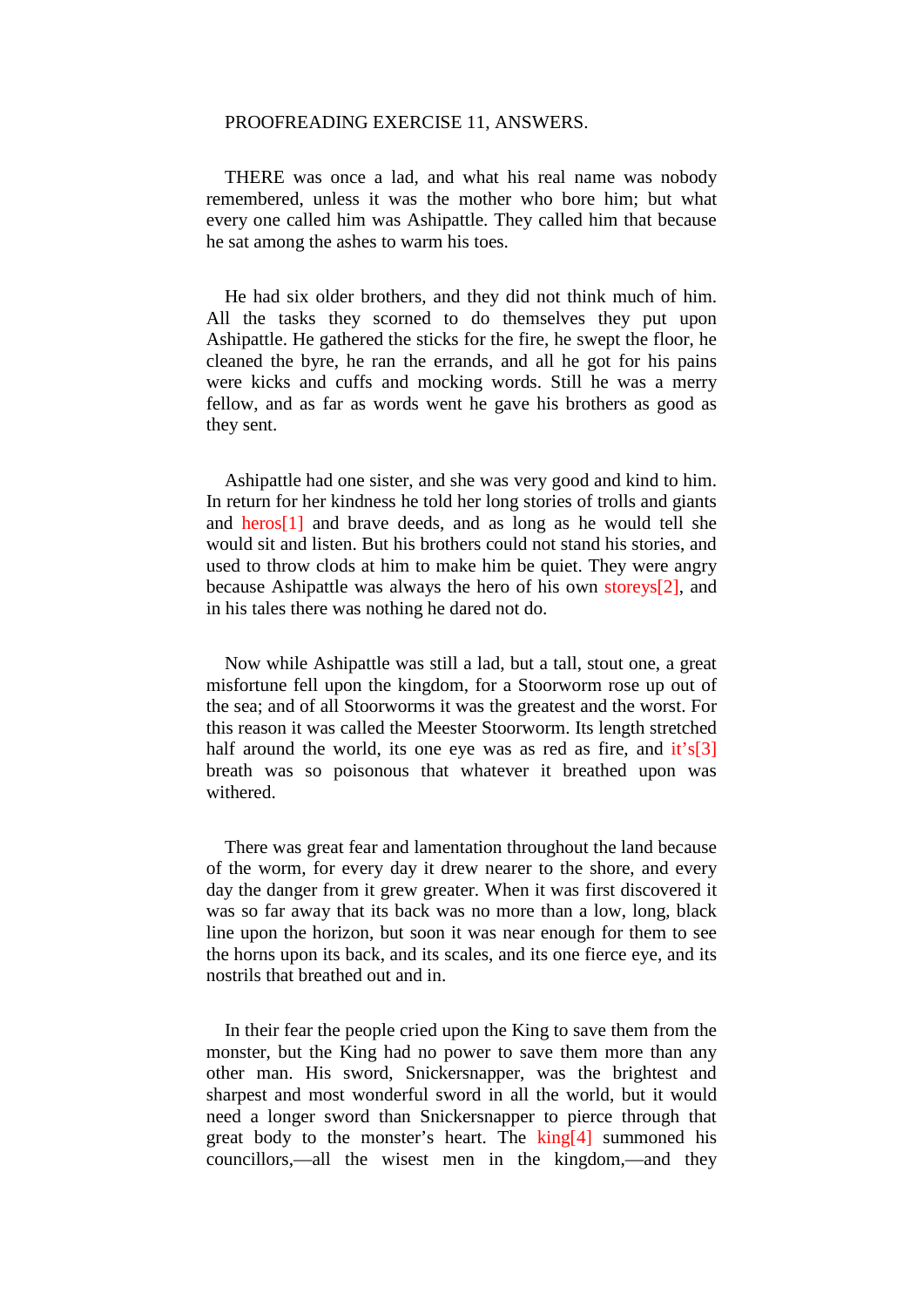#### PROOFREADING EXERCISE 11, ANSWERS.

THERE was once a lad, and what his real name was nobody remembered, unless it was the mother who bore him; but what every one called him was Ashipattle. They called him that because he sat among the ashes to warm his toes.

He had six older brothers, and they did not think much of him. All the tasks they scorned to do themselves they put upon Ashipattle. He gathered the sticks for the fire, he swept the floor, he cleaned the byre, he ran the errands, and all he got for his pains were kicks and cuffs and mocking words. Still he was a merry fellow, and as far as words went he gave his brothers as good as they sent.

Ashipattle had one sister, and she was very good and kind to him. In return for her kindness he told her long stories of trolls and giants and heros[1] and brave deeds, and as long as he would tell she would sit and listen. But his brothers could not stand his stories, and used to throw clods at him to make him be quiet. They were angry because Ashipattle was always the hero of his own storeys[2], and in his tales there was nothing he dared not do.

Now while Ashipattle was still a lad, but a tall, stout one, a great misfortune fell upon the kingdom, for a Stoorworm rose up out of the sea; and of all Stoorworms it was the greatest and the worst. For this reason it was called the Meester Stoorworm. Its length stretched half around the world, its one eye was as red as fire, and it's[3] breath was so poisonous that whatever it breathed upon was withered.

There was great fear and lamentation throughout the land because of the worm, for every day it drew nearer to the shore, and every day the danger from it grew greater. When it was first discovered it was so far away that its back was no more than a low, long, black line upon the horizon, but soon it was near enough for them to see the horns upon its back, and its scales, and its one fierce eye, and its nostrils that breathed out and in.

In their fear the people cried upon the King to save them from the monster, but the King had no power to save them more than any other man. His sword, Snickersnapper, was the brightest and sharpest and most wonderful sword in all the world, but it would need a longer sword than Snickersnapper to pierce through that great body to the monster's heart. The king[4] summoned his councillors,—all the wisest men in the kingdom,—and they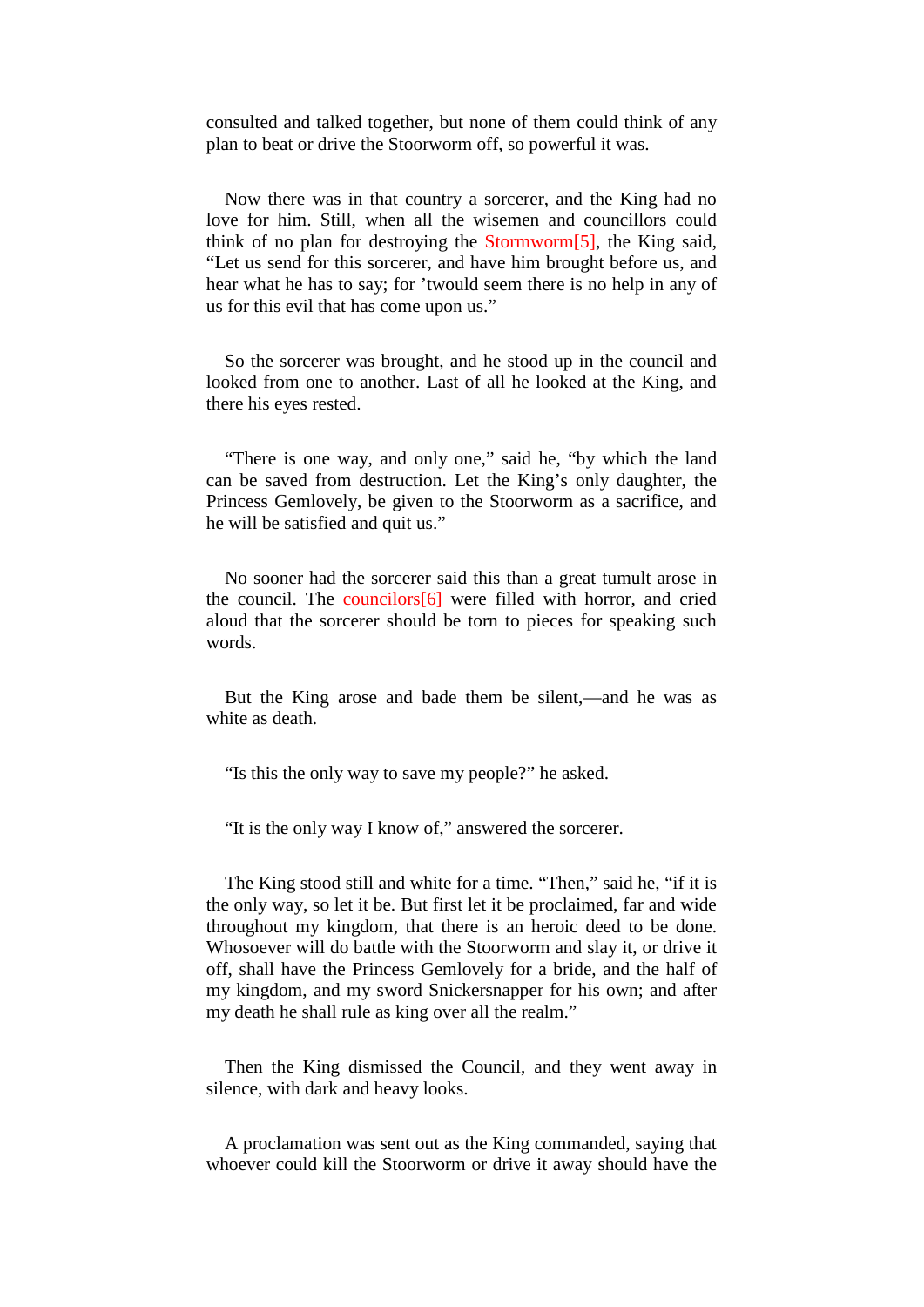consulted and talked together, but none of them could think of any plan to beat or drive the Stoorworm off, so powerful it was.

Now there was in that country a sorcerer, and the King had no love for him. Still, when all the wisemen and councillors could think of no plan for destroying the Stormworm[5], the King said, "Let us send for this sorcerer, and have him brought before us, and hear what he has to say; for 'twould seem there is no help in any of us for this evil that has come upon us."

So the sorcerer was brought, and he stood up in the council and looked from one to another. Last of all he looked at the King, and there his eyes rested.

"There is one way, and only one," said he, "by which the land can be saved from destruction. Let the King's only daughter, the Princess Gemlovely, be given to the Stoorworm as a sacrifice, and he will be satisfied and quit us."

No sooner had the sorcerer said this than a great tumult arose in the council. The councilors[6] were filled with horror, and cried aloud that the sorcerer should be torn to pieces for speaking such words.

But the King arose and bade them be silent,—and he was as white as death.

"Is this the only way to save my people?" he asked.

"It is the only way I know of," answered the sorcerer.

The King stood still and white for a time. "Then," said he, "if it is the only way, so let it be. But first let it be proclaimed, far and wide throughout my kingdom, that there is an heroic deed to be done. Whosoever will do battle with the Stoorworm and slay it, or drive it off, shall have the Princess Gemlovely for a bride, and the half of my kingdom, and my sword Snickersnapper for his own; and after my death he shall rule as king over all the realm."

Then the King dismissed the Council, and they went away in silence, with dark and heavy looks.

A proclamation was sent out as the King commanded, saying that whoever could kill the Stoorworm or drive it away should have the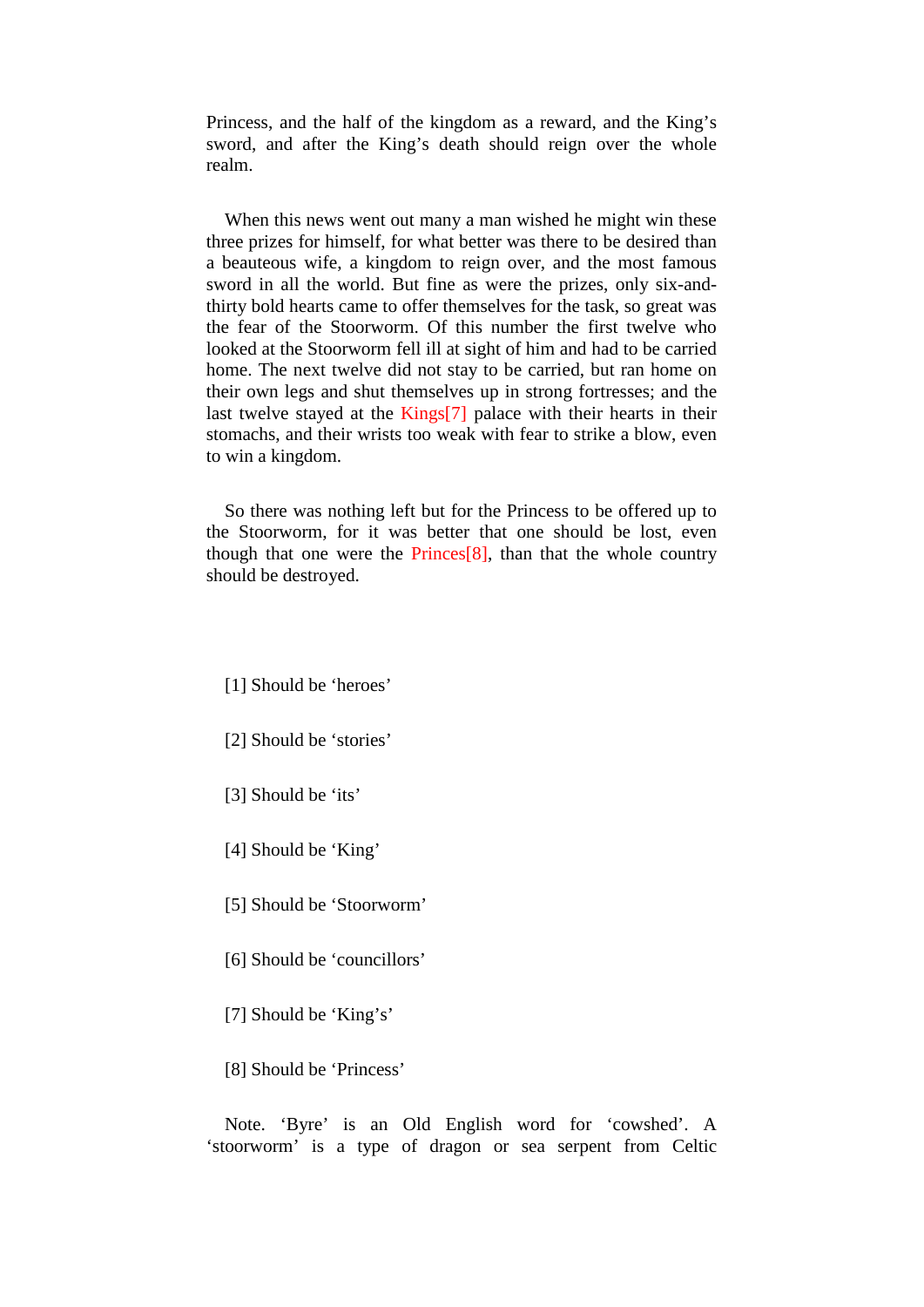Princess, and the half of the kingdom as a reward, and the King's sword, and after the King's death should reign over the whole realm.

When this news went out many a man wished he might win these three prizes for himself, for what better was there to be desired than a beauteous wife, a kingdom to reign over, and the most famous sword in all the world. But fine as were the prizes, only six-andthirty bold hearts came to offer themselves for the task, so great was the fear of the Stoorworm. Of this number the first twelve who looked at the Stoorworm fell ill at sight of him and had to be carried home. The next twelve did not stay to be carried, but ran home on their own legs and shut themselves up in strong fortresses; and the last twelve stayed at the Kings[7] palace with their hearts in their stomachs, and their wrists too weak with fear to strike a blow, even to win a kingdom.

So there was nothing left but for the Princess to be offered up to the Stoorworm, for it was better that one should be lost, even though that one were the  $Pr_{\text{}|S|}$ , than that the whole country should be destroyed.

- [1] Should be 'heroes'
- [2] Should be 'stories'
- [3] Should be 'its'
- [4] Should be 'King'
- [5] Should be 'Stoorworm'
- [6] Should be 'councillors'
- [7] Should be 'King's'
- [8] Should be 'Princess'

Note. 'Byre' is an Old English word for 'cowshed'. A 'stoorworm' is a type of dragon or sea serpent from Celtic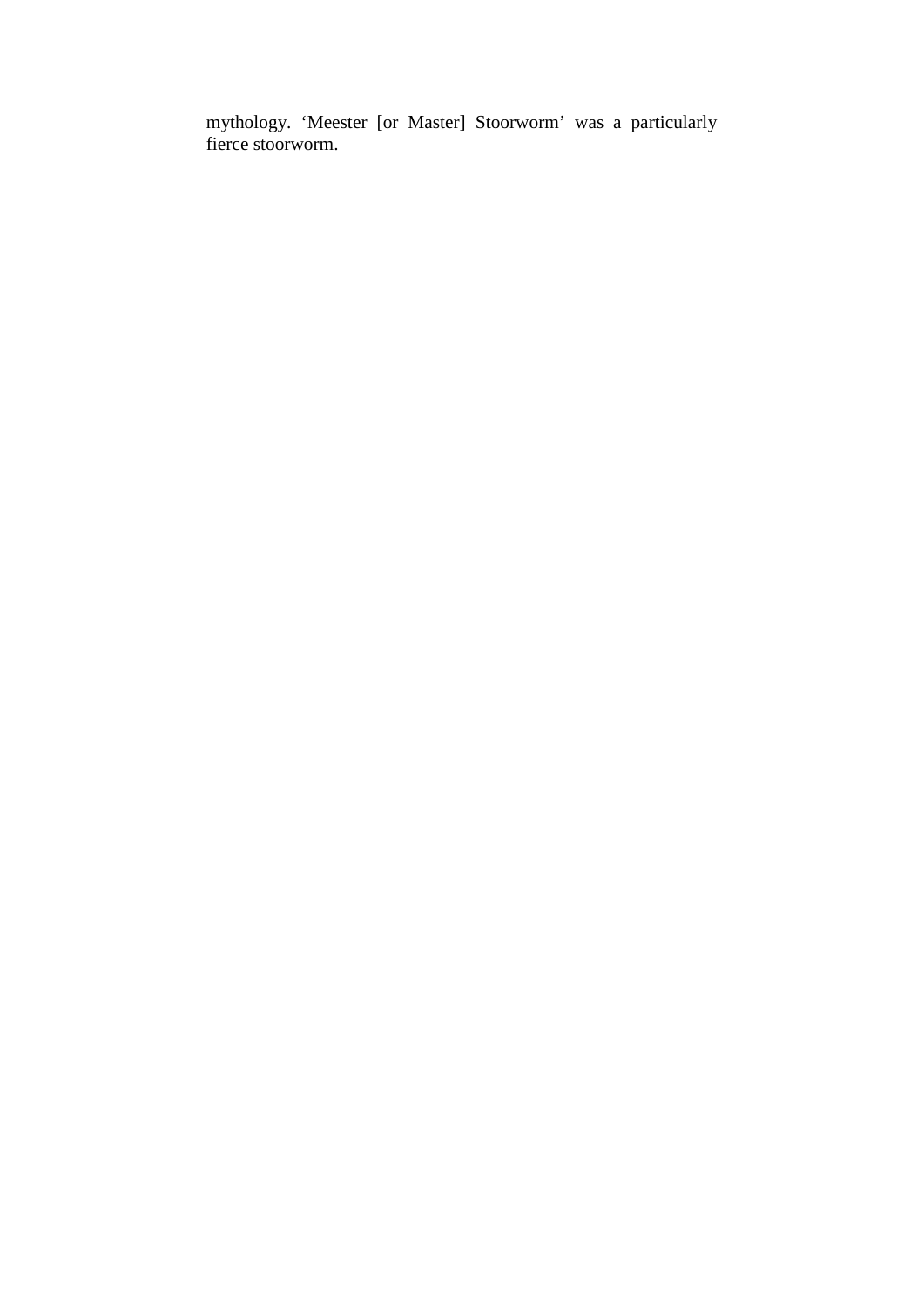mythology. 'Meester [or Master] Stoorworm' was a particularly fierce stoorworm.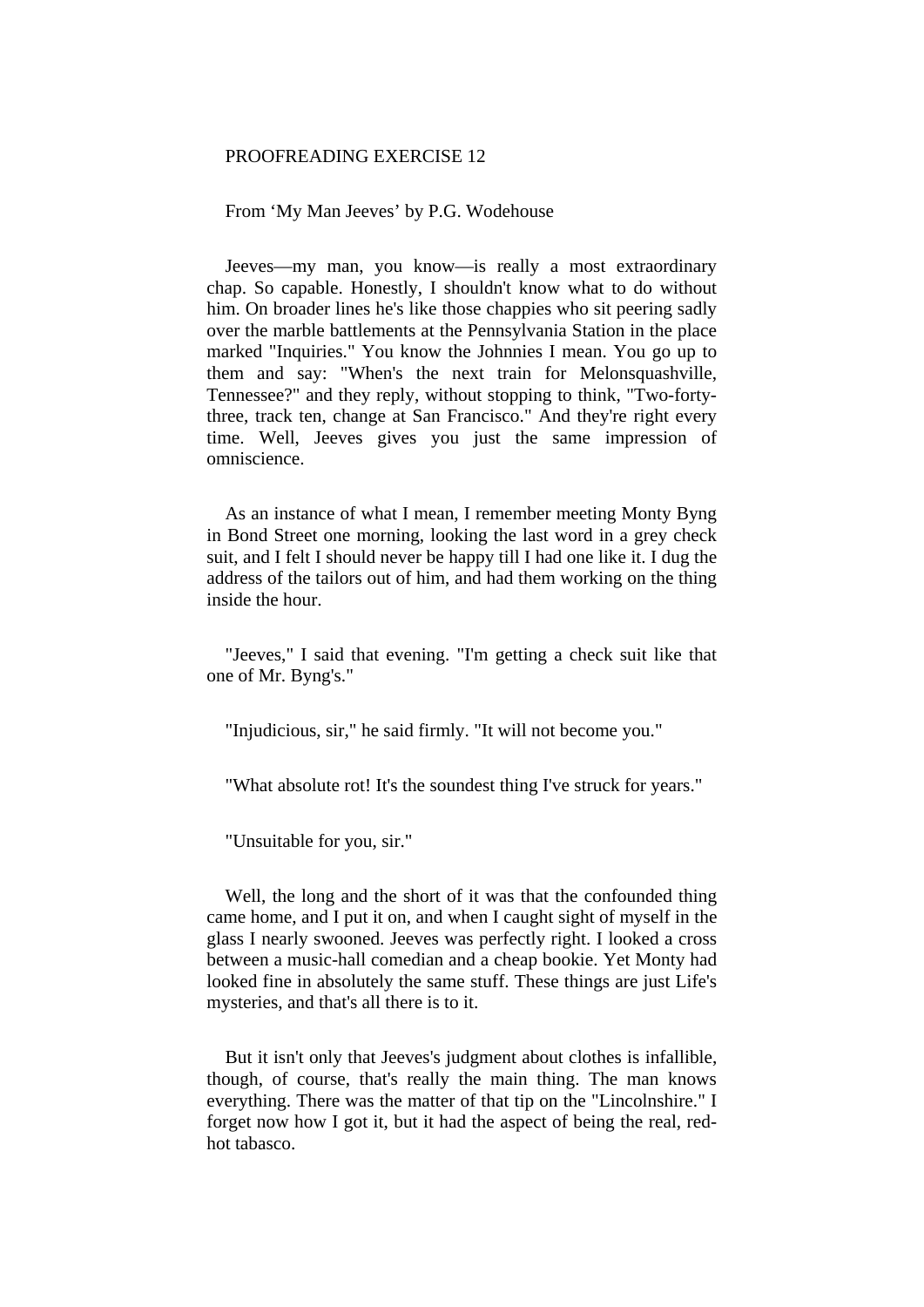### PROOFREADING EXERCISE 12

From 'My Man Jeeves' by P.G. Wodehouse

Jeeves—my man, you know—is really a most extraordinary chap. So capable. Honestly, I shouldn't know what to do without him. On broader lines he's like those chappies who sit peering sadly over the marble battlements at the Pennsylvania Station in the place marked "Inquiries." You know the Johnnies I mean. You go up to them and say: "When's the next train for Melonsquashville, Tennessee?" and they reply, without stopping to think, "Two-fortythree, track ten, change at San Francisco." And they're right every time. Well, Jeeves gives you just the same impression of omniscience.

As an instance of what I mean, I remember meeting Monty Byng in Bond Street one morning, looking the last word in a grey check suit, and I felt I should never be happy till I had one like it. I dug the address of the tailors out of him, and had them working on the thing inside the hour.

"Jeeves," I said that evening. "I'm getting a check suit like that one of Mr. Byng's."

"Injudicious, sir," he said firmly. "It will not become you."

"What absolute rot! It's the soundest thing I've struck for years."

"Unsuitable for you, sir."

Well, the long and the short of it was that the confounded thing came home, and I put it on, and when I caught sight of myself in the glass I nearly swooned. Jeeves was perfectly right. I looked a cross between a music-hall comedian and a cheap bookie. Yet Monty had looked fine in absolutely the same stuff. These things are just Life's mysteries, and that's all there is to it.

But it isn't only that Jeeves's judgment about clothes is infallible, though, of course, that's really the main thing. The man knows everything. There was the matter of that tip on the "Lincolnshire." I forget now how I got it, but it had the aspect of being the real, redhot tabasco.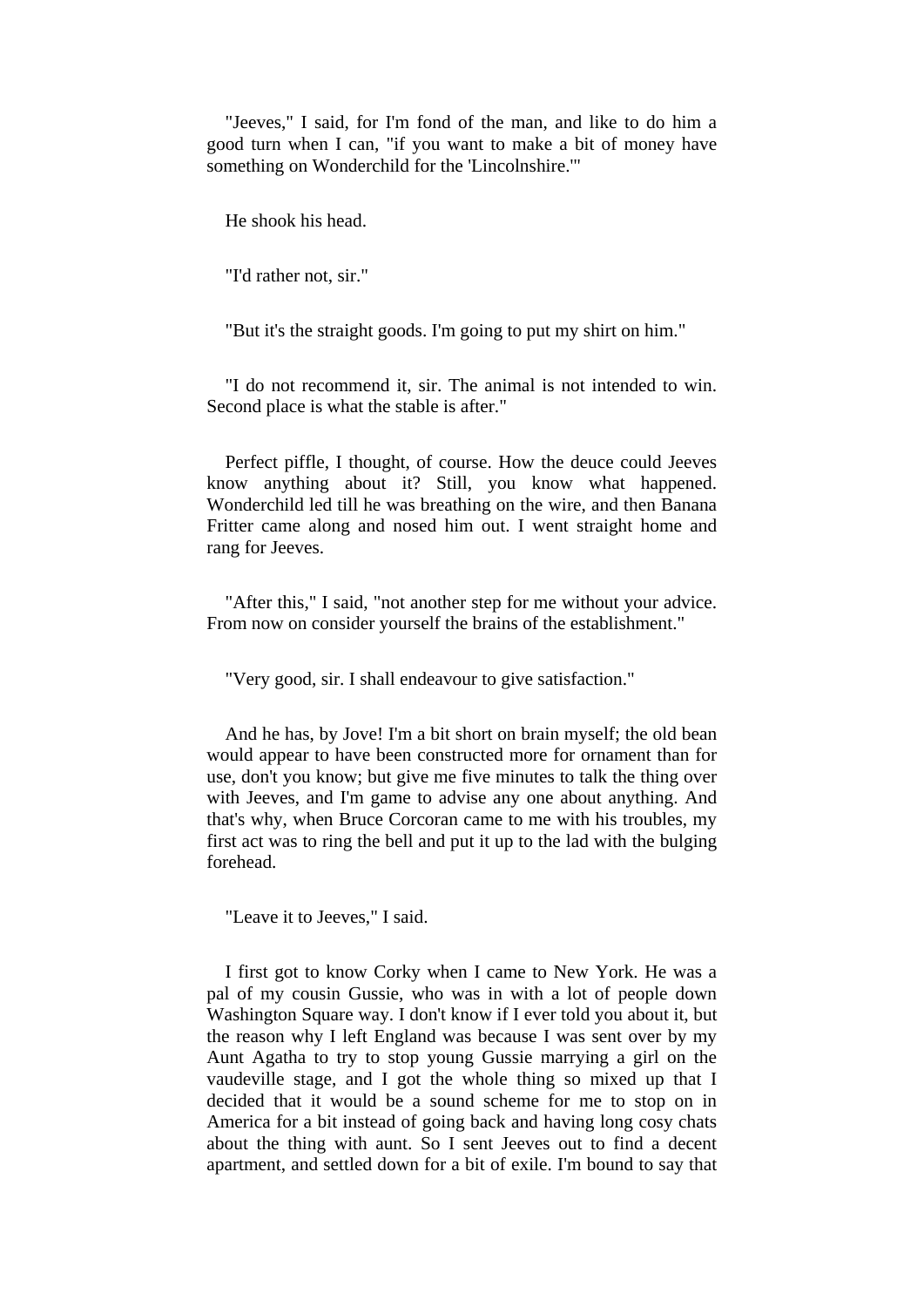"Jeeves," I said, for I'm fond of the man, and like to do him a good turn when I can, "if you want to make a bit of money have something on Wonderchild for the 'Lincolnshire.'"

He shook his head.

"I'd rather not, sir."

"But it's the straight goods. I'm going to put my shirt on him."

"I do not recommend it, sir. The animal is not intended to win. Second place is what the stable is after."

Perfect piffle, I thought, of course. How the deuce could Jeeves know anything about it? Still, you know what happened. Wonderchild led till he was breathing on the wire, and then Banana Fritter came along and nosed him out. I went straight home and rang for Jeeves.

"After this," I said, "not another step for me without your advice. From now on consider yourself the brains of the establishment."

"Very good, sir. I shall endeavour to give satisfaction."

And he has, by Jove! I'm a bit short on brain myself; the old bean would appear to have been constructed more for ornament than for use, don't you know; but give me five minutes to talk the thing over with Jeeves, and I'm game to advise any one about anything. And that's why, when Bruce Corcoran came to me with his troubles, my first act was to ring the bell and put it up to the lad with the bulging forehead.

"Leave it to Jeeves," I said.

I first got to know Corky when I came to New York. He was a pal of my cousin Gussie, who was in with a lot of people down Washington Square way. I don't know if I ever told you about it, but the reason why I left England was because I was sent over by my Aunt Agatha to try to stop young Gussie marrying a girl on the vaudeville stage, and I got the whole thing so mixed up that I decided that it would be a sound scheme for me to stop on in America for a bit instead of going back and having long cosy chats about the thing with aunt. So I sent Jeeves out to find a decent apartment, and settled down for a bit of exile. I'm bound to say that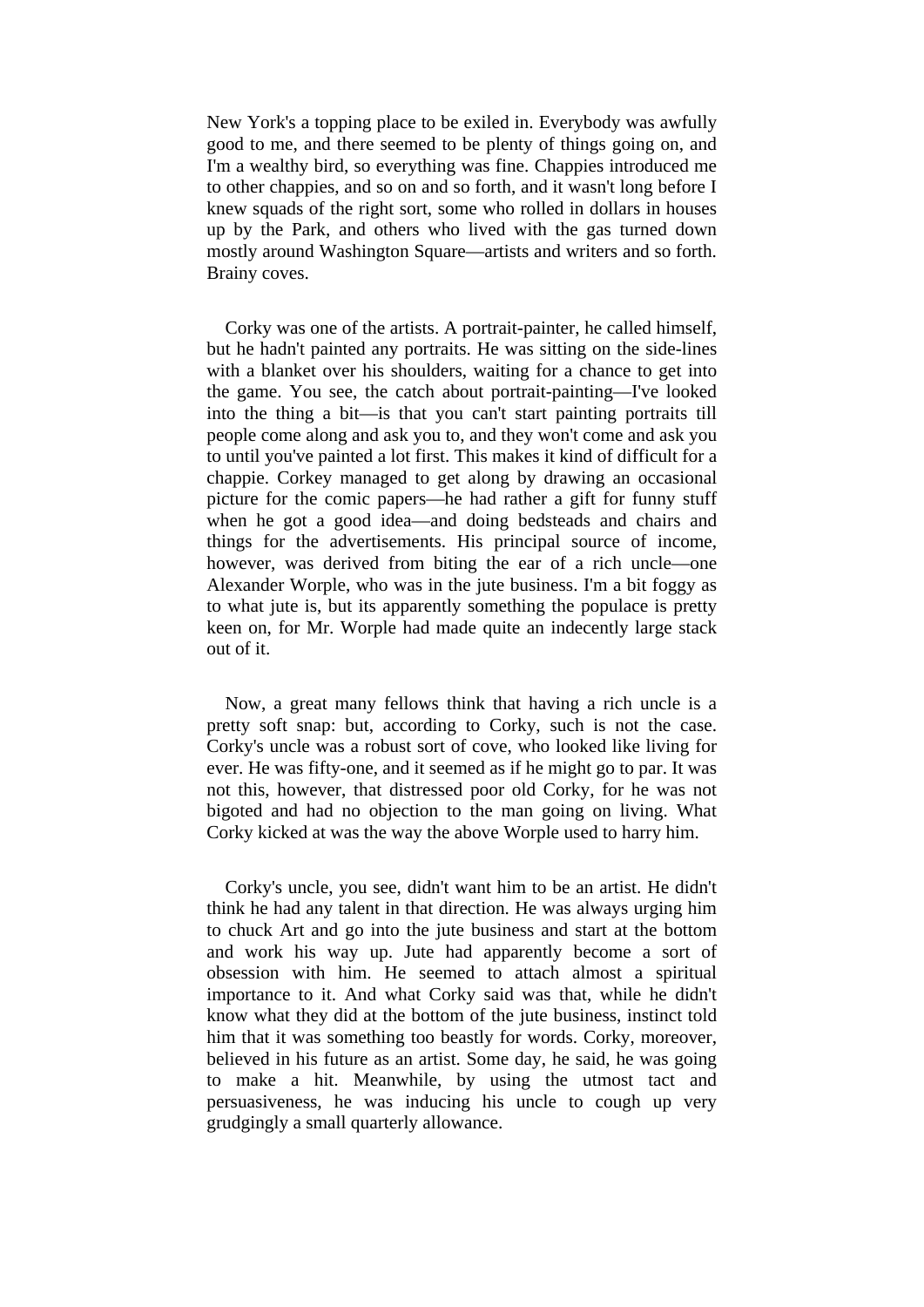New York's a topping place to be exiled in. Everybody was awfully good to me, and there seemed to be plenty of things going on, and I'm a wealthy bird, so everything was fine. Chappies introduced me to other chappies, and so on and so forth, and it wasn't long before I knew squads of the right sort, some who rolled in dollars in houses up by the Park, and others who lived with the gas turned down mostly around Washington Square—artists and writers and so forth. Brainy coves.

Corky was one of the artists. A portrait-painter, he called himself, but he hadn't painted any portraits. He was sitting on the side-lines with a blanket over his shoulders, waiting for a chance to get into the game. You see, the catch about portrait-painting—I've looked into the thing a bit—is that you can't start painting portraits till people come along and ask you to, and they won't come and ask you to until you've painted a lot first. This makes it kind of difficult for a chappie. Corkey managed to get along by drawing an occasional picture for the comic papers—he had rather a gift for funny stuff when he got a good idea—and doing bedsteads and chairs and things for the advertisements. His principal source of income, however, was derived from biting the ear of a rich uncle—one Alexander Worple, who was in the jute business. I'm a bit foggy as to what jute is, but its apparently something the populace is pretty keen on, for Mr. Worple had made quite an indecently large stack out of it.

Now, a great many fellows think that having a rich uncle is a pretty soft snap: but, according to Corky, such is not the case. Corky's uncle was a robust sort of cove, who looked like living for ever. He was fifty-one, and it seemed as if he might go to par. It was not this, however, that distressed poor old Corky, for he was not bigoted and had no objection to the man going on living. What Corky kicked at was the way the above Worple used to harry him.

Corky's uncle, you see, didn't want him to be an artist. He didn't think he had any talent in that direction. He was always urging him to chuck Art and go into the jute business and start at the bottom and work his way up. Jute had apparently become a sort of obsession with him. He seemed to attach almost a spiritual importance to it. And what Corky said was that, while he didn't know what they did at the bottom of the jute business, instinct told him that it was something too beastly for words. Corky, moreover, believed in his future as an artist. Some day, he said, he was going to make a hit. Meanwhile, by using the utmost tact and persuasiveness, he was inducing his uncle to cough up very grudgingly a small quarterly allowance.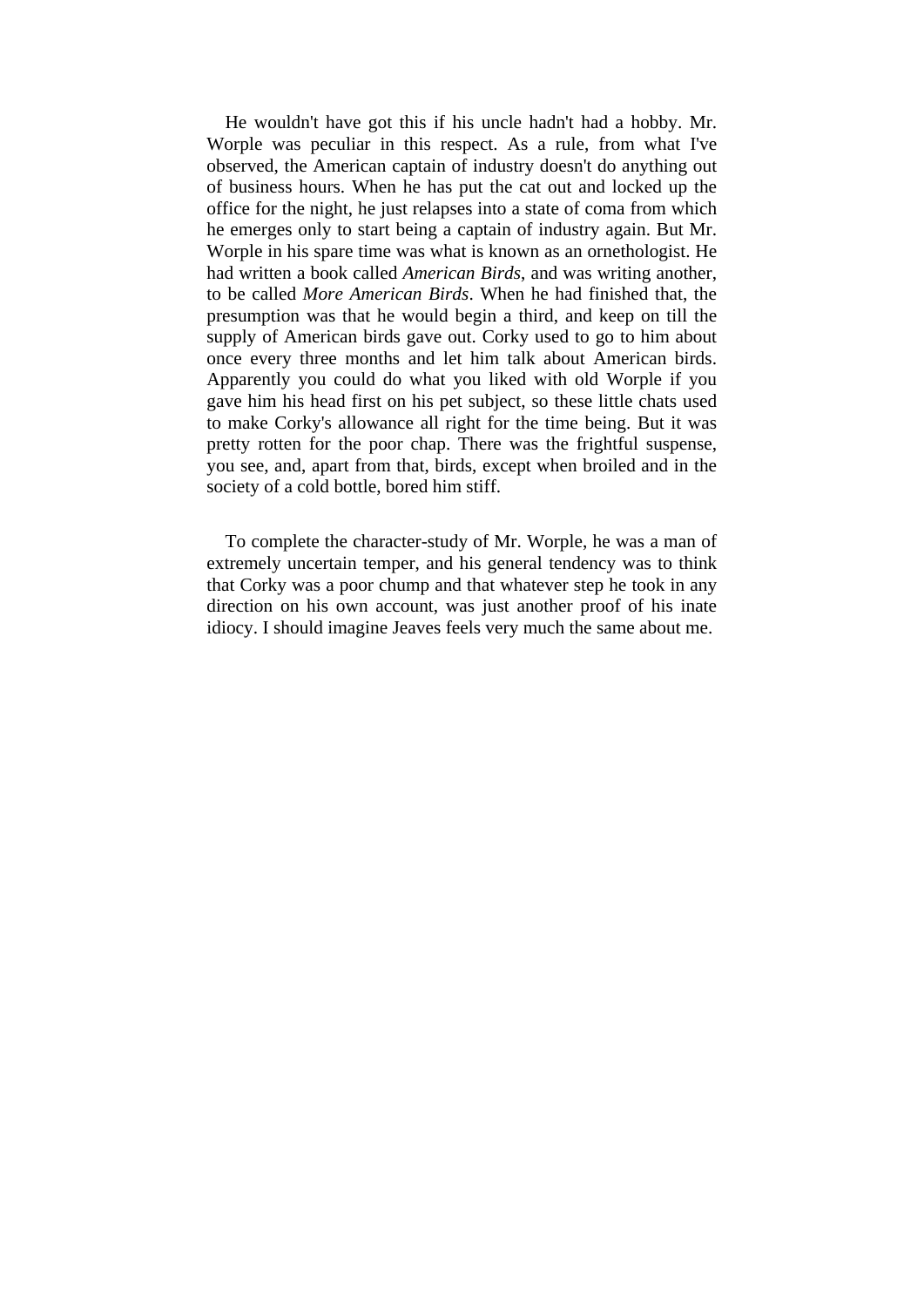He wouldn't have got this if his uncle hadn't had a hobby. Mr. Worple was peculiar in this respect. As a rule, from what I've observed, the American captain of industry doesn't do anything out of business hours. When he has put the cat out and locked up the office for the night, he just relapses into a state of coma from which he emerges only to start being a captain of industry again. But Mr. Worple in his spare time was what is known as an ornethologist. He had written a book called *American Birds*, and was writing another, to be called *More American Birds*. When he had finished that, the presumption was that he would begin a third, and keep on till the supply of American birds gave out. Corky used to go to him about once every three months and let him talk about American birds. Apparently you could do what you liked with old Worple if you gave him his head first on his pet subject, so these little chats used to make Corky's allowance all right for the time being. But it was pretty rotten for the poor chap. There was the frightful suspense, you see, and, apart from that, birds, except when broiled and in the society of a cold bottle, bored him stiff.

To complete the character-study of Mr. Worple, he was a man of extremely uncertain temper, and his general tendency was to think that Corky was a poor chump and that whatever step he took in any direction on his own account, was just another proof of his inate idiocy. I should imagine Jeaves feels very much the same about me.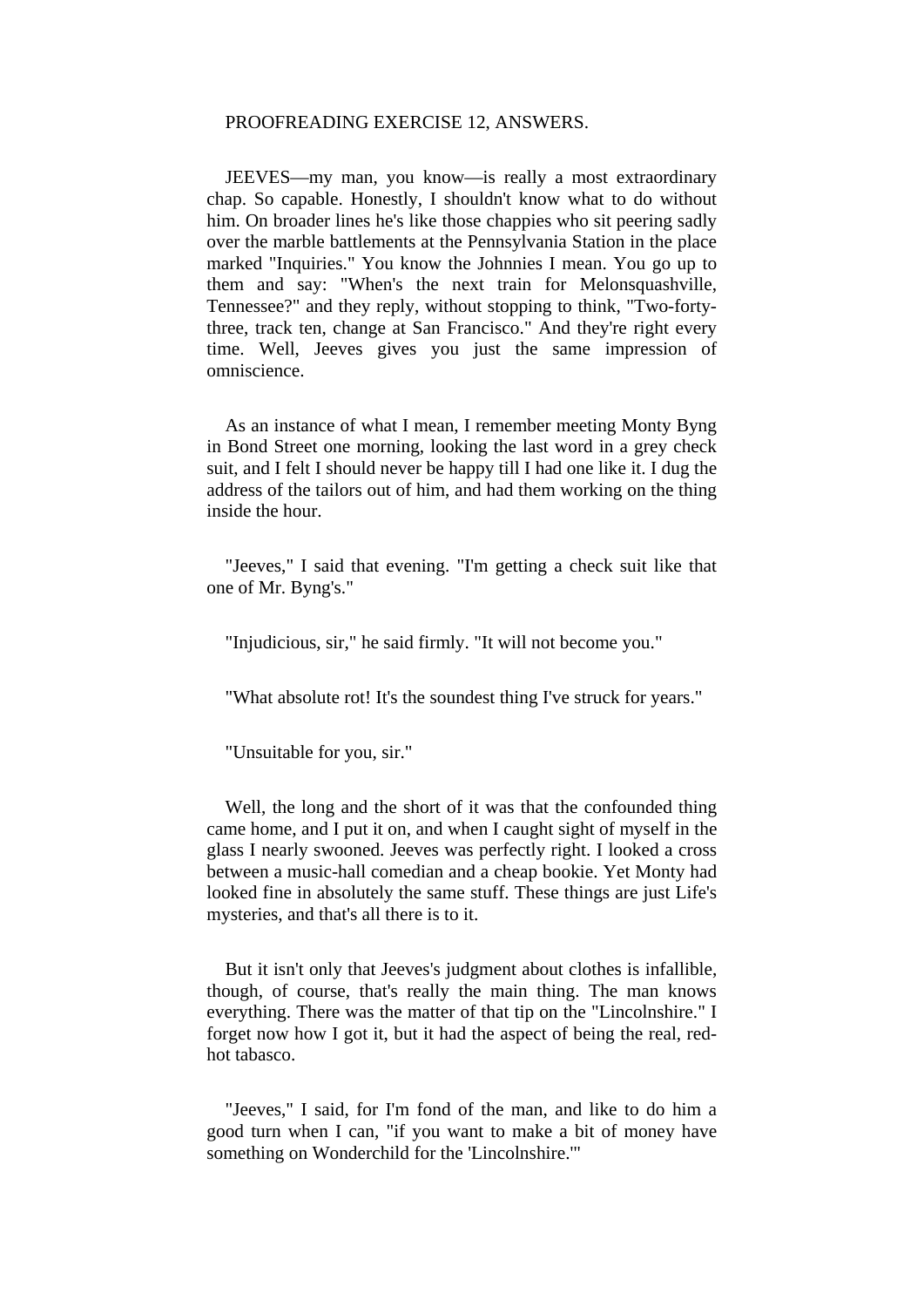### PROOFREADING EXERCISE 12, ANSWERS.

JEEVES—my man, you know—is really a most extraordinary chap. So capable. Honestly, I shouldn't know what to do without him. On broader lines he's like those chappies who sit peering sadly over the marble battlements at the Pennsylvania Station in the place marked "Inquiries." You know the Johnnies I mean. You go up to them and say: "When's the next train for Melonsquashville, Tennessee?" and they reply, without stopping to think, "Two-fortythree, track ten, change at San Francisco." And they're right every time. Well, Jeeves gives you just the same impression of omniscience.

As an instance of what I mean, I remember meeting Monty Byng in Bond Street one morning, looking the last word in a grey check suit, and I felt I should never be happy till I had one like it. I dug the address of the tailors out of him, and had them working on the thing inside the hour.

"Jeeves," I said that evening. "I'm getting a check suit like that one of Mr. Byng's."

"Injudicious, sir," he said firmly. "It will not become you."

"What absolute rot! It's the soundest thing I've struck for years."

"Unsuitable for you, sir."

Well, the long and the short of it was that the confounded thing came home, and I put it on, and when I caught sight of myself in the glass I nearly swooned. Jeeves was perfectly right. I looked a cross between a music-hall comedian and a cheap bookie. Yet Monty had looked fine in absolutely the same stuff. These things are just Life's mysteries, and that's all there is to it.

But it isn't only that Jeeves's judgment about clothes is infallible, though, of course, that's really the main thing. The man knows everything. There was the matter of that tip on the "Lincolnshire." I forget now how I got it, but it had the aspect of being the real, redhot tabasco.

"Jeeves," I said, for I'm fond of the man, and like to do him a good turn when I can, "if you want to make a bit of money have something on Wonderchild for the 'Lincolnshire.'"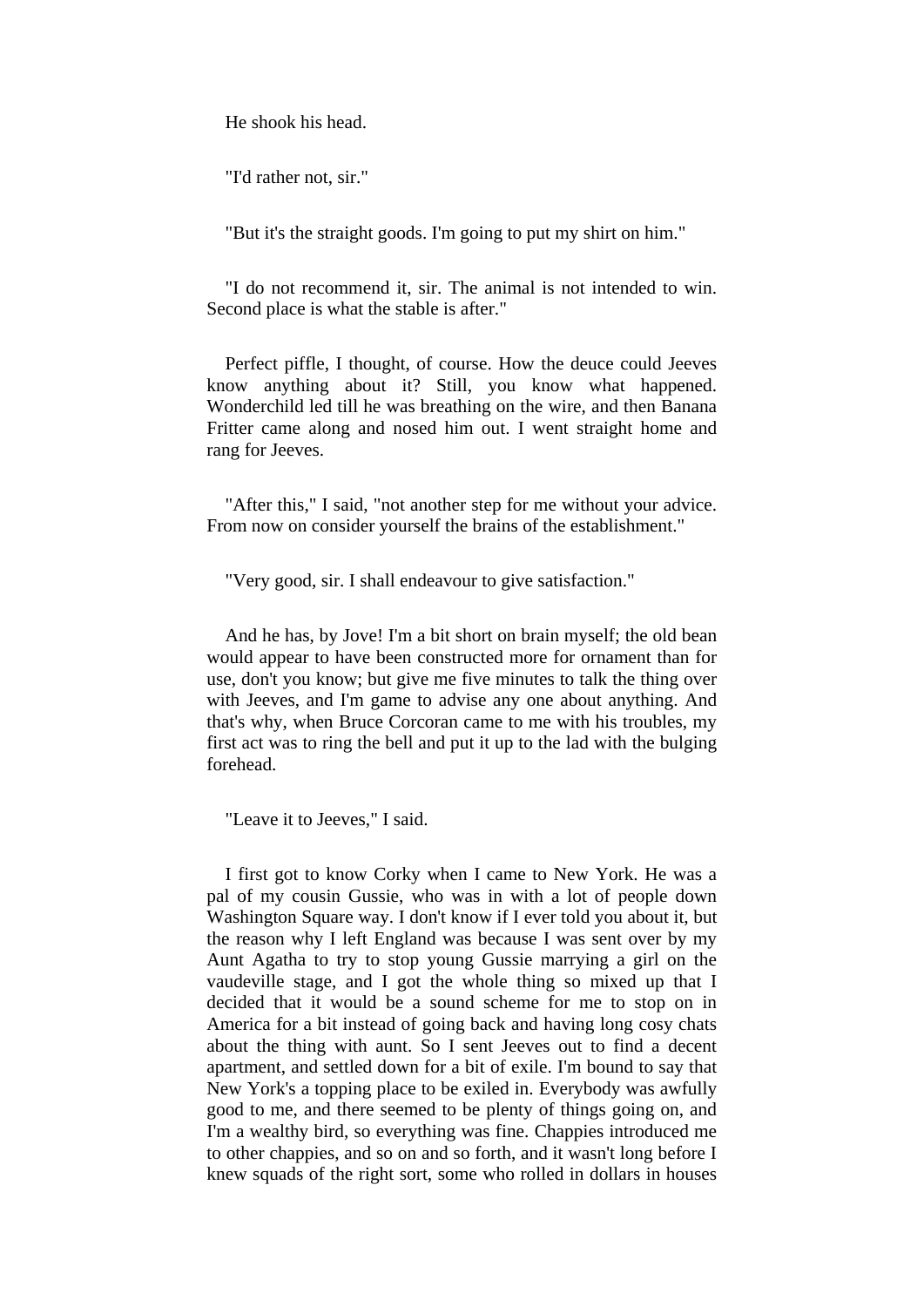He shook his head.

"I'd rather not, sir."

"But it's the straight goods. I'm going to put my shirt on him."

"I do not recommend it, sir. The animal is not intended to win. Second place is what the stable is after."

Perfect piffle, I thought, of course. How the deuce could Jeeves know anything about it? Still, you know what happened. Wonderchild led till he was breathing on the wire, and then Banana Fritter came along and nosed him out. I went straight home and rang for Jeeves.

"After this," I said, "not another step for me without your advice. From now on consider yourself the brains of the establishment."

"Very good, sir. I shall endeavour to give satisfaction."

And he has, by Jove! I'm a bit short on brain myself; the old bean would appear to have been constructed more for ornament than for use, don't you know; but give me five minutes to talk the thing over with Jeeves, and I'm game to advise any one about anything. And that's why, when Bruce Corcoran came to me with his troubles, my first act was to ring the bell and put it up to the lad with the bulging forehead.

"Leave it to Jeeves," I said.

I first got to know Corky when I came to New York. He was a pal of my cousin Gussie, who was in with a lot of people down Washington Square way. I don't know if I ever told you about it, but the reason why I left England was because I was sent over by my Aunt Agatha to try to stop young Gussie marrying a girl on the vaudeville stage, and I got the whole thing so mixed up that I decided that it would be a sound scheme for me to stop on in America for a bit instead of going back and having long cosy chats about the thing with aunt. So I sent Jeeves out to find a decent apartment, and settled down for a bit of exile. I'm bound to say that New York's a topping place to be exiled in. Everybody was awfully good to me, and there seemed to be plenty of things going on, and I'm a wealthy bird, so everything was fine. Chappies introduced me to other chappies, and so on and so forth, and it wasn't long before I knew squads of the right sort, some who rolled in dollars in houses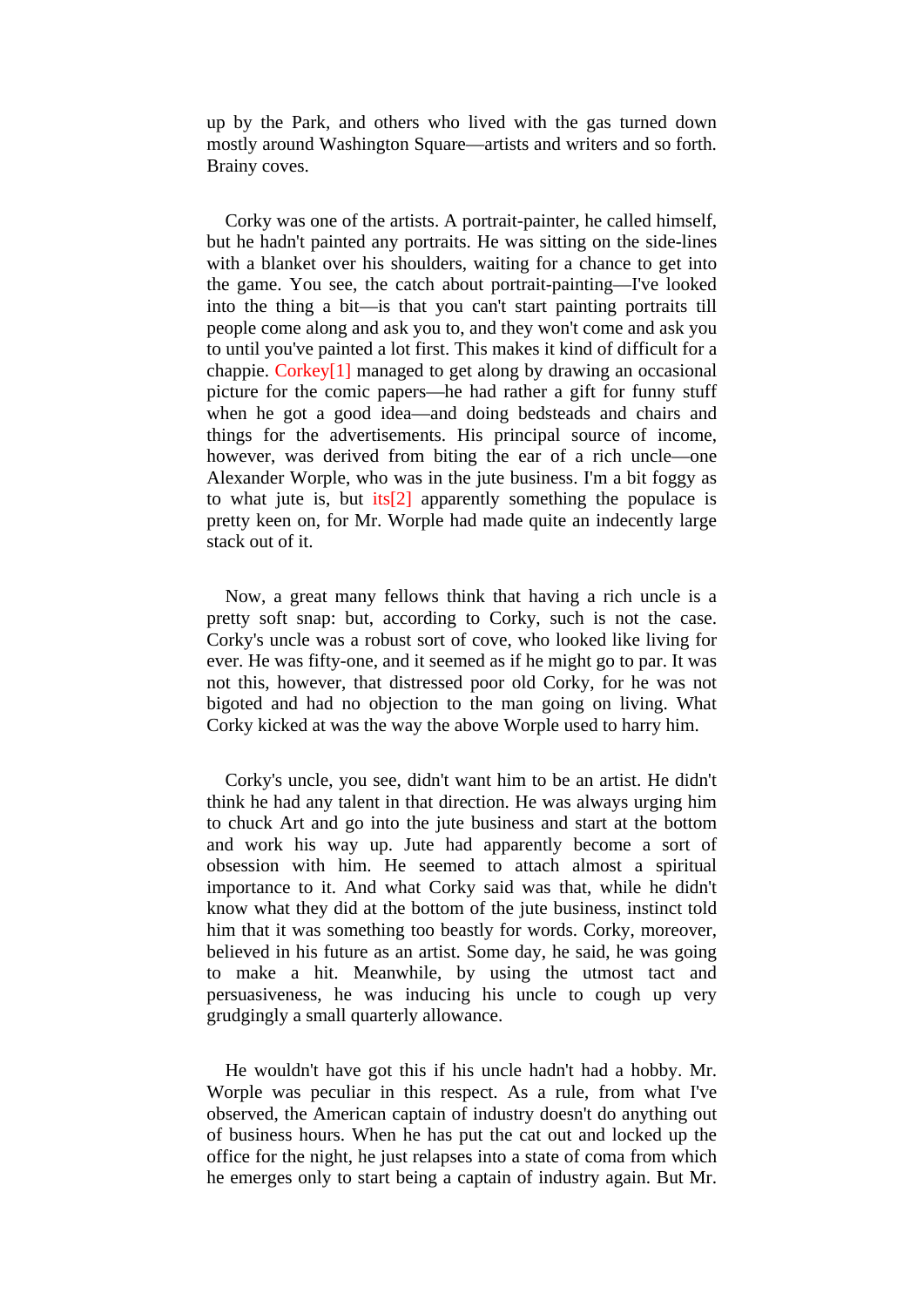up by the Park, and others who lived with the gas turned down mostly around Washington Square—artists and writers and so forth. Brainy coves.

Corky was one of the artists. A portrait-painter, he called himself, but he hadn't painted any portraits. He was sitting on the side-lines with a blanket over his shoulders, waiting for a chance to get into the game. You see, the catch about portrait-painting—I've looked into the thing a bit—is that you can't start painting portraits till people come along and ask you to, and they won't come and ask you to until you've painted a lot first. This makes it kind of difficult for a chappie. Corkey[1] managed to get along by drawing an occasional picture for the comic papers—he had rather a gift for funny stuff when he got a good idea—and doing bedsteads and chairs and things for the advertisements. His principal source of income, however, was derived from biting the ear of a rich uncle—one Alexander Worple, who was in the jute business. I'm a bit foggy as to what jute is, but its<sup>[2]</sup> apparently something the populace is pretty keen on, for Mr. Worple had made quite an indecently large stack out of it.

Now, a great many fellows think that having a rich uncle is a pretty soft snap: but, according to Corky, such is not the case. Corky's uncle was a robust sort of cove, who looked like living for ever. He was fifty-one, and it seemed as if he might go to par. It was not this, however, that distressed poor old Corky, for he was not bigoted and had no objection to the man going on living. What Corky kicked at was the way the above Worple used to harry him.

Corky's uncle, you see, didn't want him to be an artist. He didn't think he had any talent in that direction. He was always urging him to chuck Art and go into the jute business and start at the bottom and work his way up. Jute had apparently become a sort of obsession with him. He seemed to attach almost a spiritual importance to it. And what Corky said was that, while he didn't know what they did at the bottom of the jute business, instinct told him that it was something too beastly for words. Corky, moreover, believed in his future as an artist. Some day, he said, he was going to make a hit. Meanwhile, by using the utmost tact and persuasiveness, he was inducing his uncle to cough up very grudgingly a small quarterly allowance.

He wouldn't have got this if his uncle hadn't had a hobby. Mr. Worple was peculiar in this respect. As a rule, from what I've observed, the American captain of industry doesn't do anything out of business hours. When he has put the cat out and locked up the office for the night, he just relapses into a state of coma from which he emerges only to start being a captain of industry again. But Mr.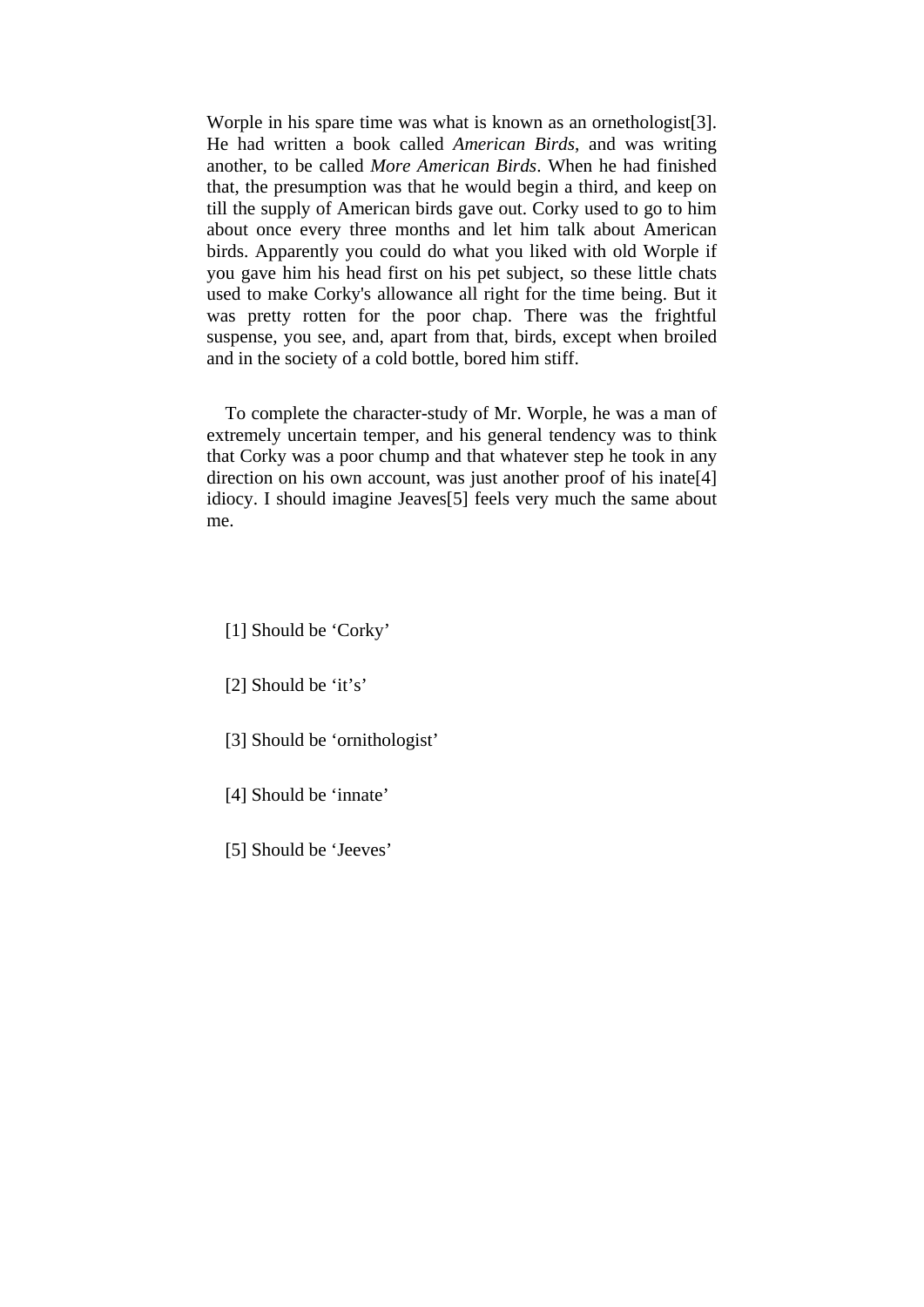Worple in his spare time was what is known as an ornethologist[3]. He had written a book called *American Birds*, and was writing another, to be called *More American Birds*. When he had finished that, the presumption was that he would begin a third, and keep on till the supply of American birds gave out. Corky used to go to him about once every three months and let him talk about American birds. Apparently you could do what you liked with old Worple if you gave him his head first on his pet subject, so these little chats used to make Corky's allowance all right for the time being. But it was pretty rotten for the poor chap. There was the frightful suspense, you see, and, apart from that, birds, except when broiled and in the society of a cold bottle, bored him stiff.

To complete the character-study of Mr. Worple, he was a man of extremely uncertain temper, and his general tendency was to think that Corky was a poor chump and that whatever step he took in any direction on his own account, was just another proof of his inate<sup>[4]</sup> idiocy. I should imagine Jeaves[5] feels very much the same about me.

[1] Should be 'Corky'

- [2] Should be 'it's'
- [3] Should be 'ornithologist'
- [4] Should be 'innate'
- [5] Should be 'Jeeves'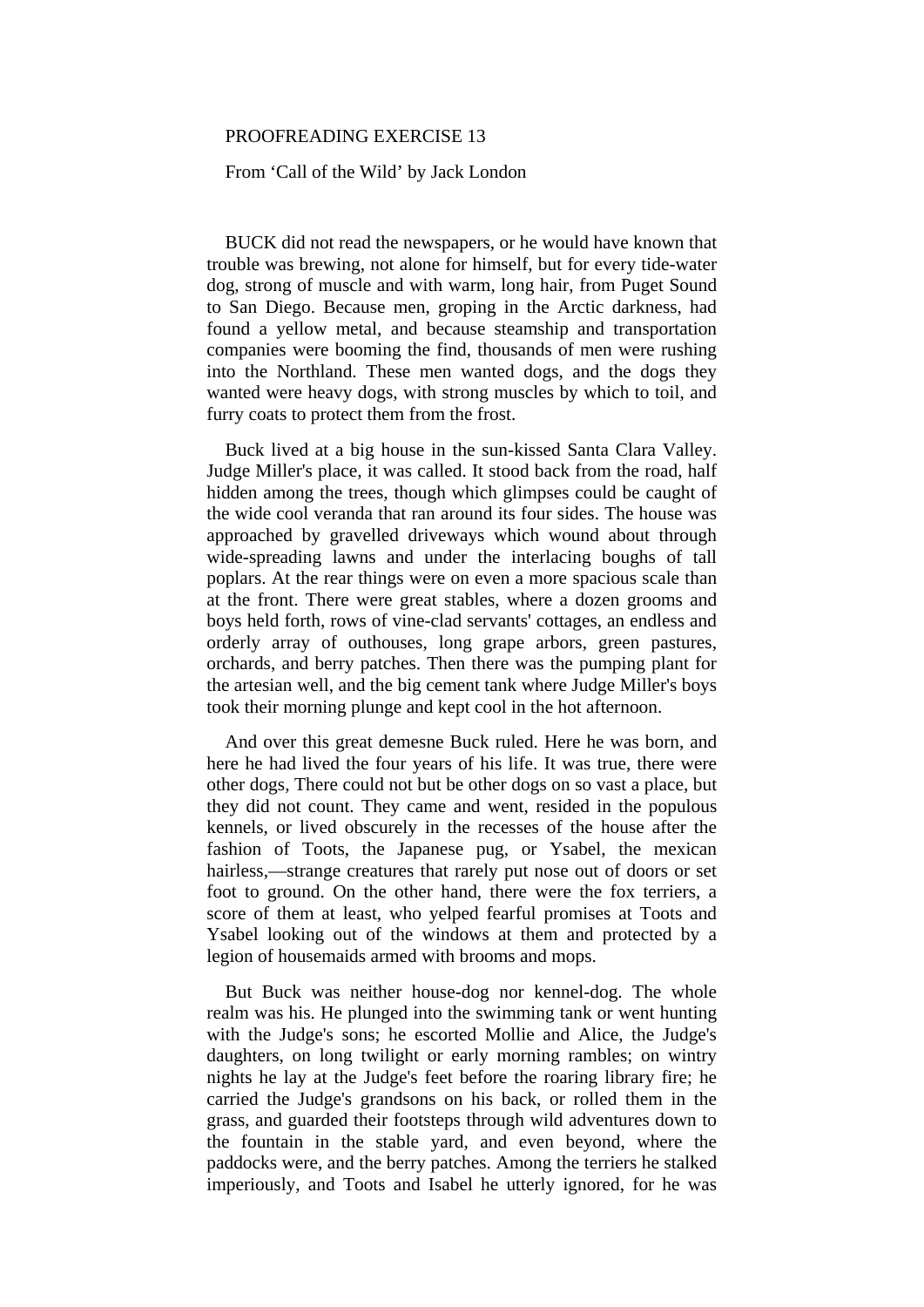# PROOFREADING EXERCISE 13

# From 'Call of the Wild' by Jack London

BUCK did not read the newspapers, or he would have known that trouble was brewing, not alone for himself, but for every tide-water dog, strong of muscle and with warm, long hair, from Puget Sound to San Diego. Because men, groping in the Arctic darkness, had found a yellow metal, and because steamship and transportation companies were booming the find, thousands of men were rushing into the Northland. These men wanted dogs, and the dogs they wanted were heavy dogs, with strong muscles by which to toil, and furry coats to protect them from the frost.

Buck lived at a big house in the sun-kissed Santa Clara Valley. Judge Miller's place, it was called. It stood back from the road, half hidden among the trees, though which glimpses could be caught of the wide cool veranda that ran around its four sides. The house was approached by gravelled driveways which wound about through wide-spreading lawns and under the interlacing boughs of tall poplars. At the rear things were on even a more spacious scale than at the front. There were great stables, where a dozen grooms and boys held forth, rows of vine-clad servants' cottages, an endless and orderly array of outhouses, long grape arbors, green pastures, orchards, and berry patches. Then there was the pumping plant for the artesian well, and the big cement tank where Judge Miller's boys took their morning plunge and kept cool in the hot afternoon.

And over this great demesne Buck ruled. Here he was born, and here he had lived the four years of his life. It was true, there were other dogs, There could not but be other dogs on so vast a place, but they did not count. They came and went, resided in the populous kennels, or lived obscurely in the recesses of the house after the fashion of Toots, the Japanese pug, or Ysabel, the mexican hairless,—strange creatures that rarely put nose out of doors or set foot to ground. On the other hand, there were the fox terriers, a score of them at least, who yelped fearful promises at Toots and Ysabel looking out of the windows at them and protected by a legion of housemaids armed with brooms and mops.

But Buck was neither house-dog nor kennel-dog. The whole realm was his. He plunged into the swimming tank or went hunting with the Judge's sons; he escorted Mollie and Alice, the Judge's daughters, on long twilight or early morning rambles; on wintry nights he lay at the Judge's feet before the roaring library fire; he carried the Judge's grandsons on his back, or rolled them in the grass, and guarded their footsteps through wild adventures down to the fountain in the stable yard, and even beyond, where the paddocks were, and the berry patches. Among the terriers he stalked imperiously, and Toots and Isabel he utterly ignored, for he was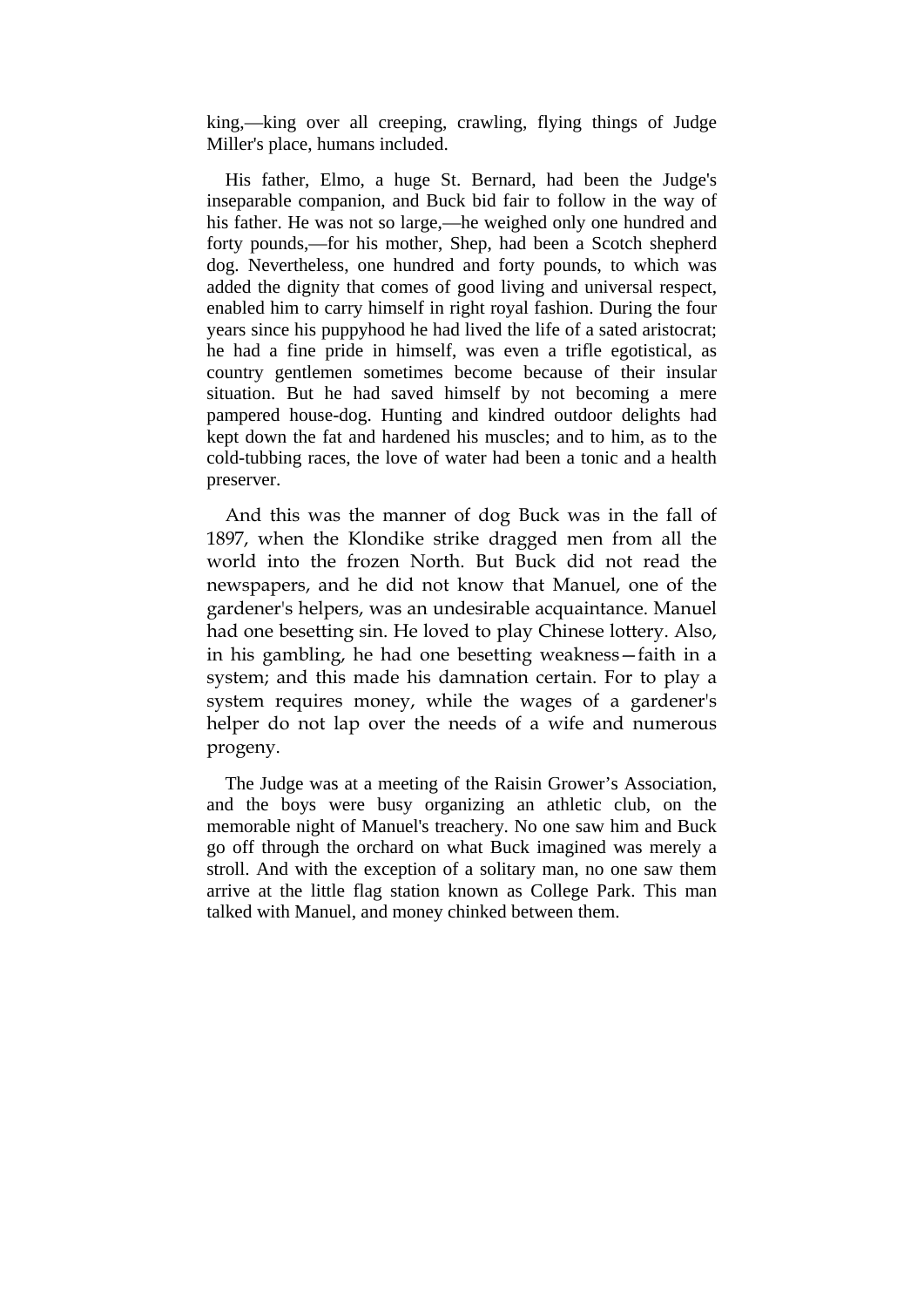king,—king over all creeping, crawling, flying things of Judge Miller's place, humans included.

His father, Elmo, a huge St. Bernard, had been the Judge's inseparable companion, and Buck bid fair to follow in the way of his father. He was not so large,—he weighed only one hundred and forty pounds,—for his mother, Shep, had been a Scotch shepherd dog. Nevertheless, one hundred and forty pounds, to which was added the dignity that comes of good living and universal respect, enabled him to carry himself in right royal fashion. During the four years since his puppyhood he had lived the life of a sated aristocrat; he had a fine pride in himself, was even a trifle egotistical, as country gentlemen sometimes become because of their insular situation. But he had saved himself by not becoming a mere pampered house-dog. Hunting and kindred outdoor delights had kept down the fat and hardened his muscles; and to him, as to the cold-tubbing races, the love of water had been a tonic and a health preserver.

And this was the manner of dog Buck was in the fall of 1897, when the Klondike strike dragged men from all the world into the frozen North. But Buck did not read the newspapers, and he did not know that Manuel, one of the gardener's helpers, was an undesirable acquaintance. Manuel had one besetting sin. He loved to play Chinese lottery. Also, in his gambling, he had one besetting weakness—faith in a system; and this made his damnation certain. For to play a system requires money, while the wages of a gardener's helper do not lap over the needs of a wife and numerous progeny.

The Judge was at a meeting of the Raisin Grower's Association, and the boys were busy organizing an athletic club, on the memorable night of Manuel's treachery. No one saw him and Buck go off through the orchard on what Buck imagined was merely a stroll. And with the exception of a solitary man, no one saw them arrive at the little flag station known as College Park. This man talked with Manuel, and money chinked between them.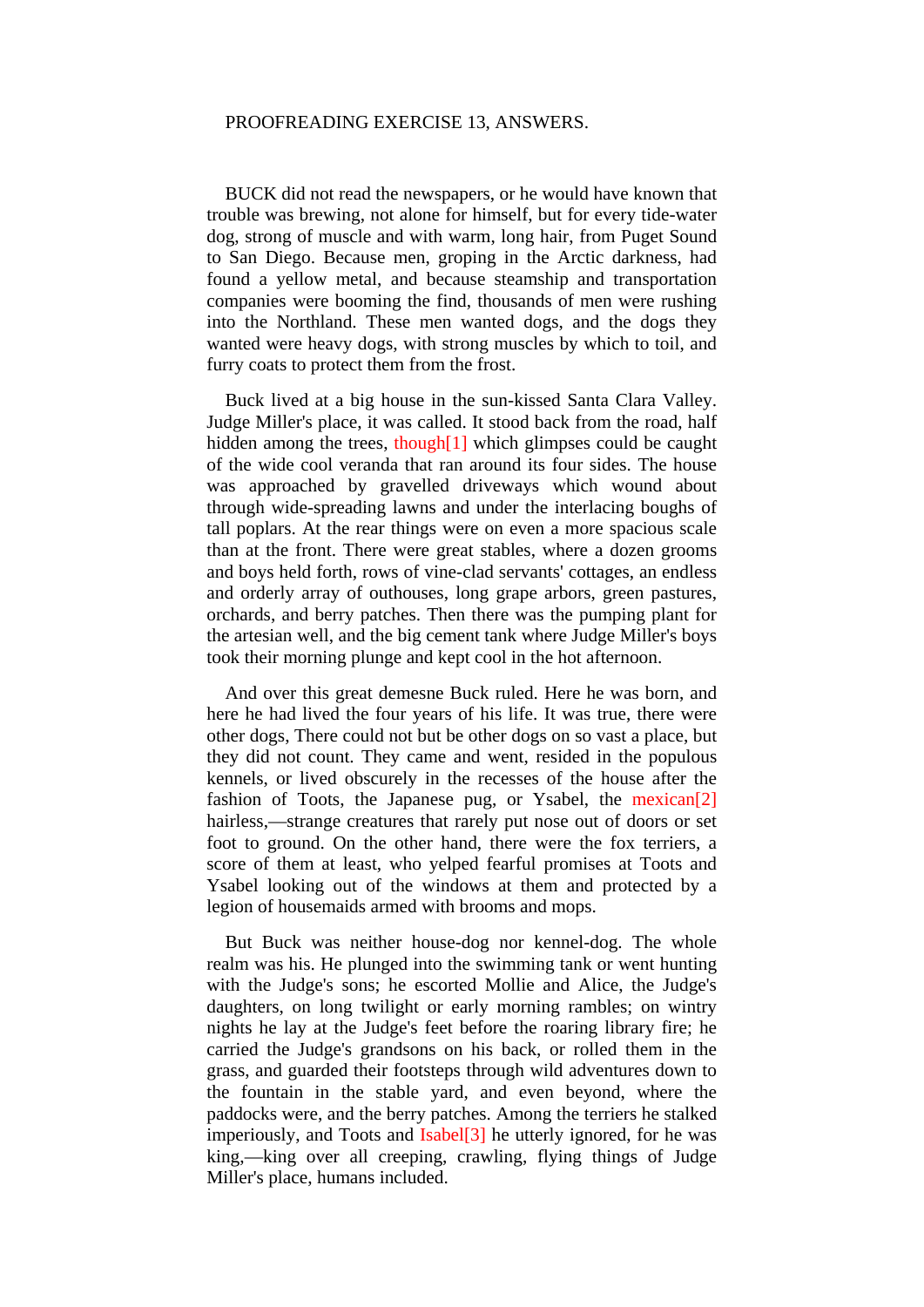### PROOFREADING EXERCISE 13, ANSWERS.

BUCK did not read the newspapers, or he would have known that trouble was brewing, not alone for himself, but for every tide-water dog, strong of muscle and with warm, long hair, from Puget Sound to San Diego. Because men, groping in the Arctic darkness, had found a yellow metal, and because steamship and transportation companies were booming the find, thousands of men were rushing into the Northland. These men wanted dogs, and the dogs they wanted were heavy dogs, with strong muscles by which to toil, and furry coats to protect them from the frost.

Buck lived at a big house in the sun-kissed Santa Clara Valley. Judge Miller's place, it was called. It stood back from the road, half hidden among the trees, though<sup>[1]</sup> which glimpses could be caught of the wide cool veranda that ran around its four sides. The house was approached by gravelled driveways which wound about through wide-spreading lawns and under the interlacing boughs of tall poplars. At the rear things were on even a more spacious scale than at the front. There were great stables, where a dozen grooms and boys held forth, rows of vine-clad servants' cottages, an endless and orderly array of outhouses, long grape arbors, green pastures, orchards, and berry patches. Then there was the pumping plant for the artesian well, and the big cement tank where Judge Miller's boys took their morning plunge and kept cool in the hot afternoon.

And over this great demesne Buck ruled. Here he was born, and here he had lived the four years of his life. It was true, there were other dogs, There could not but be other dogs on so vast a place, but they did not count. They came and went, resided in the populous kennels, or lived obscurely in the recesses of the house after the fashion of Toots, the Japanese pug, or Ysabel, the mexican[2] hairless,—strange creatures that rarely put nose out of doors or set foot to ground. On the other hand, there were the fox terriers, a score of them at least, who yelped fearful promises at Toots and Ysabel looking out of the windows at them and protected by a legion of housemaids armed with brooms and mops.

But Buck was neither house-dog nor kennel-dog. The whole realm was his. He plunged into the swimming tank or went hunting with the Judge's sons; he escorted Mollie and Alice, the Judge's daughters, on long twilight or early morning rambles; on wintry nights he lay at the Judge's feet before the roaring library fire; he carried the Judge's grandsons on his back, or rolled them in the grass, and guarded their footsteps through wild adventures down to the fountain in the stable yard, and even beyond, where the paddocks were, and the berry patches. Among the terriers he stalked imperiously, and Toots and Isabel[3] he utterly ignored, for he was king,—king over all creeping, crawling, flying things of Judge Miller's place, humans included.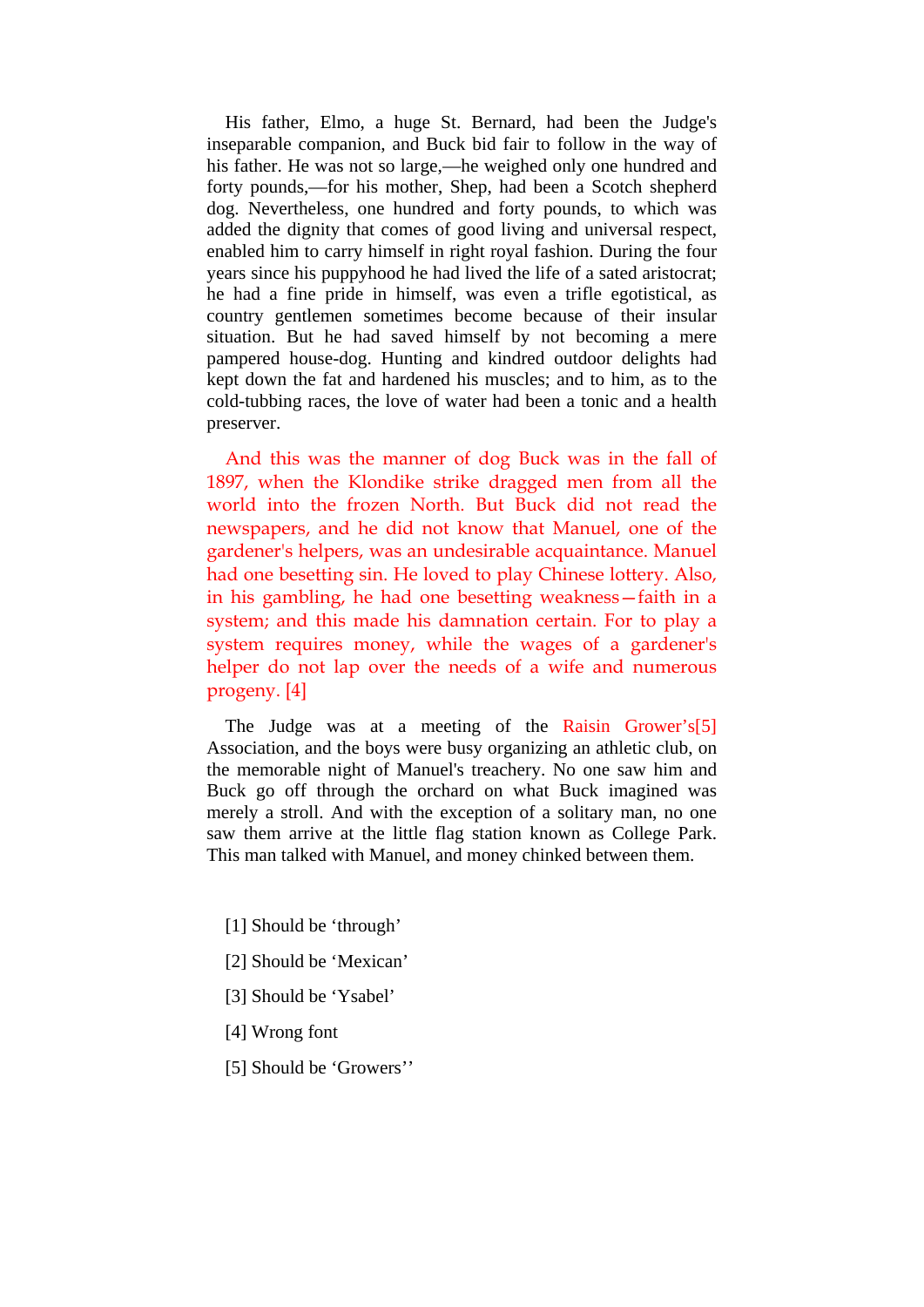His father, Elmo, a huge St. Bernard, had been the Judge's inseparable companion, and Buck bid fair to follow in the way of his father. He was not so large,—he weighed only one hundred and forty pounds,—for his mother, Shep, had been a Scotch shepherd dog. Nevertheless, one hundred and forty pounds, to which was added the dignity that comes of good living and universal respect, enabled him to carry himself in right royal fashion. During the four years since his puppyhood he had lived the life of a sated aristocrat; he had a fine pride in himself, was even a trifle egotistical, as country gentlemen sometimes become because of their insular situation. But he had saved himself by not becoming a mere pampered house-dog. Hunting and kindred outdoor delights had kept down the fat and hardened his muscles; and to him, as to the cold-tubbing races, the love of water had been a tonic and a health preserver.

And this was the manner of dog Buck was in the fall of 1897, when the Klondike strike dragged men from all the world into the frozen North. But Buck did not read the newspapers, and he did not know that Manuel, one of the gardener's helpers, was an undesirable acquaintance. Manuel had one besetting sin. He loved to play Chinese lottery. Also, in his gambling, he had one besetting weakness—faith in a system; and this made his damnation certain. For to play a system requires money, while the wages of a gardener's helper do not lap over the needs of a wife and numerous progeny. [4]

The Judge was at a meeting of the Raisin Grower's[5] Association, and the boys were busy organizing an athletic club, on the memorable night of Manuel's treachery. No one saw him and Buck go off through the orchard on what Buck imagined was merely a stroll. And with the exception of a solitary man, no one saw them arrive at the little flag station known as College Park. This man talked with Manuel, and money chinked between them.

- [1] Should be 'through'
- [2] Should be 'Mexican'
- [3] Should be 'Ysabel'
- [4] Wrong font
- [5] Should be 'Growers''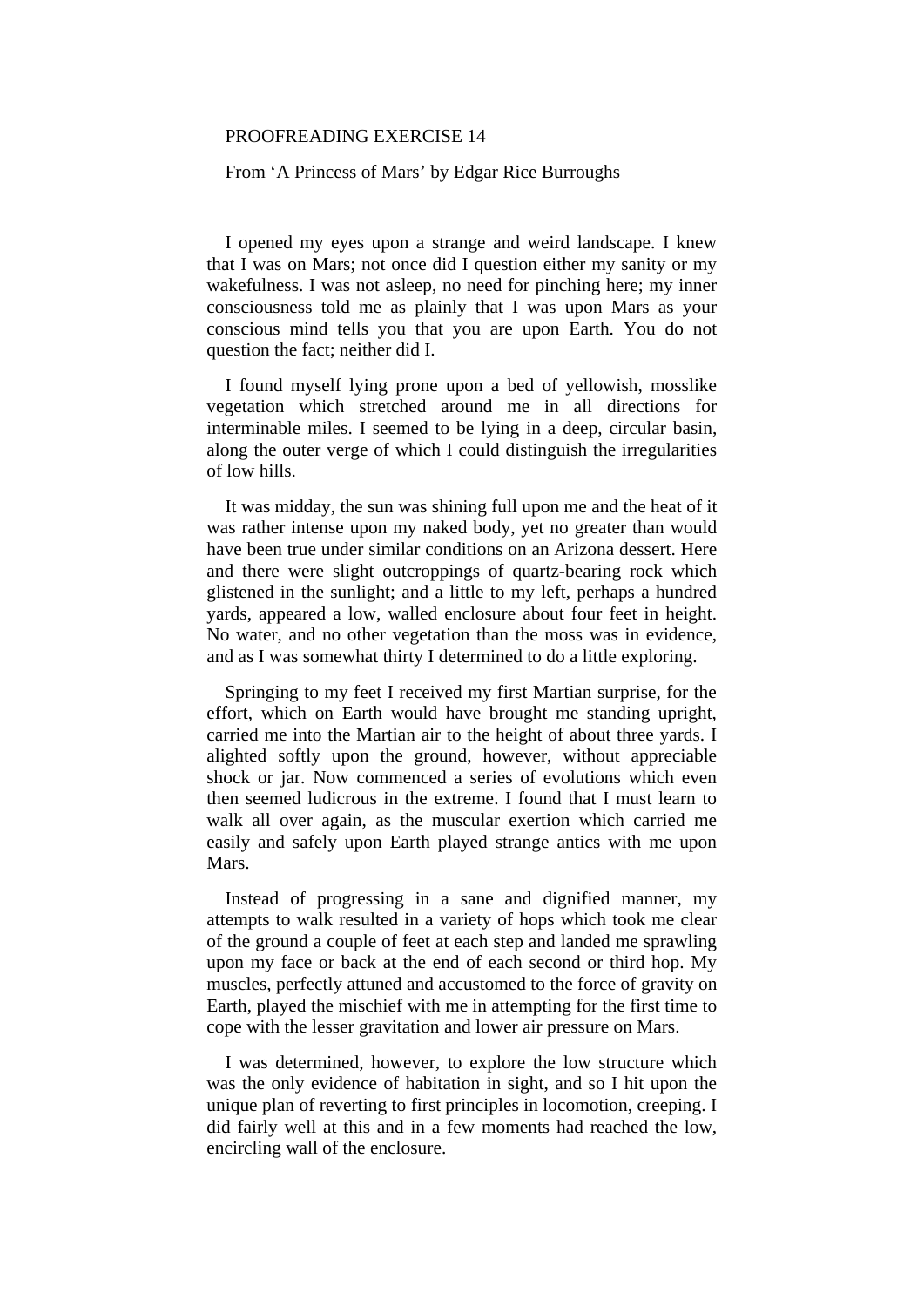# PROOFREADING EXERCISE 14

From 'A Princess of Mars' by Edgar Rice Burroughs

I opened my eyes upon a strange and weird landscape. I knew that I was on Mars; not once did I question either my sanity or my wakefulness. I was not asleep, no need for pinching here; my inner consciousness told me as plainly that I was upon Mars as your conscious mind tells you that you are upon Earth. You do not question the fact; neither did I.

I found myself lying prone upon a bed of yellowish, mosslike vegetation which stretched around me in all directions for interminable miles. I seemed to be lying in a deep, circular basin, along the outer verge of which I could distinguish the irregularities of low hills.

It was midday, the sun was shining full upon me and the heat of it was rather intense upon my naked body, yet no greater than would have been true under similar conditions on an Arizona dessert. Here and there were slight outcroppings of quartz-bearing rock which glistened in the sunlight; and a little to my left, perhaps a hundred yards, appeared a low, walled enclosure about four feet in height. No water, and no other vegetation than the moss was in evidence, and as I was somewhat thirty I determined to do a little exploring.

Springing to my feet I received my first Martian surprise, for the effort, which on Earth would have brought me standing upright, carried me into the Martian air to the height of about three yards. I alighted softly upon the ground, however, without appreciable shock or jar. Now commenced a series of evolutions which even then seemed ludicrous in the extreme. I found that I must learn to walk all over again, as the muscular exertion which carried me easily and safely upon Earth played strange antics with me upon Mars.

Instead of progressing in a sane and dignified manner, my attempts to walk resulted in a variety of hops which took me clear of the ground a couple of feet at each step and landed me sprawling upon my face or back at the end of each second or third hop. My muscles, perfectly attuned and accustomed to the force of gravity on Earth, played the mischief with me in attempting for the first time to cope with the lesser gravitation and lower air pressure on Mars.

I was determined, however, to explore the low structure which was the only evidence of habitation in sight, and so I hit upon the unique plan of reverting to first principles in locomotion, creeping. I did fairly well at this and in a few moments had reached the low, encircling wall of the enclosure.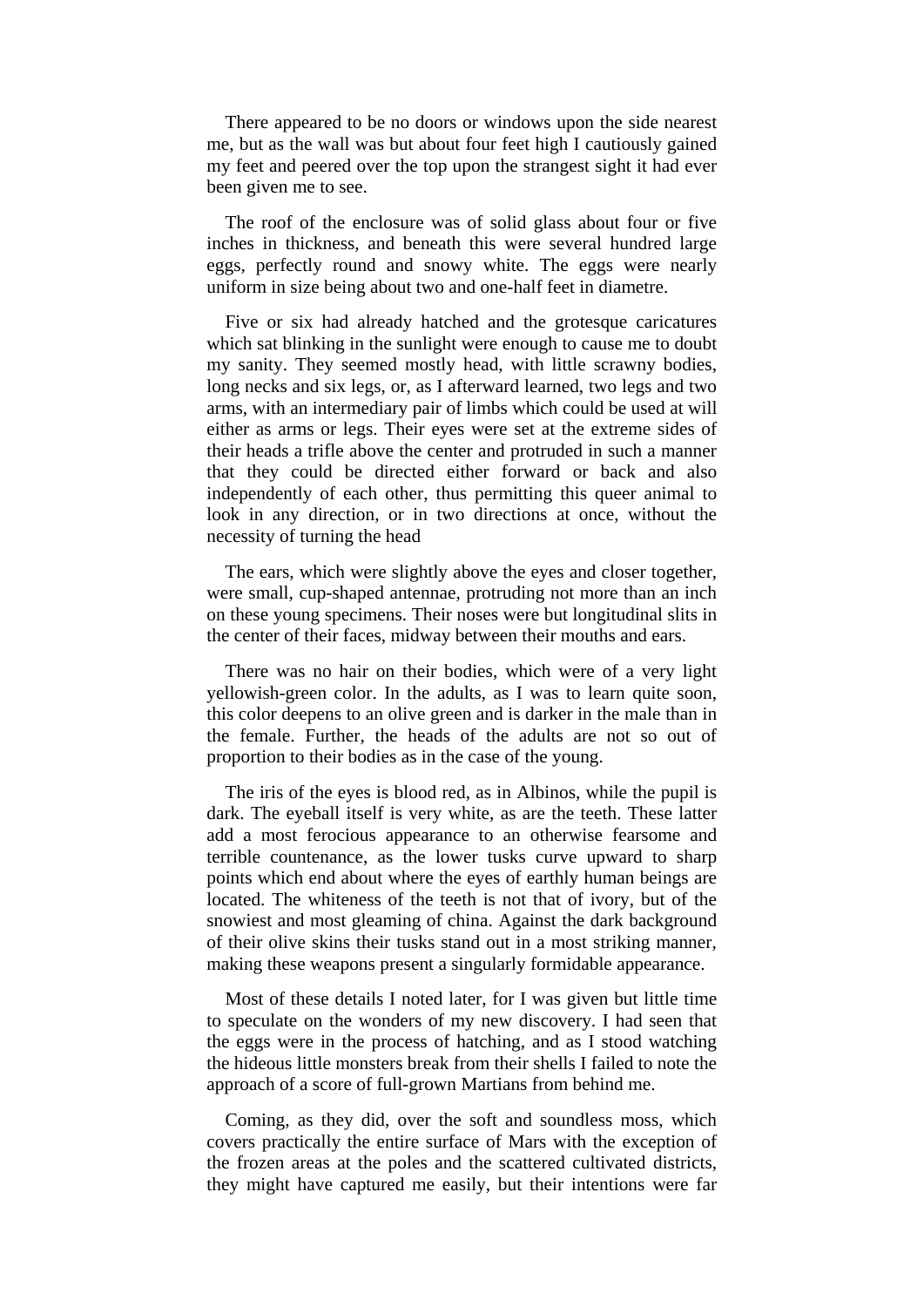There appeared to be no doors or windows upon the side nearest me, but as the wall was but about four feet high I cautiously gained my feet and peered over the top upon the strangest sight it had ever been given me to see.

The roof of the enclosure was of solid glass about four or five inches in thickness, and beneath this were several hundred large eggs, perfectly round and snowy white. The eggs were nearly uniform in size being about two and one-half feet in diametre.

Five or six had already hatched and the grotesque caricatures which sat blinking in the sunlight were enough to cause me to doubt my sanity. They seemed mostly head, with little scrawny bodies, long necks and six legs, or, as I afterward learned, two legs and two arms, with an intermediary pair of limbs which could be used at will either as arms or legs. Their eyes were set at the extreme sides of their heads a trifle above the center and protruded in such a manner that they could be directed either forward or back and also independently of each other, thus permitting this queer animal to look in any direction, or in two directions at once, without the necessity of turning the head

The ears, which were slightly above the eyes and closer together, were small, cup-shaped antennae, protruding not more than an inch on these young specimens. Their noses were but longitudinal slits in the center of their faces, midway between their mouths and ears.

There was no hair on their bodies, which were of a very light yellowish-green color. In the adults, as I was to learn quite soon, this color deepens to an olive green and is darker in the male than in the female. Further, the heads of the adults are not so out of proportion to their bodies as in the case of the young.

The iris of the eyes is blood red, as in Albinos, while the pupil is dark. The eyeball itself is very white, as are the teeth. These latter add a most ferocious appearance to an otherwise fearsome and terrible countenance, as the lower tusks curve upward to sharp points which end about where the eyes of earthly human beings are located. The whiteness of the teeth is not that of ivory, but of the snowiest and most gleaming of china. Against the dark background of their olive skins their tusks stand out in a most striking manner, making these weapons present a singularly formidable appearance.

Most of these details I noted later, for I was given but little time to speculate on the wonders of my new discovery. I had seen that the eggs were in the process of hatching, and as I stood watching the hideous little monsters break from their shells I failed to note the approach of a score of full-grown Martians from behind me.

Coming, as they did, over the soft and soundless moss, which covers practically the entire surface of Mars with the exception of the frozen areas at the poles and the scattered cultivated districts, they might have captured me easily, but their intentions were far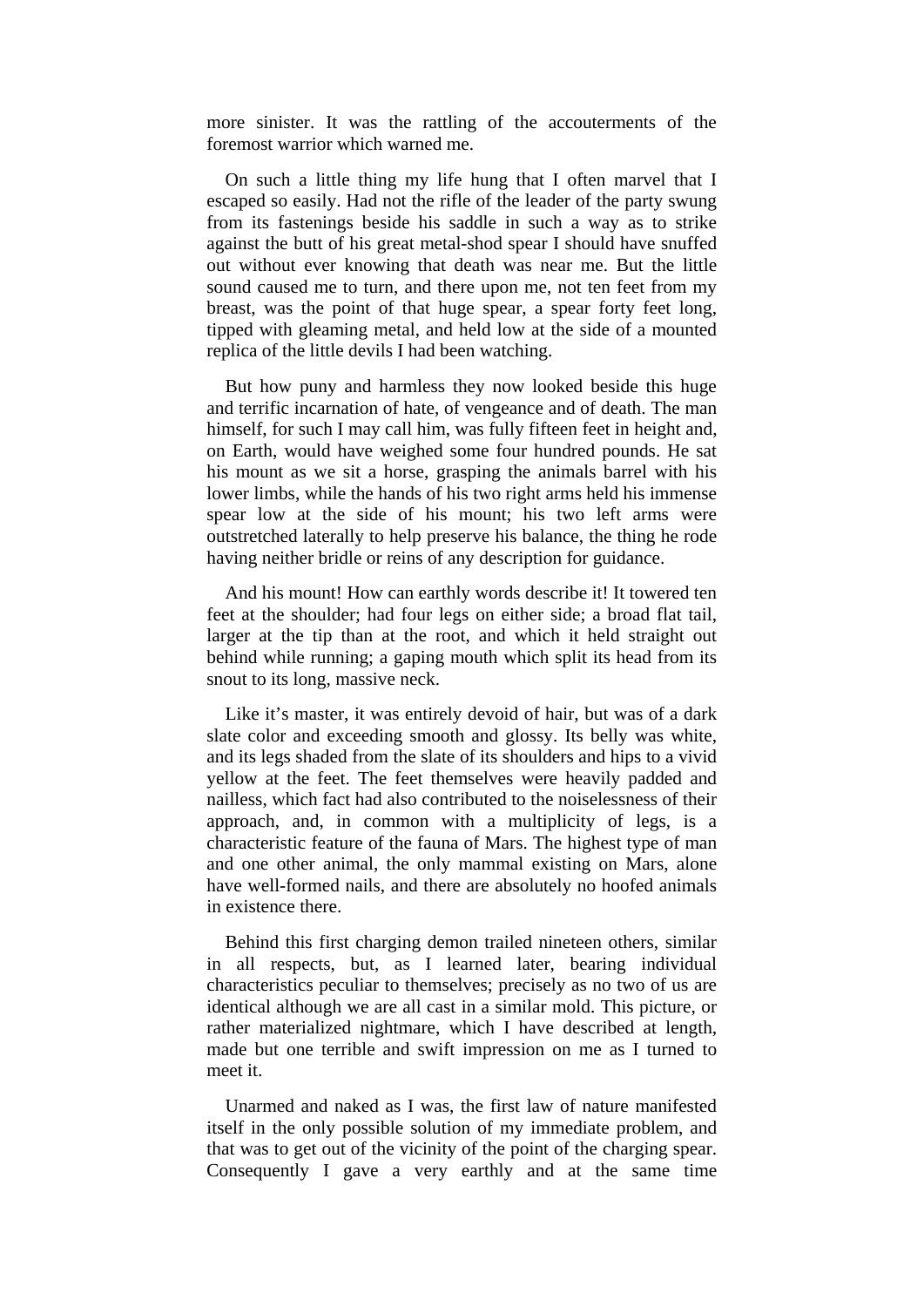more sinister. It was the rattling of the accouterments of the foremost warrior which warned me.

On such a little thing my life hung that I often marvel that I escaped so easily. Had not the rifle of the leader of the party swung from its fastenings beside his saddle in such a way as to strike against the butt of his great metal-shod spear I should have snuffed out without ever knowing that death was near me. But the little sound caused me to turn, and there upon me, not ten feet from my breast, was the point of that huge spear, a spear forty feet long, tipped with gleaming metal, and held low at the side of a mounted replica of the little devils I had been watching.

But how puny and harmless they now looked beside this huge and terrific incarnation of hate, of vengeance and of death. The man himself, for such I may call him, was fully fifteen feet in height and, on Earth, would have weighed some four hundred pounds. He sat his mount as we sit a horse, grasping the animals barrel with his lower limbs, while the hands of his two right arms held his immense spear low at the side of his mount; his two left arms were outstretched laterally to help preserve his balance, the thing he rode having neither bridle or reins of any description for guidance.

And his mount! How can earthly words describe it! It towered ten feet at the shoulder; had four legs on either side; a broad flat tail, larger at the tip than at the root, and which it held straight out behind while running; a gaping mouth which split its head from its snout to its long, massive neck.

Like it's master, it was entirely devoid of hair, but was of a dark slate color and exceeding smooth and glossy. Its belly was white, and its legs shaded from the slate of its shoulders and hips to a vivid yellow at the feet. The feet themselves were heavily padded and nailless, which fact had also contributed to the noiselessness of their approach, and, in common with a multiplicity of legs, is a characteristic feature of the fauna of Mars. The highest type of man and one other animal, the only mammal existing on Mars, alone have well-formed nails, and there are absolutely no hoofed animals in existence there.

Behind this first charging demon trailed nineteen others, similar in all respects, but, as I learned later, bearing individual characteristics peculiar to themselves; precisely as no two of us are identical although we are all cast in a similar mold. This picture, or rather materialized nightmare, which I have described at length, made but one terrible and swift impression on me as I turned to meet it.

Unarmed and naked as I was, the first law of nature manifested itself in the only possible solution of my immediate problem, and that was to get out of the vicinity of the point of the charging spear. Consequently I gave a very earthly and at the same time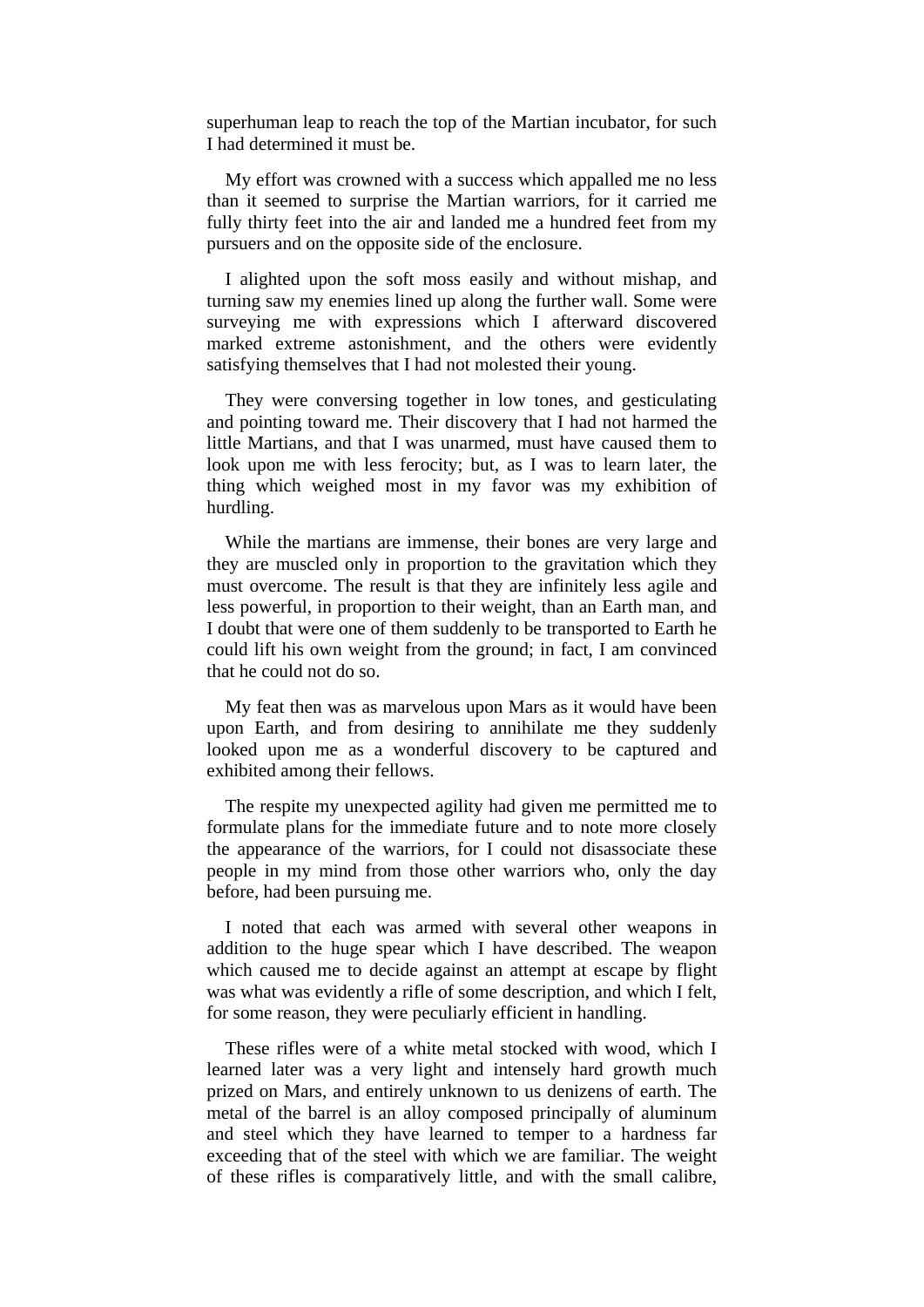superhuman leap to reach the top of the Martian incubator, for such I had determined it must be.

My effort was crowned with a success which appalled me no less than it seemed to surprise the Martian warriors, for it carried me fully thirty feet into the air and landed me a hundred feet from my pursuers and on the opposite side of the enclosure.

I alighted upon the soft moss easily and without mishap, and turning saw my enemies lined up along the further wall. Some were surveying me with expressions which I afterward discovered marked extreme astonishment, and the others were evidently satisfying themselves that I had not molested their young.

They were conversing together in low tones, and gesticulating and pointing toward me. Their discovery that I had not harmed the little Martians, and that I was unarmed, must have caused them to look upon me with less ferocity; but, as I was to learn later, the thing which weighed most in my favor was my exhibition of hurdling.

While the martians are immense, their bones are very large and they are muscled only in proportion to the gravitation which they must overcome. The result is that they are infinitely less agile and less powerful, in proportion to their weight, than an Earth man, and I doubt that were one of them suddenly to be transported to Earth he could lift his own weight from the ground; in fact, I am convinced that he could not do so.

My feat then was as marvelous upon Mars as it would have been upon Earth, and from desiring to annihilate me they suddenly looked upon me as a wonderful discovery to be captured and exhibited among their fellows.

The respite my unexpected agility had given me permitted me to formulate plans for the immediate future and to note more closely the appearance of the warriors, for I could not disassociate these people in my mind from those other warriors who, only the day before, had been pursuing me.

I noted that each was armed with several other weapons in addition to the huge spear which I have described. The weapon which caused me to decide against an attempt at escape by flight was what was evidently a rifle of some description, and which I felt, for some reason, they were peculiarly efficient in handling.

These rifles were of a white metal stocked with wood, which I learned later was a very light and intensely hard growth much prized on Mars, and entirely unknown to us denizens of earth. The metal of the barrel is an alloy composed principally of aluminum and steel which they have learned to temper to a hardness far exceeding that of the steel with which we are familiar. The weight of these rifles is comparatively little, and with the small calibre,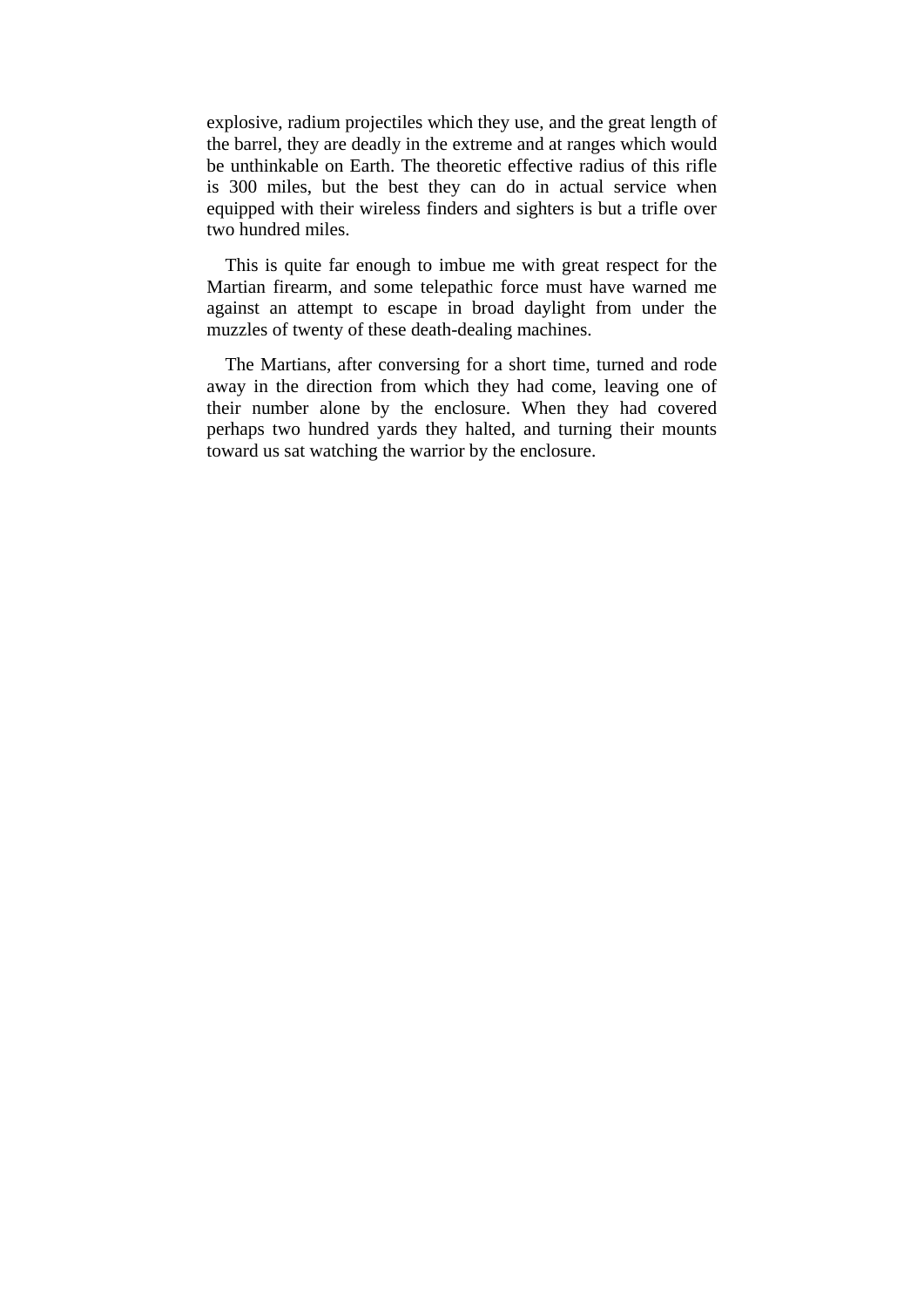explosive, radium projectiles which they use, and the great length of the barrel, they are deadly in the extreme and at ranges which would be unthinkable on Earth. The theoretic effective radius of this rifle is 300 miles, but the best they can do in actual service when equipped with their wireless finders and sighters is but a trifle over two hundred miles.

This is quite far enough to imbue me with great respect for the Martian firearm, and some telepathic force must have warned me against an attempt to escape in broad daylight from under the muzzles of twenty of these death-dealing machines.

The Martians, after conversing for a short time, turned and rode away in the direction from which they had come, leaving one of their number alone by the enclosure. When they had covered perhaps two hundred yards they halted, and turning their mounts toward us sat watching the warrior by the enclosure.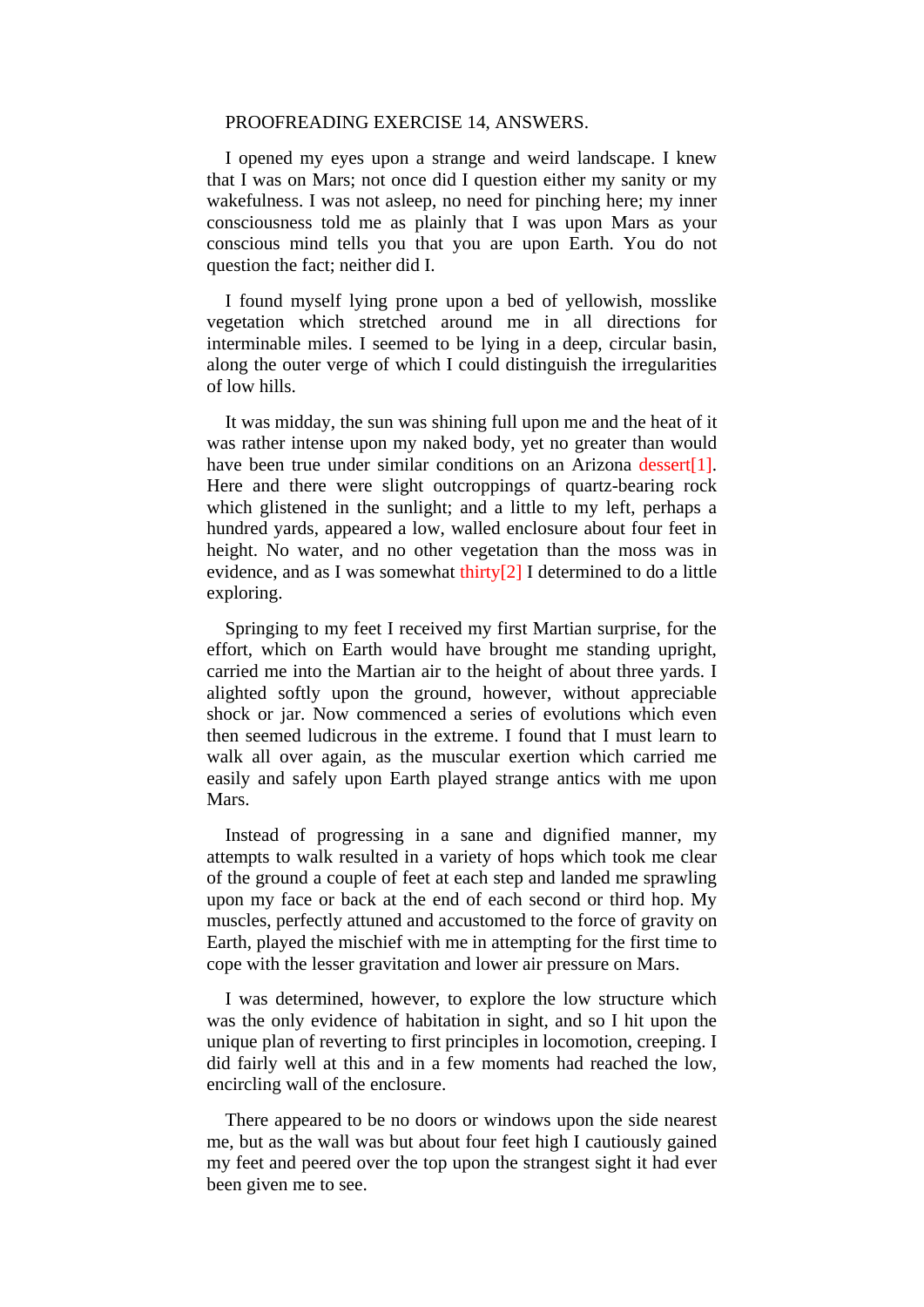### PROOFREADING EXERCISE 14, ANSWERS.

I opened my eyes upon a strange and weird landscape. I knew that I was on Mars; not once did I question either my sanity or my wakefulness. I was not asleep, no need for pinching here; my inner consciousness told me as plainly that I was upon Mars as your conscious mind tells you that you are upon Earth. You do not question the fact; neither did I.

I found myself lying prone upon a bed of yellowish, mosslike vegetation which stretched around me in all directions for interminable miles. I seemed to be lying in a deep, circular basin, along the outer verge of which I could distinguish the irregularities of low hills.

It was midday, the sun was shining full upon me and the heat of it was rather intense upon my naked body, yet no greater than would have been true under similar conditions on an Arizona dessert[1]. Here and there were slight outcroppings of quartz-bearing rock which glistened in the sunlight; and a little to my left, perhaps a hundred yards, appeared a low, walled enclosure about four feet in height. No water, and no other vegetation than the moss was in evidence, and as I was somewhat thirty[2] I determined to do a little exploring.

Springing to my feet I received my first Martian surprise, for the effort, which on Earth would have brought me standing upright, carried me into the Martian air to the height of about three yards. I alighted softly upon the ground, however, without appreciable shock or jar. Now commenced a series of evolutions which even then seemed ludicrous in the extreme. I found that I must learn to walk all over again, as the muscular exertion which carried me easily and safely upon Earth played strange antics with me upon Mars.

Instead of progressing in a sane and dignified manner, my attempts to walk resulted in a variety of hops which took me clear of the ground a couple of feet at each step and landed me sprawling upon my face or back at the end of each second or third hop. My muscles, perfectly attuned and accustomed to the force of gravity on Earth, played the mischief with me in attempting for the first time to cope with the lesser gravitation and lower air pressure on Mars.

I was determined, however, to explore the low structure which was the only evidence of habitation in sight, and so I hit upon the unique plan of reverting to first principles in locomotion, creeping. I did fairly well at this and in a few moments had reached the low, encircling wall of the enclosure.

There appeared to be no doors or windows upon the side nearest me, but as the wall was but about four feet high I cautiously gained my feet and peered over the top upon the strangest sight it had ever been given me to see.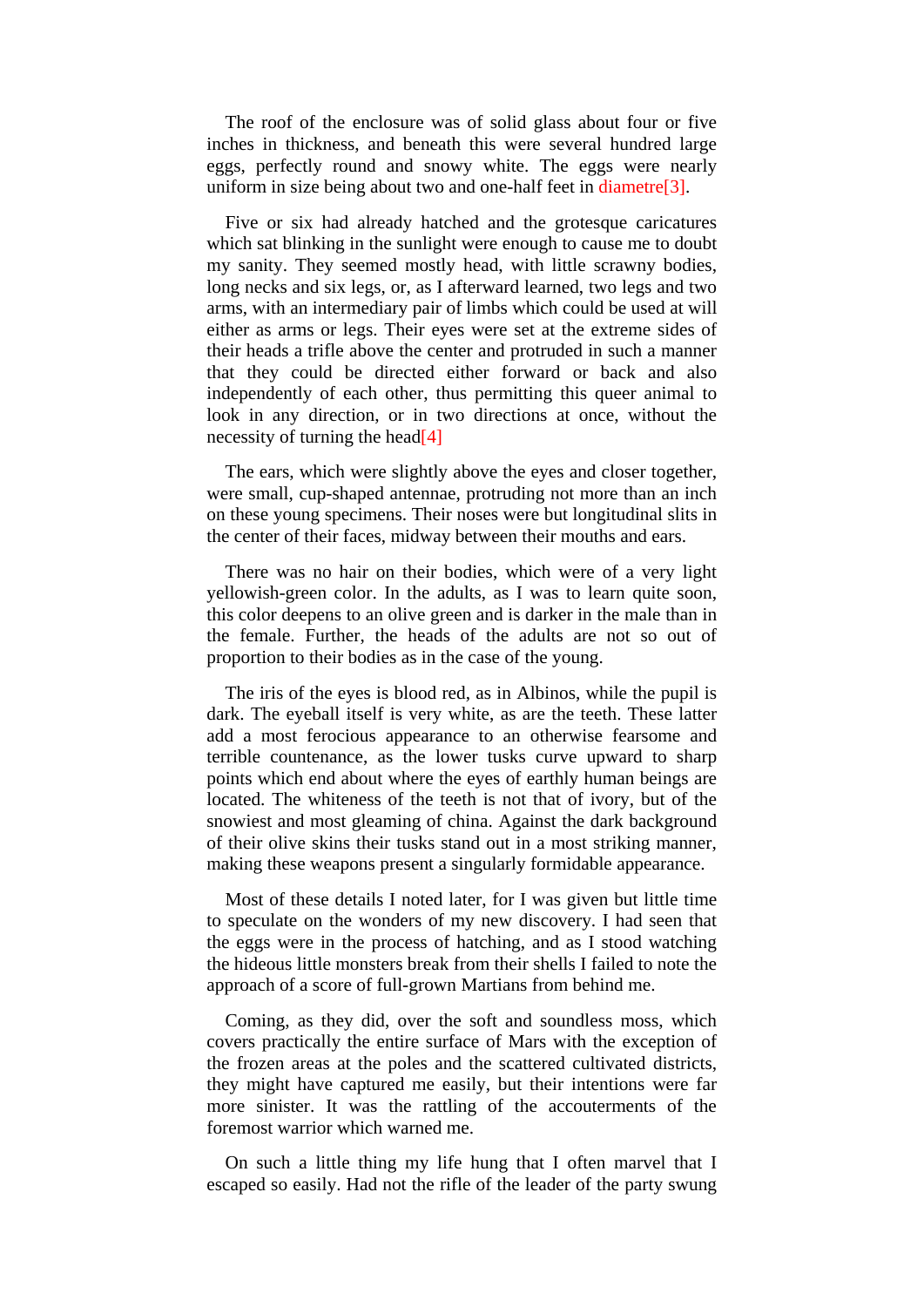The roof of the enclosure was of solid glass about four or five inches in thickness, and beneath this were several hundred large eggs, perfectly round and snowy white. The eggs were nearly uniform in size being about two and one-half feet in diametre[3].

Five or six had already hatched and the grotesque caricatures which sat blinking in the sunlight were enough to cause me to doubt my sanity. They seemed mostly head, with little scrawny bodies, long necks and six legs, or, as I afterward learned, two legs and two arms, with an intermediary pair of limbs which could be used at will either as arms or legs. Their eyes were set at the extreme sides of their heads a trifle above the center and protruded in such a manner that they could be directed either forward or back and also independently of each other, thus permitting this queer animal to look in any direction, or in two directions at once, without the necessity of turning the head<sup>[4]</sup>

The ears, which were slightly above the eyes and closer together, were small, cup-shaped antennae, protruding not more than an inch on these young specimens. Their noses were but longitudinal slits in the center of their faces, midway between their mouths and ears.

There was no hair on their bodies, which were of a very light yellowish-green color. In the adults, as I was to learn quite soon, this color deepens to an olive green and is darker in the male than in the female. Further, the heads of the adults are not so out of proportion to their bodies as in the case of the young.

The iris of the eyes is blood red, as in Albinos, while the pupil is dark. The eyeball itself is very white, as are the teeth. These latter add a most ferocious appearance to an otherwise fearsome and terrible countenance, as the lower tusks curve upward to sharp points which end about where the eyes of earthly human beings are located. The whiteness of the teeth is not that of ivory, but of the snowiest and most gleaming of china. Against the dark background of their olive skins their tusks stand out in a most striking manner, making these weapons present a singularly formidable appearance.

Most of these details I noted later, for I was given but little time to speculate on the wonders of my new discovery. I had seen that the eggs were in the process of hatching, and as I stood watching the hideous little monsters break from their shells I failed to note the approach of a score of full-grown Martians from behind me.

Coming, as they did, over the soft and soundless moss, which covers practically the entire surface of Mars with the exception of the frozen areas at the poles and the scattered cultivated districts, they might have captured me easily, but their intentions were far more sinister. It was the rattling of the accouterments of the foremost warrior which warned me.

On such a little thing my life hung that I often marvel that I escaped so easily. Had not the rifle of the leader of the party swung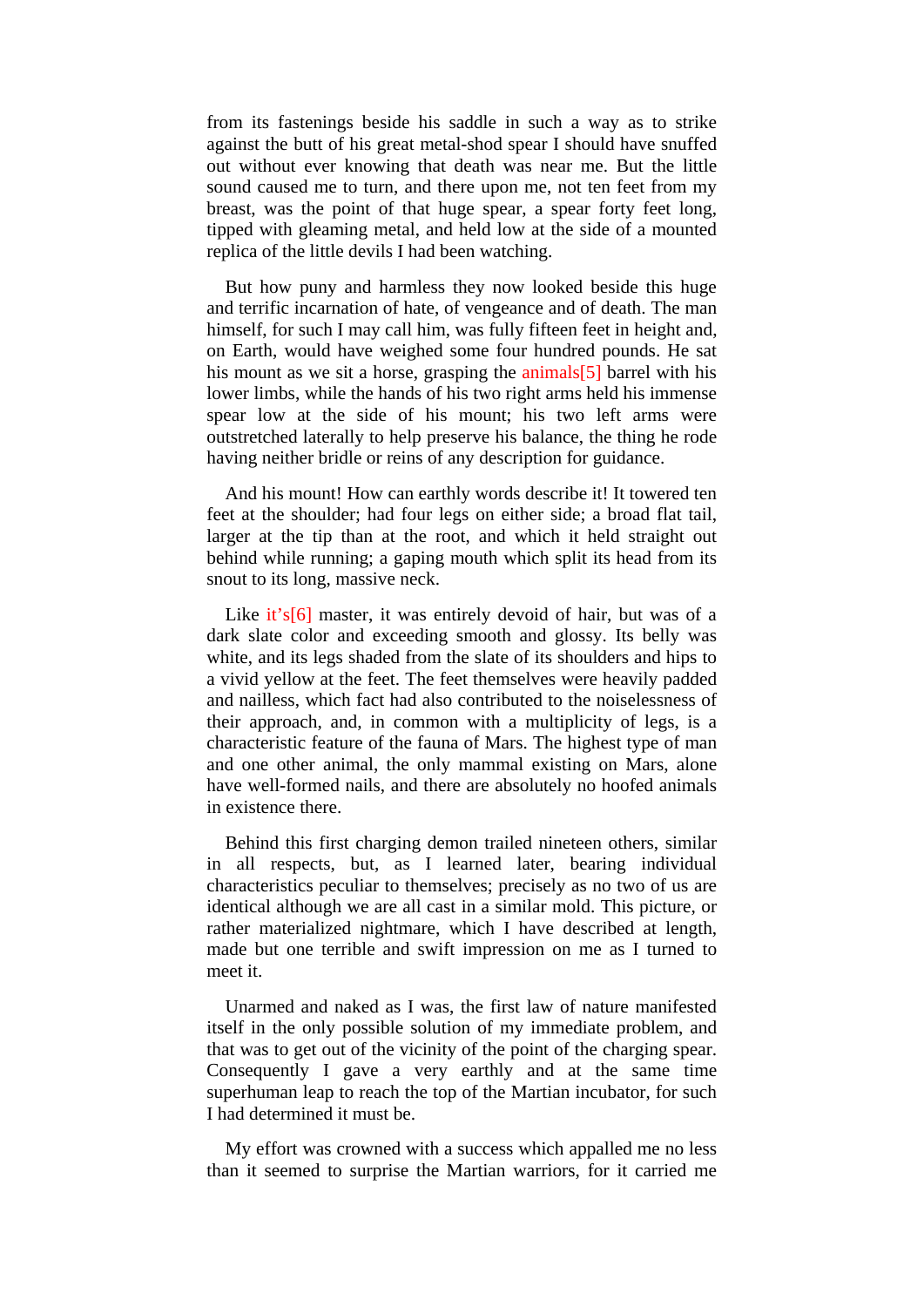from its fastenings beside his saddle in such a way as to strike against the butt of his great metal-shod spear I should have snuffed out without ever knowing that death was near me. But the little sound caused me to turn, and there upon me, not ten feet from my breast, was the point of that huge spear, a spear forty feet long, tipped with gleaming metal, and held low at the side of a mounted replica of the little devils I had been watching.

But how puny and harmless they now looked beside this huge and terrific incarnation of hate, of vengeance and of death. The man himself, for such I may call him, was fully fifteen feet in height and, on Earth, would have weighed some four hundred pounds. He sat his mount as we sit a horse, grasping the animals<sup>[5]</sup> barrel with his lower limbs, while the hands of his two right arms held his immense spear low at the side of his mount; his two left arms were outstretched laterally to help preserve his balance, the thing he rode having neither bridle or reins of any description for guidance.

And his mount! How can earthly words describe it! It towered ten feet at the shoulder; had four legs on either side; a broad flat tail, larger at the tip than at the root, and which it held straight out behind while running; a gaping mouth which split its head from its snout to its long, massive neck.

Like it's<sup>[6]</sup> master, it was entirely devoid of hair, but was of a dark slate color and exceeding smooth and glossy. Its belly was white, and its legs shaded from the slate of its shoulders and hips to a vivid yellow at the feet. The feet themselves were heavily padded and nailless, which fact had also contributed to the noiselessness of their approach, and, in common with a multiplicity of legs, is a characteristic feature of the fauna of Mars. The highest type of man and one other animal, the only mammal existing on Mars, alone have well-formed nails, and there are absolutely no hoofed animals in existence there.

Behind this first charging demon trailed nineteen others, similar in all respects, but, as I learned later, bearing individual characteristics peculiar to themselves; precisely as no two of us are identical although we are all cast in a similar mold. This picture, or rather materialized nightmare, which I have described at length, made but one terrible and swift impression on me as I turned to meet it.

Unarmed and naked as I was, the first law of nature manifested itself in the only possible solution of my immediate problem, and that was to get out of the vicinity of the point of the charging spear. Consequently I gave a very earthly and at the same time superhuman leap to reach the top of the Martian incubator, for such I had determined it must be.

My effort was crowned with a success which appalled me no less than it seemed to surprise the Martian warriors, for it carried me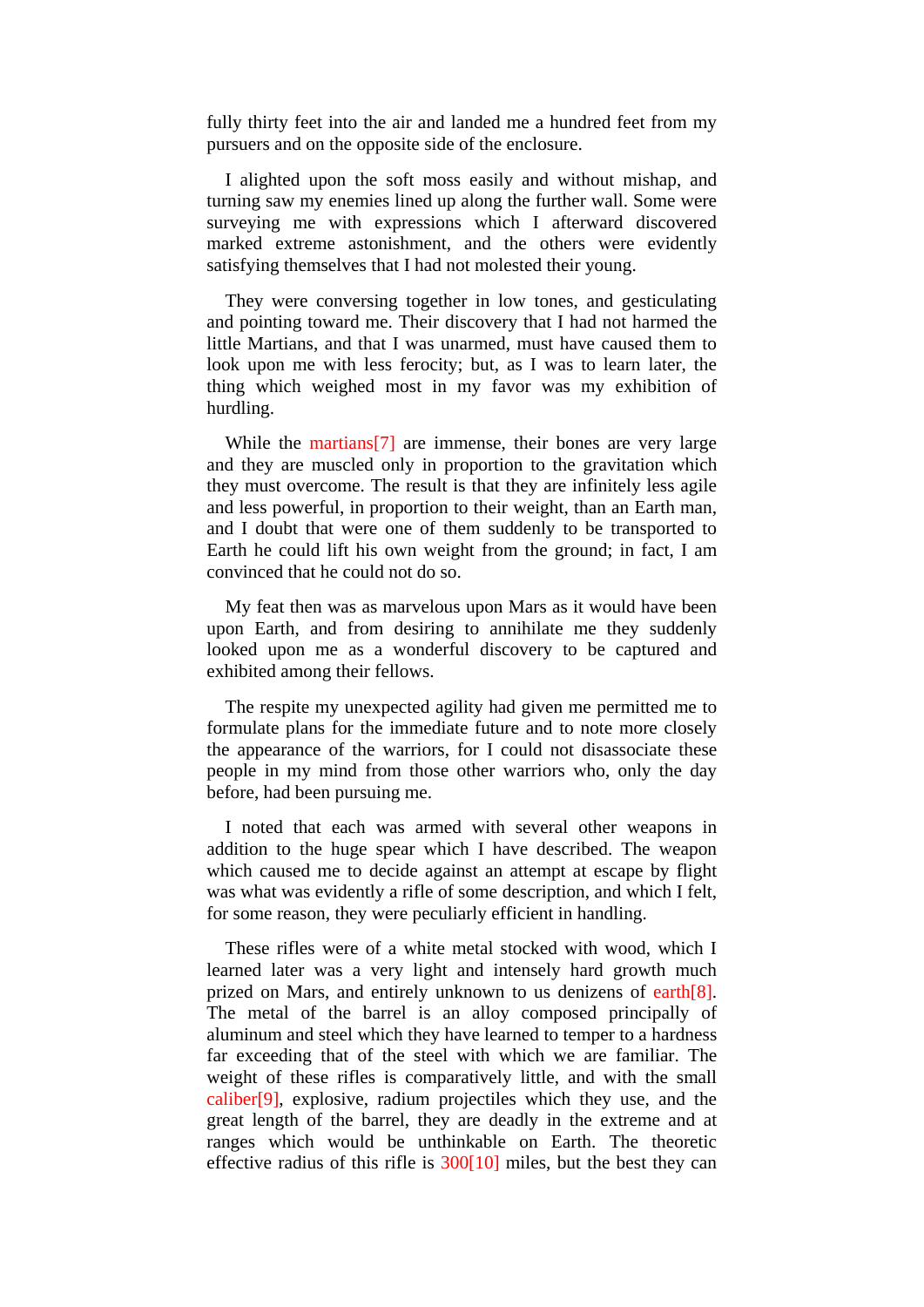fully thirty feet into the air and landed me a hundred feet from my pursuers and on the opposite side of the enclosure.

I alighted upon the soft moss easily and without mishap, and turning saw my enemies lined up along the further wall. Some were surveying me with expressions which I afterward discovered marked extreme astonishment, and the others were evidently satisfying themselves that I had not molested their young.

They were conversing together in low tones, and gesticulating and pointing toward me. Their discovery that I had not harmed the little Martians, and that I was unarmed, must have caused them to look upon me with less ferocity; but, as I was to learn later, the thing which weighed most in my favor was my exhibition of hurdling.

While the martians<sup>[7]</sup> are immense, their bones are very large and they are muscled only in proportion to the gravitation which they must overcome. The result is that they are infinitely less agile and less powerful, in proportion to their weight, than an Earth man, and I doubt that were one of them suddenly to be transported to Earth he could lift his own weight from the ground; in fact, I am convinced that he could not do so.

My feat then was as marvelous upon Mars as it would have been upon Earth, and from desiring to annihilate me they suddenly looked upon me as a wonderful discovery to be captured and exhibited among their fellows.

The respite my unexpected agility had given me permitted me to formulate plans for the immediate future and to note more closely the appearance of the warriors, for I could not disassociate these people in my mind from those other warriors who, only the day before, had been pursuing me.

I noted that each was armed with several other weapons in addition to the huge spear which I have described. The weapon which caused me to decide against an attempt at escape by flight was what was evidently a rifle of some description, and which I felt, for some reason, they were peculiarly efficient in handling.

These rifles were of a white metal stocked with wood, which I learned later was a very light and intensely hard growth much prized on Mars, and entirely unknown to us denizens of earth[8]. The metal of the barrel is an alloy composed principally of aluminum and steel which they have learned to temper to a hardness far exceeding that of the steel with which we are familiar. The weight of these rifles is comparatively little, and with the small caliber[9], explosive, radium projectiles which they use, and the great length of the barrel, they are deadly in the extreme and at ranges which would be unthinkable on Earth. The theoretic effective radius of this rifle is  $300[10]$  miles, but the best they can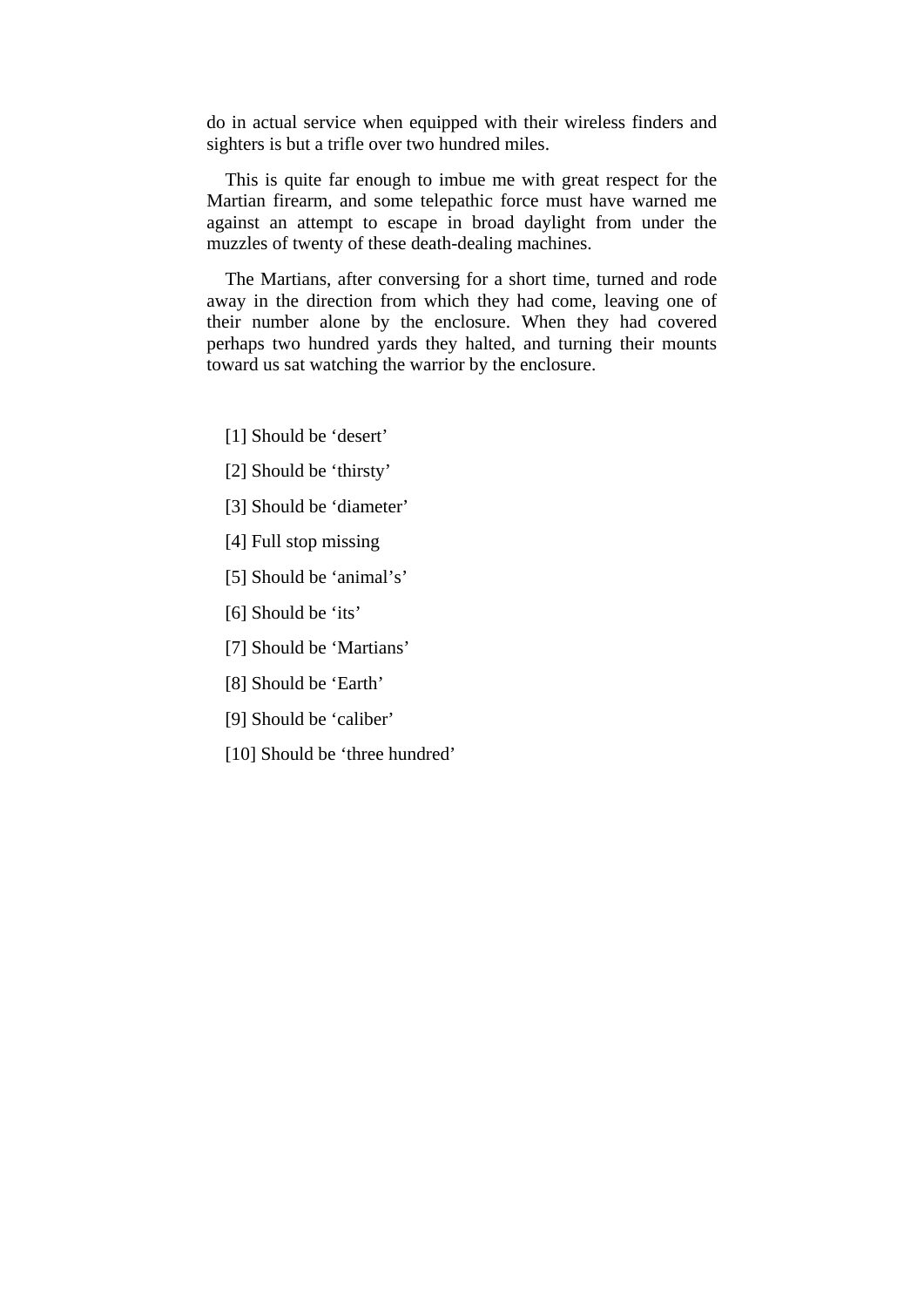do in actual service when equipped with their wireless finders and sighters is but a trifle over two hundred miles.

This is quite far enough to imbue me with great respect for the Martian firearm, and some telepathic force must have warned me against an attempt to escape in broad daylight from under the muzzles of twenty of these death-dealing machines.

The Martians, after conversing for a short time, turned and rode away in the direction from which they had come, leaving one of their number alone by the enclosure. When they had covered perhaps two hundred yards they halted, and turning their mounts toward us sat watching the warrior by the enclosure.

- [1] Should be 'desert'
- [2] Should be 'thirsty'
- [3] Should be 'diameter'
- [4] Full stop missing
- [5] Should be 'animal's'
- [6] Should be 'its'
- [7] Should be 'Martians'
- [8] Should be 'Earth'
- [9] Should be 'caliber'
- [10] Should be 'three hundred'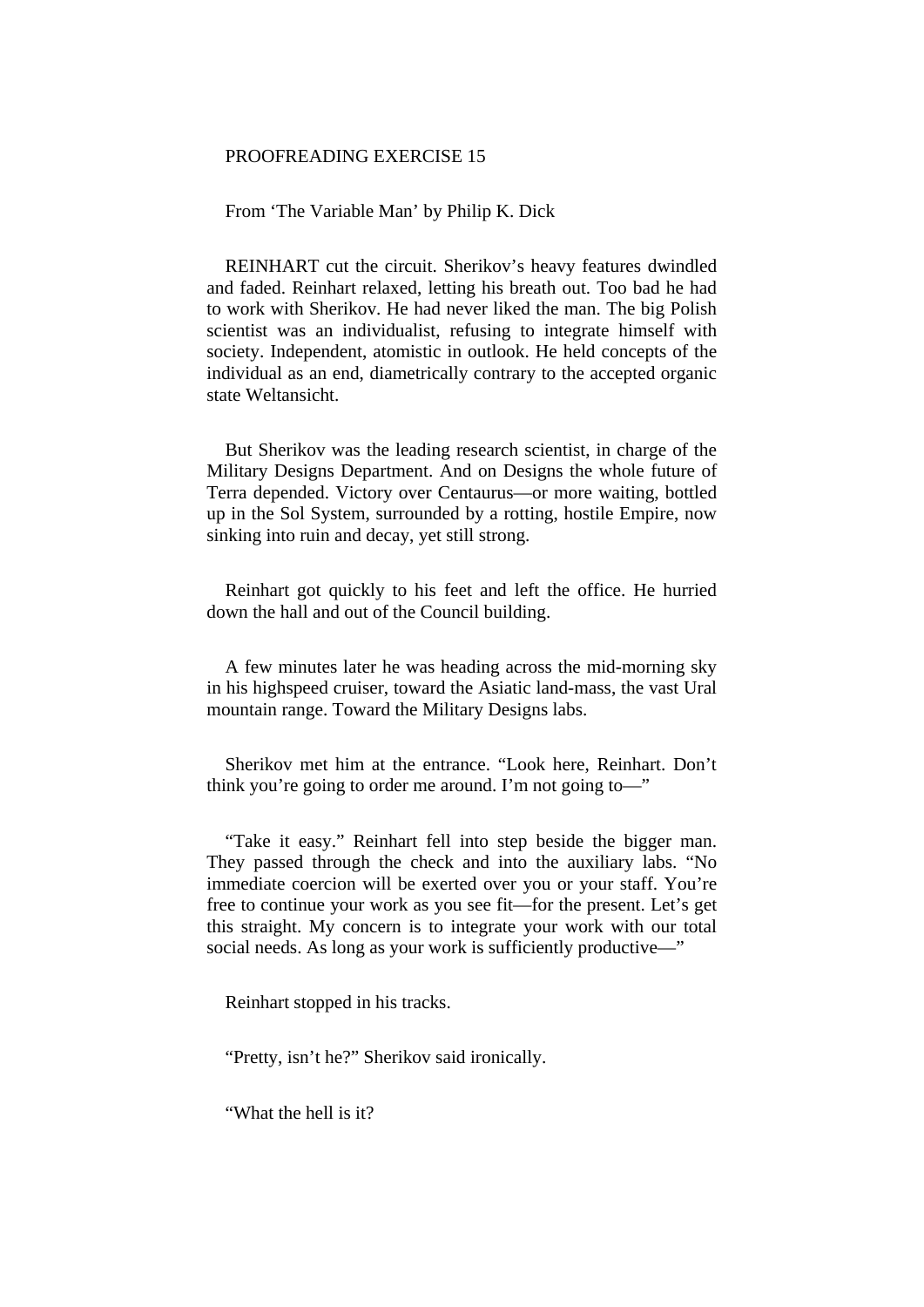## PROOFREADING EXERCISE 15

From 'The Variable Man' by Philip K. Dick

REINHART cut the circuit. Sherikov's heavy features dwindled and faded. Reinhart relaxed, letting his breath out. Too bad he had to work with Sherikov. He had never liked the man. The big Polish scientist was an individualist, refusing to integrate himself with society. Independent, atomistic in outlook. He held concepts of the individual as an end, diametrically contrary to the accepted organic state Weltansicht.

But Sherikov was the leading research scientist, in charge of the Military Designs Department. And on Designs the whole future of Terra depended. Victory over Centaurus—or more waiting, bottled up in the Sol System, surrounded by a rotting, hostile Empire, now sinking into ruin and decay, yet still strong.

Reinhart got quickly to his feet and left the office. He hurried down the hall and out of the Council building.

A few minutes later he was heading across the mid-morning sky in his highspeed cruiser, toward the Asiatic land-mass, the vast Ural mountain range. Toward the Military Designs labs.

Sherikov met him at the entrance. "Look here, Reinhart. Don't think you're going to order me around. I'm not going to—"

"Take it easy." Reinhart fell into step beside the bigger man. They passed through the check and into the auxiliary labs. "No immediate coercion will be exerted over you or your staff. You're free to continue your work as you see fit—for the present. Let's get this straight. My concern is to integrate your work with our total social needs. As long as your work is sufficiently productive—"

Reinhart stopped in his tracks.

"Pretty, isn't he?" Sherikov said ironically.

"What the hell is it?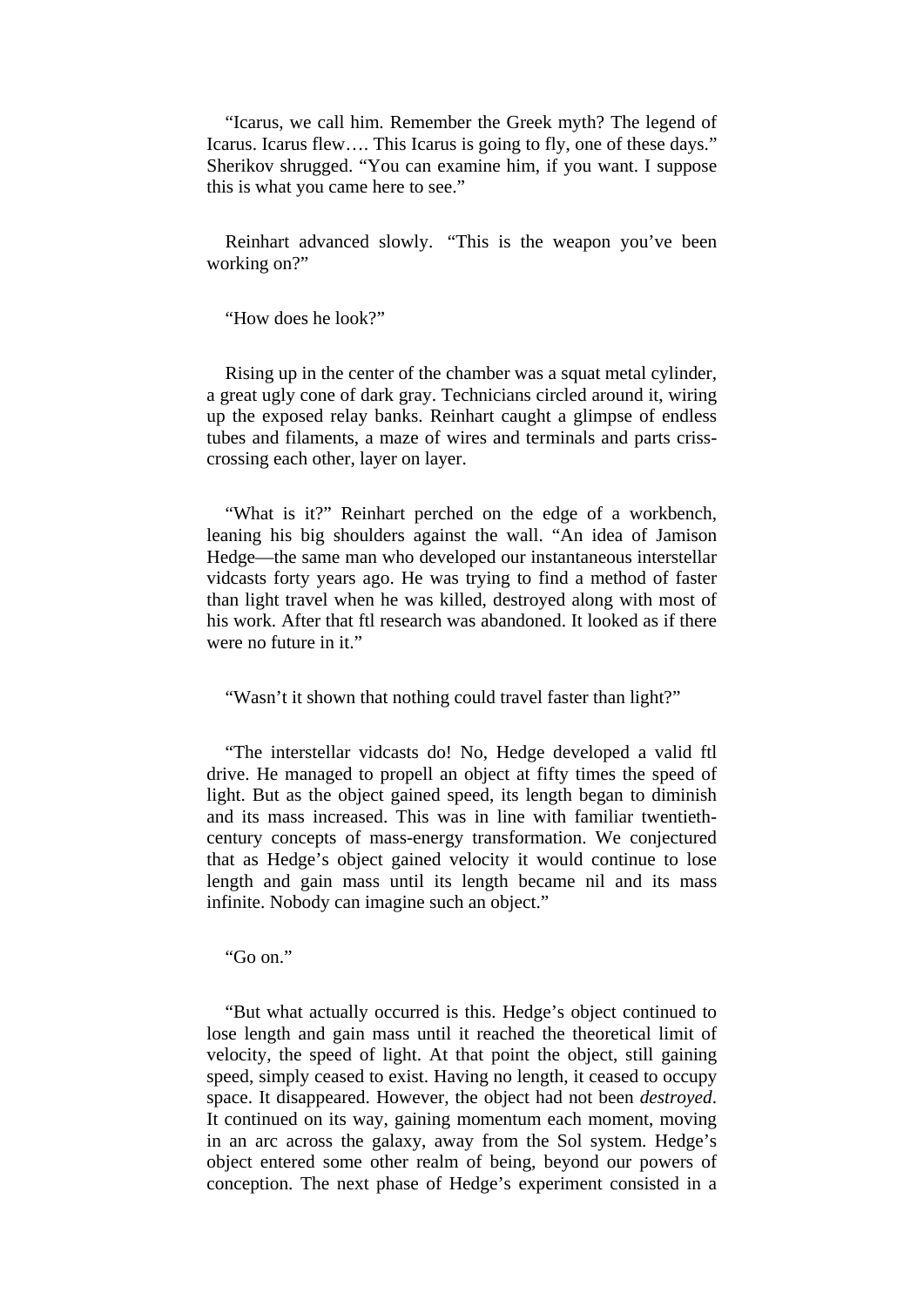"Icarus, we call him. Remember the Greek myth? The legend of Icarus. Icarus flew…. This Icarus is going to fly, one of these days." Sherikov shrugged. "You can examine him, if you want. I suppose this is what you came here to see."

Reinhart advanced slowly. "This is the weapon you've been working on?"

"How does he look?"

Rising up in the center of the chamber was a squat metal cylinder, a great ugly cone of dark gray. Technicians circled around it, wiring up the exposed relay banks. Reinhart caught a glimpse of endless tubes and filaments, a maze of wires and terminals and parts crisscrossing each other, layer on layer.

"What is it?" Reinhart perched on the edge of a workbench, leaning his big shoulders against the wall. "An idea of Jamison Hedge—the same man who developed our instantaneous interstellar vidcasts forty years ago. He was trying to find a method of faster than light travel when he was killed, destroyed along with most of his work. After that ftl research was abandoned. It looked as if there were no future in it."

"Wasn't it shown that nothing could travel faster than light?"

"The interstellar vidcasts do! No, Hedge developed a valid ftl drive. He managed to propell an object at fifty times the speed of light. But as the object gained speed, its length began to diminish and its mass increased. This was in line with familiar twentiethcentury concepts of mass-energy transformation. We conjectured that as Hedge's object gained velocity it would continue to lose length and gain mass until its length became nil and its mass infinite. Nobody can imagine such an object."

# "Go on."

"But what actually occurred is this. Hedge's object continued to lose length and gain mass until it reached the theoretical limit of velocity, the speed of light. At that point the object, still gaining speed, simply ceased to exist. Having no length, it ceased to occupy space. It disappeared. However, the object had not been *destroyed*. It continued on its way, gaining momentum each moment, moving in an arc across the galaxy, away from the Sol system. Hedge's object entered some other realm of being, beyond our powers of conception. The next phase of Hedge's experiment consisted in a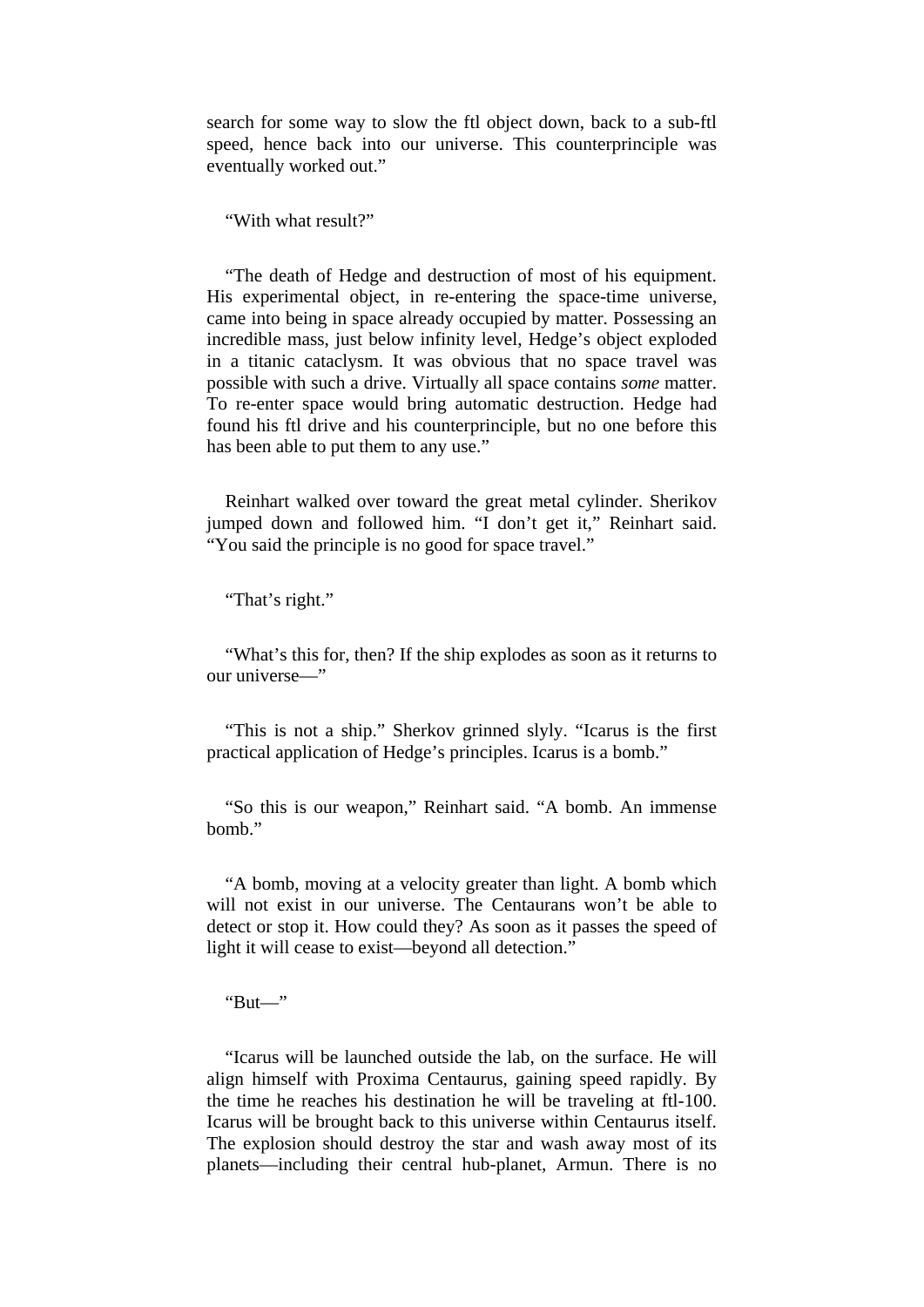search for some way to slow the ftl object down, back to a sub-ftl speed, hence back into our universe. This counterprinciple was eventually worked out."

"With what result?"

"The death of Hedge and destruction of most of his equipment. His experimental object, in re-entering the space-time universe, came into being in space already occupied by matter. Possessing an incredible mass, just below infinity level, Hedge's object exploded in a titanic cataclysm. It was obvious that no space travel was possible with such a drive. Virtually all space contains *some* matter. To re-enter space would bring automatic destruction. Hedge had found his ftl drive and his counterprinciple, but no one before this has been able to put them to any use."

Reinhart walked over toward the great metal cylinder. Sherikov jumped down and followed him. "I don't get it," Reinhart said. "You said the principle is no good for space travel."

"That's right."

"What's this for, then? If the ship explodes as soon as it returns to our universe—"

"This is not a ship." Sherkov grinned slyly. "Icarus is the first practical application of Hedge's principles. Icarus is a bomb."

"So this is our weapon," Reinhart said. "A bomb. An immense bomb."

"A bomb, moving at a velocity greater than light. A bomb which will not exist in our universe. The Centaurans won't be able to detect or stop it. How could they? As soon as it passes the speed of light it will cease to exist—beyond all detection."

### "But—"

"Icarus will be launched outside the lab, on the surface. He will align himself with Proxima Centaurus, gaining speed rapidly. By the time he reaches his destination he will be traveling at ftl-100. Icarus will be brought back to this universe within Centaurus itself. The explosion should destroy the star and wash away most of its planets—including their central hub-planet, Armun. There is no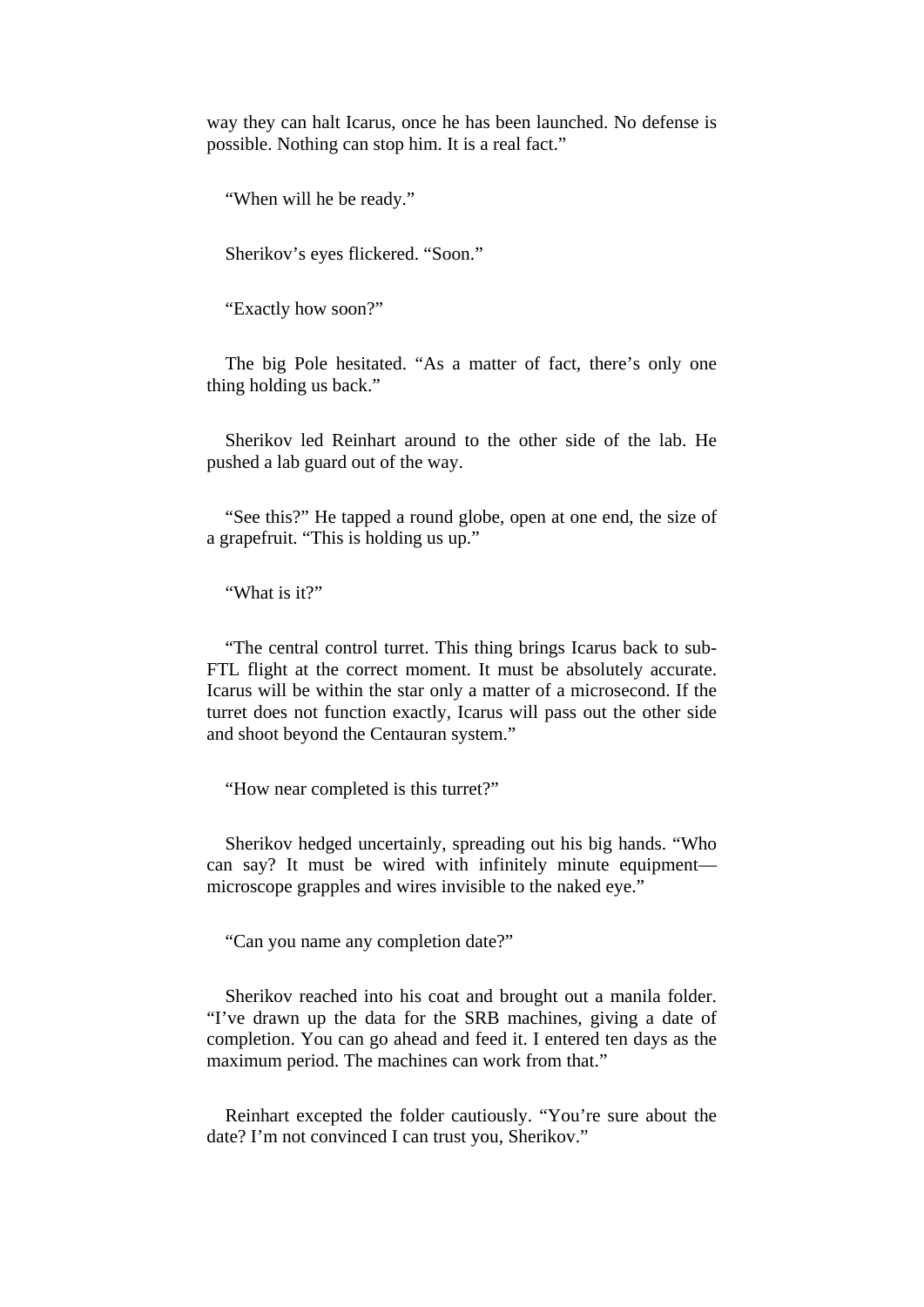way they can halt Icarus, once he has been launched. No defense is possible. Nothing can stop him. It is a real fact."

"When will he be ready."

Sherikov's eyes flickered. "Soon."

"Exactly how soon?"

The big Pole hesitated. "As a matter of fact, there's only one thing holding us back."

Sherikov led Reinhart around to the other side of the lab. He pushed a lab guard out of the way.

"See this?" He tapped a round globe, open at one end, the size of a grapefruit. "This is holding us up."

"What is it?"

"The central control turret. This thing brings Icarus back to sub-FTL flight at the correct moment. It must be absolutely accurate. Icarus will be within the star only a matter of a microsecond. If the turret does not function exactly, Icarus will pass out the other side and shoot beyond the Centauran system."

"How near completed is this turret?"

Sherikov hedged uncertainly, spreading out his big hands. "Who can say? It must be wired with infinitely minute equipment microscope grapples and wires invisible to the naked eye."

"Can you name any completion date?"

Sherikov reached into his coat and brought out a manila folder. "I've drawn up the data for the SRB machines, giving a date of completion. You can go ahead and feed it. I entered ten days as the maximum period. The machines can work from that."

Reinhart excepted the folder cautiously. "You're sure about the date? I'm not convinced I can trust you, Sherikov."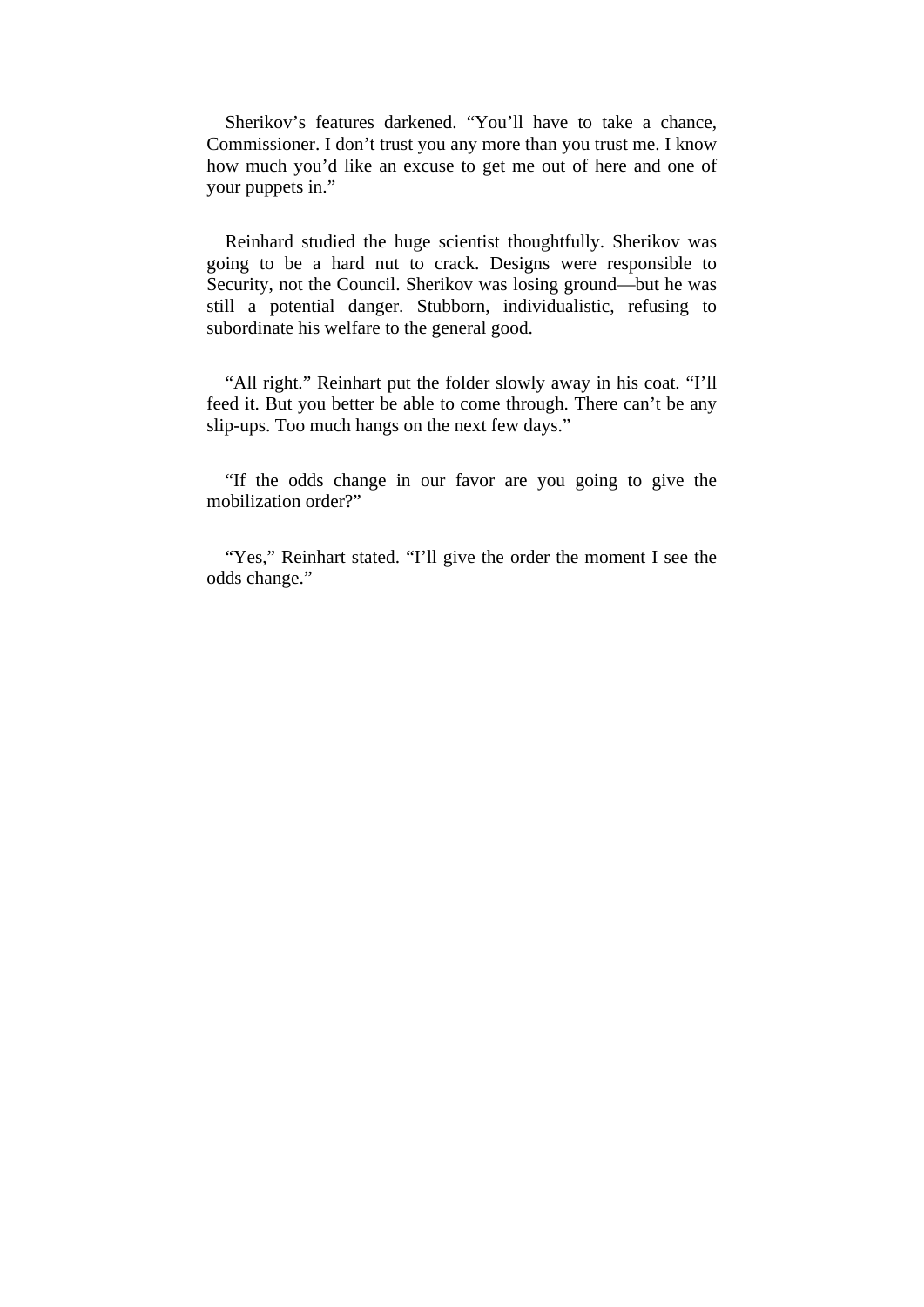Sherikov's features darkened. "You'll have to take a chance, Commissioner. I don't trust you any more than you trust me. I know how much you'd like an excuse to get me out of here and one of your puppets in."

Reinhard studied the huge scientist thoughtfully. Sherikov was going to be a hard nut to crack. Designs were responsible to Security, not the Council. Sherikov was losing ground—but he was still a potential danger. Stubborn, individualistic, refusing to subordinate his welfare to the general good.

"All right." Reinhart put the folder slowly away in his coat. "I'll feed it. But you better be able to come through. There can't be any slip-ups. Too much hangs on the next few days."

"If the odds change in our favor are you going to give the mobilization order?"

"Yes," Reinhart stated. "I'll give the order the moment I see the odds change."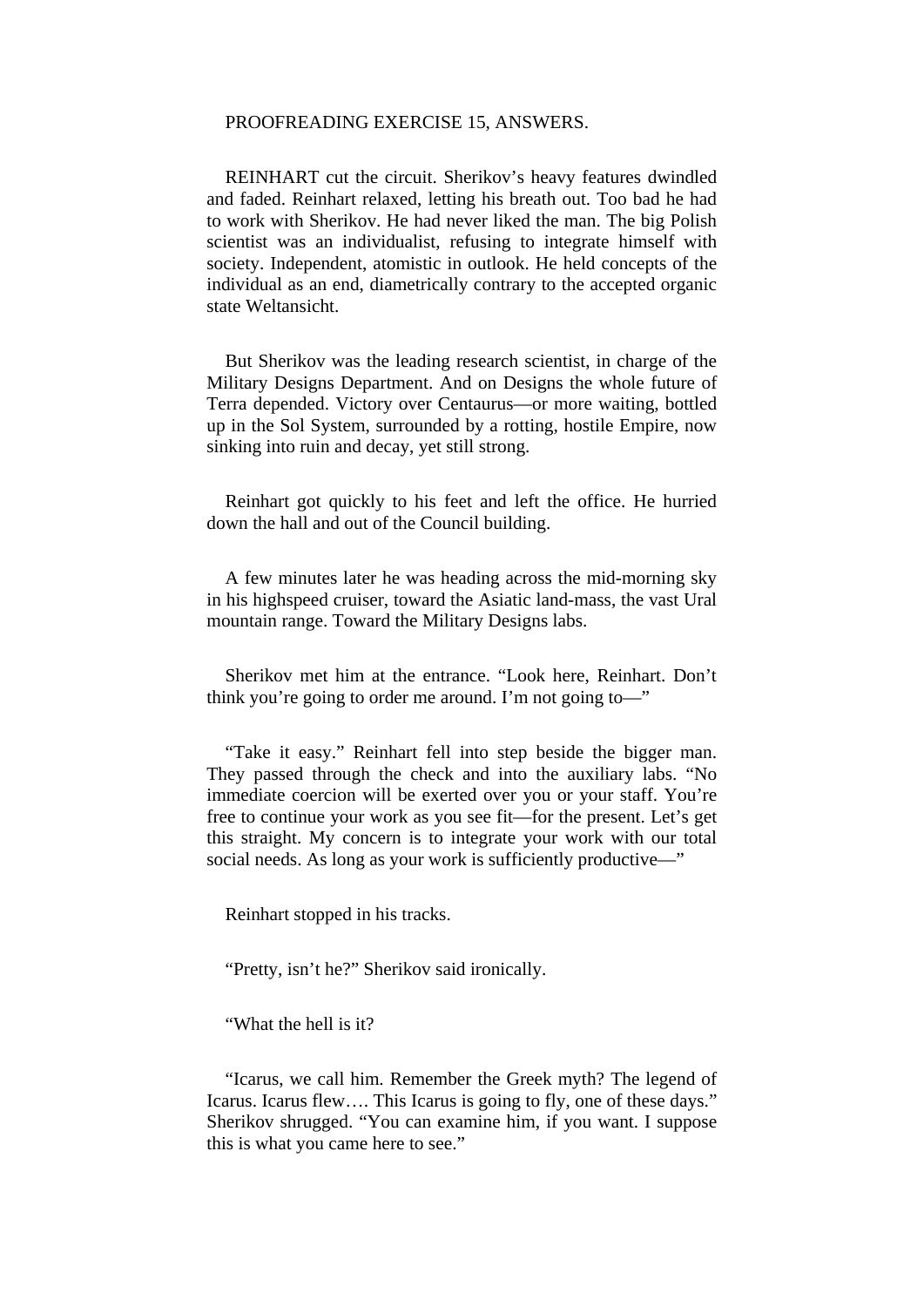### PROOFREADING EXERCISE 15, ANSWERS.

REINHART cut the circuit. Sherikov's heavy features dwindled and faded. Reinhart relaxed, letting his breath out. Too bad he had to work with Sherikov. He had never liked the man. The big Polish scientist was an individualist, refusing to integrate himself with society. Independent, atomistic in outlook. He held concepts of the individual as an end, diametrically contrary to the accepted organic state Weltansicht.

But Sherikov was the leading research scientist, in charge of the Military Designs Department. And on Designs the whole future of Terra depended. Victory over Centaurus—or more waiting, bottled up in the Sol System, surrounded by a rotting, hostile Empire, now sinking into ruin and decay, yet still strong.

Reinhart got quickly to his feet and left the office. He hurried down the hall and out of the Council building.

A few minutes later he was heading across the mid-morning sky in his highspeed cruiser, toward the Asiatic land-mass, the vast Ural mountain range. Toward the Military Designs labs.

Sherikov met him at the entrance. "Look here, Reinhart. Don't think you're going to order me around. I'm not going to—"

"Take it easy." Reinhart fell into step beside the bigger man. They passed through the check and into the auxiliary labs. "No immediate coercion will be exerted over you or your staff. You're free to continue your work as you see fit—for the present. Let's get this straight. My concern is to integrate your work with our total social needs. As long as your work is sufficiently productive—"

Reinhart stopped in his tracks.

"Pretty, isn't he?" Sherikov said ironically.

"What the hell is it?

"Icarus, we call him. Remember the Greek myth? The legend of Icarus. Icarus flew…. This Icarus is going to fly, one of these days." Sherikov shrugged. "You can examine him, if you want. I suppose this is what you came here to see."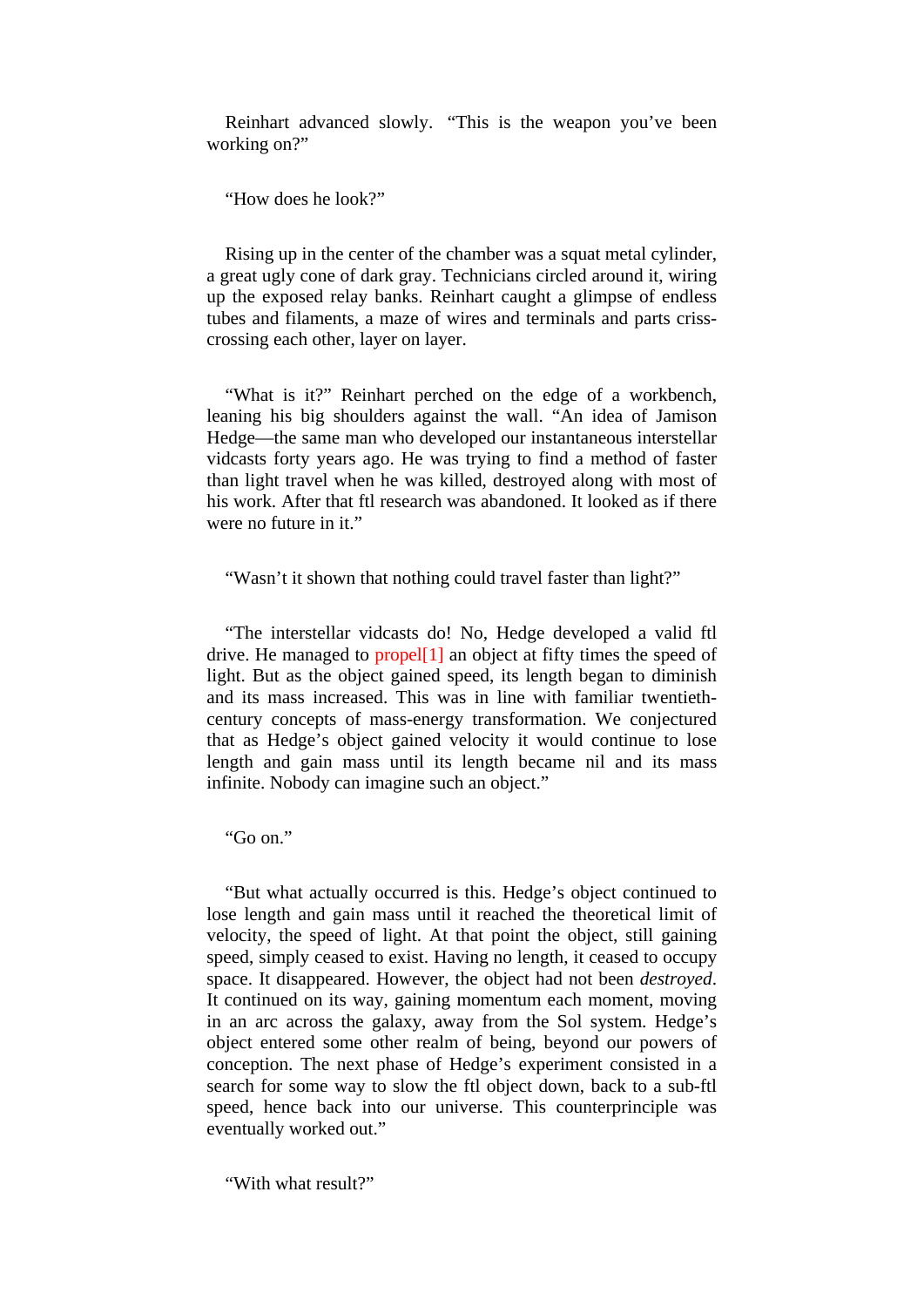Reinhart advanced slowly. "This is the weapon you've been working on?"

"How does he look?"

Rising up in the center of the chamber was a squat metal cylinder, a great ugly cone of dark gray. Technicians circled around it, wiring up the exposed relay banks. Reinhart caught a glimpse of endless tubes and filaments, a maze of wires and terminals and parts crisscrossing each other, layer on layer.

"What is it?" Reinhart perched on the edge of a workbench, leaning his big shoulders against the wall. "An idea of Jamison Hedge—the same man who developed our instantaneous interstellar vidcasts forty years ago. He was trying to find a method of faster than light travel when he was killed, destroyed along with most of his work. After that ftl research was abandoned. It looked as if there were no future in it."

"Wasn't it shown that nothing could travel faster than light?"

"The interstellar vidcasts do! No, Hedge developed a valid ftl drive. He managed to propel[1] an object at fifty times the speed of light. But as the object gained speed, its length began to diminish and its mass increased. This was in line with familiar twentiethcentury concepts of mass-energy transformation. We conjectured that as Hedge's object gained velocity it would continue to lose length and gain mass until its length became nil and its mass infinite. Nobody can imagine such an object."

" $Go \text{ on } "$ 

"But what actually occurred is this. Hedge's object continued to lose length and gain mass until it reached the theoretical limit of velocity, the speed of light. At that point the object, still gaining speed, simply ceased to exist. Having no length, it ceased to occupy space. It disappeared. However, the object had not been *destroyed*. It continued on its way, gaining momentum each moment, moving in an arc across the galaxy, away from the Sol system. Hedge's object entered some other realm of being, beyond our powers of conception. The next phase of Hedge's experiment consisted in a search for some way to slow the ftl object down, back to a sub-ftl speed, hence back into our universe. This counterprinciple was eventually worked out."

"With what result?"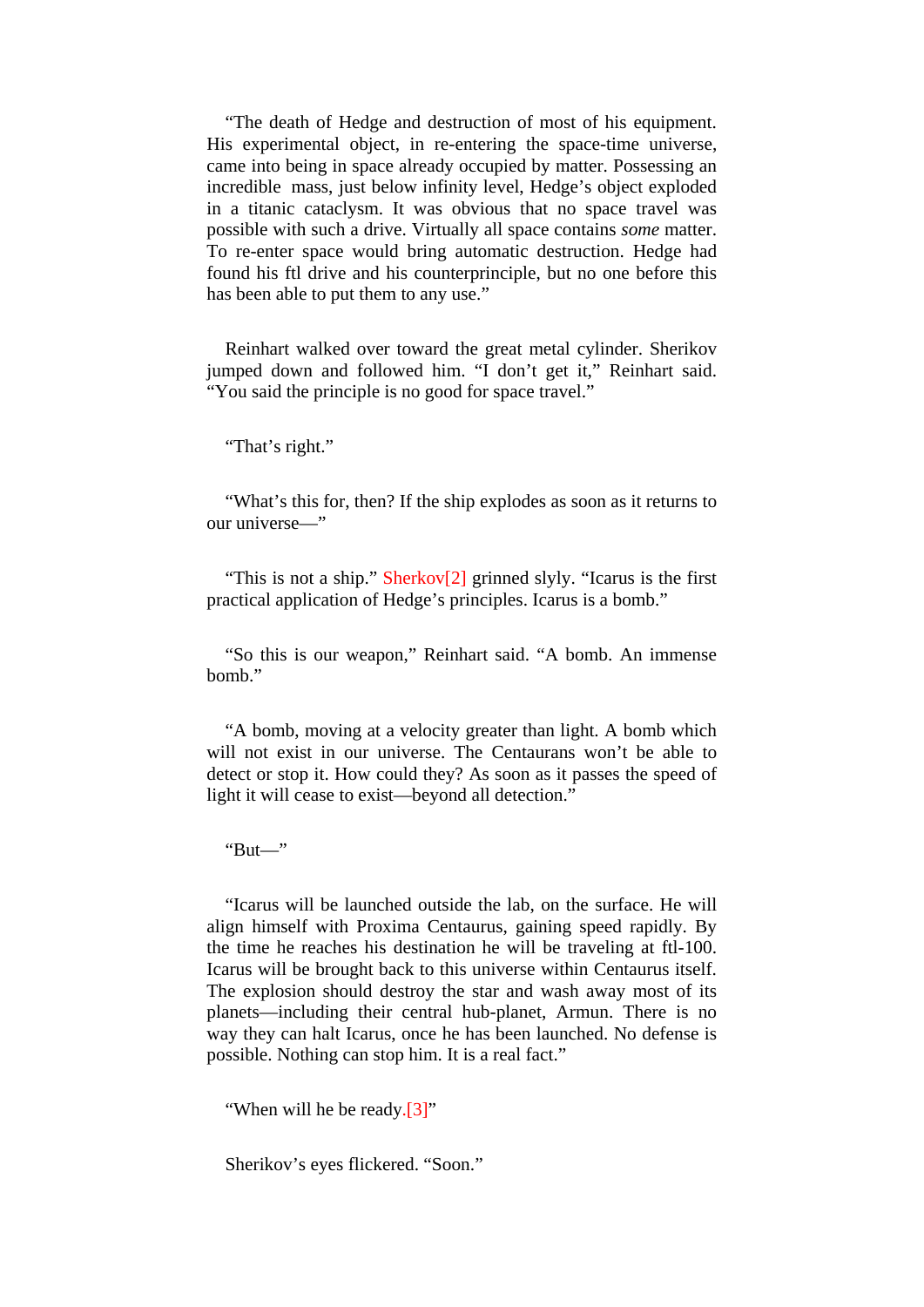"The death of Hedge and destruction of most of his equipment. His experimental object, in re-entering the space-time universe, came into being in space already occupied by matter. Possessing an incredible mass, just below infinity level, Hedge's object exploded in a titanic cataclysm. It was obvious that no space travel was possible with such a drive. Virtually all space contains *some* matter. To re-enter space would bring automatic destruction. Hedge had found his ftl drive and his counterprinciple, but no one before this has been able to put them to any use."

Reinhart walked over toward the great metal cylinder. Sherikov jumped down and followed him. "I don't get it," Reinhart said. "You said the principle is no good for space travel."

"That's right."

"What's this for, then? If the ship explodes as soon as it returns to our universe—"

"This is not a ship." Sherkov<sup>[2]</sup> grinned slyly. "Icarus is the first practical application of Hedge's principles. Icarus is a bomb."

"So this is our weapon," Reinhart said. "A bomb. An immense bomb."

"A bomb, moving at a velocity greater than light. A bomb which will not exist in our universe. The Centaurans won't be able to detect or stop it. How could they? As soon as it passes the speed of light it will cease to exist—beyond all detection."

 $"But$   $"$ 

"Icarus will be launched outside the lab, on the surface. He will align himself with Proxima Centaurus, gaining speed rapidly. By the time he reaches his destination he will be traveling at ftl-100. Icarus will be brought back to this universe within Centaurus itself. The explosion should destroy the star and wash away most of its planets—including their central hub-planet, Armun. There is no way they can halt Icarus, once he has been launched. No defense is possible. Nothing can stop him. It is a real fact."

"When will he be ready.<sup>[3]"</sup>

Sherikov's eyes flickered. "Soon."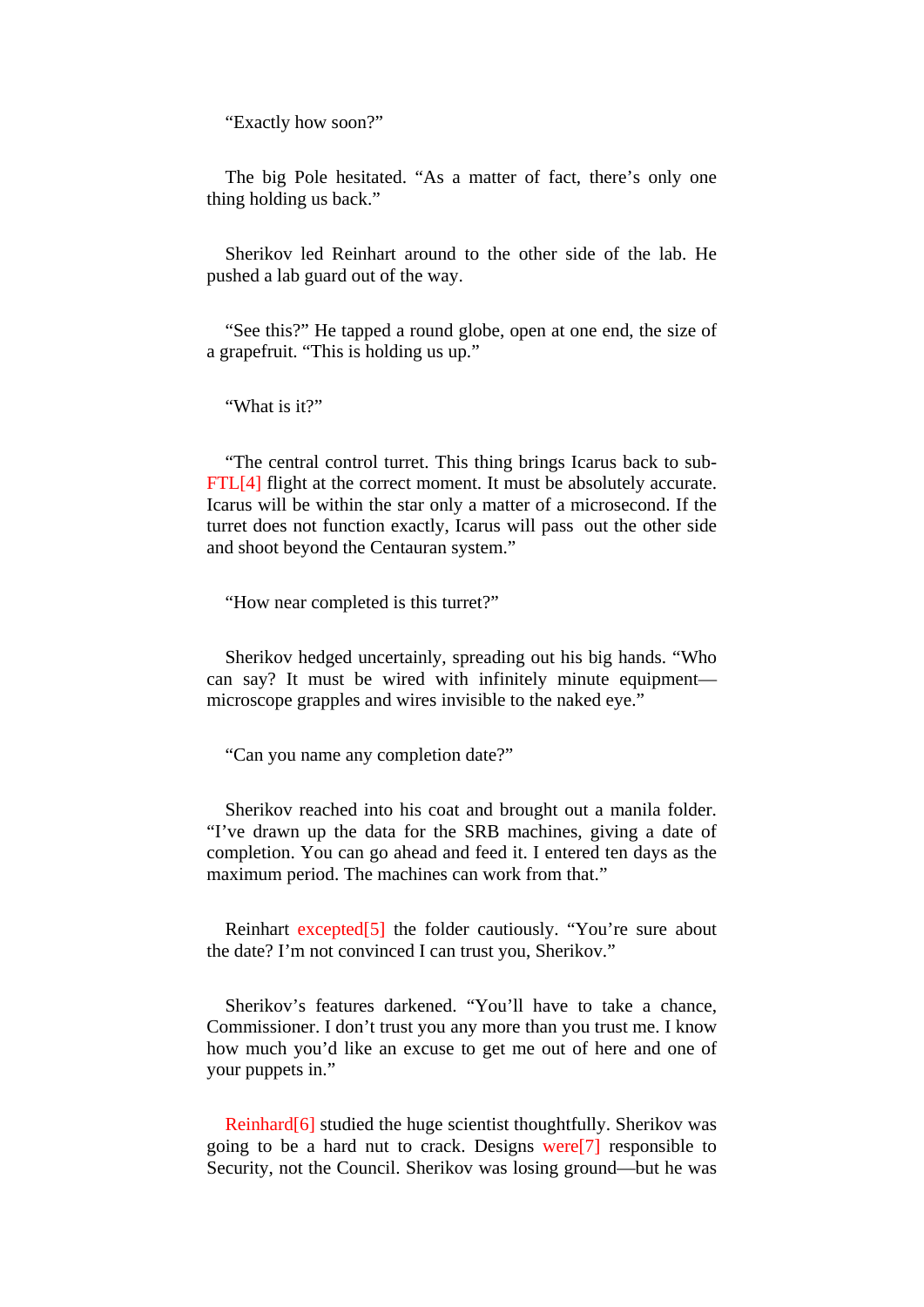"Exactly how soon?"

The big Pole hesitated. "As a matter of fact, there's only one thing holding us back."

Sherikov led Reinhart around to the other side of the lab. He pushed a lab guard out of the way.

"See this?" He tapped a round globe, open at one end, the size of a grapefruit. "This is holding us up."

"What is it?"

"The central control turret. This thing brings Icarus back to sub-FTL[4] flight at the correct moment. It must be absolutely accurate. Icarus will be within the star only a matter of a microsecond. If the turret does not function exactly, Icarus will pass out the other side and shoot beyond the Centauran system."

"How near completed is this turret?"

Sherikov hedged uncertainly, spreading out his big hands. "Who can say? It must be wired with infinitely minute equipment microscope grapples and wires invisible to the naked eye."

"Can you name any completion date?"

Sherikov reached into his coat and brought out a manila folder. "I've drawn up the data for the SRB machines, giving a date of completion. You can go ahead and feed it. I entered ten days as the maximum period. The machines can work from that."

Reinhart excepted<sup>[5]</sup> the folder cautiously. "You're sure about the date? I'm not convinced I can trust you, Sherikov."

Sherikov's features darkened. "You'll have to take a chance, Commissioner. I don't trust you any more than you trust me. I know how much you'd like an excuse to get me out of here and one of your puppets in."

Reinhard[6] studied the huge scientist thoughtfully. Sherikov was going to be a hard nut to crack. Designs were[7] responsible to Security, not the Council. Sherikov was losing ground—but he was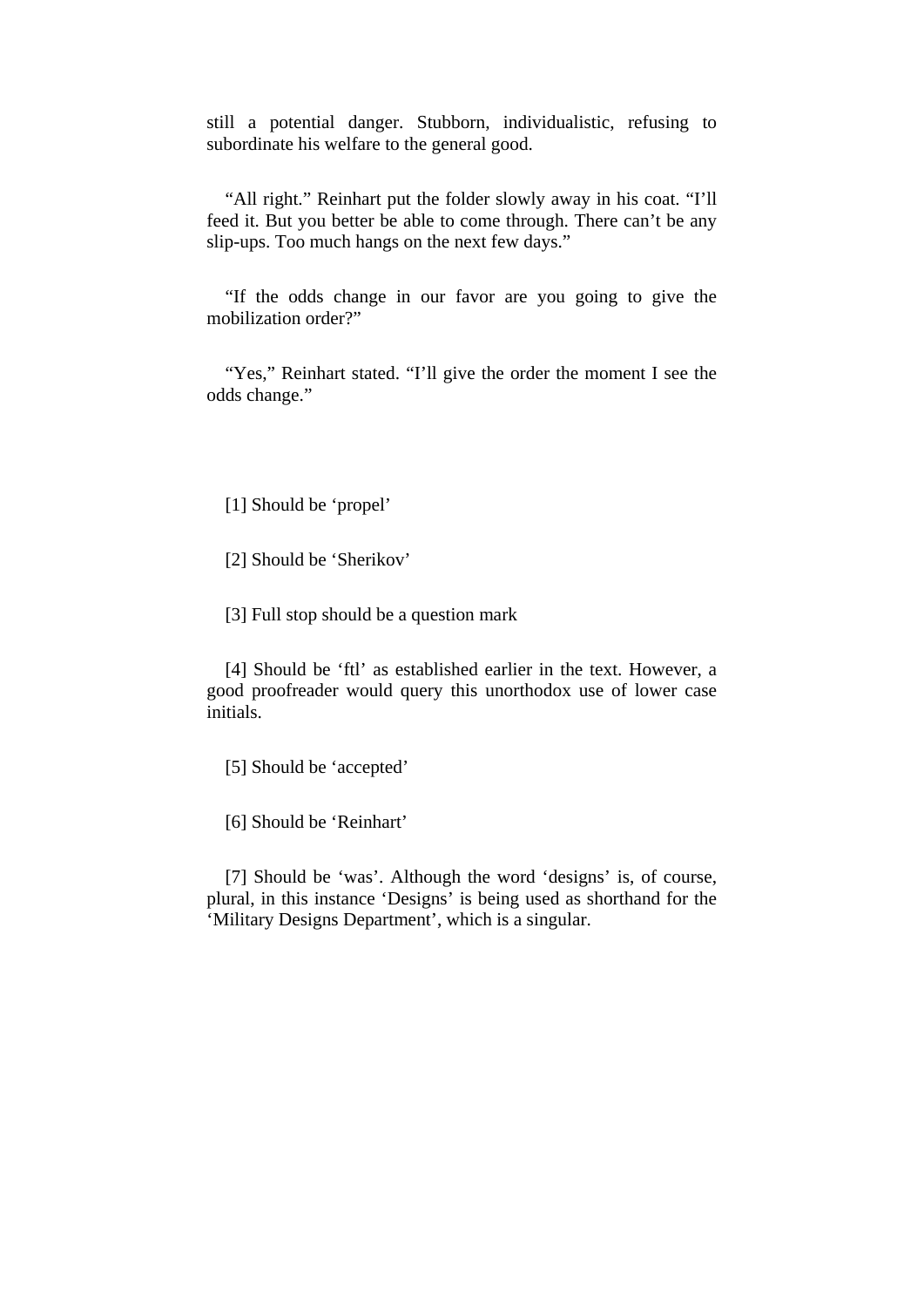still a potential danger. Stubborn, individualistic, refusing to subordinate his welfare to the general good.

"All right." Reinhart put the folder slowly away in his coat. "I'll feed it. But you better be able to come through. There can't be any slip-ups. Too much hangs on the next few days."

"If the odds change in our favor are you going to give the mobilization order?"

"Yes," Reinhart stated. "I'll give the order the moment I see the odds change."

[1] Should be 'propel'

[2] Should be 'Sherikov'

[3] Full stop should be a question mark

[4] Should be 'ftl' as established earlier in the text. However, a good proofreader would query this unorthodox use of lower case initials.

[5] Should be 'accepted'

[6] Should be 'Reinhart'

[7] Should be 'was'. Although the word 'designs' is, of course, plural, in this instance 'Designs' is being used as shorthand for the 'Military Designs Department', which is a singular.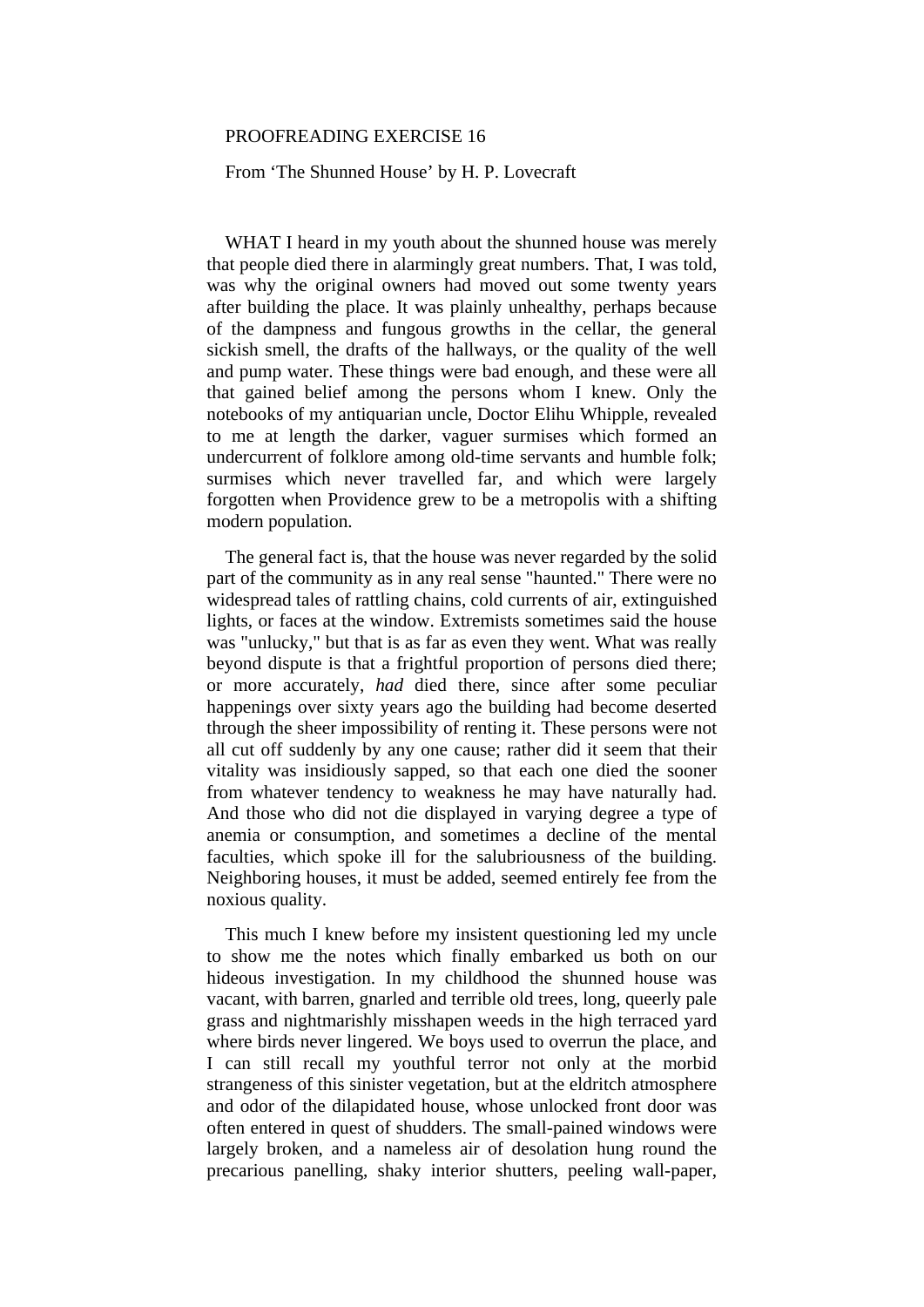# PROOFREADING EXERCISE 16

From 'The Shunned House' by H. P. Lovecraft

WHAT I heard in my youth about the shunned house was merely that people died there in alarmingly great numbers. That, I was told, was why the original owners had moved out some twenty years after building the place. It was plainly unhealthy, perhaps because of the dampness and fungous growths in the cellar, the general sickish smell, the drafts of the hallways, or the quality of the well and pump water. These things were bad enough, and these were all that gained belief among the persons whom I knew. Only the notebooks of my antiquarian uncle, Doctor Elihu Whipple, revealed to me at length the darker, vaguer surmises which formed an undercurrent of folklore among old-time servants and humble folk; surmises which never travelled far, and which were largely forgotten when Providence grew to be a metropolis with a shifting modern population.

The general fact is, that the house was never regarded by the solid part of the community as in any real sense "haunted." There were no widespread tales of rattling chains, cold currents of air, extinguished lights, or faces at the window. Extremists sometimes said the house was "unlucky," but that is as far as even they went. What was really beyond dispute is that a frightful proportion of persons died there; or more accurately, *had* died there, since after some peculiar happenings over sixty years ago the building had become deserted through the sheer impossibility of renting it. These persons were not all cut off suddenly by any one cause; rather did it seem that their vitality was insidiously sapped, so that each one died the sooner from whatever tendency to weakness he may have naturally had. And those who did not die displayed in varying degree a type of anemia or consumption, and sometimes a decline of the mental faculties, which spoke ill for the salubriousness of the building. Neighboring houses, it must be added, seemed entirely fee from the noxious quality.

This much I knew before my insistent questioning led my uncle to show me the notes which finally embarked us both on our hideous investigation. In my childhood the shunned house was vacant, with barren, gnarled and terrible old trees, long, queerly pale grass and nightmarishly misshapen weeds in the high terraced yard where birds never lingered. We boys used to overrun the place, and I can still recall my youthful terror not only at the morbid strangeness of this sinister vegetation, but at the eldritch atmosphere and odor of the dilapidated house, whose unlocked front door was often entered in quest of shudders. The small-pained windows were largely broken, and a nameless air of desolation hung round the precarious panelling, shaky interior shutters, peeling wall-paper,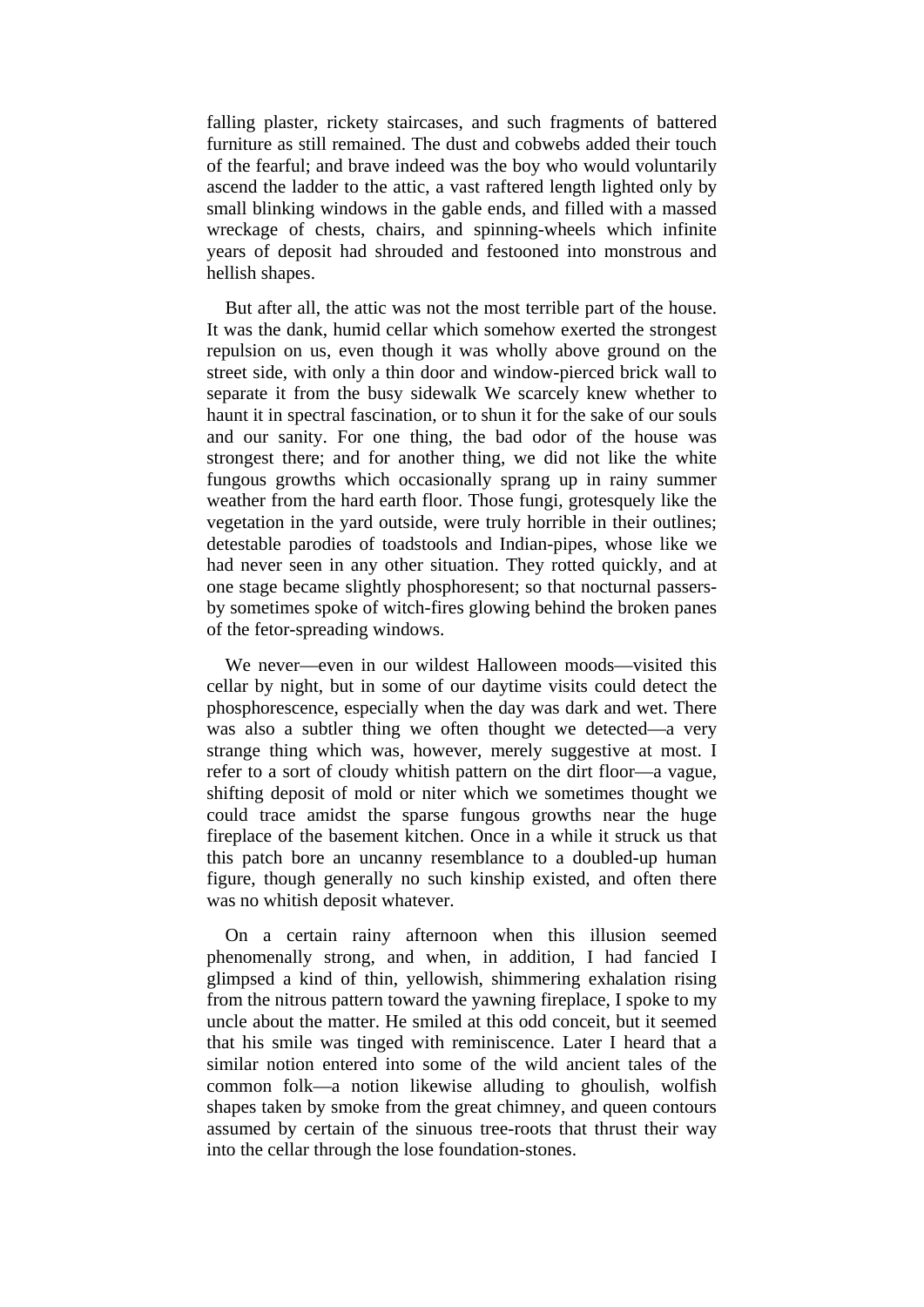falling plaster, rickety staircases, and such fragments of battered furniture as still remained. The dust and cobwebs added their touch of the fearful; and brave indeed was the boy who would voluntarily ascend the ladder to the attic, a vast raftered length lighted only by small blinking windows in the gable ends, and filled with a massed wreckage of chests, chairs, and spinning-wheels which infinite years of deposit had shrouded and festooned into monstrous and hellish shapes.

But after all, the attic was not the most terrible part of the house. It was the dank, humid cellar which somehow exerted the strongest repulsion on us, even though it was wholly above ground on the street side, with only a thin door and window-pierced brick wall to separate it from the busy sidewalk We scarcely knew whether to haunt it in spectral fascination, or to shun it for the sake of our souls and our sanity. For one thing, the bad odor of the house was strongest there; and for another thing, we did not like the white fungous growths which occasionally sprang up in rainy summer weather from the hard earth floor. Those fungi, grotesquely like the vegetation in the yard outside, were truly horrible in their outlines; detestable parodies of toadstools and Indian-pipes, whose like we had never seen in any other situation. They rotted quickly, and at one stage became slightly phosphoresent; so that nocturnal passersby sometimes spoke of witch-fires glowing behind the broken panes of the fetor-spreading windows.

We never—even in our wildest Halloween moods—visited this cellar by night, but in some of our daytime visits could detect the phosphorescence, especially when the day was dark and wet. There was also a subtler thing we often thought we detected—a very strange thing which was, however, merely suggestive at most. I refer to a sort of cloudy whitish pattern on the dirt floor—a vague, shifting deposit of mold or niter which we sometimes thought we could trace amidst the sparse fungous growths near the huge fireplace of the basement kitchen. Once in a while it struck us that this patch bore an uncanny resemblance to a doubled-up human figure, though generally no such kinship existed, and often there was no whitish deposit whatever.

On a certain rainy afternoon when this illusion seemed phenomenally strong, and when, in addition, I had fancied I glimpsed a kind of thin, yellowish, shimmering exhalation rising from the nitrous pattern toward the yawning fireplace, I spoke to my uncle about the matter. He smiled at this odd conceit, but it seemed that his smile was tinged with reminiscence. Later I heard that a similar notion entered into some of the wild ancient tales of the common folk—a notion likewise alluding to ghoulish, wolfish shapes taken by smoke from the great chimney, and queen contours assumed by certain of the sinuous tree-roots that thrust their way into the cellar through the lose foundation-stones.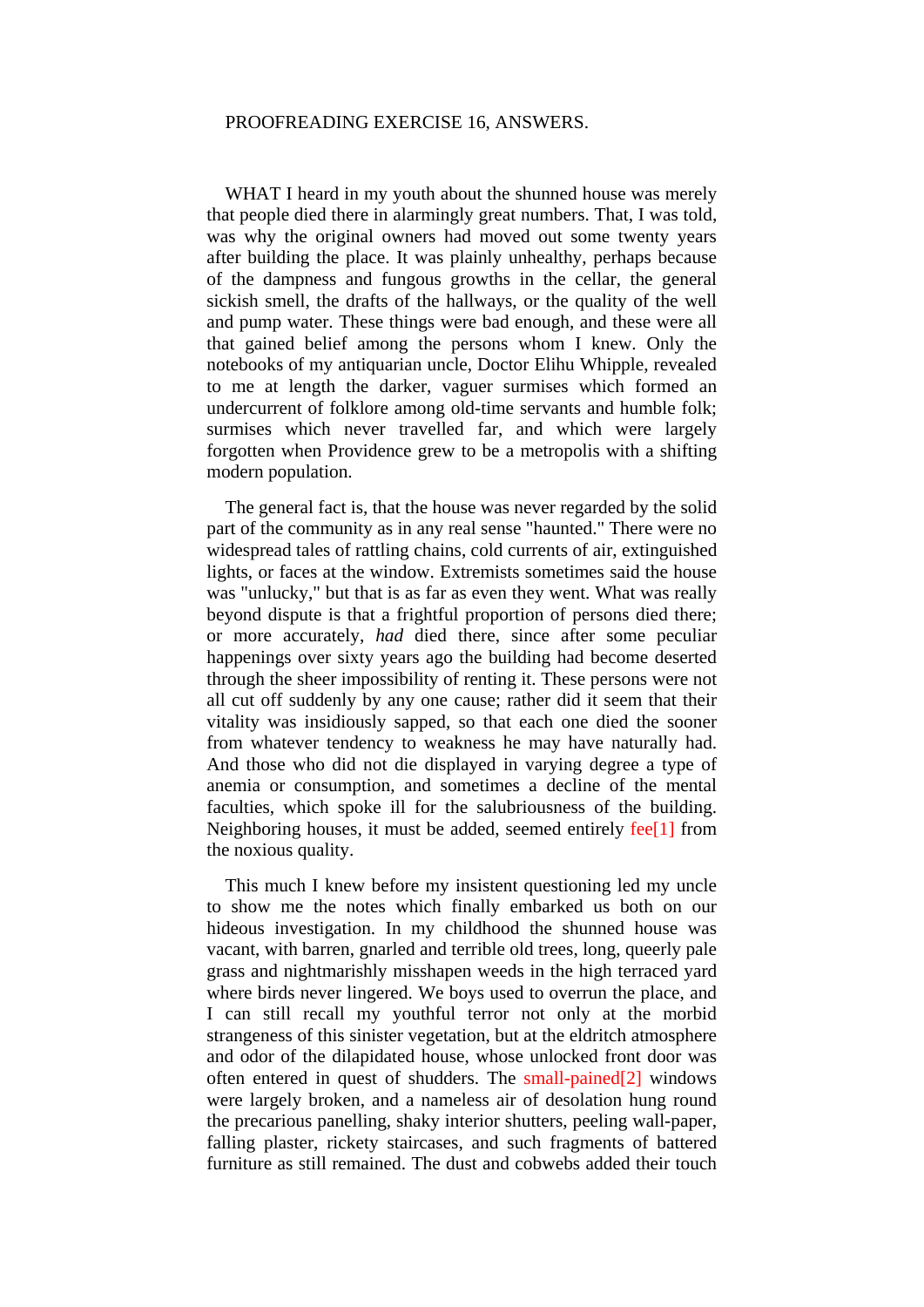# PROOFREADING EXERCISE 16, ANSWERS.

WHAT I heard in my youth about the shunned house was merely that people died there in alarmingly great numbers. That, I was told, was why the original owners had moved out some twenty years after building the place. It was plainly unhealthy, perhaps because of the dampness and fungous growths in the cellar, the general sickish smell, the drafts of the hallways, or the quality of the well and pump water. These things were bad enough, and these were all that gained belief among the persons whom I knew. Only the notebooks of my antiquarian uncle, Doctor Elihu Whipple, revealed to me at length the darker, vaguer surmises which formed an undercurrent of folklore among old-time servants and humble folk; surmises which never travelled far, and which were largely forgotten when Providence grew to be a metropolis with a shifting modern population.

The general fact is, that the house was never regarded by the solid part of the community as in any real sense "haunted." There were no widespread tales of rattling chains, cold currents of air, extinguished lights, or faces at the window. Extremists sometimes said the house was "unlucky," but that is as far as even they went. What was really beyond dispute is that a frightful proportion of persons died there; or more accurately, *had* died there, since after some peculiar happenings over sixty years ago the building had become deserted through the sheer impossibility of renting it. These persons were not all cut off suddenly by any one cause; rather did it seem that their vitality was insidiously sapped, so that each one died the sooner from whatever tendency to weakness he may have naturally had. And those who did not die displayed in varying degree a type of anemia or consumption, and sometimes a decline of the mental faculties, which spoke ill for the salubriousness of the building. Neighboring houses, it must be added, seemed entirely fee<sup>[1]</sup> from the noxious quality.

This much I knew before my insistent questioning led my uncle to show me the notes which finally embarked us both on our hideous investigation. In my childhood the shunned house was vacant, with barren, gnarled and terrible old trees, long, queerly pale grass and nightmarishly misshapen weeds in the high terraced yard where birds never lingered. We boys used to overrun the place, and I can still recall my youthful terror not only at the morbid strangeness of this sinister vegetation, but at the eldritch atmosphere and odor of the dilapidated house, whose unlocked front door was often entered in quest of shudders. The small-pained[2] windows were largely broken, and a nameless air of desolation hung round the precarious panelling, shaky interior shutters, peeling wall-paper, falling plaster, rickety staircases, and such fragments of battered furniture as still remained. The dust and cobwebs added their touch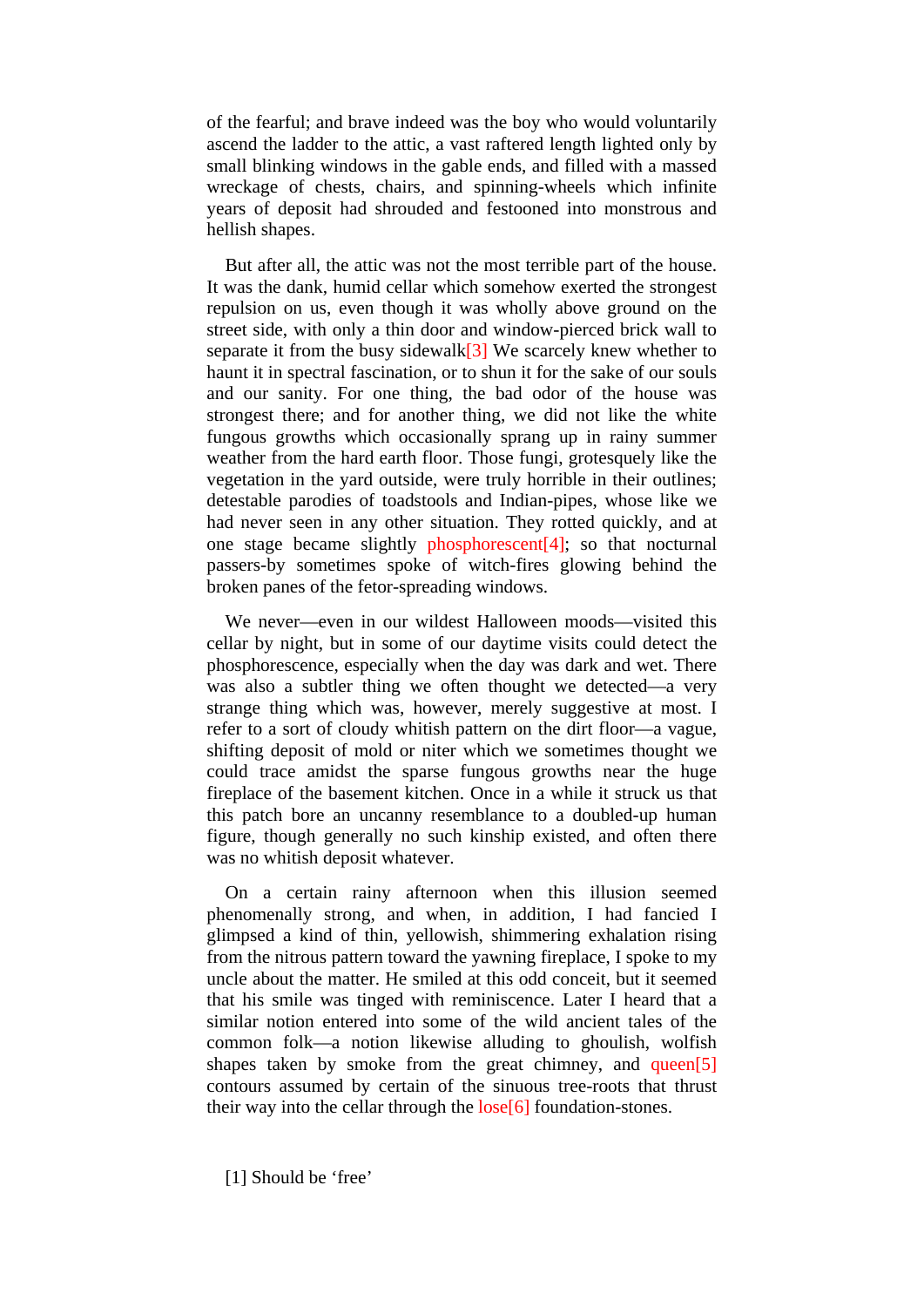of the fearful; and brave indeed was the boy who would voluntarily ascend the ladder to the attic, a vast raftered length lighted only by small blinking windows in the gable ends, and filled with a massed wreckage of chests, chairs, and spinning-wheels which infinite years of deposit had shrouded and festooned into monstrous and hellish shapes.

But after all, the attic was not the most terrible part of the house. It was the dank, humid cellar which somehow exerted the strongest repulsion on us, even though it was wholly above ground on the street side, with only a thin door and window-pierced brick wall to separate it from the busy sidewalk[3] We scarcely knew whether to haunt it in spectral fascination, or to shun it for the sake of our souls and our sanity. For one thing, the bad odor of the house was strongest there; and for another thing, we did not like the white fungous growths which occasionally sprang up in rainy summer weather from the hard earth floor. Those fungi, grotesquely like the vegetation in the yard outside, were truly horrible in their outlines; detestable parodies of toadstools and Indian-pipes, whose like we had never seen in any other situation. They rotted quickly, and at one stage became slightly phosphorescent[4]; so that nocturnal passers-by sometimes spoke of witch-fires glowing behind the broken panes of the fetor-spreading windows.

We never—even in our wildest Halloween moods—visited this cellar by night, but in some of our daytime visits could detect the phosphorescence, especially when the day was dark and wet. There was also a subtler thing we often thought we detected—a very strange thing which was, however, merely suggestive at most. I refer to a sort of cloudy whitish pattern on the dirt floor—a vague, shifting deposit of mold or niter which we sometimes thought we could trace amidst the sparse fungous growths near the huge fireplace of the basement kitchen. Once in a while it struck us that this patch bore an uncanny resemblance to a doubled-up human figure, though generally no such kinship existed, and often there was no whitish deposit whatever.

On a certain rainy afternoon when this illusion seemed phenomenally strong, and when, in addition, I had fancied I glimpsed a kind of thin, yellowish, shimmering exhalation rising from the nitrous pattern toward the yawning fireplace, I spoke to my uncle about the matter. He smiled at this odd conceit, but it seemed that his smile was tinged with reminiscence. Later I heard that a similar notion entered into some of the wild ancient tales of the common folk—a notion likewise alluding to ghoulish, wolfish shapes taken by smoke from the great chimney, and queen[5] contours assumed by certain of the sinuous tree-roots that thrust their way into the cellar through the lose[6] foundation-stones.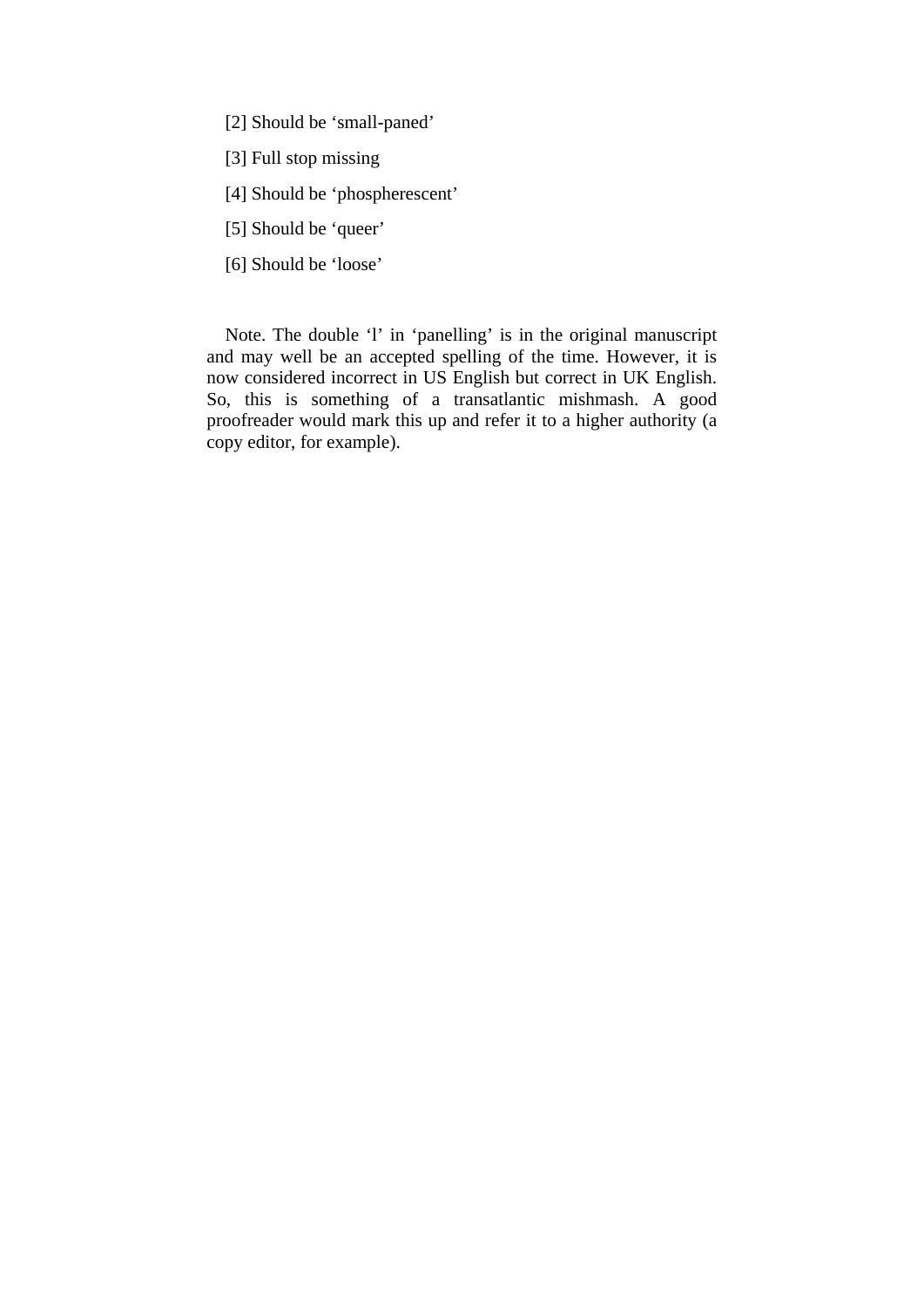- [2] Should be 'small-paned'
- [3] Full stop missing
- [4] Should be 'phospherescent'
- [5] Should be 'queer'
- [6] Should be 'loose'

Note. The double 'l' in 'panelling' is in the original manuscript and may well be an accepted spelling of the time. However, it is now considered incorrect in US English but correct in UK English. So, this is something of a transatlantic mishmash. A good proofreader would mark this up and refer it to a higher authority (a copy editor, for example).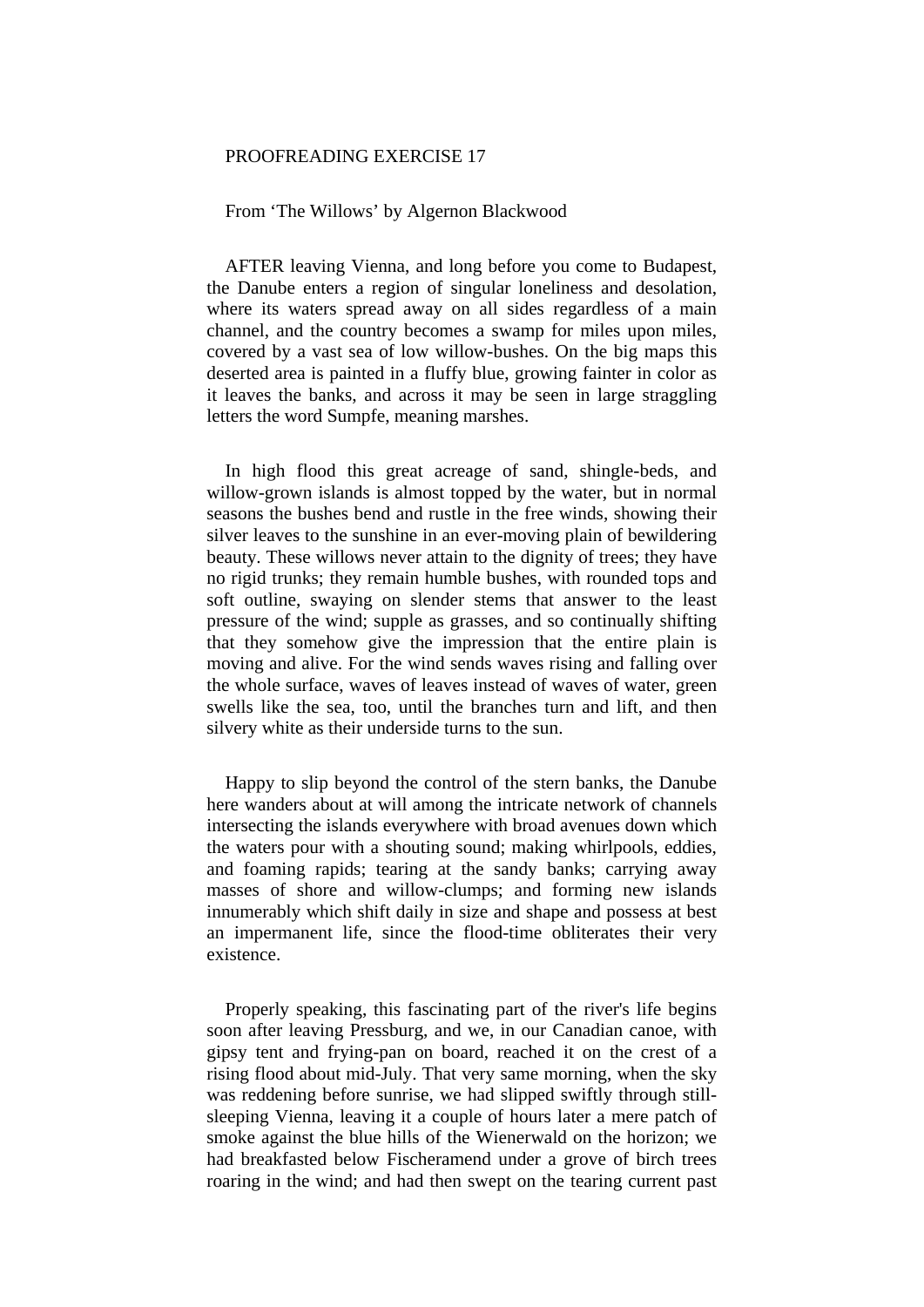## PROOFREADING EXERCISE 17

# From 'The Willows' by Algernon Blackwood

AFTER leaving Vienna, and long before you come to Budapest, the Danube enters a region of singular loneliness and desolation, where its waters spread away on all sides regardless of a main channel, and the country becomes a swamp for miles upon miles, covered by a vast sea of low willow-bushes. On the big maps this deserted area is painted in a fluffy blue, growing fainter in color as it leaves the banks, and across it may be seen in large straggling letters the word Sumpfe, meaning marshes.

In high flood this great acreage of sand, shingle-beds, and willow-grown islands is almost topped by the water, but in normal seasons the bushes bend and rustle in the free winds, showing their silver leaves to the sunshine in an ever-moving plain of bewildering beauty. These willows never attain to the dignity of trees; they have no rigid trunks; they remain humble bushes, with rounded tops and soft outline, swaying on slender stems that answer to the least pressure of the wind; supple as grasses, and so continually shifting that they somehow give the impression that the entire plain is moving and alive. For the wind sends waves rising and falling over the whole surface, waves of leaves instead of waves of water, green swells like the sea, too, until the branches turn and lift, and then silvery white as their underside turns to the sun.

Happy to slip beyond the control of the stern banks, the Danube here wanders about at will among the intricate network of channels intersecting the islands everywhere with broad avenues down which the waters pour with a shouting sound; making whirlpools, eddies, and foaming rapids; tearing at the sandy banks; carrying away masses of shore and willow-clumps; and forming new islands innumerably which shift daily in size and shape and possess at best an impermanent life, since the flood-time obliterates their very existence.

Properly speaking, this fascinating part of the river's life begins soon after leaving Pressburg, and we, in our Canadian canoe, with gipsy tent and frying-pan on board, reached it on the crest of a rising flood about mid-July. That very same morning, when the sky was reddening before sunrise, we had slipped swiftly through stillsleeping Vienna, leaving it a couple of hours later a mere patch of smoke against the blue hills of the Wienerwald on the horizon; we had breakfasted below Fischeramend under a grove of birch trees roaring in the wind; and had then swept on the tearing current past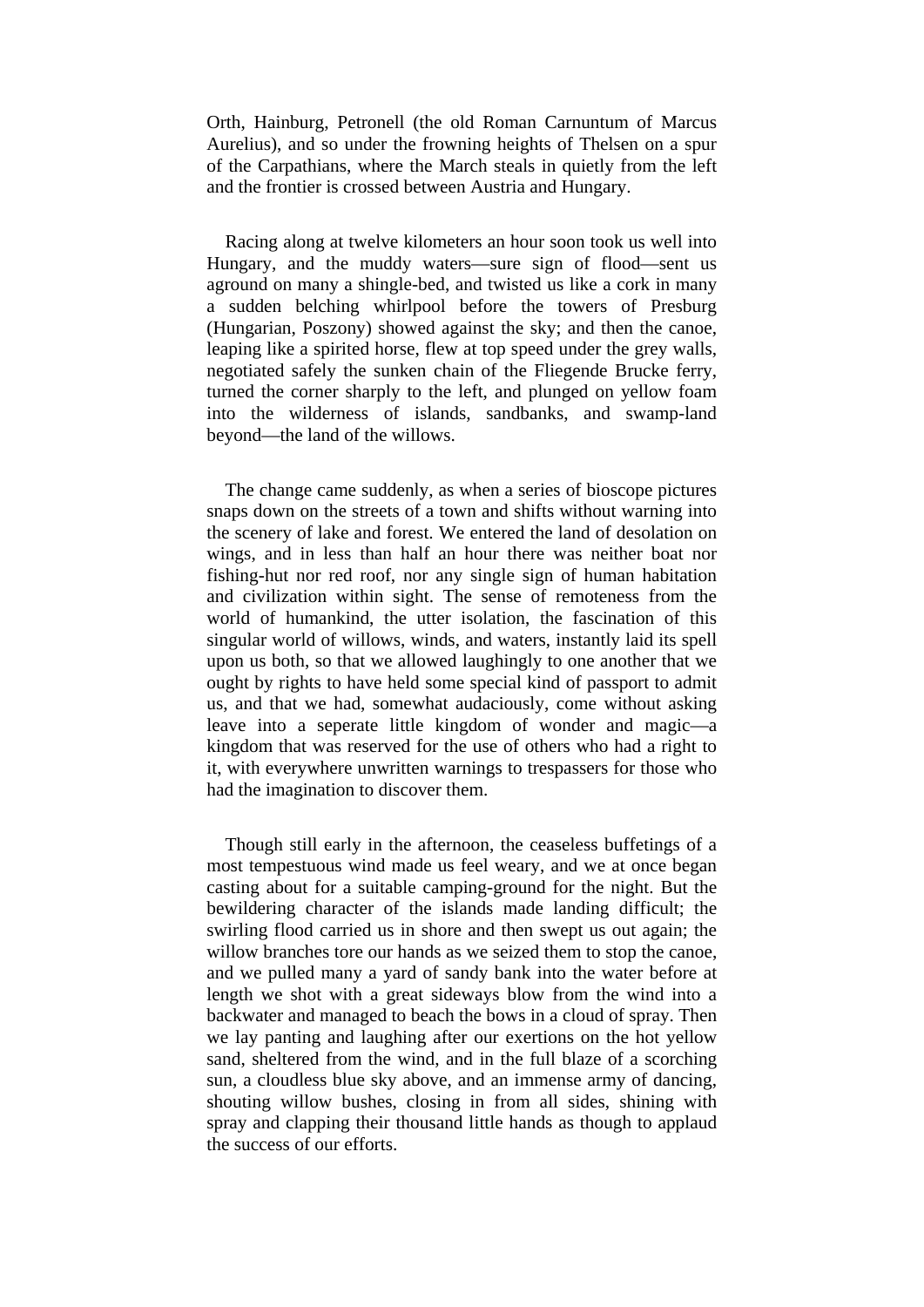Orth, Hainburg, Petronell (the old Roman Carnuntum of Marcus Aurelius), and so under the frowning heights of Thelsen on a spur of the Carpathians, where the March steals in quietly from the left and the frontier is crossed between Austria and Hungary.

Racing along at twelve kilometers an hour soon took us well into Hungary, and the muddy waters—sure sign of flood—sent us aground on many a shingle-bed, and twisted us like a cork in many a sudden belching whirlpool before the towers of Presburg (Hungarian, Poszony) showed against the sky; and then the canoe, leaping like a spirited horse, flew at top speed under the grey walls, negotiated safely the sunken chain of the Fliegende Brucke ferry, turned the corner sharply to the left, and plunged on yellow foam into the wilderness of islands, sandbanks, and swamp-land beyond—the land of the willows.

The change came suddenly, as when a series of bioscope pictures snaps down on the streets of a town and shifts without warning into the scenery of lake and forest. We entered the land of desolation on wings, and in less than half an hour there was neither boat nor fishing-hut nor red roof, nor any single sign of human habitation and civilization within sight. The sense of remoteness from the world of humankind, the utter isolation, the fascination of this singular world of willows, winds, and waters, instantly laid its spell upon us both, so that we allowed laughingly to one another that we ought by rights to have held some special kind of passport to admit us, and that we had, somewhat audaciously, come without asking leave into a seperate little kingdom of wonder and magic—a kingdom that was reserved for the use of others who had a right to it, with everywhere unwritten warnings to trespassers for those who had the imagination to discover them.

Though still early in the afternoon, the ceaseless buffetings of a most tempestuous wind made us feel weary, and we at once began casting about for a suitable camping-ground for the night. But the bewildering character of the islands made landing difficult; the swirling flood carried us in shore and then swept us out again; the willow branches tore our hands as we seized them to stop the canoe, and we pulled many a yard of sandy bank into the water before at length we shot with a great sideways blow from the wind into a backwater and managed to beach the bows in a cloud of spray. Then we lay panting and laughing after our exertions on the hot yellow sand, sheltered from the wind, and in the full blaze of a scorching sun, a cloudless blue sky above, and an immense army of dancing, shouting willow bushes, closing in from all sides, shining with spray and clapping their thousand little hands as though to applaud the success of our efforts.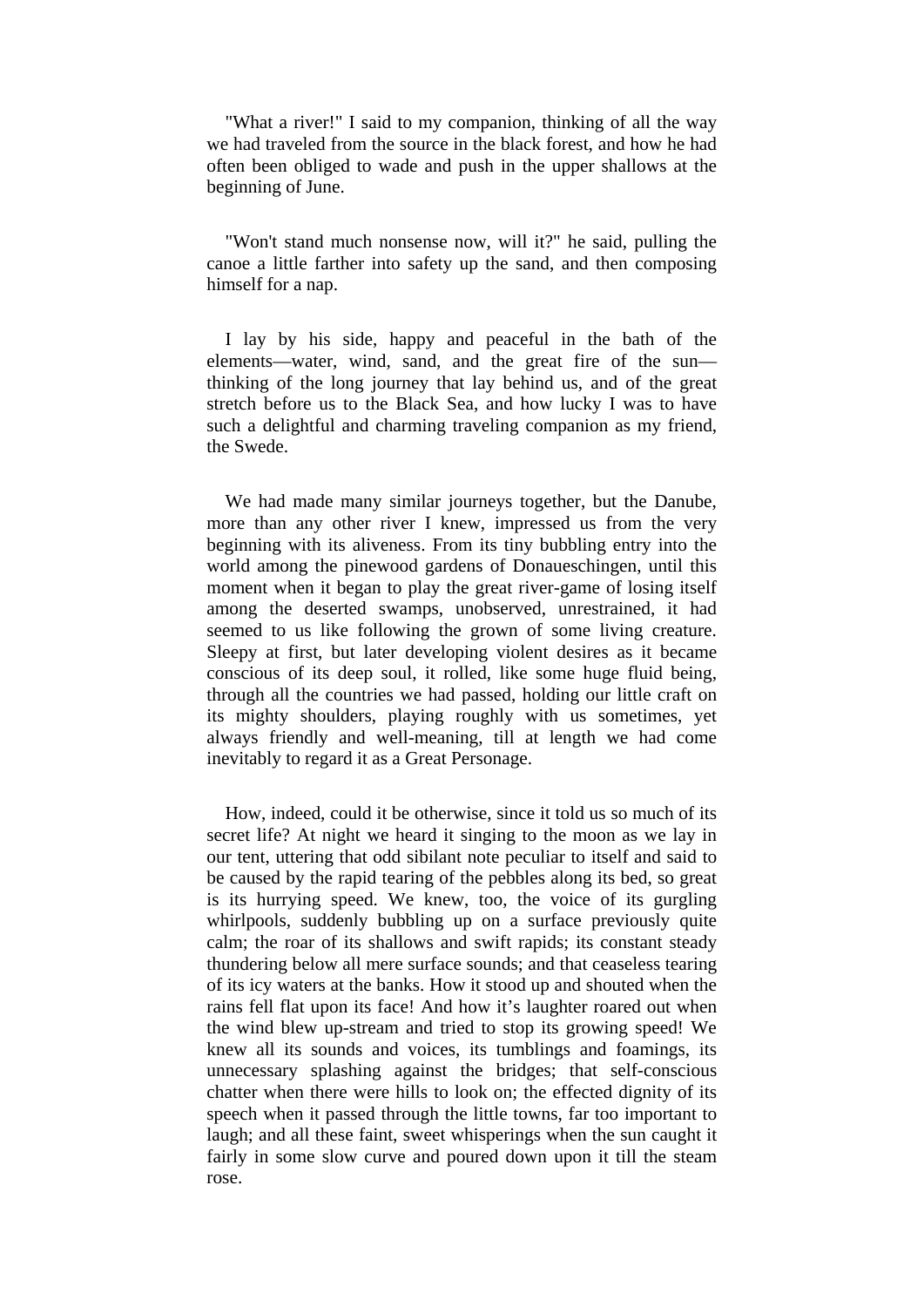"What a river!" I said to my companion, thinking of all the way we had traveled from the source in the black forest, and how he had often been obliged to wade and push in the upper shallows at the beginning of June.

"Won't stand much nonsense now, will it?" he said, pulling the canoe a little farther into safety up the sand, and then composing himself for a nap.

I lay by his side, happy and peaceful in the bath of the elements—water, wind, sand, and the great fire of the sun thinking of the long journey that lay behind us, and of the great stretch before us to the Black Sea, and how lucky I was to have such a delightful and charming traveling companion as my friend, the Swede.

We had made many similar journeys together, but the Danube, more than any other river I knew, impressed us from the very beginning with its aliveness. From its tiny bubbling entry into the world among the pinewood gardens of Donaueschingen, until this moment when it began to play the great river-game of losing itself among the deserted swamps, unobserved, unrestrained, it had seemed to us like following the grown of some living creature. Sleepy at first, but later developing violent desires as it became conscious of its deep soul, it rolled, like some huge fluid being, through all the countries we had passed, holding our little craft on its mighty shoulders, playing roughly with us sometimes, yet always friendly and well-meaning, till at length we had come inevitably to regard it as a Great Personage.

How, indeed, could it be otherwise, since it told us so much of its secret life? At night we heard it singing to the moon as we lay in our tent, uttering that odd sibilant note peculiar to itself and said to be caused by the rapid tearing of the pebbles along its bed, so great is its hurrying speed. We knew, too, the voice of its gurgling whirlpools, suddenly bubbling up on a surface previously quite calm; the roar of its shallows and swift rapids; its constant steady thundering below all mere surface sounds; and that ceaseless tearing of its icy waters at the banks. How it stood up and shouted when the rains fell flat upon its face! And how it's laughter roared out when the wind blew up-stream and tried to stop its growing speed! We knew all its sounds and voices, its tumblings and foamings, its unnecessary splashing against the bridges; that self-conscious chatter when there were hills to look on; the effected dignity of its speech when it passed through the little towns, far too important to laugh; and all these faint, sweet whisperings when the sun caught it fairly in some slow curve and poured down upon it till the steam rose.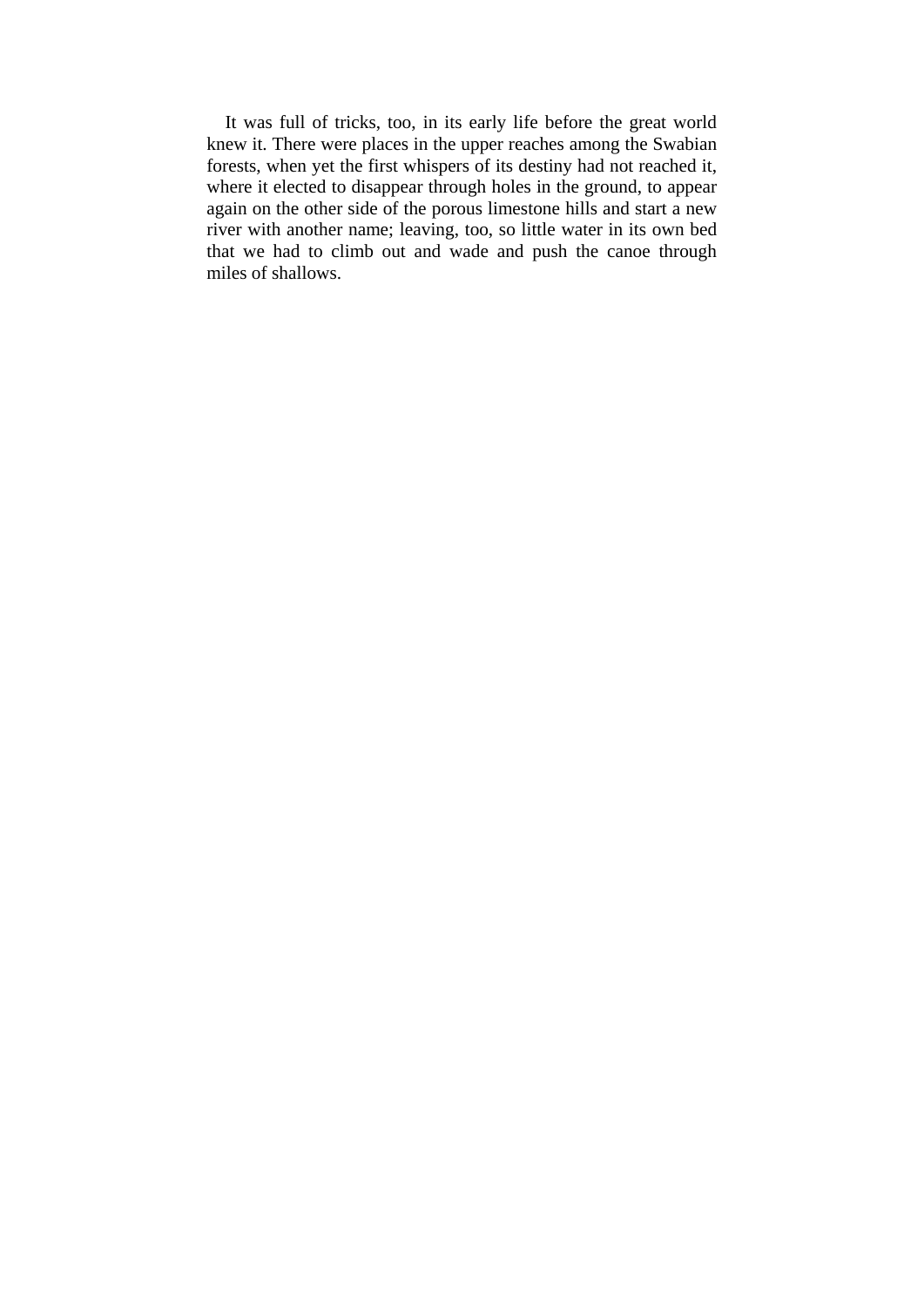It was full of tricks, too, in its early life before the great world knew it. There were places in the upper reaches among the Swabian forests, when yet the first whispers of its destiny had not reached it, where it elected to disappear through holes in the ground, to appear again on the other side of the porous limestone hills and start a new river with another name; leaving, too, so little water in its own bed that we had to climb out and wade and push the canoe through miles of shallows.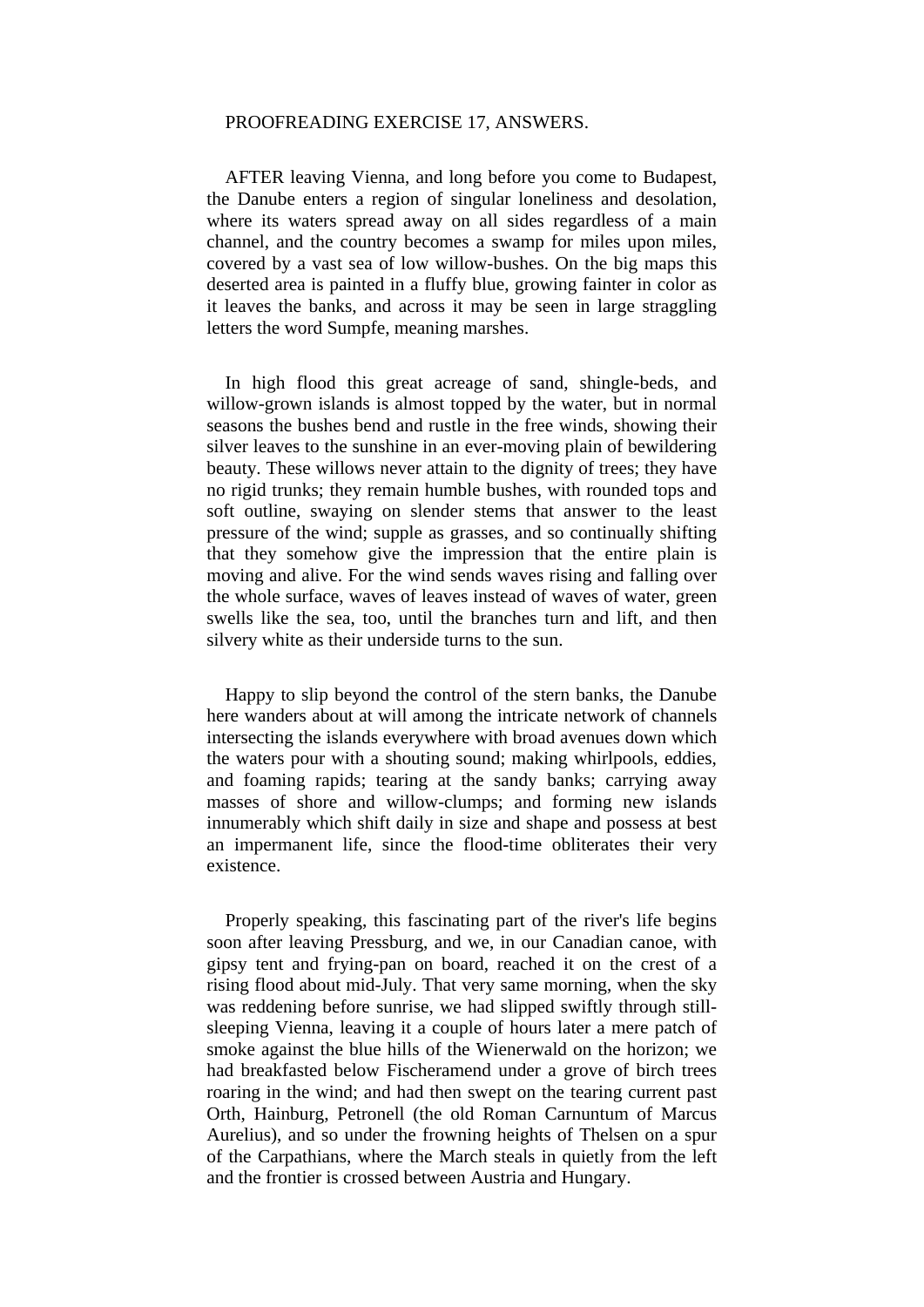### PROOFREADING EXERCISE 17, ANSWERS.

AFTER leaving Vienna, and long before you come to Budapest, the Danube enters a region of singular loneliness and desolation, where its waters spread away on all sides regardless of a main channel, and the country becomes a swamp for miles upon miles, covered by a vast sea of low willow-bushes. On the big maps this deserted area is painted in a fluffy blue, growing fainter in color as it leaves the banks, and across it may be seen in large straggling letters the word Sumpfe, meaning marshes.

In high flood this great acreage of sand, shingle-beds, and willow-grown islands is almost topped by the water, but in normal seasons the bushes bend and rustle in the free winds, showing their silver leaves to the sunshine in an ever-moving plain of bewildering beauty. These willows never attain to the dignity of trees; they have no rigid trunks; they remain humble bushes, with rounded tops and soft outline, swaying on slender stems that answer to the least pressure of the wind; supple as grasses, and so continually shifting that they somehow give the impression that the entire plain is moving and alive. For the wind sends waves rising and falling over the whole surface, waves of leaves instead of waves of water, green swells like the sea, too, until the branches turn and lift, and then silvery white as their underside turns to the sun.

Happy to slip beyond the control of the stern banks, the Danube here wanders about at will among the intricate network of channels intersecting the islands everywhere with broad avenues down which the waters pour with a shouting sound; making whirlpools, eddies, and foaming rapids; tearing at the sandy banks; carrying away masses of shore and willow-clumps; and forming new islands innumerably which shift daily in size and shape and possess at best an impermanent life, since the flood-time obliterates their very existence.

Properly speaking, this fascinating part of the river's life begins soon after leaving Pressburg, and we, in our Canadian canoe, with gipsy tent and frying-pan on board, reached it on the crest of a rising flood about mid-July. That very same morning, when the sky was reddening before sunrise, we had slipped swiftly through stillsleeping Vienna, leaving it a couple of hours later a mere patch of smoke against the blue hills of the Wienerwald on the horizon; we had breakfasted below Fischeramend under a grove of birch trees roaring in the wind; and had then swept on the tearing current past Orth, Hainburg, Petronell (the old Roman Carnuntum of Marcus Aurelius), and so under the frowning heights of Thelsen on a spur of the Carpathians, where the March steals in quietly from the left and the frontier is crossed between Austria and Hungary.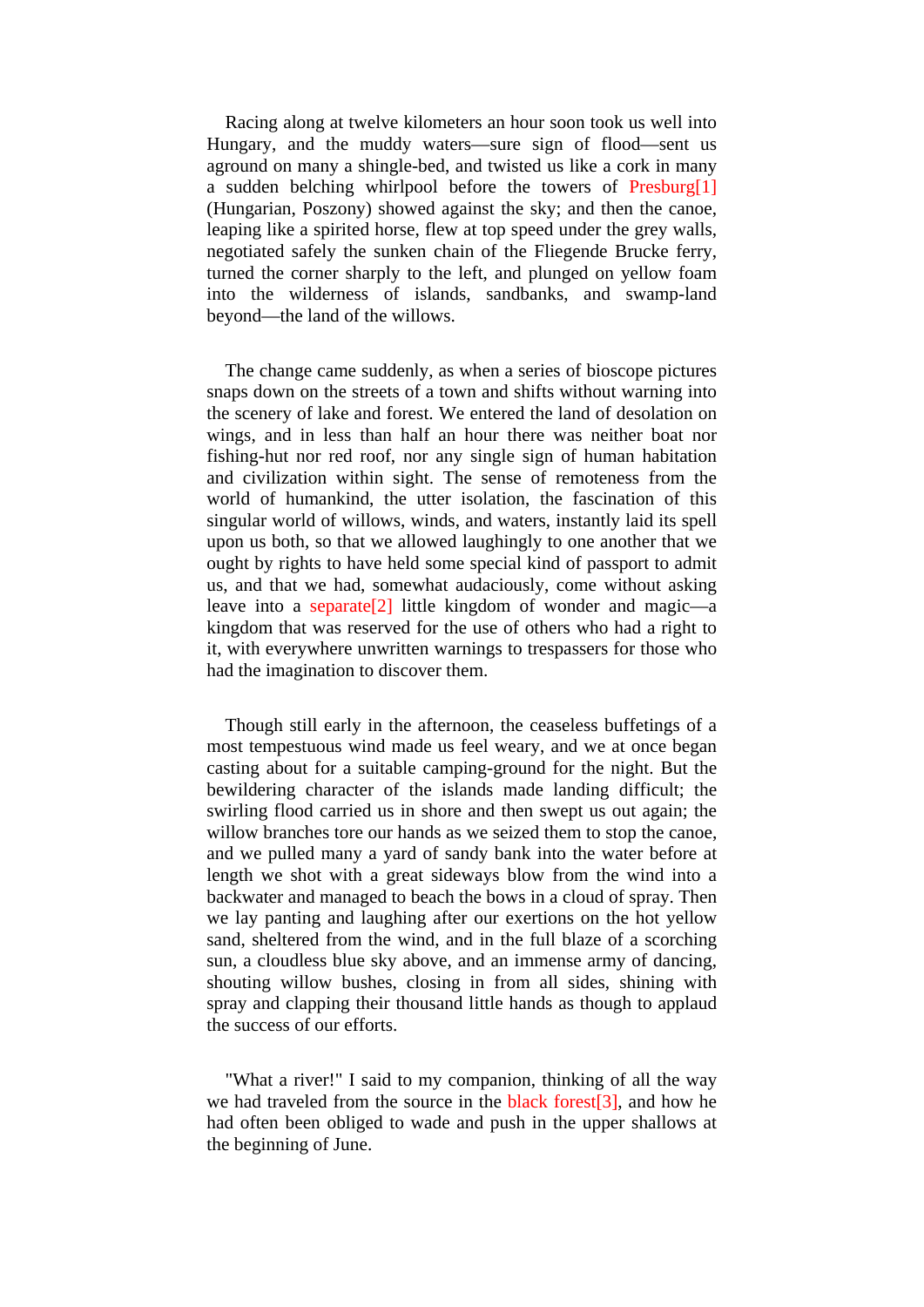Racing along at twelve kilometers an hour soon took us well into Hungary, and the muddy waters—sure sign of flood—sent us aground on many a shingle-bed, and twisted us like a cork in many a sudden belching whirlpool before the towers of Presburg[1] (Hungarian, Poszony) showed against the sky; and then the canoe, leaping like a spirited horse, flew at top speed under the grey walls, negotiated safely the sunken chain of the Fliegende Brucke ferry, turned the corner sharply to the left, and plunged on yellow foam into the wilderness of islands, sandbanks, and swamp-land beyond—the land of the willows.

The change came suddenly, as when a series of bioscope pictures snaps down on the streets of a town and shifts without warning into the scenery of lake and forest. We entered the land of desolation on wings, and in less than half an hour there was neither boat nor fishing-hut nor red roof, nor any single sign of human habitation and civilization within sight. The sense of remoteness from the world of humankind, the utter isolation, the fascination of this singular world of willows, winds, and waters, instantly laid its spell upon us both, so that we allowed laughingly to one another that we ought by rights to have held some special kind of passport to admit us, and that we had, somewhat audaciously, come without asking leave into a separate[2] little kingdom of wonder and magic—a kingdom that was reserved for the use of others who had a right to it, with everywhere unwritten warnings to trespassers for those who had the imagination to discover them.

Though still early in the afternoon, the ceaseless buffetings of a most tempestuous wind made us feel weary, and we at once began casting about for a suitable camping-ground for the night. But the bewildering character of the islands made landing difficult; the swirling flood carried us in shore and then swept us out again; the willow branches tore our hands as we seized them to stop the canoe, and we pulled many a yard of sandy bank into the water before at length we shot with a great sideways blow from the wind into a backwater and managed to beach the bows in a cloud of spray. Then we lay panting and laughing after our exertions on the hot yellow sand, sheltered from the wind, and in the full blaze of a scorching sun, a cloudless blue sky above, and an immense army of dancing, shouting willow bushes, closing in from all sides, shining with spray and clapping their thousand little hands as though to applaud the success of our efforts.

"What a river!" I said to my companion, thinking of all the way we had traveled from the source in the black forest[3], and how he had often been obliged to wade and push in the upper shallows at the beginning of June.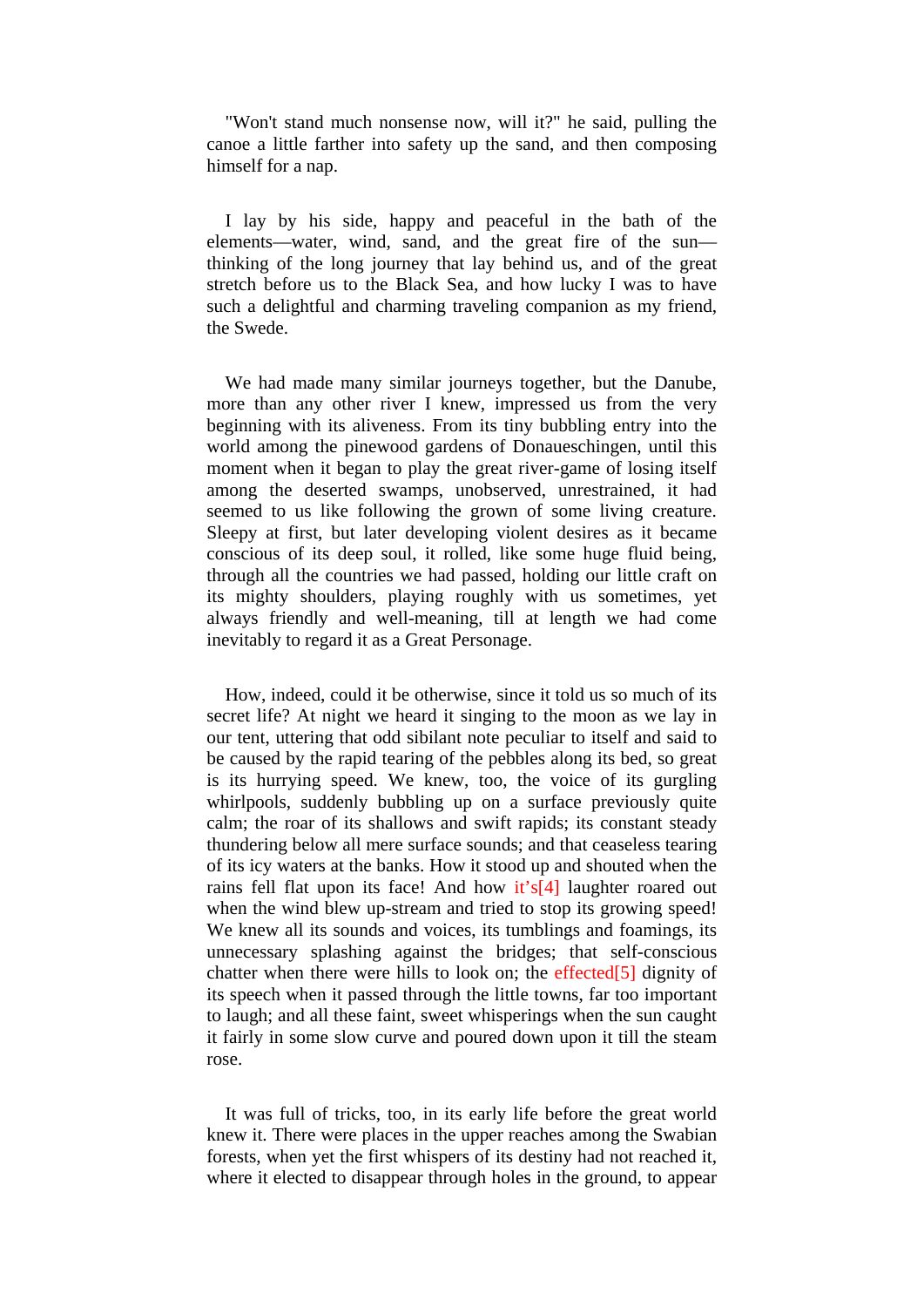"Won't stand much nonsense now, will it?" he said, pulling the canoe a little farther into safety up the sand, and then composing himself for a nap.

I lay by his side, happy and peaceful in the bath of the elements—water, wind, sand, and the great fire of the sun thinking of the long journey that lay behind us, and of the great stretch before us to the Black Sea, and how lucky I was to have such a delightful and charming traveling companion as my friend, the Swede.

We had made many similar journeys together, but the Danube, more than any other river I knew, impressed us from the very beginning with its aliveness. From its tiny bubbling entry into the world among the pinewood gardens of Donaueschingen, until this moment when it began to play the great river-game of losing itself among the deserted swamps, unobserved, unrestrained, it had seemed to us like following the grown of some living creature. Sleepy at first, but later developing violent desires as it became conscious of its deep soul, it rolled, like some huge fluid being, through all the countries we had passed, holding our little craft on its mighty shoulders, playing roughly with us sometimes, yet always friendly and well-meaning, till at length we had come inevitably to regard it as a Great Personage.

How, indeed, could it be otherwise, since it told us so much of its secret life? At night we heard it singing to the moon as we lay in our tent, uttering that odd sibilant note peculiar to itself and said to be caused by the rapid tearing of the pebbles along its bed, so great is its hurrying speed. We knew, too, the voice of its gurgling whirlpools, suddenly bubbling up on a surface previously quite calm; the roar of its shallows and swift rapids; its constant steady thundering below all mere surface sounds; and that ceaseless tearing of its icy waters at the banks. How it stood up and shouted when the rains fell flat upon its face! And how it's[4] laughter roared out when the wind blew up-stream and tried to stop its growing speed! We knew all its sounds and voices, its tumblings and foamings, its unnecessary splashing against the bridges; that self-conscious chatter when there were hills to look on; the effected[5] dignity of its speech when it passed through the little towns, far too important to laugh; and all these faint, sweet whisperings when the sun caught it fairly in some slow curve and poured down upon it till the steam rose.

It was full of tricks, too, in its early life before the great world knew it. There were places in the upper reaches among the Swabian forests, when yet the first whispers of its destiny had not reached it, where it elected to disappear through holes in the ground, to appear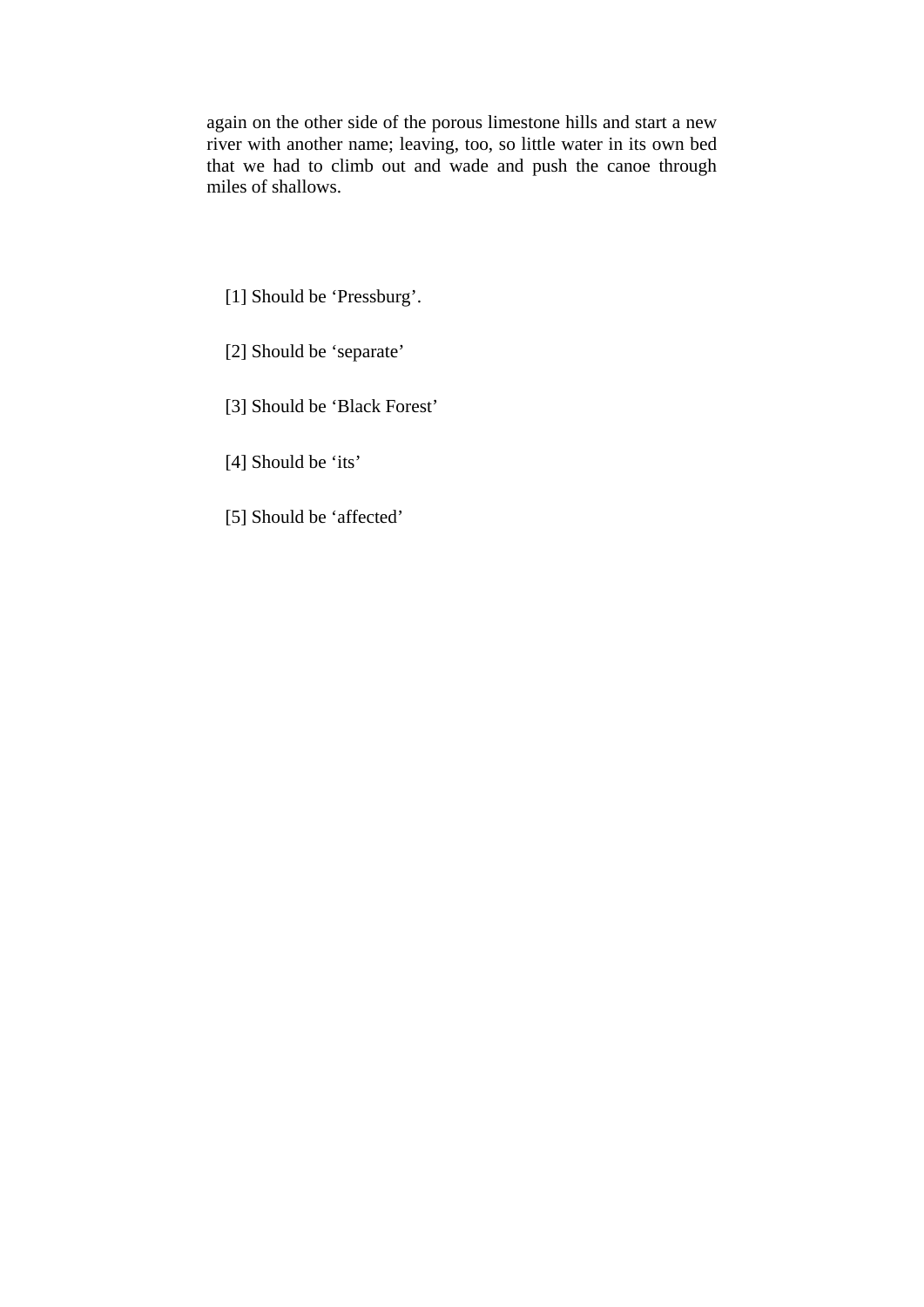again on the other side of the porous limestone hills and start a new river with another name; leaving, too, so little water in its own bed that we had to climb out and wade and push the canoe through miles of shallows.

- [1] Should be 'Pressburg'.
- [2] Should be 'separate'
- [3] Should be 'Black Forest'
- [4] Should be 'its'
- [5] Should be 'affected'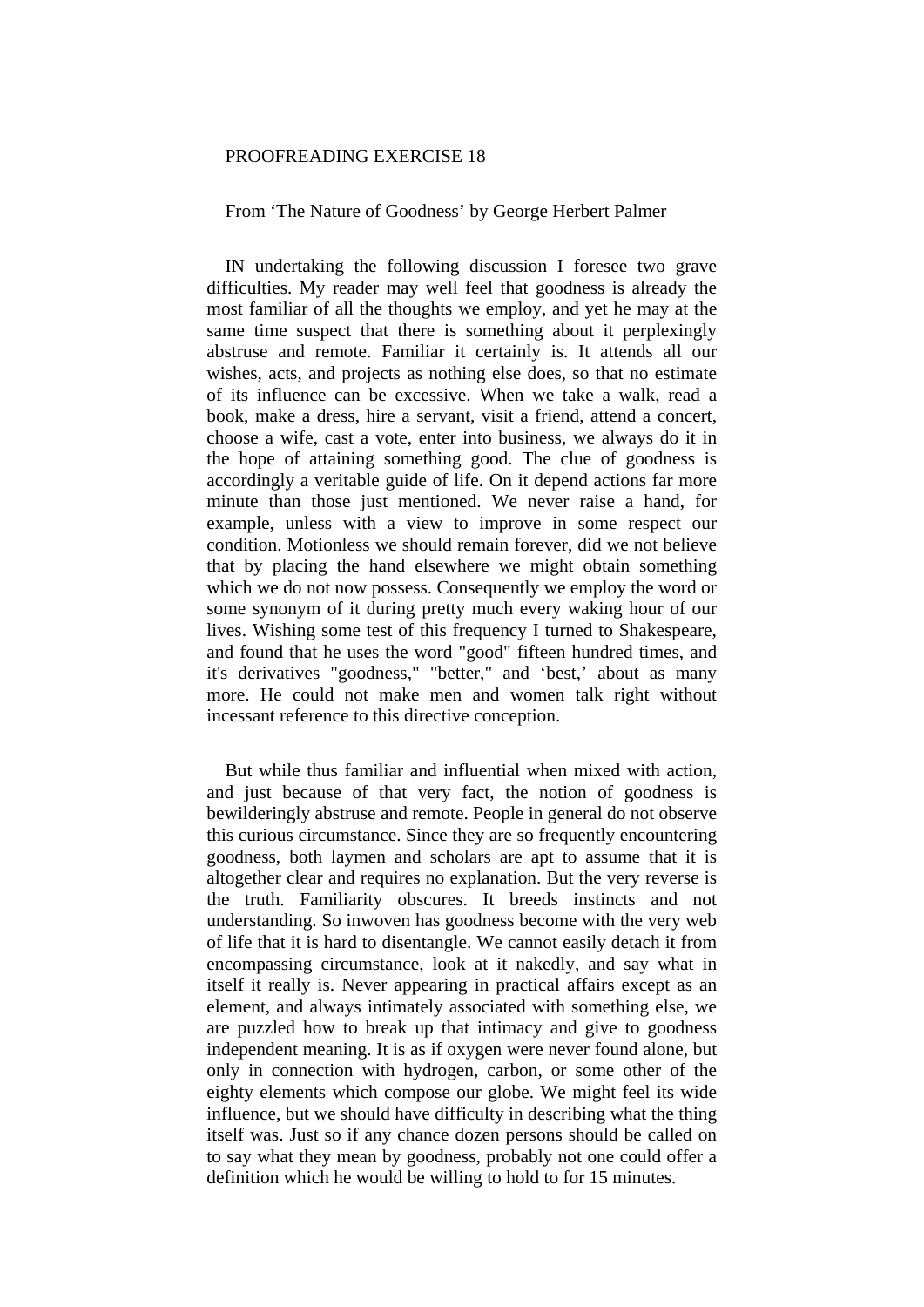## PROOFREADING EXERCISE 18

# From 'The Nature of Goodness' by George Herbert Palmer

IN undertaking the following discussion I foresee two grave difficulties. My reader may well feel that goodness is already the most familiar of all the thoughts we employ, and yet he may at the same time suspect that there is something about it perplexingly abstruse and remote. Familiar it certainly is. It attends all our wishes, acts, and projects as nothing else does, so that no estimate of its influence can be excessive. When we take a walk, read a book, make a dress, hire a servant, visit a friend, attend a concert, choose a wife, cast a vote, enter into business, we always do it in the hope of attaining something good. The clue of goodness is accordingly a veritable guide of life. On it depend actions far more minute than those just mentioned. We never raise a hand, for example, unless with a view to improve in some respect our condition. Motionless we should remain forever, did we not believe that by placing the hand elsewhere we might obtain something which we do not now possess. Consequently we employ the word or some synonym of it during pretty much every waking hour of our lives. Wishing some test of this frequency I turned to Shakespeare, and found that he uses the word "good" fifteen hundred times, and it's derivatives "goodness," "better," and 'best,' about as many more. He could not make men and women talk right without incessant reference to this directive conception.

But while thus familiar and influential when mixed with action, and just because of that very fact, the notion of goodness is bewilderingly abstruse and remote. People in general do not observe this curious circumstance. Since they are so frequently encountering goodness, both laymen and scholars are apt to assume that it is altogether clear and requires no explanation. But the very reverse is the truth. Familiarity obscures. It breeds instincts and not understanding. So inwoven has goodness become with the very web of life that it is hard to disentangle. We cannot easily detach it from encompassing circumstance, look at it nakedly, and say what in itself it really is. Never appearing in practical affairs except as an element, and always intimately associated with something else, we are puzzled how to break up that intimacy and give to goodness independent meaning. It is as if oxygen were never found alone, but only in connection with hydrogen, carbon, or some other of the eighty elements which compose our globe. We might feel its wide influence, but we should have difficulty in describing what the thing itself was. Just so if any chance dozen persons should be called on to say what they mean by goodness, probably not one could offer a definition which he would be willing to hold to for 15 minutes.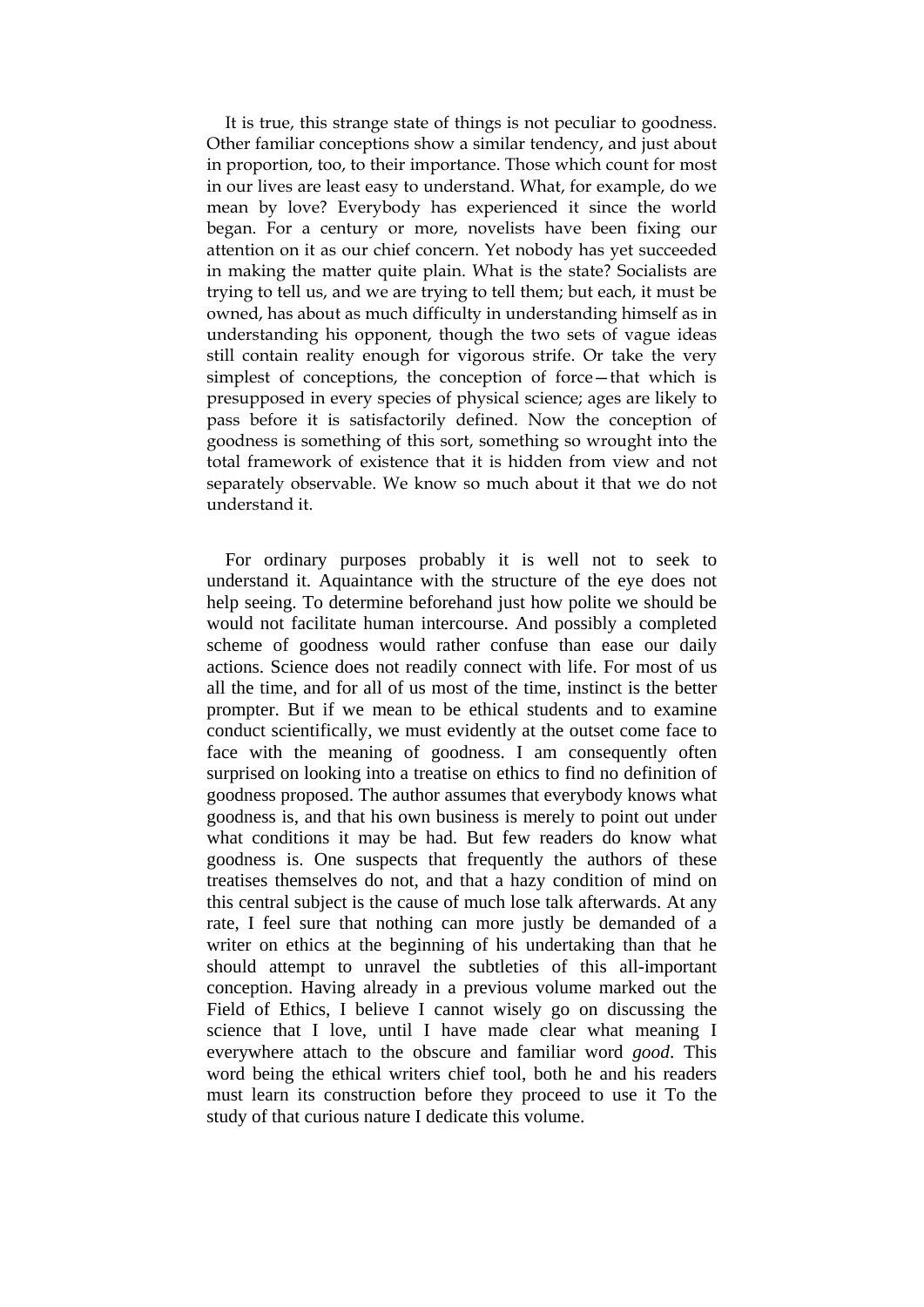It is true, this strange state of things is not peculiar to goodness. Other familiar conceptions show a similar tendency, and just about in proportion, too, to their importance. Those which count for most in our lives are least easy to understand. What, for example, do we mean by love? Everybody has experienced it since the world began. For a century or more, novelists have been fixing our attention on it as our chief concern. Yet nobody has yet succeeded in making the matter quite plain. What is the state? Socialists are trying to tell us, and we are trying to tell them; but each, it must be owned, has about as much difficulty in understanding himself as in understanding his opponent, though the two sets of vague ideas still contain reality enough for vigorous strife. Or take the very simplest of conceptions, the conception of force—that which is presupposed in every species of physical science; ages are likely to pass before it is satisfactorily defined. Now the conception of goodness is something of this sort, something so wrought into the total framework of existence that it is hidden from view and not separately observable. We know so much about it that we do not understand it.

For ordinary purposes probably it is well not to seek to understand it. Aquaintance with the structure of the eye does not help seeing. To determine beforehand just how polite we should be would not facilitate human intercourse. And possibly a completed scheme of goodness would rather confuse than ease our daily actions. Science does not readily connect with life. For most of us all the time, and for all of us most of the time, instinct is the better prompter. But if we mean to be ethical students and to examine conduct scientifically, we must evidently at the outset come face to face with the meaning of goodness. I am consequently often surprised on looking into a treatise on ethics to find no definition of goodness proposed. The author assumes that everybody knows what goodness is, and that his own business is merely to point out under what conditions it may be had. But few readers do know what goodness is. One suspects that frequently the authors of these treatises themselves do not, and that a hazy condition of mind on this central subject is the cause of much lose talk afterwards. At any rate, I feel sure that nothing can more justly be demanded of a writer on ethics at the beginning of his undertaking than that he should attempt to unravel the subtleties of this all-important conception. Having already in a previous volume marked out the Field of Ethics, I believe I cannot wisely go on discussing the science that I love, until I have made clear what meaning I everywhere attach to the obscure and familiar word *good*. This word being the ethical writers chief tool, both he and his readers must learn its construction before they proceed to use it To the study of that curious nature I dedicate this volume.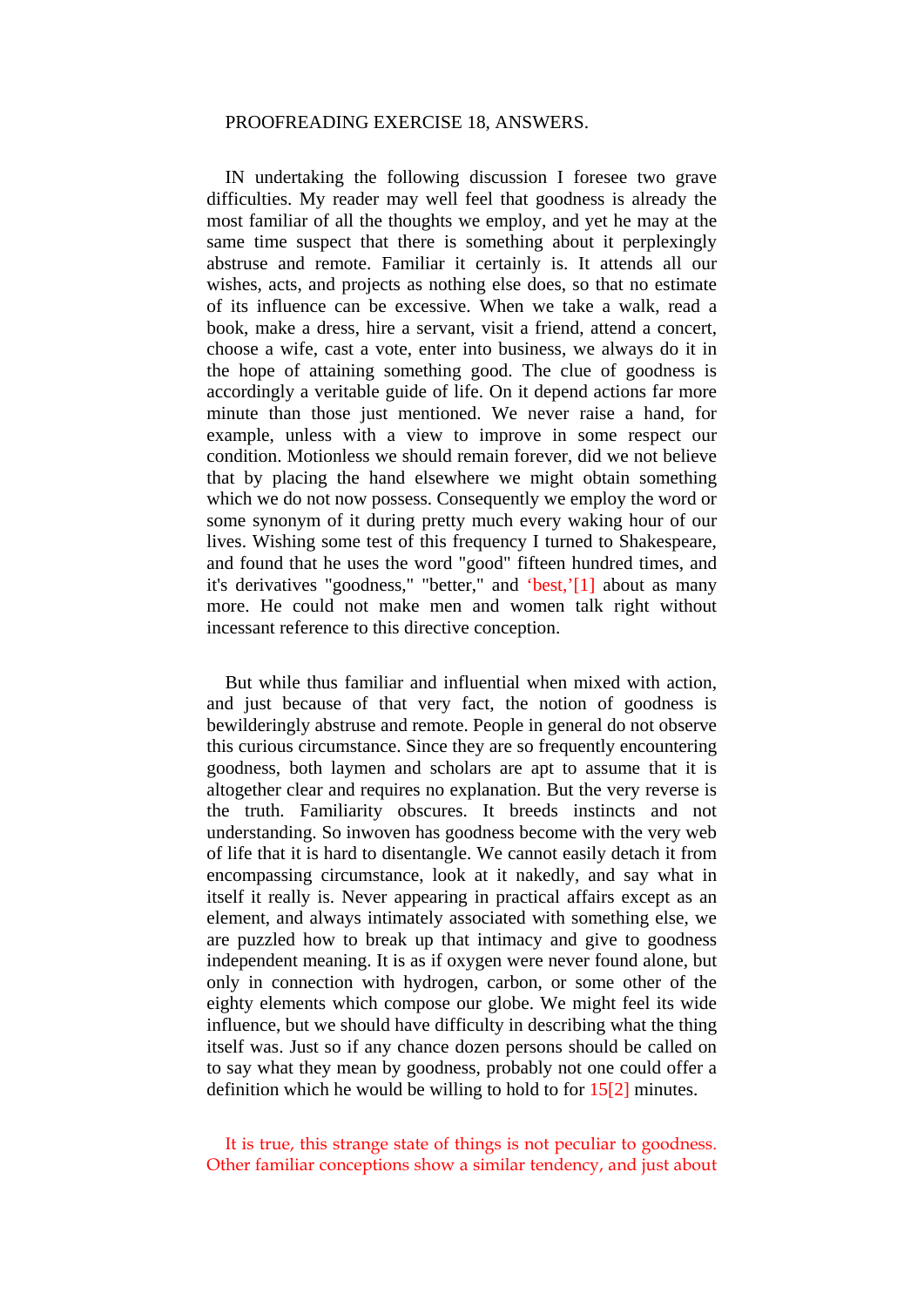### PROOFREADING EXERCISE 18, ANSWERS.

IN undertaking the following discussion I foresee two grave difficulties. My reader may well feel that goodness is already the most familiar of all the thoughts we employ, and yet he may at the same time suspect that there is something about it perplexingly abstruse and remote. Familiar it certainly is. It attends all our wishes, acts, and projects as nothing else does, so that no estimate of its influence can be excessive. When we take a walk, read a book, make a dress, hire a servant, visit a friend, attend a concert, choose a wife, cast a vote, enter into business, we always do it in the hope of attaining something good. The clue of goodness is accordingly a veritable guide of life. On it depend actions far more minute than those just mentioned. We never raise a hand, for example, unless with a view to improve in some respect our condition. Motionless we should remain forever, did we not believe that by placing the hand elsewhere we might obtain something which we do not now possess. Consequently we employ the word or some synonym of it during pretty much every waking hour of our lives. Wishing some test of this frequency I turned to Shakespeare, and found that he uses the word "good" fifteen hundred times, and it's derivatives "goodness," "better," and 'best,'[1] about as many more. He could not make men and women talk right without incessant reference to this directive conception.

But while thus familiar and influential when mixed with action, and just because of that very fact, the notion of goodness is bewilderingly abstruse and remote. People in general do not observe this curious circumstance. Since they are so frequently encountering goodness, both laymen and scholars are apt to assume that it is altogether clear and requires no explanation. But the very reverse is the truth. Familiarity obscures. It breeds instincts and not understanding. So inwoven has goodness become with the very web of life that it is hard to disentangle. We cannot easily detach it from encompassing circumstance, look at it nakedly, and say what in itself it really is. Never appearing in practical affairs except as an element, and always intimately associated with something else, we are puzzled how to break up that intimacy and give to goodness independent meaning. It is as if oxygen were never found alone, but only in connection with hydrogen, carbon, or some other of the eighty elements which compose our globe. We might feel its wide influence, but we should have difficulty in describing what the thing itself was. Just so if any chance dozen persons should be called on to say what they mean by goodness, probably not one could offer a definition which he would be willing to hold to for 15[2] minutes.

It is true, this strange state of things is not peculiar to goodness. Other familiar conceptions show a similar tendency, and just about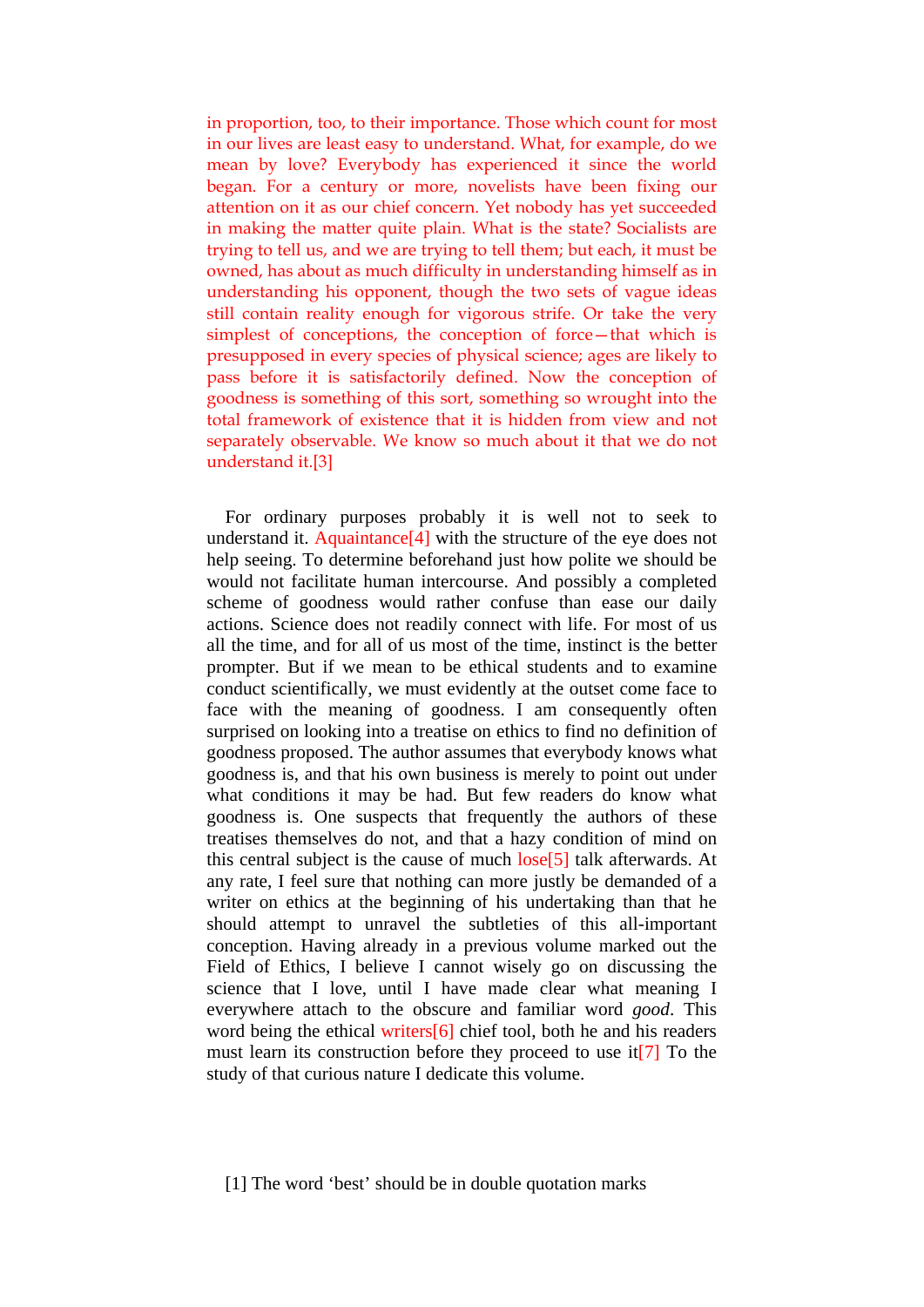in proportion, too, to their importance. Those which count for most in our lives are least easy to understand. What, for example, do we mean by love? Everybody has experienced it since the world began. For a century or more, novelists have been fixing our attention on it as our chief concern. Yet nobody has yet succeeded in making the matter quite plain. What is the state? Socialists are trying to tell us, and we are trying to tell them; but each, it must be owned, has about as much difficulty in understanding himself as in understanding his opponent, though the two sets of vague ideas still contain reality enough for vigorous strife. Or take the very simplest of conceptions, the conception of force—that which is presupposed in every species of physical science; ages are likely to pass before it is satisfactorily defined. Now the conception of goodness is something of this sort, something so wrought into the total framework of existence that it is hidden from view and not separately observable. We know so much about it that we do not understand it.[3]

For ordinary purposes probably it is well not to seek to understand it. Aquaintance[4] with the structure of the eye does not help seeing. To determine beforehand just how polite we should be would not facilitate human intercourse. And possibly a completed scheme of goodness would rather confuse than ease our daily actions. Science does not readily connect with life. For most of us all the time, and for all of us most of the time, instinct is the better prompter. But if we mean to be ethical students and to examine conduct scientifically, we must evidently at the outset come face to face with the meaning of goodness. I am consequently often surprised on looking into a treatise on ethics to find no definition of goodness proposed. The author assumes that everybody knows what goodness is, and that his own business is merely to point out under what conditions it may be had. But few readers do know what goodness is. One suspects that frequently the authors of these treatises themselves do not, and that a hazy condition of mind on this central subject is the cause of much lose[5] talk afterwards. At any rate, I feel sure that nothing can more justly be demanded of a writer on ethics at the beginning of his undertaking than that he should attempt to unravel the subtleties of this all-important conception. Having already in a previous volume marked out the Field of Ethics, I believe I cannot wisely go on discussing the science that I love, until I have made clear what meaning I everywhere attach to the obscure and familiar word *good*. This word being the ethical writers[6] chief tool, both he and his readers must learn its construction before they proceed to use it[7] To the study of that curious nature I dedicate this volume.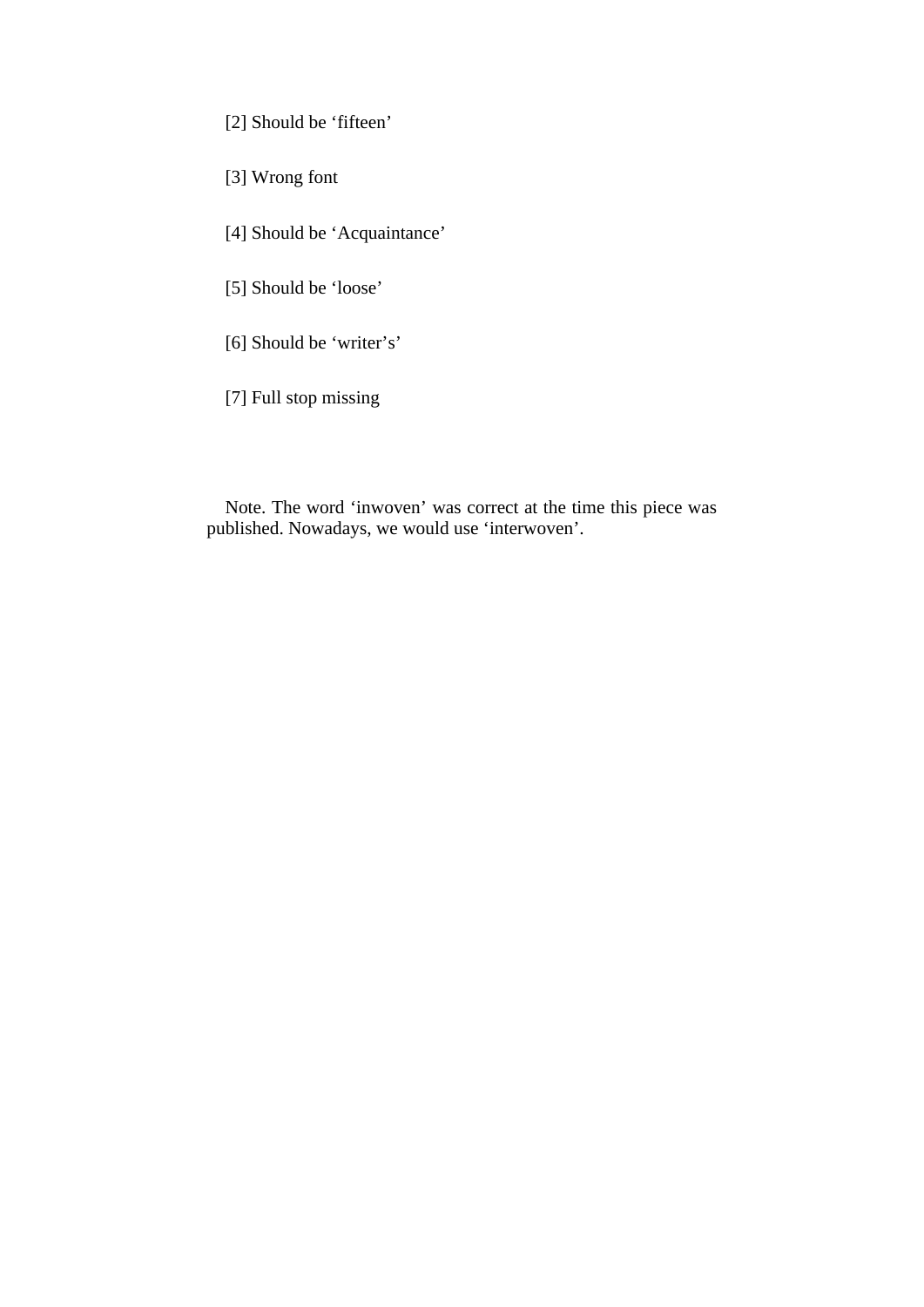[2] Should be 'fifteen'

- [3] Wrong font
- [4] Should be 'Acquaintance'
- [5] Should be 'loose'
- [6] Should be 'writer's'
- [7] Full stop missing

Note. The word 'inwoven' was correct at the time this piece was published. Nowadays, we would use 'interwoven'.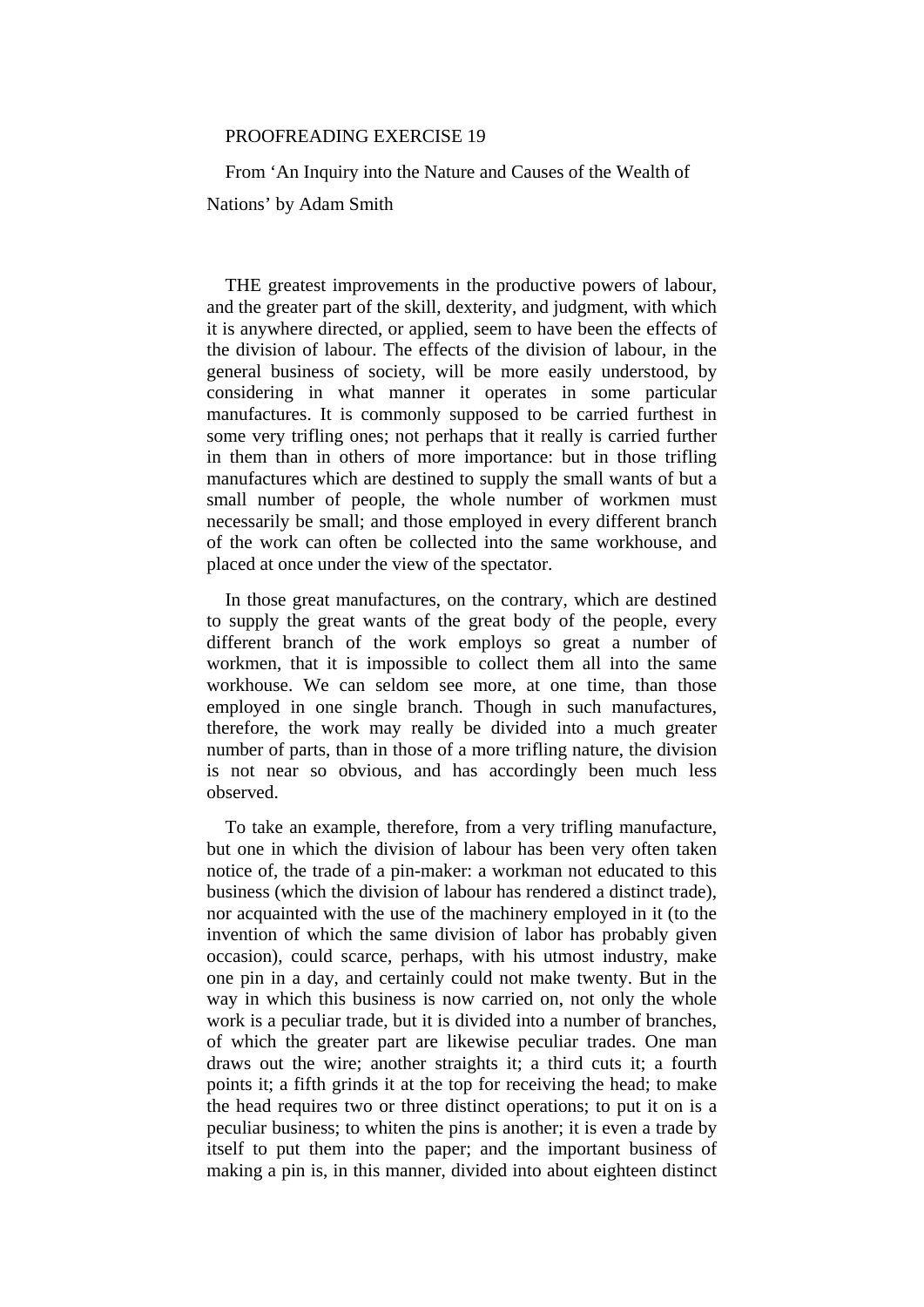# PROOFREADING EXERCISE 19

From 'An Inquiry into the Nature and Causes of the Wealth of

Nations' by Adam Smith

THE greatest improvements in the productive powers of labour, and the greater part of the skill, dexterity, and judgment, with which it is anywhere directed, or applied, seem to have been the effects of the division of labour. The effects of the division of labour, in the general business of society, will be more easily understood, by considering in what manner it operates in some particular manufactures. It is commonly supposed to be carried furthest in some very trifling ones; not perhaps that it really is carried further in them than in others of more importance: but in those trifling manufactures which are destined to supply the small wants of but a small number of people, the whole number of workmen must necessarily be small; and those employed in every different branch of the work can often be collected into the same workhouse, and placed at once under the view of the spectator.

In those great manufactures, on the contrary, which are destined to supply the great wants of the great body of the people, every different branch of the work employs so great a number of workmen, that it is impossible to collect them all into the same workhouse. We can seldom see more, at one time, than those employed in one single branch. Though in such manufactures, therefore, the work may really be divided into a much greater number of parts, than in those of a more trifling nature, the division is not near so obvious, and has accordingly been much less observed.

To take an example, therefore, from a very trifling manufacture, but one in which the division of labour has been very often taken notice of, the trade of a pin-maker: a workman not educated to this business (which the division of labour has rendered a distinct trade), nor acquainted with the use of the machinery employed in it (to the invention of which the same division of labor has probably given occasion), could scarce, perhaps, with his utmost industry, make one pin in a day, and certainly could not make twenty. But in the way in which this business is now carried on, not only the whole work is a peculiar trade, but it is divided into a number of branches, of which the greater part are likewise peculiar trades. One man draws out the wire; another straights it; a third cuts it; a fourth points it; a fifth grinds it at the top for receiving the head; to make the head requires two or three distinct operations; to put it on is a peculiar business; to whiten the pins is another; it is even a trade by itself to put them into the paper; and the important business of making a pin is, in this manner, divided into about eighteen distinct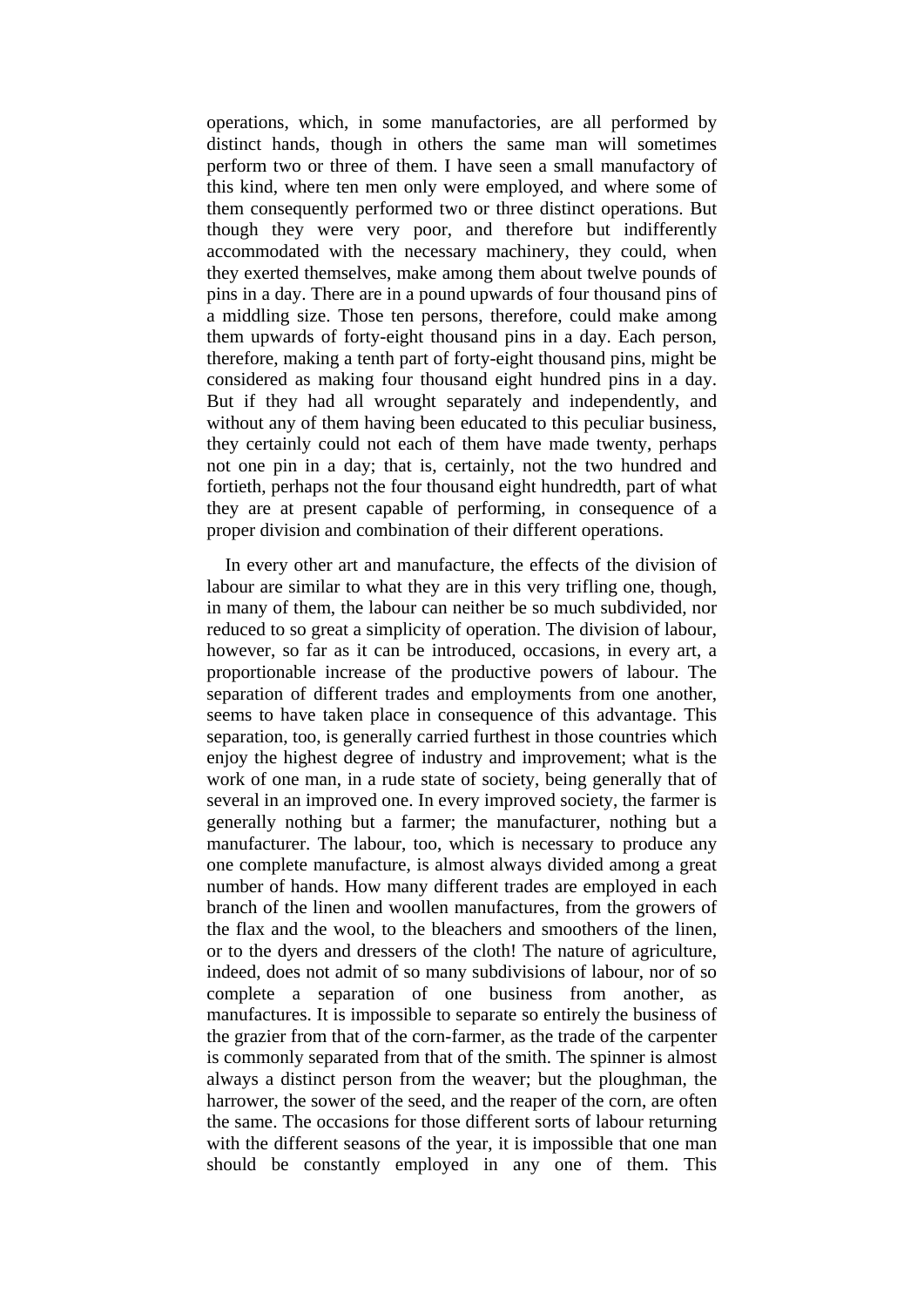operations, which, in some manufactories, are all performed by distinct hands, though in others the same man will sometimes perform two or three of them. I have seen a small manufactory of this kind, where ten men only were employed, and where some of them consequently performed two or three distinct operations. But though they were very poor, and therefore but indifferently accommodated with the necessary machinery, they could, when they exerted themselves, make among them about twelve pounds of pins in a day. There are in a pound upwards of four thousand pins of a middling size. Those ten persons, therefore, could make among them upwards of forty-eight thousand pins in a day. Each person, therefore, making a tenth part of forty-eight thousand pins, might be considered as making four thousand eight hundred pins in a day. But if they had all wrought separately and independently, and without any of them having been educated to this peculiar business, they certainly could not each of them have made twenty, perhaps not one pin in a day; that is, certainly, not the two hundred and fortieth, perhaps not the four thousand eight hundredth, part of what they are at present capable of performing, in consequence of a proper division and combination of their different operations.

In every other art and manufacture, the effects of the division of labour are similar to what they are in this very trifling one, though, in many of them, the labour can neither be so much subdivided, nor reduced to so great a simplicity of operation. The division of labour, however, so far as it can be introduced, occasions, in every art, a proportionable increase of the productive powers of labour. The separation of different trades and employments from one another, seems to have taken place in consequence of this advantage. This separation, too, is generally carried furthest in those countries which enjoy the highest degree of industry and improvement; what is the work of one man, in a rude state of society, being generally that of several in an improved one. In every improved society, the farmer is generally nothing but a farmer; the manufacturer, nothing but a manufacturer. The labour, too, which is necessary to produce any one complete manufacture, is almost always divided among a great number of hands. How many different trades are employed in each branch of the linen and woollen manufactures, from the growers of the flax and the wool, to the bleachers and smoothers of the linen, or to the dyers and dressers of the cloth! The nature of agriculture, indeed, does not admit of so many subdivisions of labour, nor of so complete a separation of one business from another, as manufactures. It is impossible to separate so entirely the business of the grazier from that of the corn-farmer, as the trade of the carpenter is commonly separated from that of the smith. The spinner is almost always a distinct person from the weaver; but the ploughman, the harrower, the sower of the seed, and the reaper of the corn, are often the same. The occasions for those different sorts of labour returning with the different seasons of the year, it is impossible that one man should be constantly employed in any one of them. This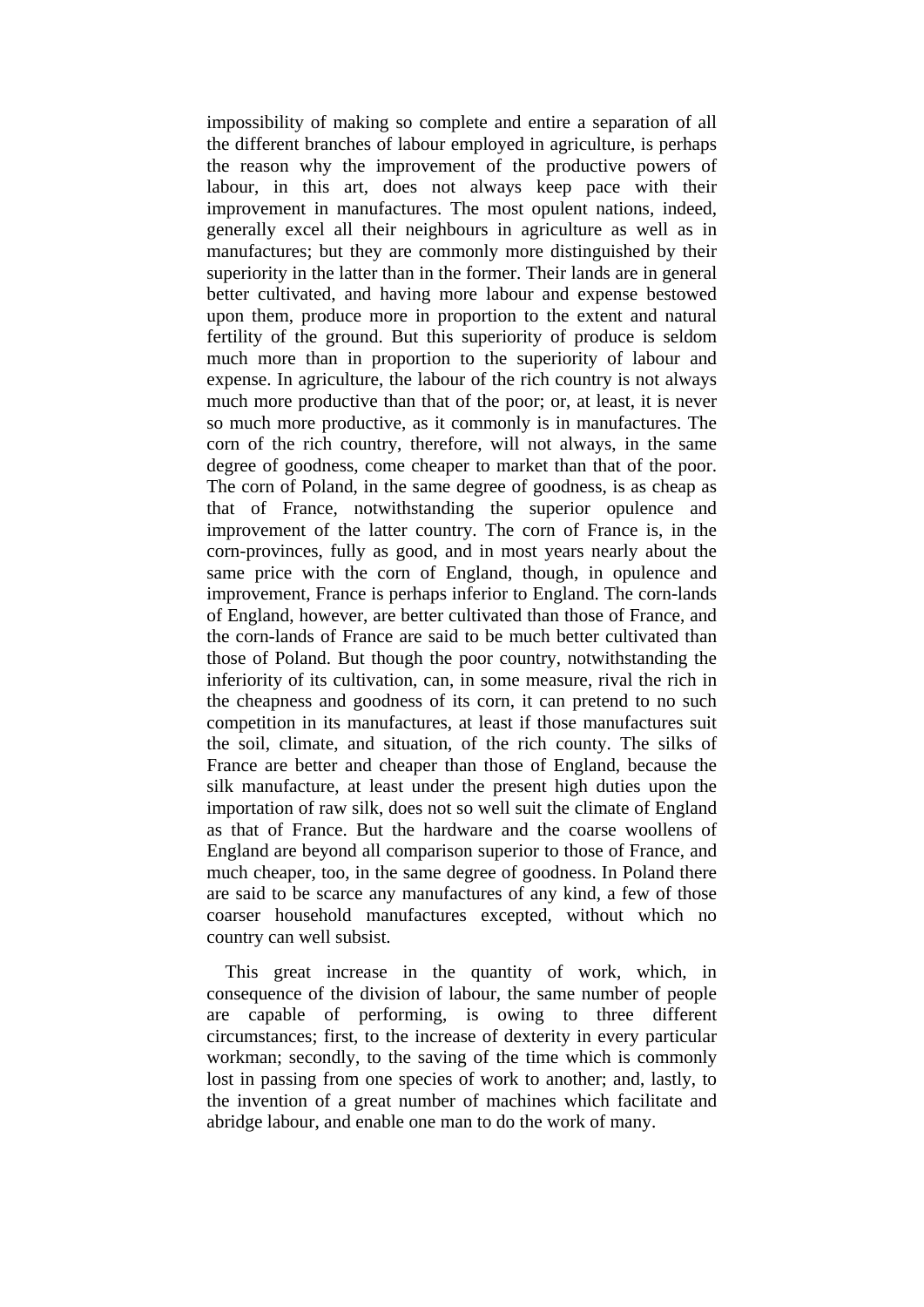impossibility of making so complete and entire a separation of all the different branches of labour employed in agriculture, is perhaps the reason why the improvement of the productive powers of labour, in this art, does not always keep pace with their improvement in manufactures. The most opulent nations, indeed, generally excel all their neighbours in agriculture as well as in manufactures; but they are commonly more distinguished by their superiority in the latter than in the former. Their lands are in general better cultivated, and having more labour and expense bestowed upon them, produce more in proportion to the extent and natural fertility of the ground. But this superiority of produce is seldom much more than in proportion to the superiority of labour and expense. In agriculture, the labour of the rich country is not always much more productive than that of the poor; or, at least, it is never so much more productive, as it commonly is in manufactures. The corn of the rich country, therefore, will not always, in the same degree of goodness, come cheaper to market than that of the poor. The corn of Poland, in the same degree of goodness, is as cheap as that of France, notwithstanding the superior opulence and improvement of the latter country. The corn of France is, in the corn-provinces, fully as good, and in most years nearly about the same price with the corn of England, though, in opulence and improvement, France is perhaps inferior to England. The corn-lands of England, however, are better cultivated than those of France, and the corn-lands of France are said to be much better cultivated than those of Poland. But though the poor country, notwithstanding the inferiority of its cultivation, can, in some measure, rival the rich in the cheapness and goodness of its corn, it can pretend to no such competition in its manufactures, at least if those manufactures suit the soil, climate, and situation, of the rich county. The silks of France are better and cheaper than those of England, because the silk manufacture, at least under the present high duties upon the importation of raw silk, does not so well suit the climate of England as that of France. But the hardware and the coarse woollens of England are beyond all comparison superior to those of France, and much cheaper, too, in the same degree of goodness. In Poland there are said to be scarce any manufactures of any kind, a few of those coarser household manufactures excepted, without which no country can well subsist.

This great increase in the quantity of work, which, in consequence of the division of labour, the same number of people are capable of performing, is owing to three different circumstances; first, to the increase of dexterity in every particular workman; secondly, to the saving of the time which is commonly lost in passing from one species of work to another; and, lastly, to the invention of a great number of machines which facilitate and abridge labour, and enable one man to do the work of many.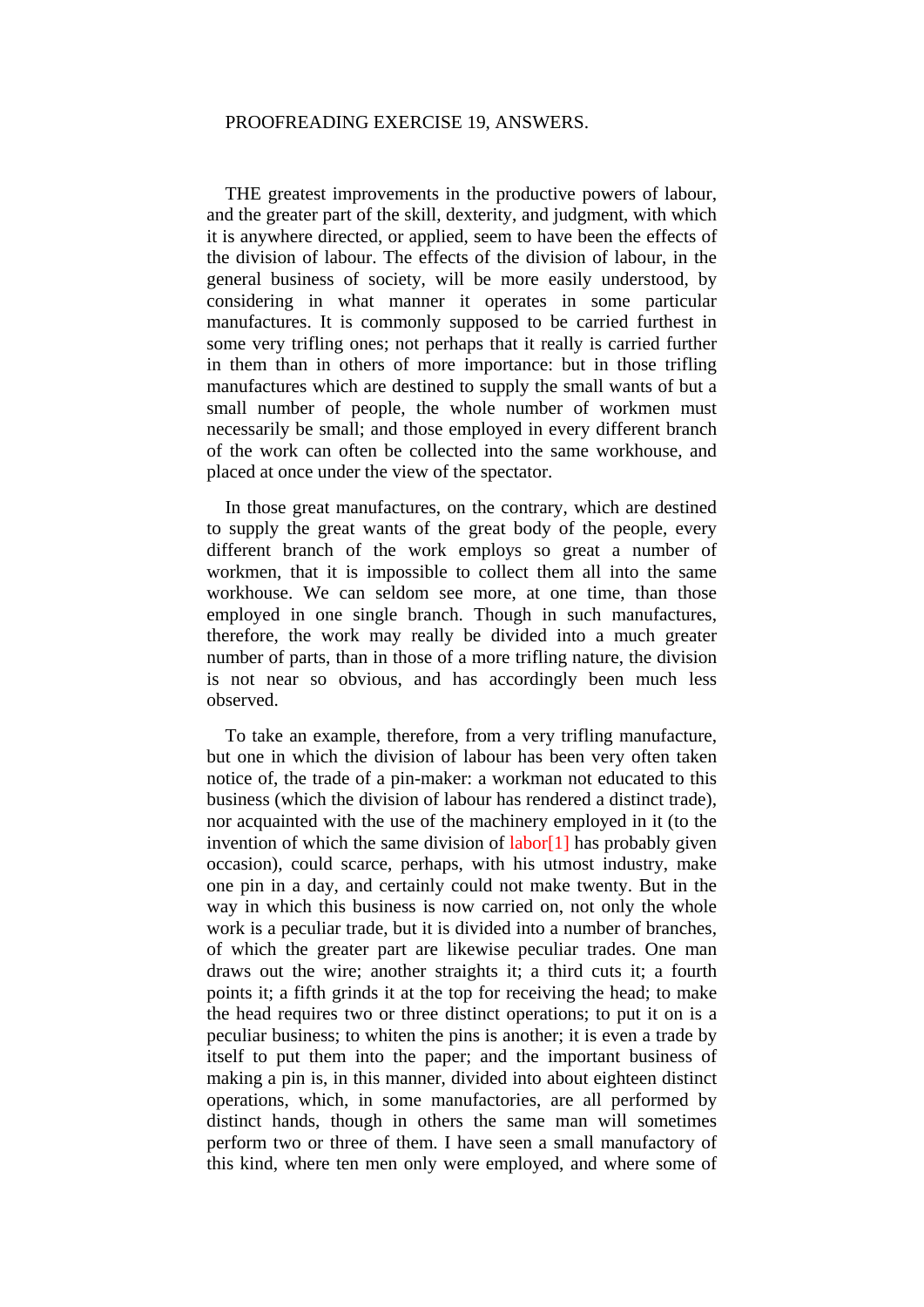# PROOFREADING EXERCISE 19, ANSWERS.

THE greatest improvements in the productive powers of labour, and the greater part of the skill, dexterity, and judgment, with which it is anywhere directed, or applied, seem to have been the effects of the division of labour. The effects of the division of labour, in the general business of society, will be more easily understood, by considering in what manner it operates in some particular manufactures. It is commonly supposed to be carried furthest in some very trifling ones; not perhaps that it really is carried further in them than in others of more importance: but in those trifling manufactures which are destined to supply the small wants of but a small number of people, the whole number of workmen must necessarily be small; and those employed in every different branch of the work can often be collected into the same workhouse, and placed at once under the view of the spectator.

In those great manufactures, on the contrary, which are destined to supply the great wants of the great body of the people, every different branch of the work employs so great a number of workmen, that it is impossible to collect them all into the same workhouse. We can seldom see more, at one time, than those employed in one single branch. Though in such manufactures, therefore, the work may really be divided into a much greater number of parts, than in those of a more trifling nature, the division is not near so obvious, and has accordingly been much less observed.

To take an example, therefore, from a very trifling manufacture, but one in which the division of labour has been very often taken notice of, the trade of a pin-maker: a workman not educated to this business (which the division of labour has rendered a distinct trade), nor acquainted with the use of the machinery employed in it (to the invention of which the same division of labor[1] has probably given occasion), could scarce, perhaps, with his utmost industry, make one pin in a day, and certainly could not make twenty. But in the way in which this business is now carried on, not only the whole work is a peculiar trade, but it is divided into a number of branches, of which the greater part are likewise peculiar trades. One man draws out the wire; another straights it; a third cuts it; a fourth points it; a fifth grinds it at the top for receiving the head; to make the head requires two or three distinct operations; to put it on is a peculiar business; to whiten the pins is another; it is even a trade by itself to put them into the paper; and the important business of making a pin is, in this manner, divided into about eighteen distinct operations, which, in some manufactories, are all performed by distinct hands, though in others the same man will sometimes perform two or three of them. I have seen a small manufactory of this kind, where ten men only were employed, and where some of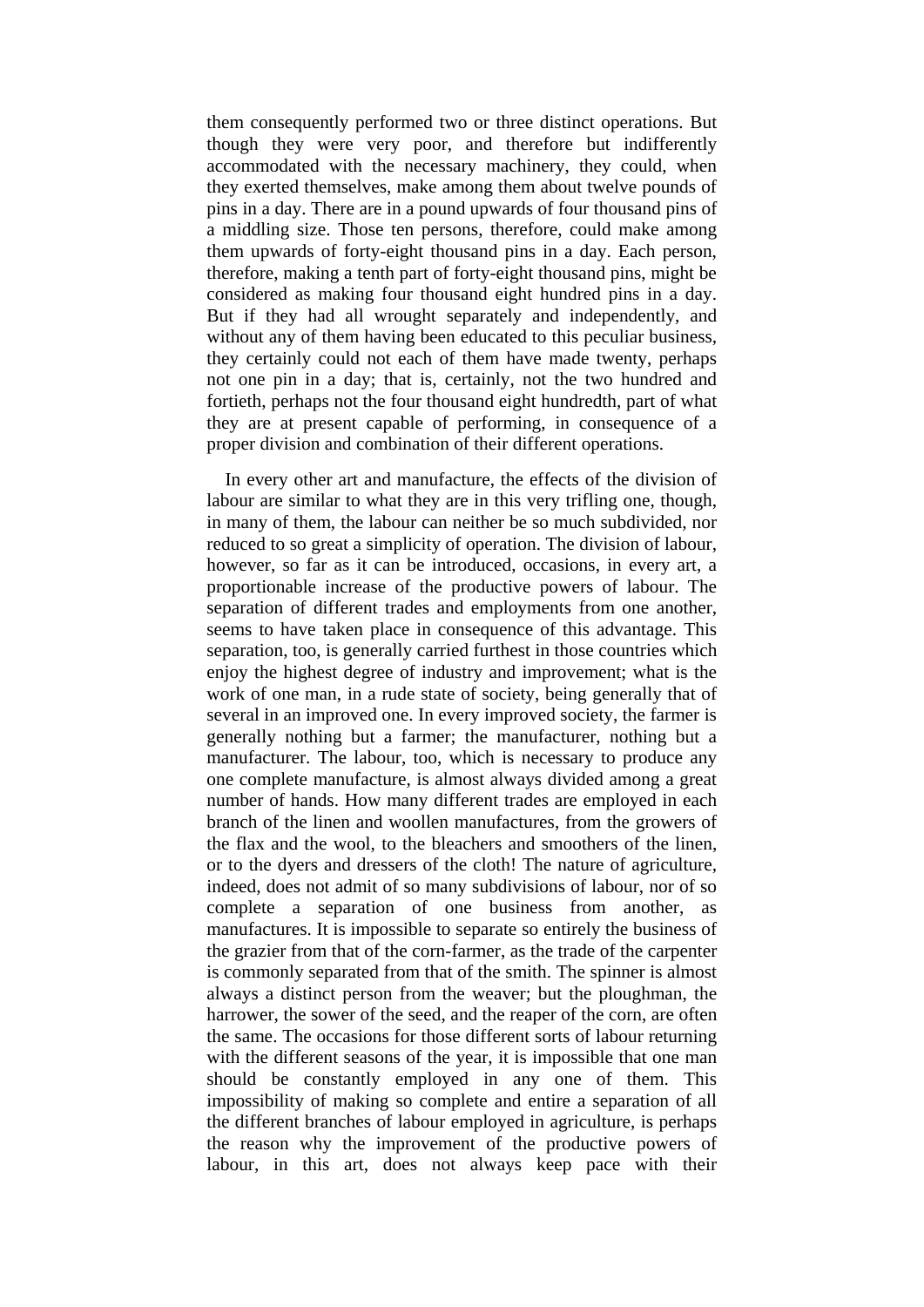them consequently performed two or three distinct operations. But though they were very poor, and therefore but indifferently accommodated with the necessary machinery, they could, when they exerted themselves, make among them about twelve pounds of pins in a day. There are in a pound upwards of four thousand pins of a middling size. Those ten persons, therefore, could make among them upwards of forty-eight thousand pins in a day. Each person, therefore, making a tenth part of forty-eight thousand pins, might be considered as making four thousand eight hundred pins in a day. But if they had all wrought separately and independently, and without any of them having been educated to this peculiar business, they certainly could not each of them have made twenty, perhaps not one pin in a day; that is, certainly, not the two hundred and fortieth, perhaps not the four thousand eight hundredth, part of what they are at present capable of performing, in consequence of a proper division and combination of their different operations.

In every other art and manufacture, the effects of the division of labour are similar to what they are in this very trifling one, though, in many of them, the labour can neither be so much subdivided, nor reduced to so great a simplicity of operation. The division of labour, however, so far as it can be introduced, occasions, in every art, a proportionable increase of the productive powers of labour. The separation of different trades and employments from one another, seems to have taken place in consequence of this advantage. This separation, too, is generally carried furthest in those countries which enjoy the highest degree of industry and improvement; what is the work of one man, in a rude state of society, being generally that of several in an improved one. In every improved society, the farmer is generally nothing but a farmer; the manufacturer, nothing but a manufacturer. The labour, too, which is necessary to produce any one complete manufacture, is almost always divided among a great number of hands. How many different trades are employed in each branch of the linen and woollen manufactures, from the growers of the flax and the wool, to the bleachers and smoothers of the linen, or to the dyers and dressers of the cloth! The nature of agriculture, indeed, does not admit of so many subdivisions of labour, nor of so complete a separation of one business from another, as manufactures. It is impossible to separate so entirely the business of the grazier from that of the corn-farmer, as the trade of the carpenter is commonly separated from that of the smith. The spinner is almost always a distinct person from the weaver; but the ploughman, the harrower, the sower of the seed, and the reaper of the corn, are often the same. The occasions for those different sorts of labour returning with the different seasons of the year, it is impossible that one man should be constantly employed in any one of them. This impossibility of making so complete and entire a separation of all the different branches of labour employed in agriculture, is perhaps the reason why the improvement of the productive powers of labour, in this art, does not always keep pace with their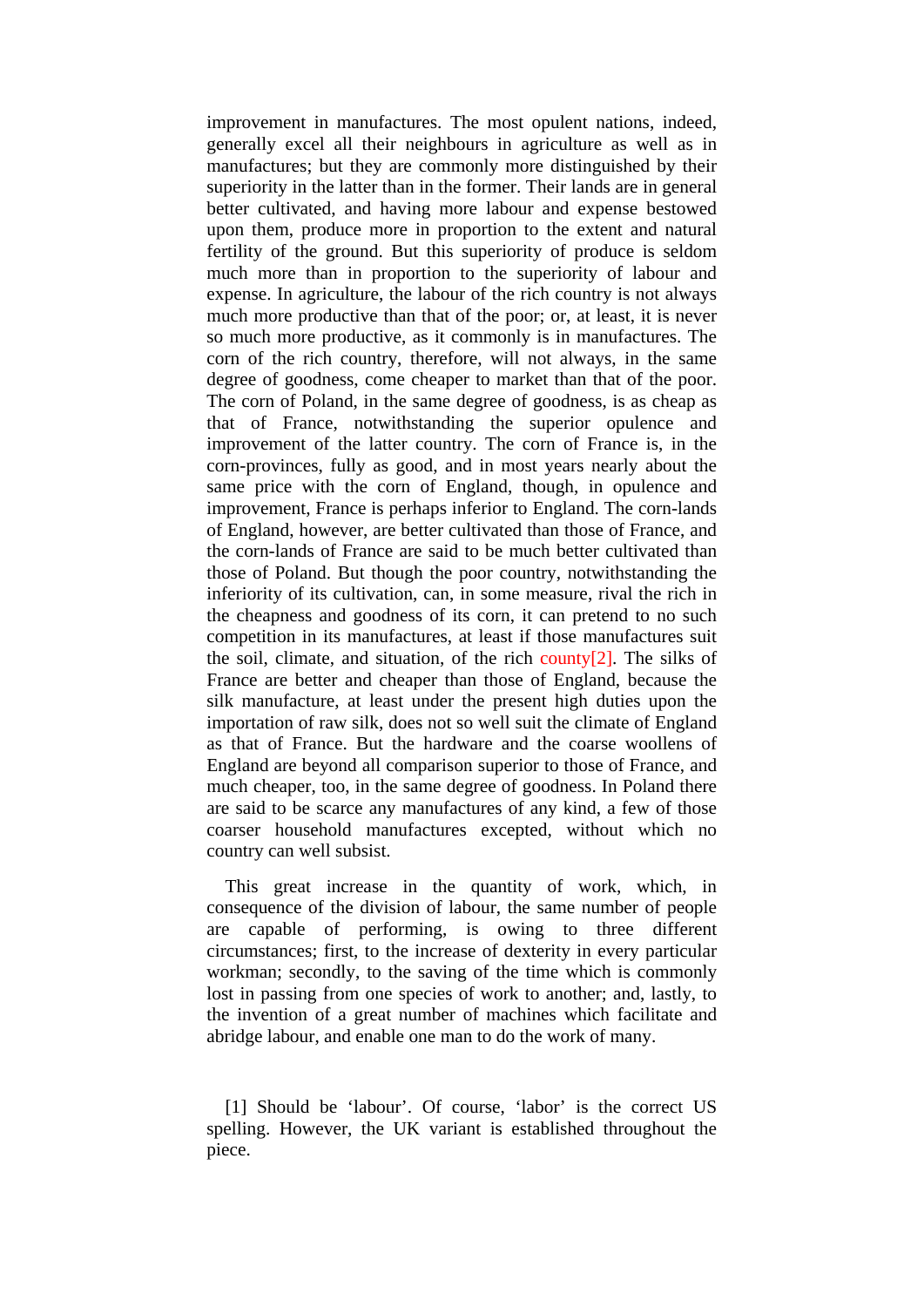improvement in manufactures. The most opulent nations, indeed, generally excel all their neighbours in agriculture as well as in manufactures; but they are commonly more distinguished by their superiority in the latter than in the former. Their lands are in general better cultivated, and having more labour and expense bestowed upon them, produce more in proportion to the extent and natural fertility of the ground. But this superiority of produce is seldom much more than in proportion to the superiority of labour and expense. In agriculture, the labour of the rich country is not always much more productive than that of the poor; or, at least, it is never so much more productive, as it commonly is in manufactures. The corn of the rich country, therefore, will not always, in the same degree of goodness, come cheaper to market than that of the poor. The corn of Poland, in the same degree of goodness, is as cheap as that of France, notwithstanding the superior opulence and improvement of the latter country. The corn of France is, in the corn-provinces, fully as good, and in most years nearly about the same price with the corn of England, though, in opulence and improvement, France is perhaps inferior to England. The corn-lands of England, however, are better cultivated than those of France, and the corn-lands of France are said to be much better cultivated than those of Poland. But though the poor country, notwithstanding the inferiority of its cultivation, can, in some measure, rival the rich in the cheapness and goodness of its corn, it can pretend to no such competition in its manufactures, at least if those manufactures suit the soil, climate, and situation, of the rich county[2]. The silks of France are better and cheaper than those of England, because the silk manufacture, at least under the present high duties upon the importation of raw silk, does not so well suit the climate of England as that of France. But the hardware and the coarse woollens of England are beyond all comparison superior to those of France, and much cheaper, too, in the same degree of goodness. In Poland there are said to be scarce any manufactures of any kind, a few of those coarser household manufactures excepted, without which no country can well subsist.

This great increase in the quantity of work, which, in consequence of the division of labour, the same number of people are capable of performing, is owing to three different circumstances; first, to the increase of dexterity in every particular workman; secondly, to the saving of the time which is commonly lost in passing from one species of work to another; and, lastly, to the invention of a great number of machines which facilitate and abridge labour, and enable one man to do the work of many.

[1] Should be 'labour'. Of course, 'labor' is the correct US spelling. However, the UK variant is established throughout the piece.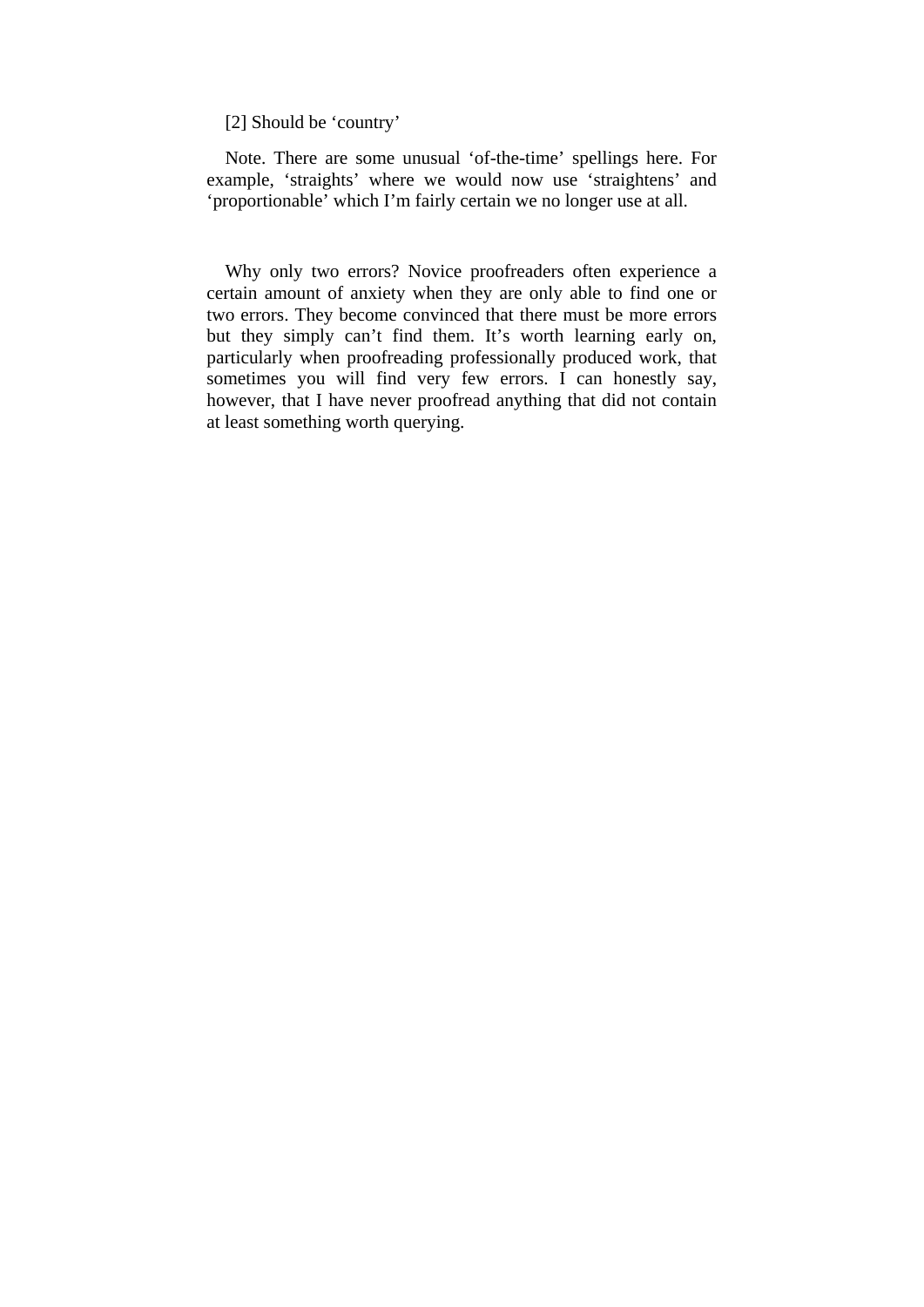[2] Should be 'country'

Note. There are some unusual 'of-the-time' spellings here. For example, 'straights' where we would now use 'straightens' and 'proportionable' which I'm fairly certain we no longer use at all.

Why only two errors? Novice proofreaders often experience a certain amount of anxiety when they are only able to find one or two errors. They become convinced that there must be more errors but they simply can't find them. It's worth learning early on, particularly when proofreading professionally produced work, that sometimes you will find very few errors. I can honestly say, however, that I have never proofread anything that did not contain at least something worth querying.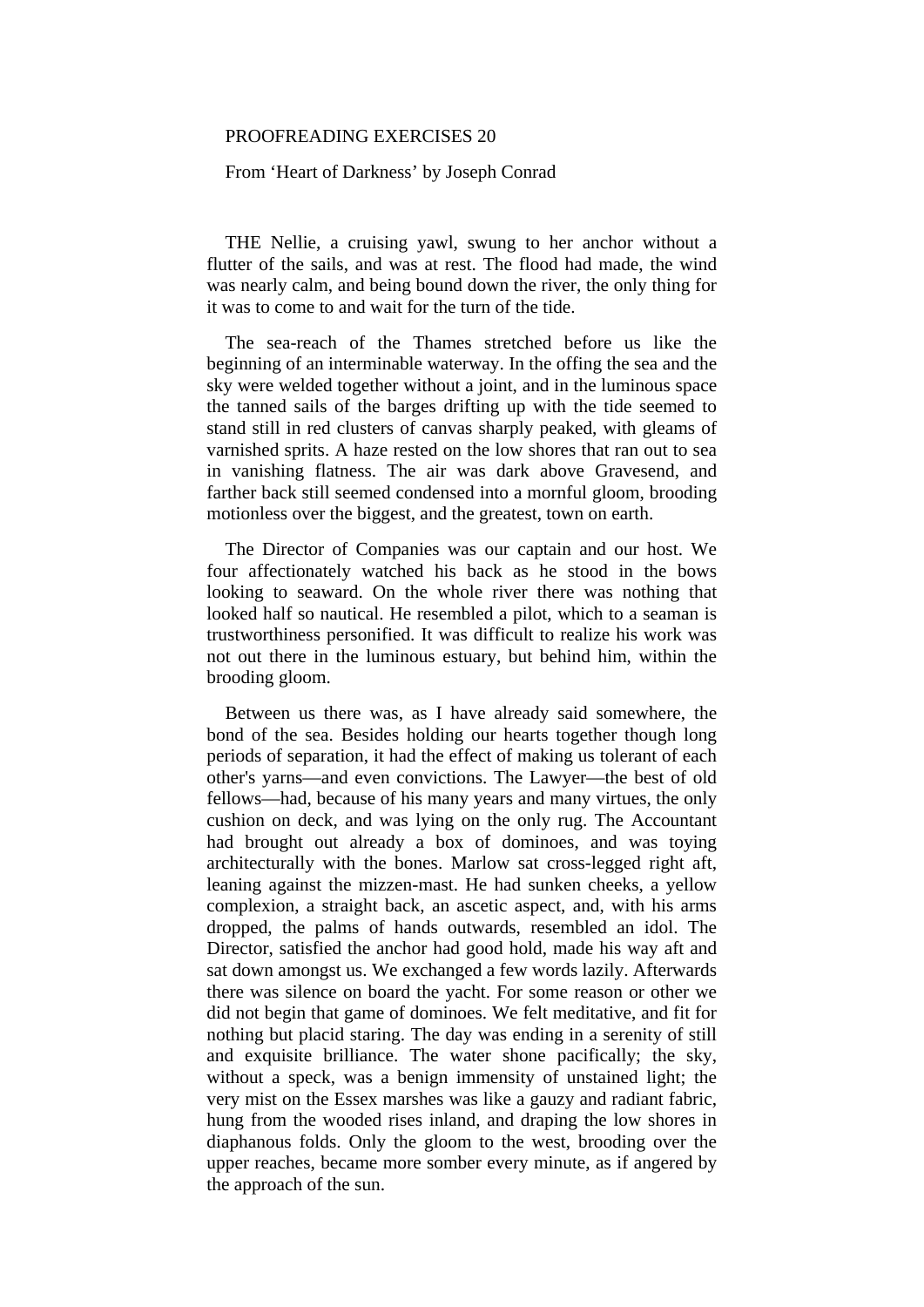### PROOFREADING EXERCISES 20

# From 'Heart of Darkness' by Joseph Conrad

THE Nellie, a cruising yawl, swung to her anchor without a flutter of the sails, and was at rest. The flood had made, the wind was nearly calm, and being bound down the river, the only thing for it was to come to and wait for the turn of the tide.

The sea-reach of the Thames stretched before us like the beginning of an interminable waterway. In the offing the sea and the sky were welded together without a joint, and in the luminous space the tanned sails of the barges drifting up with the tide seemed to stand still in red clusters of canvas sharply peaked, with gleams of varnished sprits. A haze rested on the low shores that ran out to sea in vanishing flatness. The air was dark above Gravesend, and farther back still seemed condensed into a mornful gloom, brooding motionless over the biggest, and the greatest, town on earth.

The Director of Companies was our captain and our host. We four affectionately watched his back as he stood in the bows looking to seaward. On the whole river there was nothing that looked half so nautical. He resembled a pilot, which to a seaman is trustworthiness personified. It was difficult to realize his work was not out there in the luminous estuary, but behind him, within the brooding gloom.

Between us there was, as I have already said somewhere, the bond of the sea. Besides holding our hearts together though long periods of separation, it had the effect of making us tolerant of each other's yarns—and even convictions. The Lawyer—the best of old fellows—had, because of his many years and many virtues, the only cushion on deck, and was lying on the only rug. The Accountant had brought out already a box of dominoes, and was toying architecturally with the bones. Marlow sat cross-legged right aft, leaning against the mizzen-mast. He had sunken cheeks, a yellow complexion, a straight back, an ascetic aspect, and, with his arms dropped, the palms of hands outwards, resembled an idol. The Director, satisfied the anchor had good hold, made his way aft and sat down amongst us. We exchanged a few words lazily. Afterwards there was silence on board the yacht. For some reason or other we did not begin that game of dominoes. We felt meditative, and fit for nothing but placid staring. The day was ending in a serenity of still and exquisite brilliance. The water shone pacifically; the sky, without a speck, was a benign immensity of unstained light; the very mist on the Essex marshes was like a gauzy and radiant fabric, hung from the wooded rises inland, and draping the low shores in diaphanous folds. Only the gloom to the west, brooding over the upper reaches, became more somber every minute, as if angered by the approach of the sun.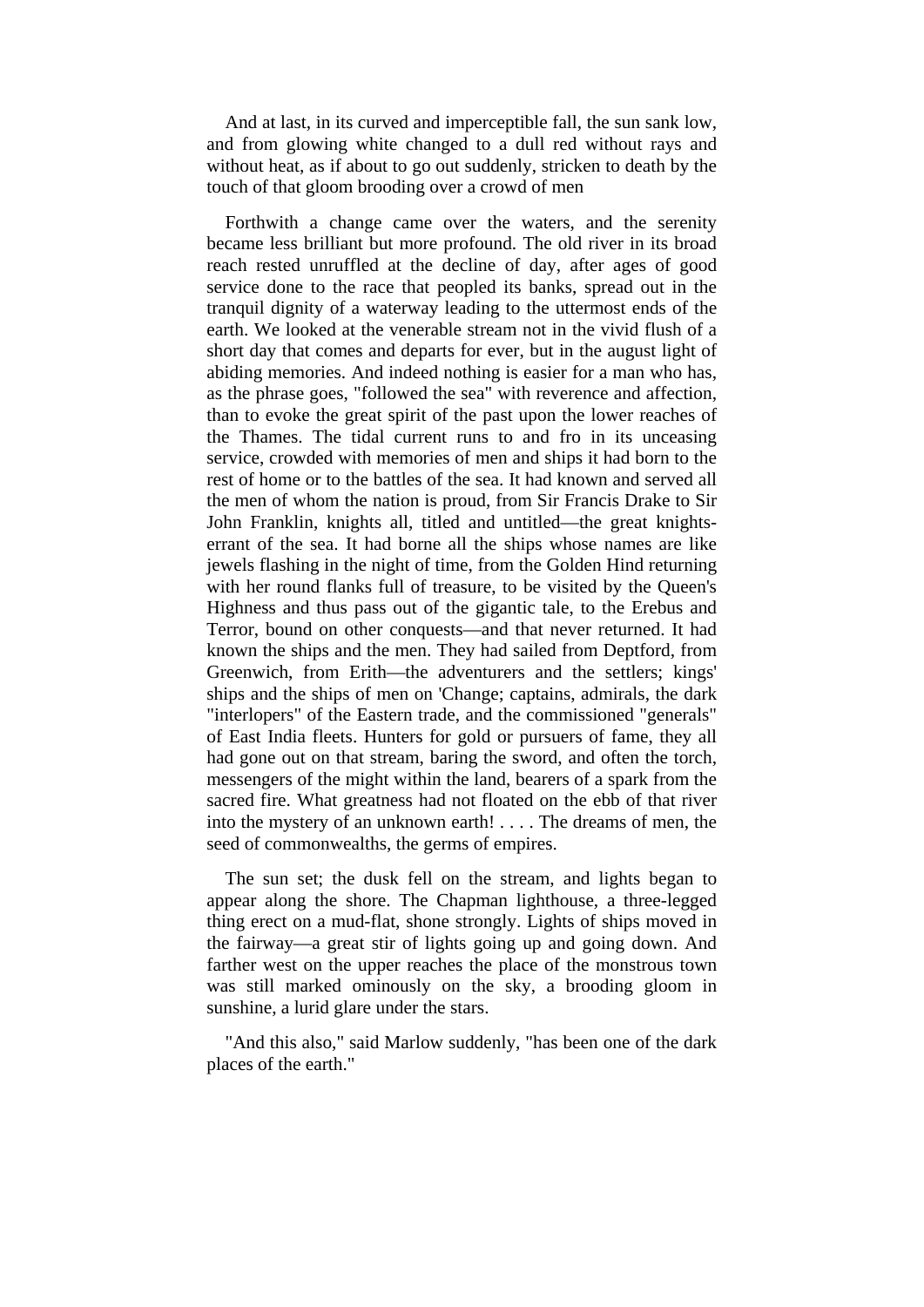And at last, in its curved and imperceptible fall, the sun sank low, and from glowing white changed to a dull red without rays and without heat, as if about to go out suddenly, stricken to death by the touch of that gloom brooding over a crowd of men

Forthwith a change came over the waters, and the serenity became less brilliant but more profound. The old river in its broad reach rested unruffled at the decline of day, after ages of good service done to the race that peopled its banks, spread out in the tranquil dignity of a waterway leading to the uttermost ends of the earth. We looked at the venerable stream not in the vivid flush of a short day that comes and departs for ever, but in the august light of abiding memories. And indeed nothing is easier for a man who has, as the phrase goes, "followed the sea" with reverence and affection, than to evoke the great spirit of the past upon the lower reaches of the Thames. The tidal current runs to and fro in its unceasing service, crowded with memories of men and ships it had born to the rest of home or to the battles of the sea. It had known and served all the men of whom the nation is proud, from Sir Francis Drake to Sir John Franklin, knights all, titled and untitled—the great knightserrant of the sea. It had borne all the ships whose names are like jewels flashing in the night of time, from the Golden Hind returning with her round flanks full of treasure, to be visited by the Queen's Highness and thus pass out of the gigantic tale, to the Erebus and Terror, bound on other conquests—and that never returned. It had known the ships and the men. They had sailed from Deptford, from Greenwich, from Erith—the adventurers and the settlers; kings' ships and the ships of men on 'Change; captains, admirals, the dark "interlopers" of the Eastern trade, and the commissioned "generals" of East India fleets. Hunters for gold or pursuers of fame, they all had gone out on that stream, baring the sword, and often the torch, messengers of the might within the land, bearers of a spark from the sacred fire. What greatness had not floated on the ebb of that river into the mystery of an unknown earth! . . . . The dreams of men, the seed of commonwealths, the germs of empires.

The sun set; the dusk fell on the stream, and lights began to appear along the shore. The Chapman lighthouse, a three-legged thing erect on a mud-flat, shone strongly. Lights of ships moved in the fairway—a great stir of lights going up and going down. And farther west on the upper reaches the place of the monstrous town was still marked ominously on the sky, a brooding gloom in sunshine, a lurid glare under the stars.

"And this also," said Marlow suddenly, "has been one of the dark places of the earth."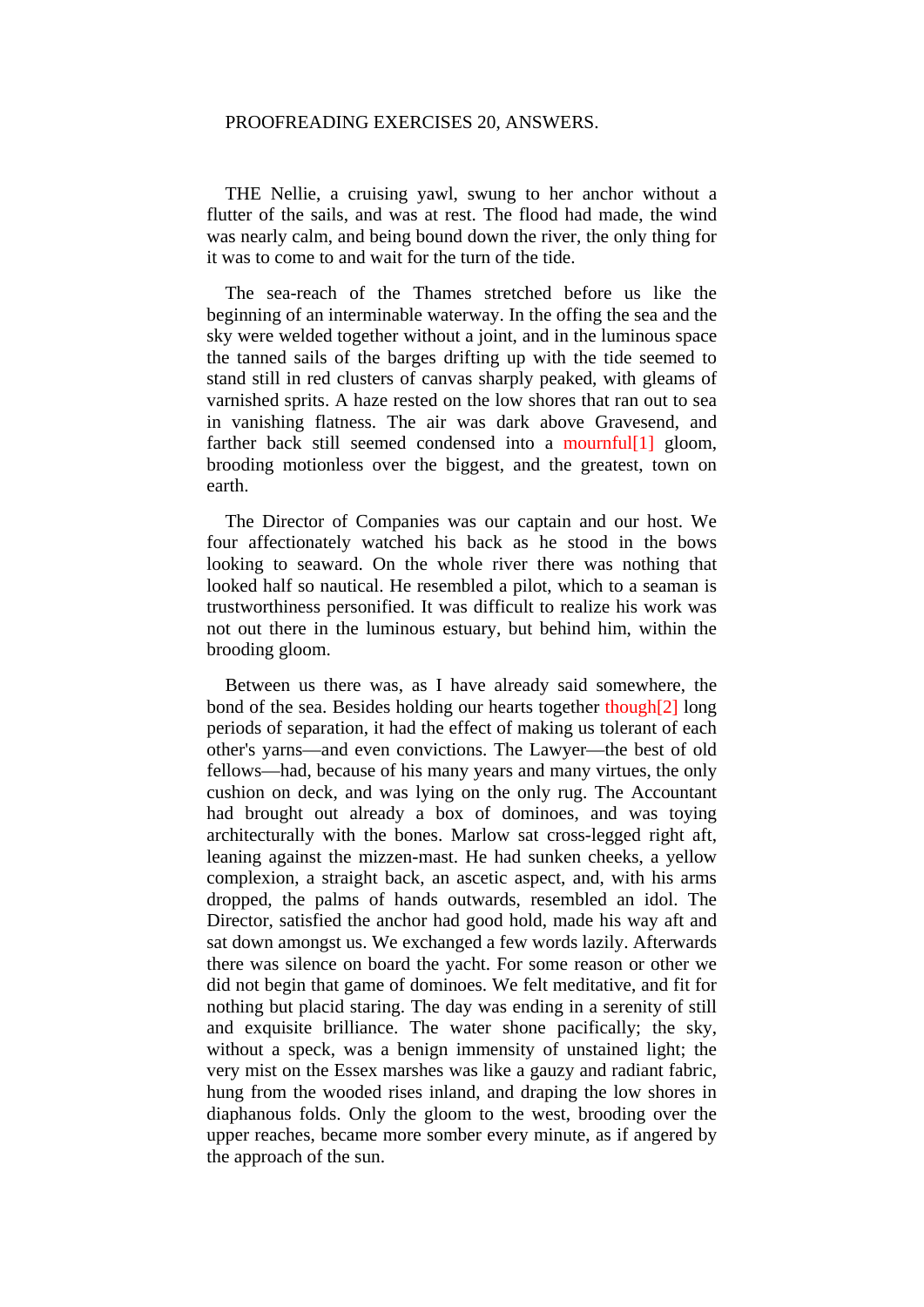#### PROOFREADING EXERCISES 20, ANSWERS.

THE Nellie, a cruising yawl, swung to her anchor without a flutter of the sails, and was at rest. The flood had made, the wind was nearly calm, and being bound down the river, the only thing for it was to come to and wait for the turn of the tide.

The sea-reach of the Thames stretched before us like the beginning of an interminable waterway. In the offing the sea and the sky were welded together without a joint, and in the luminous space the tanned sails of the barges drifting up with the tide seemed to stand still in red clusters of canvas sharply peaked, with gleams of varnished sprits. A haze rested on the low shores that ran out to sea in vanishing flatness. The air was dark above Gravesend, and farther back still seemed condensed into a mournful [1] gloom, brooding motionless over the biggest, and the greatest, town on earth.

The Director of Companies was our captain and our host. We four affectionately watched his back as he stood in the bows looking to seaward. On the whole river there was nothing that looked half so nautical. He resembled a pilot, which to a seaman is trustworthiness personified. It was difficult to realize his work was not out there in the luminous estuary, but behind him, within the brooding gloom.

Between us there was, as I have already said somewhere, the bond of the sea. Besides holding our hearts together though[2] long periods of separation, it had the effect of making us tolerant of each other's yarns—and even convictions. The Lawyer—the best of old fellows—had, because of his many years and many virtues, the only cushion on deck, and was lying on the only rug. The Accountant had brought out already a box of dominoes, and was toying architecturally with the bones. Marlow sat cross-legged right aft, leaning against the mizzen-mast. He had sunken cheeks, a yellow complexion, a straight back, an ascetic aspect, and, with his arms dropped, the palms of hands outwards, resembled an idol. The Director, satisfied the anchor had good hold, made his way aft and sat down amongst us. We exchanged a few words lazily. Afterwards there was silence on board the yacht. For some reason or other we did not begin that game of dominoes. We felt meditative, and fit for nothing but placid staring. The day was ending in a serenity of still and exquisite brilliance. The water shone pacifically; the sky, without a speck, was a benign immensity of unstained light; the very mist on the Essex marshes was like a gauzy and radiant fabric, hung from the wooded rises inland, and draping the low shores in diaphanous folds. Only the gloom to the west, brooding over the upper reaches, became more somber every minute, as if angered by the approach of the sun.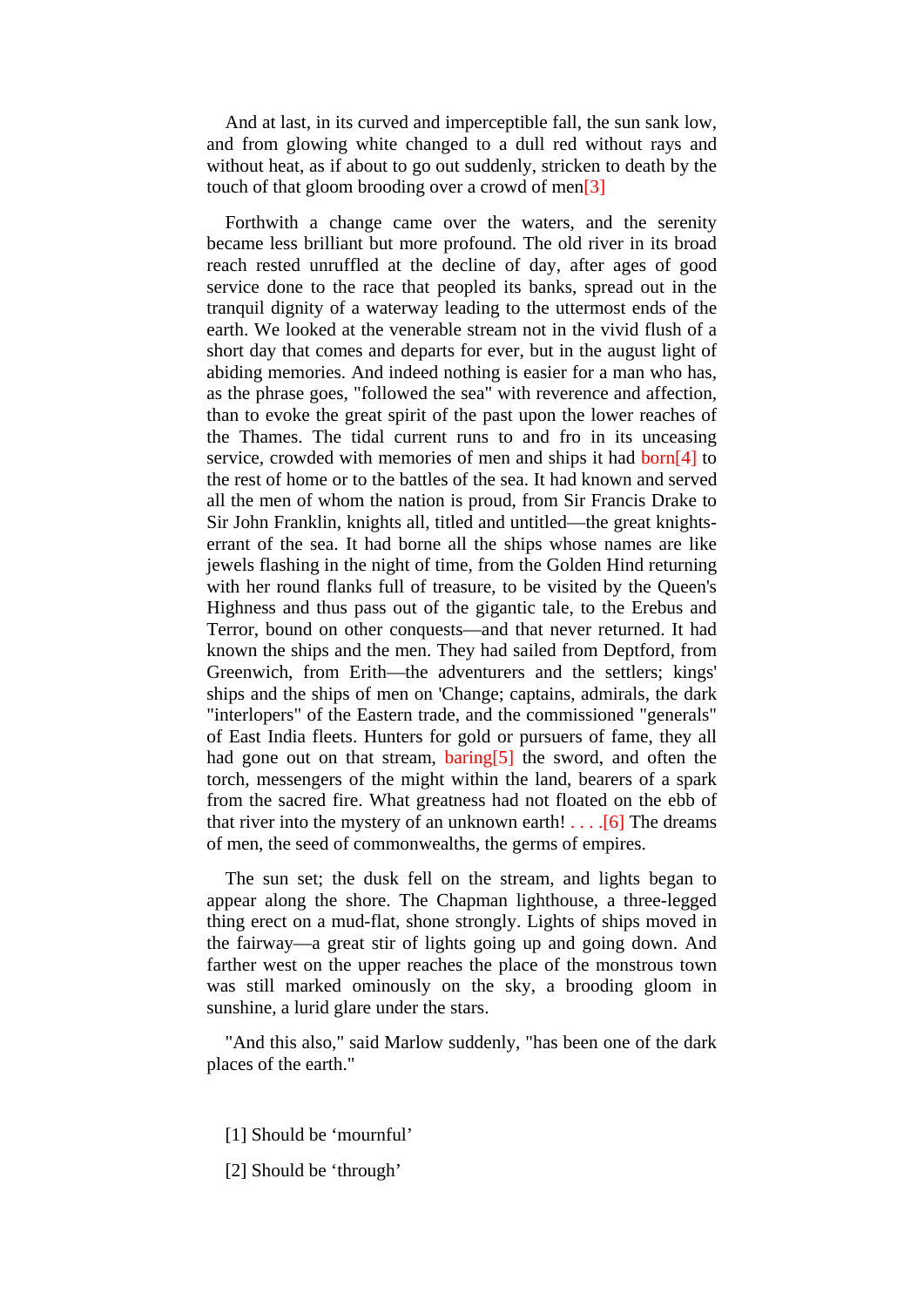And at last, in its curved and imperceptible fall, the sun sank low, and from glowing white changed to a dull red without rays and without heat, as if about to go out suddenly, stricken to death by the touch of that gloom brooding over a crowd of men[3]

Forthwith a change came over the waters, and the serenity became less brilliant but more profound. The old river in its broad reach rested unruffled at the decline of day, after ages of good service done to the race that peopled its banks, spread out in the tranquil dignity of a waterway leading to the uttermost ends of the earth. We looked at the venerable stream not in the vivid flush of a short day that comes and departs for ever, but in the august light of abiding memories. And indeed nothing is easier for a man who has, as the phrase goes, "followed the sea" with reverence and affection, than to evoke the great spirit of the past upon the lower reaches of the Thames. The tidal current runs to and fro in its unceasing service, crowded with memories of men and ships it had born[4] to the rest of home or to the battles of the sea. It had known and served all the men of whom the nation is proud, from Sir Francis Drake to Sir John Franklin, knights all, titled and untitled—the great knightserrant of the sea. It had borne all the ships whose names are like jewels flashing in the night of time, from the Golden Hind returning with her round flanks full of treasure, to be visited by the Queen's Highness and thus pass out of the gigantic tale, to the Erebus and Terror, bound on other conquests—and that never returned. It had known the ships and the men. They had sailed from Deptford, from Greenwich, from Erith—the adventurers and the settlers; kings' ships and the ships of men on 'Change; captains, admirals, the dark "interlopers" of the Eastern trade, and the commissioned "generals" of East India fleets. Hunters for gold or pursuers of fame, they all had gone out on that stream, baring[5] the sword, and often the torch, messengers of the might within the land, bearers of a spark from the sacred fire. What greatness had not floated on the ebb of that river into the mystery of an unknown earth!  $\dots$  [6] The dreams of men, the seed of commonwealths, the germs of empires.

The sun set; the dusk fell on the stream, and lights began to appear along the shore. The Chapman lighthouse, a three-legged thing erect on a mud-flat, shone strongly. Lights of ships moved in the fairway—a great stir of lights going up and going down. And farther west on the upper reaches the place of the monstrous town was still marked ominously on the sky, a brooding gloom in sunshine, a lurid glare under the stars.

"And this also," said Marlow suddenly, "has been one of the dark places of the earth."

- [1] Should be 'mournful'
- [2] Should be 'through'